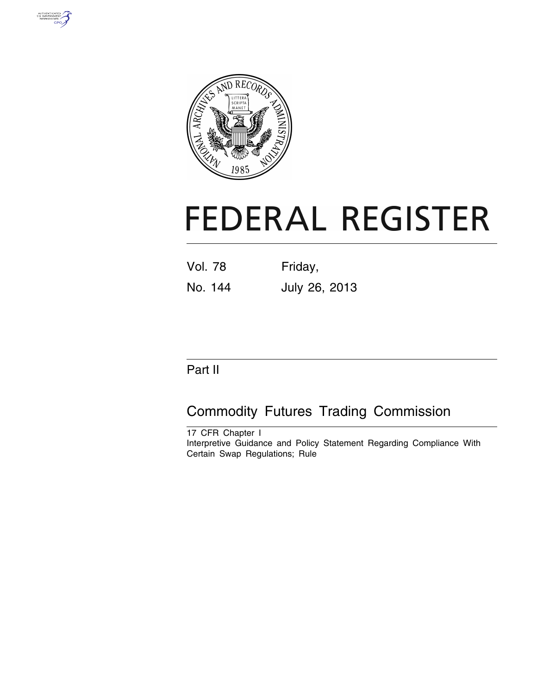



# **FEDERAL REGISTER**

| Vol. 78 | Friday, |  |  |
|---------|---------|--|--|
|         |         |  |  |

## No. 144 July 26, 2013

### Part II

## Commodity Futures Trading Commission

17 CFR Chapter I Interpretive Guidance and Policy Statement Regarding Compliance With Certain Swap Regulations; Rule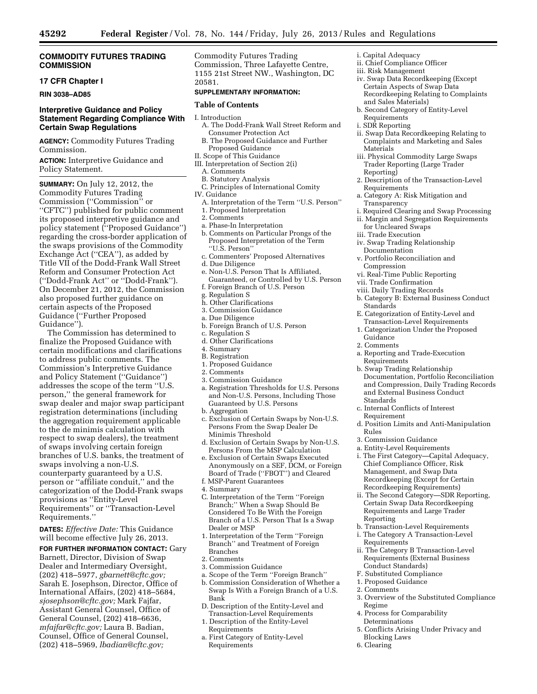#### **COMMODITY FUTURES TRADING COMMISSION**

#### **17 CFR Chapter I**

**RIN 3038–AD85** 

#### **Interpretive Guidance and Policy Statement Regarding Compliance With Certain Swap Regulations**

**AGENCY:** Commodity Futures Trading Commission.

**ACTION:** Interpretive Guidance and Policy Statement.

**SUMMARY:** On July 12, 2012, the Commodity Futures Trading Commission (''Commission'' or ''CFTC'') published for public comment its proposed interpretive guidance and policy statement (''Proposed Guidance'') regarding the cross-border application of the swaps provisions of the Commodity Exchange Act (''CEA''), as added by Title VII of the Dodd-Frank Wall Street Reform and Consumer Protection Act (''Dodd-Frank Act'' or ''Dodd-Frank''). On December 21, 2012, the Commission also proposed further guidance on certain aspects of the Proposed Guidance (''Further Proposed Guidance'').

The Commission has determined to finalize the Proposed Guidance with certain modifications and clarifications to address public comments. The Commission's Interpretive Guidance and Policy Statement (''Guidance'') addresses the scope of the term ''U.S. person,'' the general framework for swap dealer and major swap participant registration determinations (including the aggregation requirement applicable to the de minimis calculation with respect to swap dealers), the treatment of swaps involving certain foreign branches of U.S. banks, the treatment of swaps involving a non-U.S. counterparty guaranteed by a U.S. person or ''affiliate conduit,'' and the categorization of the Dodd-Frank swaps provisions as ''Entity-Level Requirements'' or ''Transaction-Level Requirements.''

**DATES:** *Effective Date:* This Guidance will become effective July 26, 2013.

**FOR FURTHER INFORMATION CONTACT:** Gary Barnett, Director, Division of Swap Dealer and Intermediary Oversight, (202) 418–5977, *[gbarnett@cftc.gov;](mailto:gbarnett@cftc.gov)*  Sarah E. Josephson, Director, Office of International Affairs, (202) 418–5684, *[sjosephson@cftc.gov;](mailto:sjosephson@cftc.gov)* Mark Fajfar, Assistant General Counsel, Office of General Counsel, (202) 418–6636, *[mfajfar@cftc.gov;](mailto:mfajfar@cftc.gov)* Laura B. Badian, Counsel, Office of General Counsel, (202) 418–5969, *[lbadian@cftc.gov;](mailto:lbadian@cftc.gov)* 

Commodity Futures Trading Commission, Three Lafayette Centre, 1155 21st Street NW., Washington, DC 20581.

#### **SUPPLEMENTARY INFORMATION:**

#### **Table of Contents**

- I. Introduction
	- A. The Dodd-Frank Wall Street Reform and Consumer Protection Act
	- B. The Proposed Guidance and Further Proposed Guidance
- II. Scope of This Guidance
- III. Interpretation of Section 2(i)
- A. Comments
- B. Statutory Analysis
- C. Principles of International Comity
- IV. Guidance
- A. Interpretation of the Term ''U.S. Person''
- 1. Proposed Interpretation
- 2. Comments
- a. Phase-In Interpretation
- b. Comments on Particular Prongs of the Proposed Interpretation of the Term ''U.S. Person''
- c. Commenters' Proposed Alternatives d. Due Diligence
- 
- e. Non-U.S. Person That Is Affiliated, Guaranteed, or Controlled by U.S. Person f. Foreign Branch of U.S. Person
- g. Regulation S
- h. Other Clarifications
- 3. Commission Guidance
- a. Due Diligence
- b. Foreign Branch of U.S. Person
- c. Regulation S
- d. Other Clarifications
- 4. Summary
- B. Registration
- 1. Proposed Guidance
- 2. Comments
- 3. Commission Guidance
- a. Registration Thresholds for U.S. Persons and Non-U.S. Persons, Including Those Guaranteed by U.S. Persons
- b. Aggregation
- c. Exclusion of Certain Swaps by Non-U.S. Persons From the Swap Dealer De Minimis Threshold
- d. Exclusion of Certain Swaps by Non-U.S. Persons From the MSP Calculation
- e. Exclusion of Certain Swaps Executed Anonymously on a SEF, DCM, or Foreign Board of Trade (''FBOT'') and Cleared
- f. MSP-Parent Guarantees
- 4. Summary
- C. Interpretation of the Term ''Foreign Branch;'' When a Swap Should Be Considered To Be With the Foreign Branch of a U.S. Person That Is a Swap Dealer or MSP
- 1. Interpretation of the Term ''Foreign Branch'' and Treatment of Foreign Branches
- 2. Comments
- 3. Commission Guidance
- a. Scope of the Term ''Foreign Branch''
- b. Commission Consideration of Whether a Swap Is With a Foreign Branch of a U.S. Bank
- D. Description of the Entity-Level and Transaction-Level Requirements
- 1. Description of the Entity-Level Requirements
- a. First Category of Entity-Level Requirements
- i. Capital Adequacy
- ii. Chief Compliance Officer
- iii. Risk Management
- iv. Swap Data Recordkeeping (Except Certain Aspects of Swap Data Recordkeeping Relating to Complaints and Sales Materials)
- b. Second Category of Entity-Level Requirements
- i. SDR Reporting
- ii. Swap Data Recordkeeping Relating to Complaints and Marketing and Sales Materials
- iii. Physical Commodity Large Swaps Trader Reporting (Large Trader Reporting)
- 2. Description of the Transaction-Level **Requirements**
- a. Category A: Risk Mitigation and Transparency
- i. Required Clearing and Swap Processing
- ii. Margin and Segregation Requirements for Uncleared Swaps
- iii. Trade Execution
- iv. Swap Trading Relationship Documentation
- v. Portfolio Reconciliation and Compression
- vi. Real-Time Public Reporting
- vii. Trade Confirmation
- viii. Daily Trading Records
- b. Category B: External Business Conduct Standards
- E. Categorization of Entity-Level and Transaction-Level Requirements
- 1. Categorization Under the Proposed Guidance
- 2. Comments
- a. Reporting and Trade-Execution Requirements
- b. Swap Trading Relationship Documentation, Portfolio Reconciliation and Compression, Daily Trading Records and External Business Conduct Standards
- c. Internal Conflicts of Interest Requirement
- d. Position Limits and Anti-Manipulation Rules
- 3. Commission Guidance
- a. Entity-Level Requirements
- i. The First Category—Capital Adequacy, Chief Compliance Officer, Risk Management, and Swap Data Recordkeeping (Except for Certain Recordkeeping Requirements)
- ii. The Second Category—SDR Reporting, Certain Swap Data Recordkeeping Requirements and Large Trader Reporting
- b. Transaction-Level Requirements
- i. The Category A Transaction-Level Requirements
- ii. The Category B Transaction-Level Requirements (External Business Conduct Standards)
- F. Substituted Compliance
- 1. Proposed Guidance
- 2. Comments
- 3. Overview of the Substituted Compliance Regime
- 4. Process for Comparability Determinations
- 5. Conflicts Arising Under Privacy and Blocking Laws
- 6. Clearing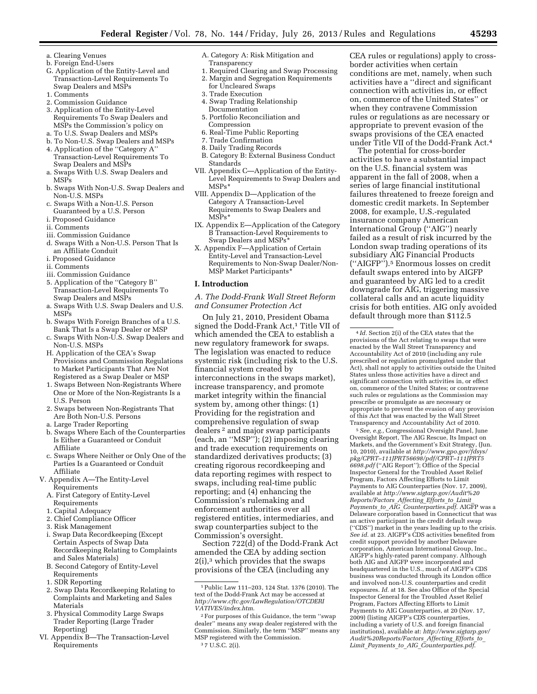- a. Clearing Venues
- b. Foreign End-Users
- G. Application of the Entity-Level and Transaction-Level Requirements To Swap Dealers and MSPs
- 1. Comments
- 2. Commission Guidance
- 3. Application of the Entity-Level Requirements To Swap Dealers and MSPs the Commission's policy on
- a. To U.S. Swap Dealers and MSPs
- b. To Non-U.S. Swap Dealers and MSPs 4. Application of the ''Category A''
- Transaction-Level Requirements To Swap Dealers and MSPs
- a. Swaps With U.S. Swap Dealers and MSPs
- b. Swaps With Non-U.S. Swap Dealers and Non-U.S. MSPs
- c. Swaps With a Non-U.S. Person Guaranteed by a U.S. Person
- i. Proposed Guidance
- ii. Comments
- iii. Commission Guidance
- d. Swaps With a Non-U.S. Person That Is an Affiliate Conduit
- i. Proposed Guidance
- ii. Comments
- iii. Commission Guidance
- 5. Application of the ''Category B'' Transaction-Level Requirements To Swap Dealers and MSPs
- a. Swaps With U.S. Swap Dealers and U.S. MSPs
- b. Swaps With Foreign Branches of a U.S. Bank That Is a Swap Dealer or MSP
- c. Swaps With Non-U.S. Swap Dealers and Non-U.S. MSPs
- H. Application of the CEA's Swap Provisions and Commission Regulations to Market Participants That Are Not Registered as a Swap Dealer or MSP
- 1. Swaps Between Non-Registrants Where One or More of the Non-Registrants Is a U.S. Person
- 2. Swaps between Non-Registrants That Are Both Non-U.S. Persons
- a. Large Trader Reporting
- b. Swaps Where Each of the Counterparties Is Either a Guaranteed or Conduit Affiliate
- c. Swaps Where Neither or Only One of the Parties Is a Guaranteed or Conduit Affiliate
- V. Appendix A—The Entity-Level Requirements
	- A. First Category of Entity-Level Requirements
	- 1. Capital Adequacy
	- 2. Chief Compliance Officer
	- 3. Risk Management
	- i. Swap Data Recordkeeping (Except Certain Aspects of Swap Data Recordkeeping Relating to Complaints and Sales Materials)
	- B. Second Category of Entity-Level Requirements
	- 1. SDR Reporting
	- 2. Swap Data Recordkeeping Relating to Complaints and Marketing and Sales Materials
	- 3. Physical Commodity Large Swaps Trader Reporting (Large Trader Reporting)
- VI. Appendix B—The Transaction-Level Requirements
- A. Category A: Risk Mitigation and Transparency
- 1. Required Clearing and Swap Processing
- 2. Margin and Segregation Requirements
- for Uncleared Swaps
- 3. Trade Execution
- 4. Swap Trading Relationship Documentation
- 5. Portfolio Reconciliation and Compression
- 6. Real-Time Public Reporting
- 7. Trade Confirmation
- 8. Daily Trading Records
- B. Category B: External Business Conduct Standards
- VII. Appendix C—Application of the Entity-Level Requirements to Swap Dealers and MSPs\*
- VIII. Appendix D—Application of the Category A Transaction-Level Requirements to Swap Dealers and MSPs\*
- IX. Appendix E—Application of the Category B Transaction-Level Requirements to Swap Dealers and MSPs
- X. Appendix F—Application of Certain Entity-Level and Transaction-Level Requirements to Non-Swap Dealer/Non-MSP Market Participants<sup>\*</sup>

#### **I. Introduction**

*A. The Dodd-Frank Wall Street Reform and Consumer Protection Act* 

On July 21, 2010, President Obama signed the Dodd-Frank Act,<sup>1</sup> Title VII of which amended the CEA to establish a new regulatory framework for swaps. The legislation was enacted to reduce systemic risk (including risk to the U.S. financial system created by interconnections in the swaps market), increase transparency, and promote market integrity within the financial system by, among other things: (1) Providing for the registration and comprehensive regulation of swap dealers 2 and major swap participants (each, an ''MSP''); (2) imposing clearing and trade execution requirements on standardized derivatives products; (3) creating rigorous recordkeeping and data reporting regimes with respect to swaps, including real-time public reporting; and (4) enhancing the Commission's rulemaking and enforcement authorities over all registered entities, intermediaries, and swap counterparties subject to the Commission's oversight.

Section 722(d) of the Dodd-Frank Act amended the CEA by adding section 2(i),3 which provides that the swaps provisions of the CEA (including any

CEA rules or regulations) apply to crossborder activities when certain conditions are met, namely, when such activities have a ''direct and significant connection with activities in, or effect on, commerce of the United States'' or when they contravene Commission rules or regulations as are necessary or appropriate to prevent evasion of the swaps provisions of the CEA enacted under Title VII of the Dodd-Frank Act.4

The potential for cross-border activities to have a substantial impact on the U.S. financial system was apparent in the fall of 2008, when a series of large financial institutional failures threatened to freeze foreign and domestic credit markets. In September 2008, for example, U.S.-regulated insurance company American International Group (''AIG'') nearly failed as a result of risk incurred by the London swap trading operations of its subsidiary AIG Financial Products (''AIGFP'').5 Enormous losses on credit default swaps entered into by AIGFP and guaranteed by AIG led to a credit downgrade for AIG, triggering massive collateral calls and an acute liquidity crisis for both entities. AIG only avoided default through more than \$112.5

5*See, e.g.,* Congressional Oversight Panel, June Oversight Report, The AIG Rescue, Its Impact on Markets, and the Government's Exit Strategy, (Jun. 10, 2010), available at *[http://www.gpo.gov/fdsys/](http://www.gpo.gov/fdsys/pkg/CPRT-111JPRT56698/pdf/CPRT-111JPRT56698.pdf) [pkg/CPRT–111JPRT56698/pdf/CPRT–111JPRT5](http://www.gpo.gov/fdsys/pkg/CPRT-111JPRT56698/pdf/CPRT-111JPRT56698.pdf) [6698.pdf](http://www.gpo.gov/fdsys/pkg/CPRT-111JPRT56698/pdf/CPRT-111JPRT56698.pdf)* (''AIG Report''); Office of the Special Inspector General for the Troubled Asset Relief Program, Factors Affecting Efforts to Limit Payments to AIG Counterparties (Nov. 17, 2009), available at *[http://www.sigtarp.gov/Audit%20](http://www.sigtarp.gov/Audit%20Reports/Factors_Affecting_Efforts_to_Limit_Payments_to_AIG_Counterparties.pdf) [Reports/Factors](http://www.sigtarp.gov/Audit%20Reports/Factors_Affecting_Efforts_to_Limit_Payments_to_AIG_Counterparties.pdf)*\_*Affecting*\_*Efforts*\_*to*\_*Limit*\_ *Payments*\_*to*\_*AIG*\_*[Counterparties.pdf](http://www.sigtarp.gov/Audit%20Reports/Factors_Affecting_Efforts_to_Limit_Payments_to_AIG_Counterparties.pdf)*. AIGFP was a Delaware corporation based in Connecticut that was an active participant in the credit default swap (''CDS'') market in the years leading up to the crisis. *See id.* at 23. AIGFP's CDS activities benefited from credit support provided by another Delaware corporation, American International Group, Inc. AIGFP's highly-rated parent company. Although both AIG and AIGFP were incorporated and headquartered in the U.S., much of AIGFP's CDS business was conducted through its London office and involved non-U.S. counterparties and credit exposures. *Id.* at 18. See also Office of the Special Inspector General for the Troubled Asset Relief Program, Factors Affecting Efforts to Limit Payments to AIG Counterparties, at 20 (Nov. 17, 2009) (listing AIGFP's CDS counterparties, including a variety of U.S. and foreign financial institutions), available at: *[http://www.sigtarp.gov/](http://www.sigtarp.gov/Audit%20Reports/Factors_Affecting_Efforts_to_Limit_Payments_to_AIG_Counterparties.pdf) [Audit%20Reports/Factors](http://www.sigtarp.gov/Audit%20Reports/Factors_Affecting_Efforts_to_Limit_Payments_to_AIG_Counterparties.pdf)*\_*Affecting*\_*Efforts*\_*to*\_ *Limit*\_*Payments*\_*to*\_*AIG*\_*[Counterparties.pdf](http://www.sigtarp.gov/Audit%20Reports/Factors_Affecting_Efforts_to_Limit_Payments_to_AIG_Counterparties.pdf)*.

<sup>1</sup>Public Law 111–203, 124 Stat. 1376 (2010). The text of the Dodd-Frank Act may be accessed at *[http://www.cftc.gov/LawRegulation/OTCDERI](http://www.cftc.gov/LawRegulation/OTCDERIVATIVES/index.htm) [VATIVES/index.htm](http://www.cftc.gov/LawRegulation/OTCDERIVATIVES/index.htm)*.

<sup>2</sup>For purposes of this Guidance, the term ''swap dealer'' means any swap dealer registered with the Commission. Similarly, the term ''MSP'' means any MSP registered with the Commission. 3 7 U.S.C. 2(i).

<sup>4</sup> *Id.* Section 2(i) of the CEA states that the provisions of the Act relating to swaps that were enacted by the Wall Street Transparency and Accountability Act of 2010 (including any rule prescribed or regulation promulgated under that Act), shall not apply to activities outside the United States unless those activities have a direct and significant connection with activities in, or effect on, commerce of the United States; or contravene such rules or regulations as the Commission may prescribe or promulgate as are necessary or appropriate to prevent the evasion of any provision of this Act that was enacted by the Wall Street Transparency and Accountability Act of 2010.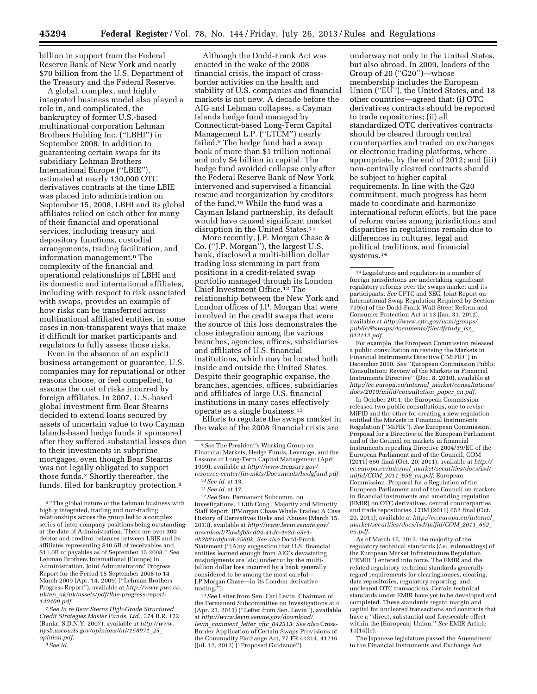billion in support from the Federal Reserve Bank of New York and nearly \$70 billion from the U.S. Department of the Treasury and the Federal Reserve.

A global, complex, and highly integrated business model also played a role in, and complicated, the bankruptcy of former U.S.-based multinational corporation Lehman Brothers Holding Inc. (''LBHI'') in September 2008. In addition to guaranteeing certain swaps for its subsidiary Lehman Brothers International Europe (''LBIE''), estimated at nearly 130,000 OTC derivatives contracts at the time LBIE was placed into administration on September 15, 2008, LBHI and its global affiliates relied on each other for many of their financial and operational services, including treasury and depository functions, custodial arrangements, trading facilitation, and information management.6 The complexity of the financial and operational relationships of LBHI and its domestic and international affiliates, including with respect to risk associated with swaps, provides an example of how risks can be transferred across multinational affiliated entities, in some cases in non-transparent ways that make it difficult for market participants and regulators to fully assess those risks.

Even in the absence of an explicit business arrangement or guarantee, U.S. companies may for reputational or other reasons choose, or feel compelled, to assume the cost of risks incurred by foreign affiliates. In 2007, U.S.-based global investment firm Bear Stearns decided to extend loans secured by assets of uncertain value to two Cayman Islands-based hedge funds it sponsored after they suffered substantial losses due to their investments in subprime mortgages, even though Bear Stearns was not legally obligated to support those funds.7 Shortly thereafter, the funds, filed for bankruptcy protection.8

7*See In re Bear Sterns High-Grade Structured Credit Strategies Master Funds, Ltd.,* 374 B.R. 122 (Bankr. S.D.N.Y. 2007), available at *[http://www.](http://www.nysb.uscourts.gov/opinions/brl/158971_25_opinion.pdf) [nysb.uscourts.gov/opinions/brl/158971](http://www.nysb.uscourts.gov/opinions/brl/158971_25_opinion.pdf)*\_*25*\_ *[opinion.pdf](http://www.nysb.uscourts.gov/opinions/brl/158971_25_opinion.pdf)*.

8*See id.* 

Although the Dodd-Frank Act was enacted in the wake of the 2008 financial crisis, the impact of crossborder activities on the health and stability of U.S. companies and financial markets is not new. A decade before the AIG and Lehman collapses, a Cayman Islands hedge fund managed by Connecticut-based Long-Term Capital Management L.P. ("LTCM") nearly failed.9 The hedge fund had a swap book of more than \$1 trillion notional and only \$4 billion in capital. The hedge fund avoided collapse only after the Federal Reserve Bank of New York intervened and supervised a financial rescue and reorganization by creditors of the fund.10 While the fund was a Cayman Island partnership, its default would have caused significant market disruption in the United States.<sup>11</sup>

More recently, J.P. Morgan Chase & Co. (''J.P. Morgan''), the largest U.S. bank, disclosed a multi-billion dollar trading loss stemming in part from positions in a credit-related swap portfolio managed through its London Chief Investment Office.<sup>12</sup> The relationship between the New York and London offices of J.P. Morgan that were involved in the credit swaps that were the source of this loss demonstrates the close integration among the various branches, agencies, offices, subsidiaries and affiliates of U.S. financial institutions, which may be located both inside and outside the United States. Despite their geographic expanse, the branches, agencies, offices, subsidiaries and affiliates of large U.S. financial institutions in many cases effectively operate as a single business.13

Efforts to regulate the swaps market in the wake of the 2008 financial crisis are

12*See* Sen. Permanent Subcomm. on Investigations, 113th Cong., Majority and Minority Staff Report, JPMorgan Chase Whale Trades: A Case History of Derivatives Risks and Abuses (March 15, 2013), available at *[http://www.levin.senate.gov/](http://www.levin.senate.gov/download/?id=bfb5cd04-41dc-4e2d-a5e1-ab2b81abfaa8-2560k)  [download/?id=bfb5cd04-41dc-4e2d-a5e1](http://www.levin.senate.gov/download/?id=bfb5cd04-41dc-4e2d-a5e1-ab2b81abfaa8-2560k)  [ab2b81abfaa8-2560k](http://www.levin.senate.gov/download/?id=bfb5cd04-41dc-4e2d-a5e1-ab2b81abfaa8-2560k)*. *See also* Dodd-Frank Statement (''[A]ny suggestion that U.S. financial entities learned enough from AIG's devastating misjudgments are [sic] undercut by the multibillion dollar loss incurred by a bank generally considered to be among the most careful— J.P.Morgan Chase—in its London derivative trading.'').

13*See* Letter from Sen. Carl Levin, Chairman of the Permanent Subcommittee on Investigations at 4 (Apr. 23, 2013) (''Letter from Sen. Levin''), available at *[http://www.levin.senate.gov/download/](http://www.levin.senate.gov/download/levin_comment_letter_cftc_042313) levin*\_*[comment](http://www.levin.senate.gov/download/levin_comment_letter_cftc_042313)*\_*letter*\_*cftc*\_*042313*. *See also* Cross-Border Application of Certain Swaps Provisions of the Commodity Exchange Act, 77 FR 41214, 41216 (Jul. 12, 2012) (''Proposed Guidance'').

underway not only in the United States, but also abroad. In 2009, leaders of the Group of 20 (''G20'')—whose membership includes the European Union ("EU"), the United States, and 18 other countries—agreed that: (i) OTC derivatives contracts should be reported to trade repositories; (ii) all standardized OTC derivatives contracts should be cleared through central counterparties and traded on exchanges or electronic trading platforms, where appropriate, by the end of 2012; and (iii) non-centrally cleared contracts should be subject to higher capital requirements. In line with the G20 commitment, much progress has been made to coordinate and harmonize international reform efforts, but the pace of reform varies among jurisdictions and disparities in regulations remain due to differences in cultures, legal and political traditions, and financial systems.14

For example, the European Commission released a public consultation on revising the Markets in Financial Instruments Directive (''MiFID'') in December 2010. *See* ''European Commission Public Consultation: Review of the Markets in Financial Instruments Directive'' (Dec. 8, 2010), available at *[http://ec.europa.eu/internal](http://ec.europa.eu/internal_market/consultations/docs/2010/mifid/consultation_paper_en.pdf)*\_*market/consultations/ [docs/2010/mifid/consultation](http://ec.europa.eu/internal_market/consultations/docs/2010/mifid/consultation_paper_en.pdf)*\_*paper*\_*en.pdf*.

In October 2011, the European Commission released two public consultations, one to revise MiFID and the other for creating a new regulation entitled the Markets in Financial Instruments Regulation (''MiFIR''). *See* European Commission, Proposal for a Directive of the European Parliament and of the Council on markets in financial instruments repealing Directive 2004/39/EC of the European Parliament and of the Council, COM (2011) 656 final (Oct. 20, 2011), available at *[http://](http://ec.europa.eu/internal_market/securities/docs/isd/mifid/COM_2011_656_en.pdf) ec.europa.eu/internal*\_*[market/securities/docs/isd/](http://ec.europa.eu/internal_market/securities/docs/isd/mifid/COM_2011_656_en.pdf) [mifid/COM](http://ec.europa.eu/internal_market/securities/docs/isd/mifid/COM_2011_656_en.pdf)*\_*2011*\_*656*\_*en.pdf;* European Commission, Proposal for a Regulation of the European Parliament and of the Council on markets in financial instruments and amending regulation [EMIR] on OTC derivatives, central counterparties and trade repositories, COM (2011) 652 final (Oct. 20, 2011), available at *[http://ec.europa.eu/internal](http://ec.europa.eu/internal_market/securities/docs/isd/mifid/COM_2011_652_en.pdf)*\_ *[market/securities/docs/isd/mifid/COM](http://ec.europa.eu/internal_market/securities/docs/isd/mifid/COM_2011_652_en.pdf)*\_*2011*\_*652*\_ *[en.pdf](http://ec.europa.eu/internal_market/securities/docs/isd/mifid/COM_2011_652_en.pdf)*.

As of March 15, 2013, the majority of the regulatory technical standards (*i.e.,* rulemakings) of the European Market Infrastructure Regulation (''EMIR'') entered into force. The EMIR and the related regulatory technical standards generally regard requirements for clearinghouses, clearing, data repositories, regulatory reporting, and uncleared OTC transactions. Certain technical standards under EMIR have yet to be developed and completed. These standards regard margin and capital for uncleared transactions and contracts that have a ''direct, substantial and foreseeable effect within the [European] Union.'' *See* EMIR Article 11(14)(e).

The Japanese legislature passed the Amendment to the Financial Instruments and Exchange Act

<sup>6</sup> ''The global nature of the Lehman business with highly integrated, trading and non-trading relationships across the group led to a complex series of inter-company positions being outstanding at the date of Administration. There are over 300 debtor and creditor balances between LBIE and its affiliates representing \$10.5B of receivables and \$11.0B of payables as of September 15 2008.'' *See*  Lehman Brothers International (Europe) in Administration, Joint Administrators' Progress Report for the Period 15 September 2008 to 14 March 2009 (Apr. 14, 2009) (''Lehman Brothers Progress Report''), available at *[http://www.pwc.co.](http://www.pwc.co.uk/en_uk/uk/assets/pdf/lbie-progress-report-140409.pdf) uk/en*\_*[uk/uk/assets/pdf/lbie-progress-report-](http://www.pwc.co.uk/en_uk/uk/assets/pdf/lbie-progress-report-140409.pdf)[140409.pdf](http://www.pwc.co.uk/en_uk/uk/assets/pdf/lbie-progress-report-140409.pdf)*.

<sup>9</sup>*See* The President's Working Group on Financial Markets, Hedge Funds, Leverage, and the Lessons of Long-Term Capital Management (April 1999), available at *[http://www.treasury.gov/](http://www.treasury.gov/resource-center/fin-mkts/Documents/hedgfund.pdf)  [resource-center/fin-mkts/Documents/hedgfund.pdf](http://www.treasury.gov/resource-center/fin-mkts/Documents/hedgfund.pdf)*. 10*See id.* at 13.

<sup>11</sup>*See id.* at 17.

<sup>14</sup>Legislatures and regulators in a number of foreign jurisdictions are undertaking significant regulatory reforms over the swaps market and its participants. *See* CFTC and SEC, Joint Report on International Swap Regulation Required by Section 719(c) of the Dodd-Frank Wall Street Reform and Consumer Protection Act at 13 (Jan. 31, 2012), available at *[http://www.cftc.gov/ucm/groups/](http://www.cftc.gov/ucm/groups/public/@swaps/documents/file/dfstudy_isr_013112.pdf) [public/@swaps/documents/file/dfstudy](http://www.cftc.gov/ucm/groups/public/@swaps/documents/file/dfstudy_isr_013112.pdf)*\_*isr*\_ *[013112.pdf](http://www.cftc.gov/ucm/groups/public/@swaps/documents/file/dfstudy_isr_013112.pdf)*.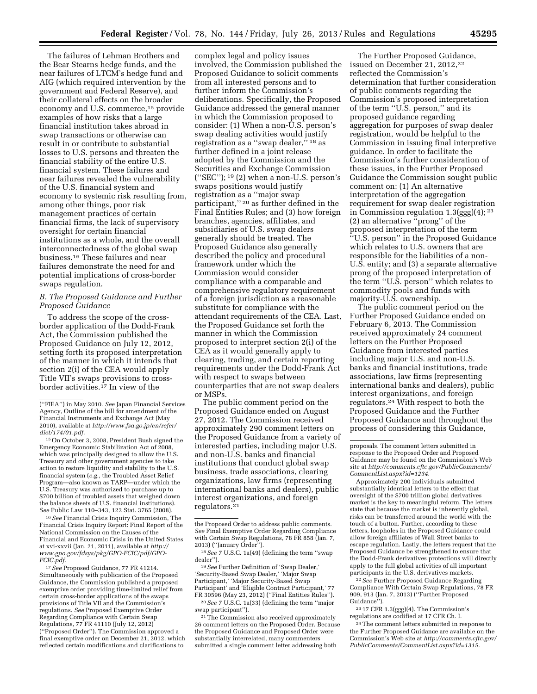The failures of Lehman Brothers and the Bear Stearns hedge funds, and the near failures of LTCM's hedge fund and AIG (which required intervention by the government and Federal Reserve), and their collateral effects on the broader economy and U.S. commerce,<sup>15</sup> provide examples of how risks that a large financial institution takes abroad in swap transactions or otherwise can result in or contribute to substantial losses to U.S. persons and threaten the financial stability of the entire U.S. financial system. These failures and near failures revealed the vulnerability of the U.S. financial system and economy to systemic risk resulting from, among other things, poor risk management practices of certain financial firms, the lack of supervisory oversight for certain financial institutions as a whole, and the overall interconnectedness of the global swap business.16 These failures and near failures demonstrate the need for and potential implications of cross-border swaps regulation.

#### *B. The Proposed Guidance and Further Proposed Guidance*

To address the scope of the crossborder application of the Dodd-Frank Act, the Commission published the Proposed Guidance on July 12, 2012, setting forth its proposed interpretation of the manner in which it intends that section 2(i) of the CEA would apply Title VII's swaps provisions to crossborder activities.<sup>17</sup> In view of the

15On October 3, 2008, President Bush signed the Emergency Economic Stabilization Act of 2008, which was principally designed to allow the U.S. Treasury and other government agencies to take action to restore liquidity and stability to the U.S. financial system (*e.g.,* the Troubled Asset Relief Program—also known as TARP—under which the U.S. Treasury was authorized to purchase up to \$700 billion of troubled assets that weighed down the balance sheets of U.S. financial institutions). *See* Public Law 110–343, 122 Stat. 3765 (2008).

16*See* Financial Crisis Inquiry Commission, The Financial Crisis Inquiry Report: Final Report of the National Commission on the Causes of the Financial and Economic Crisis in the United States at xvi-xxvii (Jan. 21, 2011), available at *[http://](http://www.gpo.gov/fdsys/pkg/GPO-FCIC/pdf/GPO-FCIC.pdf) [www.gpo.gov/fdsys/pkg/GPO-FCIC/pdf/GPO-](http://www.gpo.gov/fdsys/pkg/GPO-FCIC/pdf/GPO-FCIC.pdf)[FCIC.pdf](http://www.gpo.gov/fdsys/pkg/GPO-FCIC/pdf/GPO-FCIC.pdf)*.

17*See* Proposed Guidance, 77 FR 41214. Simultaneously with publication of the Proposed Guidance, the Commission published a proposed exemptive order providing time-limited relief from certain cross-border applications of the swaps provisions of Title VII and the Commission's regulations. *See* Proposed Exemptive Order Regarding Compliance with Certain Swap Regulations, 77 FR 41110 (July 12, 2012) (''Proposed Order''). The Commission approved a final exemptive order on December 21, 2012, which reflected certain modifications and clarifications to

complex legal and policy issues involved, the Commission published the Proposed Guidance to solicit comments from all interested persons and to further inform the Commission's deliberations. Specifically, the Proposed Guidance addressed the general manner in which the Commission proposed to consider: (1) When a non-U.S. person's swap dealing activities would justify registration as a ''swap dealer,'' 18 as further defined in a joint release adopted by the Commission and the Securities and Exchange Commission ("SEC");  $19(2)$  when a non-U.S. person's swaps positions would justify registration as a ''major swap participant,"<sup>20</sup> as further defined in the Final Entities Rules; and (3) how foreign branches, agencies, affiliates, and subsidiaries of U.S. swap dealers generally should be treated. The Proposed Guidance also generally described the policy and procedural framework under which the Commission would consider compliance with a comparable and comprehensive regulatory requirement of a foreign jurisdiction as a reasonable substitute for compliance with the attendant requirements of the CEA. Last, the Proposed Guidance set forth the manner in which the Commission proposed to interpret section 2(i) of the CEA as it would generally apply to clearing, trading, and certain reporting requirements under the Dodd-Frank Act with respect to swaps between counterparties that are not swap dealers or MSPs.

The public comment period on the Proposed Guidance ended on August 27, 2012. The Commission received approximately 290 comment letters on the Proposed Guidance from a variety of interested parties, including major U.S. and non-U.S. banks and financial institutions that conduct global swap business, trade associations, clearing organizations, law firms (representing international banks and dealers), public interest organizations, and foreign regulators.21

19*See* Further Definition of 'Swap Dealer,' 'Security-Based Swap Dealer,' 'Major Swap Participant,' 'Major Security-Based Swap Participant' and 'Eligible Contract Participant,' 77 FR 30596 (May 23, 2012) (''Final Entities Rules'').

20*See* 7 U.S.C. 1a(33) (defining the term ''major swap participant'').

<sup>21</sup> The Commission also received approximately 26 comment letters on the Proposed Order. Because the Proposed Guidance and Proposed Order were substantially interrelated, many commenters submitted a single comment letter addressing both

The Further Proposed Guidance, issued on December 21, 2012,<sup>22</sup> reflected the Commission's determination that further consideration of public comments regarding the Commission's proposed interpretation of the term ''U.S. person,'' and its proposed guidance regarding aggregation for purposes of swap dealer registration, would be helpful to the Commission in issuing final interpretive guidance. In order to facilitate the Commission's further consideration of these issues, in the Further Proposed Guidance the Commission sought public comment on: (1) An alternative interpretation of the aggregation requirement for swap dealer registration in Commission regulation 1.3(ggg)(4); 23 (2) an alternative ''prong'' of the proposed interpretation of the term ''U.S. person'' in the Proposed Guidance which relates to U.S. owners that are responsible for the liabilities of a non-U.S. entity; and (3) a separate alternative prong of the proposed interpretation of the term ''U.S. person'' which relates to commodity pools and funds with majority-U.S. ownership.

The public comment period on the Further Proposed Guidance ended on February 6, 2013. The Commission received approximately 24 comment letters on the Further Proposed Guidance from interested parties including major U.S. and non-U.S. banks and financial institutions, trade associations, law firms (representing international banks and dealers), public interest organizations, and foreign regulators.24 With respect to both the Proposed Guidance and the Further Proposed Guidance and throughout the process of considering this Guidance,

Approximately 200 individuals submitted substantially identical letters to the effect that oversight of the \$700 trillion global derivatives market is the key to meaningful reform. The letters state that because the market is inherently global, risks can be transferred around the world with the touch of a button. Further, according to these letters, loopholes in the Proposed Guidance could allow foreign affiliates of Wall Street banks to escape regulation. Lastly, the letters request that the Proposed Guidance be strengthened to ensure that the Dodd-Frank derivatives protections will directly apply to the full global activities of all important participants in the U.S. derivatives markets.

22*See* Further Proposed Guidance Regarding Compliance With Certain Swap Regulations, 78 FR 909, 913 (Jan. 7, 2013) (''Further Proposed Guidance'').

23 17 CFR 1.3(ggg)(4). The Commission's regulations are codified at 17 CFR Ch. I.

24The comment letters submitted in response to the Further Proposed Guidance are available on the Commission's Web site at *[http://comments.cftc.gov/](http://comments.cftc.gov/PublicComments/CommentList.aspx?id=1315) [PublicComments/CommentList.aspx?id=1315.](http://comments.cftc.gov/PublicComments/CommentList.aspx?id=1315)* 

<sup>(&#</sup>x27;'FIEA'') in May 2010. *See* Japan Financial Services Agency, Outline of the bill for amendment of the Financial Instruments and Exchange Act (May 2010), available at *[http://www.fsa.go.jp/en/refer/](http://www.fsa.go.jp/en/refer/diet/174/01.pdf) [diet/174/01.pdf](http://www.fsa.go.jp/en/refer/diet/174/01.pdf)*.

the Proposed Order to address public comments. *See* Final Exemptive Order Regarding Compliance with Certain Swap Regulations, 78 FR 858 (Jan. 7, 2013) (''January Order'').

<sup>18</sup>*See* 7 U.S.C. 1a(49) (defining the term ''swap dealer'').

proposals. The comment letters submitted in response to the Proposed Order and Proposed Guidance may be found on the Commission's Web site at *[http://comments.cftc.gov/PublicComments/](http://comments.cftc.gov/PublicComments/CommentList.aspx?id=1234) [CommentList.aspx?id=1234](http://comments.cftc.gov/PublicComments/CommentList.aspx?id=1234)*.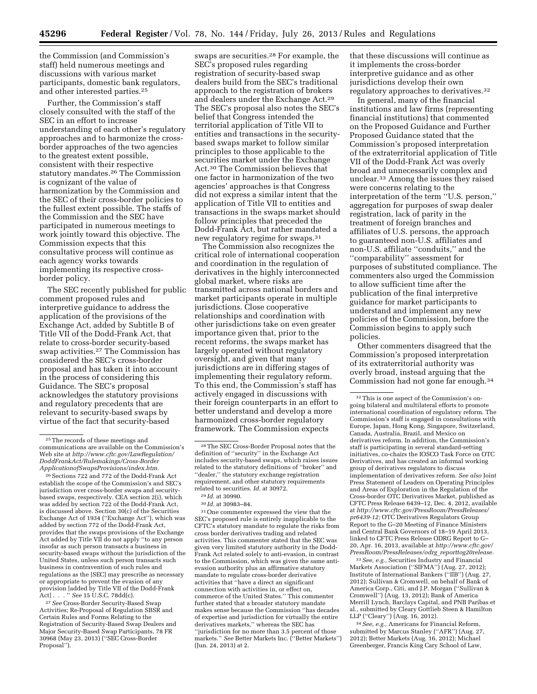the Commission (and Commission's staff) held numerous meetings and discussions with various market participants, domestic bank regulators, and other interested parties.25

Further, the Commission's staff closely consulted with the staff of the SEC in an effort to increase understanding of each other's regulatory approaches and to harmonize the crossborder approaches of the two agencies to the greatest extent possible, consistent with their respective statutory mandates.26 The Commission is cognizant of the value of harmonization by the Commission and the SEC of their cross-border policies to the fullest extent possible. The staffs of the Commission and the SEC have participated in numerous meetings to work jointly toward this objective. The Commission expects that this consultative process will continue as each agency works towards implementing its respective crossborder policy.

The SEC recently published for public comment proposed rules and interpretive guidance to address the application of the provisions of the Exchange Act, added by Subtitle B of Title VII of the Dodd-Frank Act, that relate to cross-border security-based swap activities.27 The Commission has considered the SEC's cross-border proposal and has taken it into account in the process of considering this Guidance. The SEC's proposal acknowledges the statutory provisions and regulatory precedents that are relevant to security-based swaps by virtue of the fact that security-based

<sup>26</sup> Sections 722 and 772 of the Dodd-Frank Act establish the scope of the Commission's and SEC's jurisdiction over cross-border swaps and securitybased swaps, respectively. CEA section 2(i), which was added by section 722 of the Dodd-Frank Act, is discussed above. Section 30(c) of the Securities Exchange Act of 1934 (''Exchange Act''), which was added by section 772 of the Dodd-Frank Act, provides that the swaps provisions of the Exchange Act added by Title VII do not apply ''to any person insofar as such person transacts a business in security-based swaps without the jurisdiction of the United States, unless such person transacts such business in contravention of such rules and regulations as the [SEC] may prescribe as necessary or appropriate to prevent the evasion of any provision [added by Title VII of the Dodd-Frank Act] . . . '' *See* 15 U.S.C. 78dd(c).

27*See* Cross-Border Security-Based Swap Activities; Re-Proposal of Regulation SBSR and Certain Rules and Forms Relating to the Registration of Security-Based Swap Dealers and Major Security-Based Swap Participants, 78 FR 30968 (May 23, 2013) (''SEC Cross-Border Proposal'').

swaps are securities.28 For example, the SEC's proposed rules regarding registration of security-based swap dealers build from the SEC's traditional approach to the registration of brokers and dealers under the Exchange Act.29 The SEC's proposal also notes the SEC's belief that Congress intended the territorial application of Title VII to entities and transactions in the securitybased swaps market to follow similar principles to those applicable to the securities market under the Exchange Act.30 The Commission believes that one factor in harmonization of the two agencies' approaches is that Congress did not express a similar intent that the application of Title VII to entities and transactions in the swaps market should follow principles that preceded the Dodd-Frank Act, but rather mandated a new regulatory regime for swaps.31

The Commission also recognizes the critical role of international cooperation and coordination in the regulation of derivatives in the highly interconnected global market, where risks are transmitted across national borders and market participants operate in multiple jurisdictions. Close cooperative relationships and coordination with other jurisdictions take on even greater importance given that, prior to the recent reforms, the swaps market has largely operated without regulatory oversight, and given that many jurisdictions are in differing stages of implementing their regulatory reform. To this end, the Commission's staff has actively engaged in discussions with their foreign counterparts in an effort to better understand and develop a more harmonized cross-border regulatory framework. The Commission expects

30 *Id.* at 30983–84.

31One commenter expressed the view that the SEC's proposed rule is entirely inapplicable to the CFTC's statutory mandate to regulate the risks from cross border derivatives trading and related activities. This commenter stated that the SEC was given very limited statutory authority in the Dodd-Frank Act related solely to anti-evasion, in contrast to the Commission, which was given the same antievasion authority plus an affirmative statutory mandate to regulate cross-border derivative activities that ''have a direct an significant connection with activities in, or effect on, commerce of the United States.'' This commenter further stated that a broader statutory mandate makes sense because the Commission ''has decades of expertise and jurisdiction for virtually the entire derivatives markets,'' whereas the SEC has ''jurisdiction for no more than 3.5 percent of those markets.'' *See* Better Markets Inc. (''Better Markets'') (Jun. 24, 2013) at 2.

that these discussions will continue as it implements the cross-border interpretive guidance and as other jurisdictions develop their own regulatory approaches to derivatives.32

In general, many of the financial institutions and law firms (representing financial institutions) that commented on the Proposed Guidance and Further Proposed Guidance stated that the Commission's proposed interpretation of the extraterritorial application of Title VII of the Dodd-Frank Act was overly broad and unnecessarily complex and unclear.33 Among the issues they raised were concerns relating to the interpretation of the term ''U.S. person,'' aggregation for purposes of swap dealer registration, lack of parity in the treatment of foreign branches and affiliates of U.S. persons, the approach to guaranteed non-U.S. affiliates and non-U.S. affiliate ''conduits,'' and the ''comparability'' assessment for purposes of substituted compliance. The commenters also urged the Commission to allow sufficient time after the publication of the final interpretive guidance for market participants to understand and implement any new policies of the Commission, before the Commission begins to apply such policies.

Other commenters disagreed that the Commission's proposed interpretation of its extraterritorial authority was overly broad, instead arguing that the Commission had not gone far enough.34

33*See, e.g.,* Securities Industry and Financial Markets Association ("SIFMA") (Aug. 27, 2012); Institute of International Bankers (''IIB'') (Aug. 27, 2012); Sullivan & Cromwell, on behalf of Bank of America Corp., Citi, and J.P. Morgan (''Sullivan & Cromwell'') (Aug. 13, 2012); Bank of America Merrill Lynch, Barclays Capital, and PNB Paribas et al., submitted by Cleary Gottlieb Steen & Hamilton LLP (''Cleary'') (Aug. 16, 2012).

34*See, e.g.,* Americans for Financial Reform, submitted by Marcus Stanley (''AFR'') (Aug. 27, 2012); Better Markets (Aug. 16, 2012); Michael Greenberger, Francis King Cary School of Law,

<sup>25</sup>The records of these meetings and communications are available on the Commission's Web site at *[http://www.cftc.gov/LawRegulation/](http://www.cftc.gov/LawRegulation/DoddFrankAct/Rulemakings/Cross-BorderApplicationofSwapsProvisions/index.htm)  [DoddFrankAct/Rulemakings/Cross-Border](http://www.cftc.gov/LawRegulation/DoddFrankAct/Rulemakings/Cross-BorderApplicationofSwapsProvisions/index.htm) [ApplicationofSwapsProvisions/index.htm.](http://www.cftc.gov/LawRegulation/DoddFrankAct/Rulemakings/Cross-BorderApplicationofSwapsProvisions/index.htm)* 

<sup>28</sup>The SEC Cross-Border Proposal notes that the definition of ''security'' in the Exchange Act includes security-based swaps, which raises issues related to the statutory definitions of ''broker'' and ''dealer,'' the statutory exchange registration requirement, and other statutory requirements related to securities. *Id.* at 30972.

<sup>29</sup> *Id.* at 30990.

<sup>32</sup>This is one aspect of the Commission's ongoing bilateral and multilateral efforts to promote international coordination of regulatory reform. The Commission's staff is engaged in consultations with Europe, Japan, Hong Kong, Singapore, Switzerland, Canada, Australia, Brazil, and Mexico on derivatives reform. In addition, the Commission's staff is participating in several standard-setting initiatives, co-chairs the IOSCO Task Force on OTC Derivatives, and has created an informal working group of derivatives regulators to discuss implementation of derivatives reform. *See also* Joint Press Statement of Leaders on Operating Principles and Areas of Exploration in the Regulation of the Cross-border OTC Derivatives Market, published as CFTC Press Release 6439–12, Dec. 4, 2012, available at *[http://www.cftc.gov/PressRoom/PressReleases/](http://www.cftc.gov/PressRoom/PressReleases/pr6439-12)  [pr6439-12;](http://www.cftc.gov/PressRoom/PressReleases/pr6439-12)* OTC Derivatives Regulators Group Report to the G–20 Meeting of Finance Ministers and Central Bank Governors of 18–19 April 2013, linked to CFTC Press Release ODRG Report to G– 20, Apr. 16, 2013, available at *[http://www.cftc.gov/](http://www.cftc.gov/PressRoom/PressReleases/odrg_reporttog20release) [PressRoom/PressReleases/odrg](http://www.cftc.gov/PressRoom/PressReleases/odrg_reporttog20release)*\_*reporttog20release.*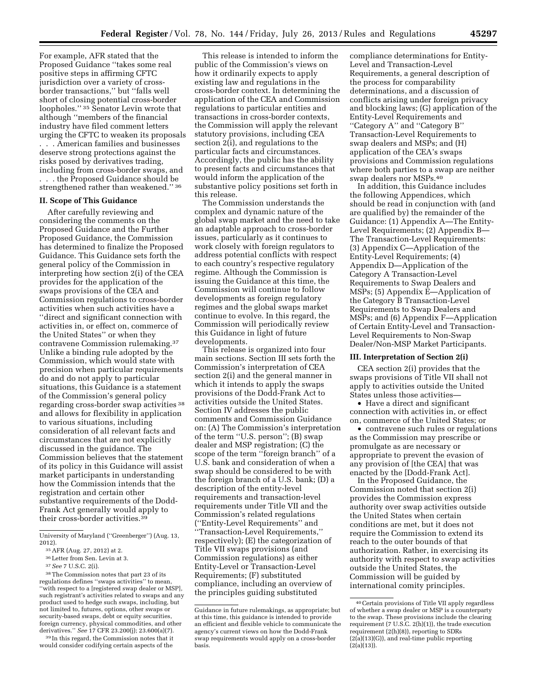For example, AFR stated that the Proposed Guidance ''takes some real positive steps in affirming CFTC jurisdiction over a variety of crossborder transactions,'' but ''falls well short of closing potential cross-border loopholes.'' 35 Senator Levin wrote that although ''members of the financial industry have filed comment letters urging the CFTC to weaken its proposals . . . American families and businesses deserve strong protections against the risks posed by derivatives trading, including from cross-border swaps, and . . . the Proposed Guidance should be strengthened rather than weakened."<sup>36</sup>

#### **II. Scope of This Guidance**

After carefully reviewing and considering the comments on the Proposed Guidance and the Further Proposed Guidance, the Commission has determined to finalize the Proposed Guidance. This Guidance sets forth the general policy of the Commission in interpreting how section 2(i) of the CEA provides for the application of the swaps provisions of the CEA and Commission regulations to cross-border activities when such activities have a ''direct and significant connection with activities in, or effect on, commerce of the United States'' or when they contravene Commission rulemaking.37 Unlike a binding rule adopted by the Commission, which would state with precision when particular requirements do and do not apply to particular situations, this Guidance is a statement of the Commission's general policy regarding cross-border swap activities 38 and allows for flexibility in application to various situations, including consideration of all relevant facts and circumstances that are not explicitly discussed in the guidance. The Commission believes that the statement of its policy in this Guidance will assist market participants in understanding how the Commission intends that the registration and certain other substantive requirements of the Dodd-Frank Act generally would apply to their cross-border activities.<sup>39</sup>

38The Commission notes that part 23 of its regulations defines ''swaps activities'' to mean, ''with respect to a [registered swap dealer or MSP], such registrant's activities related to swaps and any product used to hedge such swaps, including, but not limited to, futures, options, other swaps or security-based swaps, debt or equity securities, foreign currency, physical commodities, and other derivatives.'' *See* 17 CFR 23.200(j); 23.600(a)(7).

39 In this regard, the Commission notes that it would consider codifying certain aspects of the

This release is intended to inform the public of the Commission's views on how it ordinarily expects to apply existing law and regulations in the cross-border context. In determining the application of the CEA and Commission regulations to particular entities and transactions in cross-border contexts, the Commission will apply the relevant statutory provisions, including CEA section 2(i), and regulations to the particular facts and circumstances. Accordingly, the public has the ability to present facts and circumstances that would inform the application of the substantive policy positions set forth in this release.

The Commission understands the complex and dynamic nature of the global swap market and the need to take an adaptable approach to cross-border issues, particularly as it continues to work closely with foreign regulators to address potential conflicts with respect to each country's respective regulatory regime. Although the Commission is issuing the Guidance at this time, the Commission will continue to follow developments as foreign regulatory regimes and the global swaps market continue to evolve. In this regard, the Commission will periodically review this Guidance in light of future developments.

This release is organized into four main sections. Section III sets forth the Commission's interpretation of CEA section 2(i) and the general manner in which it intends to apply the swaps provisions of the Dodd-Frank Act to activities outside the United States. Section IV addresses the public comments and Commission Guidance on: (A) The Commission's interpretation of the term ''U.S. person''; (B) swap dealer and MSP registration; (C) the scope of the term ''foreign branch'' of a U.S. bank and consideration of when a swap should be considered to be with the foreign branch of a U.S. bank; (D) a description of the entity-level requirements and transaction-level requirements under Title VII and the Commission's related regulations (''Entity-Level Requirements'' and ''Transaction-Level Requirements,'' respectively); (E) the categorization of Title VII swaps provisions (and Commission regulations) as either Entity-Level or Transaction-Level Requirements; (F) substituted compliance, including an overview of the principles guiding substituted

compliance determinations for Entity-Level and Transaction-Level Requirements, a general description of the process for comparability determinations, and a discussion of conflicts arising under foreign privacy and blocking laws; (G) application of the Entity-Level Requirements and ''Category A'' and ''Category B'' Transaction-Level Requirements to swap dealers and MSPs; and (H) application of the CEA's swaps provisions and Commission regulations where both parties to a swap are neither swap dealers nor MSPs.40

In addition, this Guidance includes the following Appendices, which should be read in conjunction with (and are qualified by) the remainder of the Guidance: (1) Appendix A—The Entity-Level Requirements; (2) Appendix B— The Transaction-Level Requirements: (3) Appendix C—Application of the Entity-Level Requirements; (4) Appendix D—Application of the Category A Transaction-Level Requirements to Swap Dealers and MSPs; (5) Appendix E—Application of the Category B Transaction-Level Requirements to Swap Dealers and MSPs; and (6) Appendix F—Application of Certain Entity-Level and Transaction-Level Requirements to Non-Swap Dealer/Non-MSP Market Participants.

#### **III. Interpretation of Section 2(i)**

CEA section 2(i) provides that the swaps provisions of Title VII shall not apply to activities outside the United States unless those activities—

• Have a direct and significant connection with activities in, or effect on, commerce of the United States; or

• contravene such rules or regulations as the Commission may prescribe or promulgate as are necessary or appropriate to prevent the evasion of any provision of [the CEA] that was enacted by the [Dodd-Frank Act].

In the Proposed Guidance, the Commission noted that section 2(i) provides the Commission express authority over swap activities outside the United States when certain conditions are met, but it does not require the Commission to extend its reach to the outer bounds of that authorization. Rather, in exercising its authority with respect to swap activities outside the United States, the Commission will be guided by international comity principles.

University of Maryland (''Greenberger'') (Aug. 13, 2012).

<sup>35</sup>AFR (Aug. 27, 2012) at 2.

<sup>36</sup>Letter from Sen. Levin at 3.

<sup>37</sup>*See* 7 U.S.C. 2(i).

Guidance in future rulemakings, as appropriate; but at this time, this guidance is intended to provide an efficient and flexible vehicle to communicate the agency's current views on how the Dodd-Frank swap requirements would apply on a cross-border basis.

<sup>40</sup>Certain provisions of Title VII apply regardless of whether a swap dealer or MSP is a counterparty to the swap. These provisions include the clearing requirement (7 U.S.C. 2(h)(1)), the trade execution requirement (2(h)(8)), reporting to SDRs  $(2(a)(13)(G))$ , and real-time public reporting (2(a)(13)).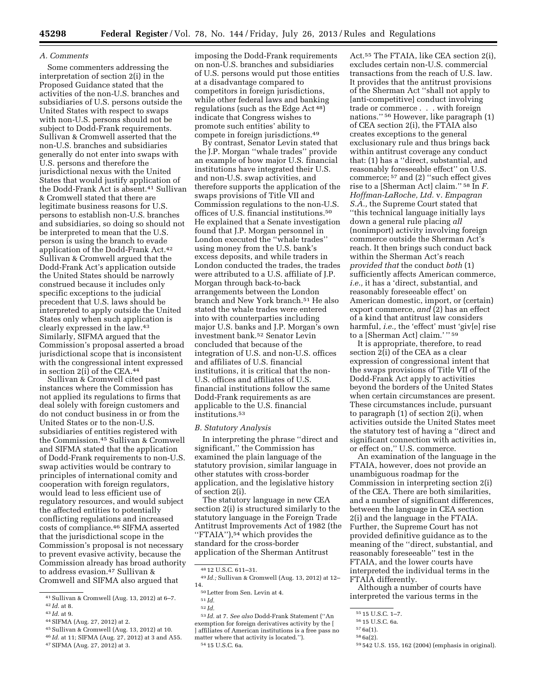#### *A. Comments*

Some commenters addressing the interpretation of section 2(i) in the Proposed Guidance stated that the activities of the non-U.S. branches and subsidiaries of U.S. persons outside the United States with respect to swaps with non-U.S. persons should not be subject to Dodd-Frank requirements. Sullivan & Cromwell asserted that the non-U.S. branches and subsidiaries generally do not enter into swaps with U.S. persons and therefore the jurisdictional nexus with the United States that would justify application of the Dodd-Frank Act is absent.41 Sullivan & Cromwell stated that there are legitimate business reasons for U.S. persons to establish non-U.S. branches and subsidiaries, so doing so should not be interpreted to mean that the U.S. person is using the branch to evade application of the Dodd-Frank Act.42 Sullivan & Cromwell argued that the Dodd-Frank Act's application outside the United States should be narrowly construed because it includes only specific exceptions to the judicial precedent that U.S. laws should be interpreted to apply outside the United States only when such application is clearly expressed in the law.43 Similarly, SIFMA argued that the Commission's proposal asserted a broad jurisdictional scope that is inconsistent with the congressional intent expressed in section 2(i) of the CEA.44

Sullivan & Cromwell cited past instances where the Commission has not applied its regulations to firms that deal solely with foreign customers and do not conduct business in or from the United States or to the non-U.S. subsidiaries of entities registered with the Commission.45 Sullivan & Cromwell and SIFMA stated that the application of Dodd-Frank requirements to non-U.S. swap activities would be contrary to principles of international comity and cooperation with foreign regulators, would lead to less efficient use of regulatory resources, and would subject the affected entities to potentially conflicting regulations and increased costs of compliance.46 SIFMA asserted that the jurisdictional scope in the Commission's proposal is not necessary to prevent evasive activity, because the Commission already has broad authority to address evasion.<sup>47</sup> Sullivan & Cromwell and SIFMA also argued that

- 44SIFMA (Aug. 27, 2012) at 2.
- 45Sullivan & Cromwell (Aug. 13, 2012) at 10.
- 46 *Id.* at 11; SIFMA (Aug. 27, 2012) at 3 and A55.
- 47SIFMA (Aug. 27, 2012) at 3.

imposing the Dodd-Frank requirements on non-U.S. branches and subsidiaries of U.S. persons would put those entities at a disadvantage compared to competitors in foreign jurisdictions, while other federal laws and banking regulations (such as the Edge Act 48) indicate that Congress wishes to promote such entities' ability to compete in foreign jurisdictions.<sup>49</sup>

By contrast, Senator Levin stated that the J.P. Morgan ''whale trades'' provide an example of how major U.S. financial institutions have integrated their U.S. and non-U.S. swap activities, and therefore supports the application of the swaps provisions of Title VII and Commission regulations to the non-U.S. offices of U.S. financial institutions.<sup>50</sup> He explained that a Senate investigation found that J.P. Morgan personnel in London executed the ''whale trades'' using money from the U.S. bank's excess deposits, and while traders in London conducted the trades, the trades were attributed to a U.S. affiliate of J.P. Morgan through back-to-back arrangements between the London branch and New York branch.51 He also stated the whale trades were entered into with counterparties including major U.S. banks and J.P. Morgan's own investment bank.52 Senator Levin concluded that because of the integration of U.S. and non-U.S. offices and affiliates of U.S. financial institutions, it is critical that the non-U.S. offices and affiliates of U.S. financial institutions follow the same Dodd-Frank requirements as are applicable to the U.S. financial institutions.53

#### *B. Statutory Analysis*

In interpreting the phrase ''direct and significant,'' the Commission has examined the plain language of the statutory provision, similar language in other statutes with cross-border application, and the legislative history of section 2(i).

The statutory language in new CEA section 2(i) is structured similarly to the statutory language in the Foreign Trade Antitrust Improvements Act of 1982 (the "FTAIA"),<sup>54</sup> which provides the standard for the cross-border application of the Sherman Antitrust

53 *Id.* at 7. *See also* Dodd-Frank Statement (''An exemption for foreign derivatives activity by the [ ] affiliates of American institutions is a free pass no matter where that activity is located.''). 54 15 U.S.C. 6a.

Act.55 The FTAIA, like CEA section 2(i), excludes certain non-U.S. commercial transactions from the reach of U.S. law. It provides that the antitrust provisions of the Sherman Act ''shall not apply to [anti-competitive] conduct involving trade or commerce . . . with foreign nations.'' 56 However, like paragraph (1) of CEA section 2(i), the FTAIA also creates exceptions to the general exclusionary rule and thus brings back within antitrust coverage any conduct that: (1) has a ''direct, substantial, and reasonably foreseeable effect'' on U.S. commerce; 57 and (2) ''such effect gives rise to a [Sherman Act] claim.'' 58 In *F. Hoffman-LaRoche, Ltd.* v. *Empagran S.A.,* the Supreme Court stated that ''this technical language initially lays down a general rule placing *all*  (nonimport) activity involving foreign commerce outside the Sherman Act's reach. It then brings such conduct back within the Sherman Act's reach *provided that* the conduct *both* (1) sufficiently affects American commerce, *i.e.,* it has a 'direct, substantial, and reasonably foreseeable effect' on American domestic, import, or (certain) export commerce, *and* (2) has an effect of a kind that antitrust law considers harmful, *i.e.,* the 'effect' must 'giv[e] rise to a [Sherman Act] claim.'" 59

It is appropriate, therefore, to read section 2(i) of the CEA as a clear expression of congressional intent that the swaps provisions of Title VII of the Dodd-Frank Act apply to activities beyond the borders of the United States when certain circumstances are present. These circumstances include, pursuant to paragraph (1) of section 2(i), when activities outside the United States meet the statutory test of having a ''direct and significant connection with activities in, or effect on,'' U.S. commerce.

An examination of the language in the FTAIA, however, does not provide an unambiguous roadmap for the Commission in interpreting section 2(i) of the CEA. There are both similarities, and a number of significant differences, between the language in CEA section 2(i) and the language in the FTAIA. Further, the Supreme Court has not provided definitive guidance as to the meaning of the ''direct, substantial, and reasonably foreseeable'' test in the FTAIA, and the lower courts have interpreted the individual terms in the FTAIA differently.

Although a number of courts have interpreted the various terms in the

59 542 U.S. 155, 162 (2004) (emphasis in original).

<sup>41</sup>Sullivan & Cromwell (Aug. 13, 2012) at 6–7. 42 *Id.* at 8.

<sup>43</sup> *Id.* at 9.

<sup>48</sup> 12 U.S.C. 611–31.

<sup>49</sup> *Id.;* Sullivan & Cromwell (Aug. 13, 2012) at 12– 14.

<sup>50</sup>Letter from Sen. Levin at 4.

<sup>51</sup> *Id.* 

<sup>52</sup> *Id.* 

<sup>55</sup> 15 U.S.C. 1–7.

<sup>56</sup> 15 U.S.C. 6a.

<sup>57</sup> 6a(1).

<sup>58</sup> 6a(2).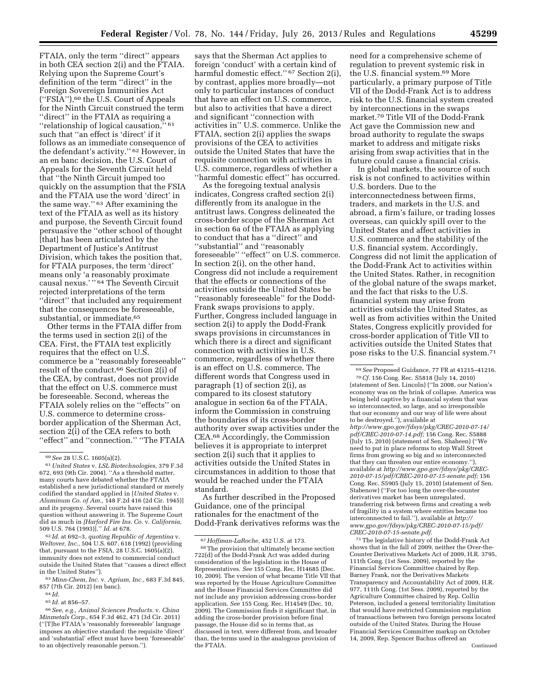says that the Sherman Act applies to

in both CEA section 2(i) and the FTAIA. Relying upon the Supreme Court's definition of the term ''direct'' in the Foreign Sovereign Immunities Act (''FSIA''),60 the U.S. Court of Appeals for the Ninth Circuit construed the term ''direct'' in the FTAIA as requiring a "relationship of logical causation," such that ''an effect is 'direct' if it follows as an immediate consequence of the defendant's activity.'' 62 However, in an en banc decision, the U.S. Court of Appeals for the Seventh Circuit held that ''the Ninth Circuit jumped too quickly on the assumption that the FSIA and the FTAIA use the word 'direct' in the same way.'' 63 After examining the text of the FTAIA as well as its history and purpose, the Seventh Circuit found persuasive the ''other school of thought [that] has been articulated by the Department of Justice's Antitrust Division, which takes the position that, for FTAIA purposes, the term 'direct' means only 'a reasonably proximate causal nexus.' '' 64 The Seventh Circuit rejected interpretations of the term ''direct'' that included any requirement that the consequences be foreseeable, substantial, or immediate.65

FTAIA, only the term ''direct'' appears

Other terms in the FTAIA differ from the terms used in section 2(i) of the CEA. First, the FTAIA test explicitly requires that the effect on U.S. commerce be a ''reasonably foreseeable'' result of the conduct.66 Section 2(i) of the CEA, by contrast, does not provide that the effect on U.S. commerce must be foreseeable. Second, whereas the FTAIA solely relies on the ''effects'' on U.S. commerce to determine crossborder application of the Sherman Act, section 2(i) of the CEA refers to both ''effect'' and ''connection.'' ''The FTAIA

62 *Id.* at 692–3, *quoting Republic of Argentina* v. *Weltover, Inc.,* 504 U.S. 607, 618 (1992) (providing that, pursuant to the FSIA, 28 U.S.C. 1605(a)(2), immunity does not extend to commercial conduct outside the United States that ''causes a direct effect in the United States'').

foreign 'conduct' with a certain kind of harmful domestic effect."<sup>67</sup> Section 2(i), by contrast, applies more broadly—not only to particular instances of conduct that have an effect on U.S. commerce, but also to activities that have a direct and significant ''connection with activities in'' U.S. commerce. Unlike the FTAIA, section 2(i) applies the swaps provisions of the CEA to activities outside the United States that have the requisite connection with activities in U.S. commerce, regardless of whether a ''harmful domestic effect'' has occurred.

As the foregoing textual analysis indicates, Congress crafted section 2(i) differently from its analogue in the antitrust laws. Congress delineated the cross-border scope of the Sherman Act in section 6a of the FTAIA as applying to conduct that has a ''direct'' and ''substantial'' and ''reasonably foreseeable" "effect" on U.S. commerce. In section 2(i), on the other hand, Congress did not include a requirement that the effects or connections of the activities outside the United States be ''reasonably foreseeable'' for the Dodd-Frank swaps provisions to apply. Further, Congress included language in section 2(i) to apply the Dodd-Frank swaps provisions in circumstances in which there is a direct and significant connection with activities in U.S. commerce, regardless of whether there is an effect on U.S. commerce. The different words that Congress used in paragraph (1) of section 2(i), as compared to its closest statutory analogue in section 6a of the FTAIA, inform the Commission in construing the boundaries of its cross-border authority over swap activities under the CEA.68 Accordingly, the Commission believes it is appropriate to interpret section 2(i) such that it applies to activities outside the United States in circumstances in addition to those that would be reached under the FTAIA standard.

As further described in the Proposed Guidance, one of the principal rationales for the enactment of the Dodd-Frank derivatives reforms was the

need for a comprehensive scheme of regulation to prevent systemic risk in the U.S. financial system.69 More particularly, a primary purpose of Title VII of the Dodd-Frank Act is to address risk to the U.S. financial system created by interconnections in the swaps market.70 Title VII of the Dodd-Frank Act gave the Commission new and broad authority to regulate the swaps market to address and mitigate risks arising from swap activities that in the future could cause a financial crisis.

In global markets, the source of such risk is not confined to activities within U.S. borders. Due to the interconnectedness between firms, traders, and markets in the U.S. and abroad, a firm's failure, or trading losses overseas, can quickly spill over to the United States and affect activities in U.S. commerce and the stability of the U.S. financial system. Accordingly, Congress did not limit the application of the Dodd-Frank Act to activities within the United States. Rather, in recognition of the global nature of the swaps market, and the fact that risks to the U.S. financial system may arise from activities outside the United States, as well as from activities within the United States, Congress explicitly provided for cross-border application of Title VII to activities outside the United States that pose risks to the U.S. financial system.71

71The legislative history of the Dodd-Frank Act shows that in the fall of 2009, neither the Over-the-Counter Derivatives Markets Act of 2009, H.R. 3795, 111th Cong. (1st Sess. 2009), reported by the Financial Services Committee chaired by Rep. Barney Frank, nor the Derivatives Markets Transparency and Accountability Act of 2009, H.R. 977, 111th Cong. (1st Sess. 2009), reported by the Agriculture Committee chaired by Rep. Collin Peterson, included a general territoriality limitation that would have restricted Commission regulation of transactions between two foreign persons located outside of the United States. During the House Financial Services Committee markup on October 14, 2009, Rep. Spencer Bachus offered an Continued

<sup>60</sup>*See* 28 U.S.C. 1605(a)(2).

<sup>61</sup>*United States* v. *LSL Biotechnologies,* 379 F.3d 672, 693 (9th Cir. 2004). ''As a threshold matter, many courts have debated whether the FTAIA established a new jurisdictional standard or merely codified the standard applied in [*United States* v. *Aluminum Co. of Am.,* 148 F.2d 416 (2d Cir. 1945)] and its progeny. Several courts have raised this question without answering it. The Supreme Court did as much in *[Harford Fire Ins. Co.* v. *California,*  509 U.S. 764 (1993)].'' *Id.* at 678.

<sup>63</sup> *Minn-Chem, Inc.* v. *Agrium, Inc.,* 683 F.3d 845, 857 (7th Cir. 2012) (en banc).

<sup>64</sup> *Id.* 

<sup>65</sup> *Id.* at 856–57.

<sup>66</sup>*See, e.g., Animal Sciences Products.* v. *China Minmetals Corp.,* 654 F.3d 462, 471 (3d Cir. 2011) (''[T]he FTAIA's 'reasonably foreseeable' language imposes an objective standard: the requisite 'direct' and 'substantial' effect must have been 'foreseeable' to an objectively reasonable person.'').

<sup>&</sup>lt;sup>67</sup> *Hoffman-LaRoche,* 452 U.S. at 173.<br><sup>68</sup> The provision that ultimately became section 722(d) of the Dodd-Frank Act was added during consideration of the legislation in the House of Representatives. *See* 155 Cong. Rec. H14685 (Dec. 10, 2009). The version of what became Title VII that was reported by the House Agriculture Committee and the House Financial Services Committee did not include any provision addressing cross-border application. *See* 155 Cong. Rec. H14549 (Dec. 10, 2009). The Commission finds it significant that, in adding the cross-border provision before final passage, the House did so in terms that, as discussed in text, were different from, and broader than, the terms used in the analogous provision of the FTAIA.

<sup>69</sup>*See* Proposed Guidance, 77 FR at 41215–41216. 70*Cf.* 156 Cong. Rec. S5818 (July 14, 2010) (statement of Sen. Lincoln) (''In 2008, our Nation's economy was on the brink of collapse. America was being held captive by a financial system that was so interconnected, so large, and so irresponsible that our economy and our way of life were about to be destroyed.''), available at *[http://www.gpo.gov/fdsys/pkg/CREC-2010-07-14/](http://www.gpo.gov/fdsys/pkg/CREC-2010-07-14/pdf/CREC-2010-07-14.pdf)  [pdf/CREC-2010-07-14.pdf;](http://www.gpo.gov/fdsys/pkg/CREC-2010-07-14/pdf/CREC-2010-07-14.pdf)* 156 Cong. Rec. S5888 (July 15, 2010) (statement of Sen. Shaheen) (''We need to put in place reforms to stop Wall Street firms from growing so big and so interconnected that they can threaten our entire economy.''), available at *[http://www.gpo.gov/fdsys/pkg/CREC-](http://www.gpo.gov/fdsys/pkg/CREC-2010-07-15/pdf/CREC-2010-07-15-senate.pdf)[2010-07-15/pdf/CREC-2010-07-15-senate.pdf;](http://www.gpo.gov/fdsys/pkg/CREC-2010-07-15/pdf/CREC-2010-07-15-senate.pdf)* 156 Cong. Rec. S5905 (July 15, 2010) (statement of Sen. Stabenow) (''For too long the over-the-counter derivatives market has been unregulated, transferring risk between firms and creating a web of fragility in a system where entities became too interconnected to fail.''), available at *[http://](http://www.gpo.gov/fdsys/pkg/CREC-2010-07-15/pdf/CREC-2010-07-15-senate.pdf)  [www.gpo.gov/fdsys/pkg/CREC-2010-07-15/pdf/](http://www.gpo.gov/fdsys/pkg/CREC-2010-07-15/pdf/CREC-2010-07-15-senate.pdf)  [CREC-2010-07-15-senate.pdf.](http://www.gpo.gov/fdsys/pkg/CREC-2010-07-15/pdf/CREC-2010-07-15-senate.pdf)*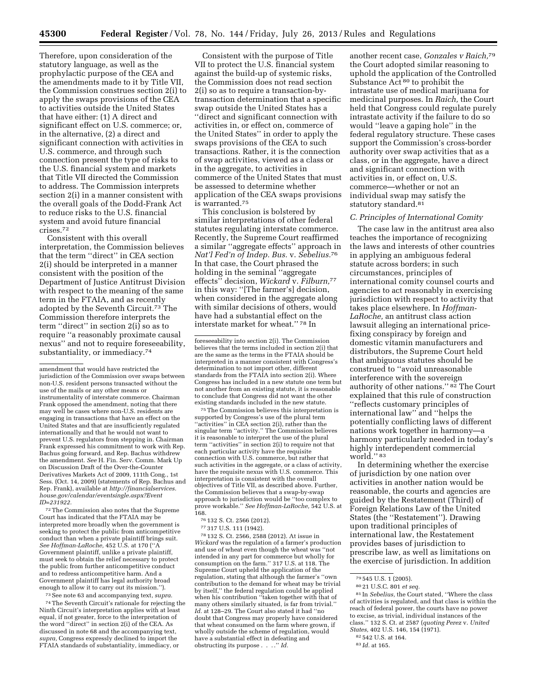Therefore, upon consideration of the statutory language, as well as the prophylactic purpose of the CEA and the amendments made to it by Title VII, the Commission construes section 2(i) to apply the swaps provisions of the CEA to activities outside the United States that have either: (1) A direct and significant effect on U.S. commerce; or, in the alternative, (2) a direct and significant connection with activities in U.S. commerce, and through such connection present the type of risks to the U.S. financial system and markets that Title VII directed the Commission to address. The Commission interprets section 2(i) in a manner consistent with the overall goals of the Dodd-Frank Act to reduce risks to the U.S. financial system and avoid future financial crises.72

Consistent with this overall interpretation, the Commission believes that the term ''direct'' in CEA section 2(i) should be interpreted in a manner consistent with the position of the Department of Justice Antitrust Division with respect to the meaning of the same term in the FTAIA, and as recently adopted by the Seventh Circuit.73 The Commission therefore interprets the term ''direct'' in section 2(i) so as to require ''a reasonably proximate causal nexus'' and not to require foreseeability, substantiality, or immediacy.74

72The Commission also notes that the Supreme Court has indicated that the FTAIA may be interpreted more broadly when the government is seeking to protect the public from anticompetitive conduct than when a private plaintiff brings suit. *See Hoffman-LaRoche,* 452 U.S. at 170 (''A Government plaintiff, unlike a private plaintiff, must seek to obtain the relief necessary to protect the public from further anticompetitive conduct and to redress anticompetitive harm. And a Government plaintiff has legal authority broad enough to allow it to carry out its mission.'').

73See note 63 and accompanying text, *supra.* 

74The Seventh Circuit's rationale for rejecting the Ninth Circuit's interpretation applies with at least equal, if not greater, force to the interpretation of the word ''direct'' in section 2(i) of the CEA. As discussed in note 68 and the accompanying text, *supra,* Congress expressly declined to import the FTAIA standards of substantiality, immediacy, or

Consistent with the purpose of Title VII to protect the U.S. financial system against the build-up of systemic risks, the Commission does not read section 2(i) so as to require a transaction-bytransaction determination that a specific swap outside the United States has a ''direct and significant connection with activities in, or effect on, commerce of the United States'' in order to apply the swaps provisions of the CEA to such transactions. Rather, it is the connection of swap activities, viewed as a class or in the aggregate, to activities in commerce of the United States that must be assessed to determine whether application of the CEA swaps provisions is warranted.75

This conclusion is bolstered by similar interpretations of other federal statutes regulating interstate commerce. Recently, the Supreme Court reaffirmed a similar ''aggregate effects'' approach in *Nat'l Fed'n of Indep. Bus.* v. *Sebelius.*76 In that case, the Court phrased the holding in the seminal ''aggregate effects'' decision, *Wickard* v. *Filburn,*77 in this way: ''[The farmer's] decision, when considered in the aggregate along with similar decisions of others, would have had a substantial effect on the interstate market for wheat.'' 78 In

75The Commission believes this interpretation is supported by Congress's use of the plural term ''activities'' in CEA section 2(i), rather than the singular term ''activity.'' The Commission believes it is reasonable to interpret the use of the plural term ''activities'' in section 2(i) to require not that each particular activity have the requisite connection with U.S. commerce, but rather that such activities in the aggregate, or a class of activity, have the requisite nexus with U.S. commerce. This interpretation is consistent with the overall objectives of Title VII, as described above. Further, the Commission believes that a swap-by-swap approach to jurisdiction would be ''too complex to prove workable.'' *See Hoffman-LaRoche,* 542 U.S. at 168.

- 
- 

<sup>76</sup> 132 S. Ct. 2566 (2012).<br><sup>77</sup> 317 U.S. 111 (1942).<br><sup>78</sup> 132 S. Ct. 2566, 2588 (2012). At issue in *Wickard* was the regulation of a farmer's production and use of wheat even though the wheat was ''not intended in any part for commerce but wholly for consumption on the farm.'' 317 U.S. at 118. The Supreme Court upheld the application of the regulation, stating that although the farmer's ''own contribution to the demand for wheat may be trivial by itself,'' the federal regulation could be applied when his contribution ''taken together with that of many others similarly situated, is far from trivial.'' *Id.* at 128–29. The Court also stated it had ''no doubt that Congress may properly have considered that wheat consumed on the farm where grown, if wholly outside the scheme of regulation, would have a substantial effect in defeating and obstructing its purpose . . . .'' *Id.* 

another recent case, *Gonzales v Raich,*79 the Court adopted similar reasoning to uphold the application of the Controlled Substance Act<sup>80</sup> to prohibit the intrastate use of medical marijuana for medicinal purposes. In *Raich,* the Court held that Congress could regulate purely intrastate activity if the failure to do so would ''leave a gaping hole'' in the federal regulatory structure. These cases support the Commission's cross-border authority over swap activities that as a class, or in the aggregate, have a direct and significant connection with activities in, or effect on, U.S. commerce—whether or not an individual swap may satisfy the statutory standard.<sup>81</sup>

#### *C. Principles of International Comity*

The case law in the antitrust area also teaches the importance of recognizing the laws and interests of other countries in applying an ambiguous federal statute across borders; in such circumstances, principles of international comity counsel courts and agencies to act reasonably in exercising jurisdiction with respect to activity that takes place elsewhere. In *Hoffman-LaRoche,* an antitrust class action lawsuit alleging an international pricefixing conspiracy by foreign and domestic vitamin manufacturers and distributors, the Supreme Court held that ambiguous statutes should be construed to ''avoid unreasonable interference with the sovereign authority of other nations." <sup>82</sup> The Court explained that this rule of construction ''reflects customary principles of international law'' and ''helps the potentially conflicting laws of different nations work together in harmony—a harmony particularly needed in today's highly interdependent commercial world.'' 83

In determining whether the exercise of jurisdiction by one nation over activities in another nation would be reasonable, the courts and agencies are guided by the Restatement (Third) of Foreign Relations Law of the United States (the ''Restatement''). Drawing upon traditional principles of international law, the Restatement provides bases of jurisdiction to prescribe law, as well as limitations on the exercise of jurisdiction. In addition

amendment that would have restricted the jurisdiction of the Commission over swaps between non-U.S. resident persons transacted without the use of the mails or any other means or instrumentality of interstate commerce. Chairman Frank opposed the amendment, noting that there may well be cases where non-U.S. residents are engaging in transactions that have an effect on the United States and that are insufficiently regulated internationally and that he would not want to prevent U.S. regulators from stepping in. Chairman Frank expressed his commitment to work with Rep. Bachus going forward, and Rep. Bachus withdrew the amendment. *See* H. Fin. Serv. Comm. Mark Up on Discussion Draft of the Over-the-Counter Derivatives Markets Act of 2009, 111th Cong., 1st Sess. (Oct. 14, 2009) (statements of Rep. Bachus and Rep. Frank), available at *[http://financialservices.](http://financialservices.house.gov/calendar/eventsingle.aspx?EventID=231922) [house.gov/calendar/eventsingle.aspx?Event](http://financialservices.house.gov/calendar/eventsingle.aspx?EventID=231922) [ID=231922.](http://financialservices.house.gov/calendar/eventsingle.aspx?EventID=231922)* 

foreseeability into section 2(i). The Commission believes that the terms included in section 2(i) that are the same as the terms in the FTAIA should be interpreted in a manner consistent with Congress's determination to not import other, different standards from the FTAIA into section 2(i). Where Congress has included in a new statute one term but not another from an existing statute, it is reasonable to conclude that Congress did not want the other existing standards included in the new statute.

<sup>79</sup> 545 U.S. 1 (2005).

<sup>80</sup> 21 U.S.C. 801 *et seq.* 

<sup>81</sup> In *Sebelius,* the Court stated, ''Where the class of activities is regulated, and that class is within the reach of federal power, the courts have no power to excise, as trivial, individual instances of the class.'' 132 S. Ct. at 2587 (*quoting Perez* v. *United States, 402 U.S. 146, 154 (1971).* 

<sup>82</sup> 542 U.S. at 164.

<sup>83</sup> *Id.* at 165.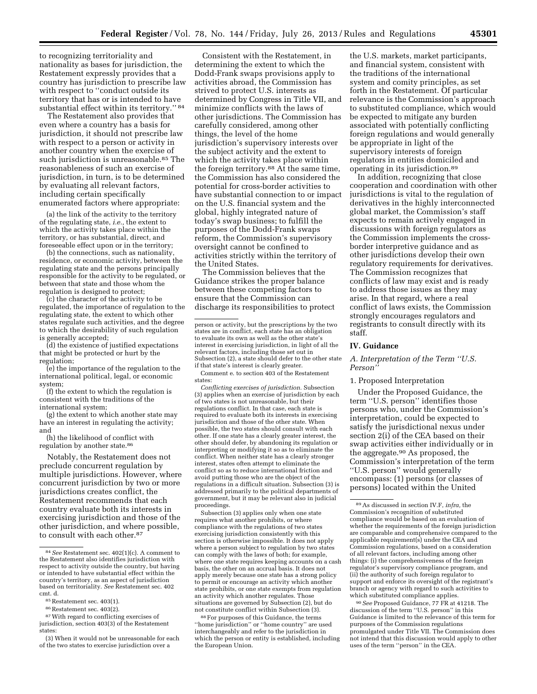to recognizing territoriality and nationality as bases for jurisdiction, the Restatement expressly provides that a country has jurisdiction to prescribe law with respect to ''conduct outside its territory that has or is intended to have substantial effect within its territory.'' 84

The Restatement also provides that even where a country has a basis for jurisdiction, it should not prescribe law with respect to a person or activity in another country when the exercise of such jurisdiction is unreasonable.<sup>85</sup> The reasonableness of such an exercise of jurisdiction, in turn, is to be determined by evaluating all relevant factors, including certain specifically enumerated factors where appropriate:

(a) the link of the activity to the territory of the regulating state, *i.e.,* the extent to which the activity takes place within the territory, or has substantial, direct, and foreseeable effect upon or in the territory;

(b) the connections, such as nationality, residence, or economic activity, between the regulating state and the persons principally responsible for the activity to be regulated, or between that state and those whom the regulation is designed to protect;

(c) the character of the activity to be regulated, the importance of regulation to the regulating state, the extent to which other states regulate such activities, and the degree to which the desirability of such regulation is generally accepted;

(d) the existence of justified expectations that might be protected or hurt by the regulation;

(e) the importance of the regulation to the international political, legal, or economic system;

(f) the extent to which the regulation is consistent with the traditions of the international system;

(g) the extent to which another state may have an interest in regulating the activity; and

(h) the likelihood of conflict with regulation by another state.<sup>86</sup>

Notably, the Restatement does not preclude concurrent regulation by multiple jurisdictions. However, where concurrent jurisdiction by two or more jurisdictions creates conflict, the Restatement recommends that each country evaluate both its interests in exercising jurisdiction and those of the other jurisdiction, and where possible, to consult with each other.<sup>87</sup>

(3) When it would not be unreasonable for each of the two states to exercise jurisdiction over a

Consistent with the Restatement, in determining the extent to which the Dodd-Frank swaps provisions apply to activities abroad, the Commission has strived to protect U.S. interests as determined by Congress in Title VII, and minimize conflicts with the laws of other jurisdictions. The Commission has carefully considered, among other things, the level of the home jurisdiction's supervisory interests over the subject activity and the extent to which the activity takes place within the foreign territory.88 At the same time, the Commission has also considered the potential for cross-border activities to have substantial connection to or impact on the U.S. financial system and the global, highly integrated nature of today's swap business; to fulfill the purposes of the Dodd-Frank swaps reform, the Commission's supervisory oversight cannot be confined to activities strictly within the territory of the United States.

The Commission believes that the Guidance strikes the proper balance between these competing factors to ensure that the Commission can discharge its responsibilities to protect

Comment e. to section 403 of the Restatement states:

*Conflicting exercises of jurisdiction.* Subsection (3) applies when an exercise of jurisdiction by each of two states is not unreasonable, but their regulations conflict. In that case, each state is required to evaluate both its interests in exercising jurisdiction and those of the other state. When possible, the two states should consult with each other. If one state has a clearly greater interest, the other should defer, by abandoning its regulation or interpreting or modifying it so as to eliminate the conflict. When neither state has a clearly stronger interest, states often attempt to eliminate the conflict so as to reduce international friction and avoid putting those who are the object of the regulations in a difficult situation. Subsection (3) is addressed primarily to the political departments of government, but it may be relevant also in judicial proceedings.

Subsection (3) applies only when one state requires what another prohibits, or where compliance with the regulations of two states exercising jurisdiction consistently with this section is otherwise impossible. It does not apply where a person subject to regulation by two states can comply with the laws of both; for example, where one state requires keeping accounts on a cash basis, the other on an accrual basis. It does not apply merely because one state has a strong policy to permit or encourage an activity which another state prohibits, or one state exempts from regulation an activity which another regulates. Those situations are governed by Subsection (2), but do not constitute conflict within Subsection (3).

88For purposes of this Guidance, the terms ''home jurisdiction'' or ''home country'' are used interchangeably and refer to the jurisdiction in which the person or entity is established, including the European Union.

the U.S. markets, market participants, and financial system, consistent with the traditions of the international system and comity principles, as set forth in the Restatement. Of particular relevance is the Commission's approach to substituted compliance, which would be expected to mitigate any burden associated with potentially conflicting foreign regulations and would generally be appropriate in light of the supervisory interests of foreign regulators in entities domiciled and operating in its jurisdiction.89

In addition, recognizing that close cooperation and coordination with other jurisdictions is vital to the regulation of derivatives in the highly interconnected global market, the Commission's staff expects to remain actively engaged in discussions with foreign regulators as the Commission implements the crossborder interpretive guidance and as other jurisdictions develop their own regulatory requirements for derivatives. The Commission recognizes that conflicts of law may exist and is ready to address those issues as they may arise. In that regard, where a real conflict of laws exists, the Commission strongly encourages regulators and registrants to consult directly with its staff.

#### **IV. Guidance**

*A. Interpretation of the Term ''U.S. Person''* 

#### 1. Proposed Interpretation

Under the Proposed Guidance, the term ''U.S. person'' identifies those persons who, under the Commission's interpretation, could be expected to satisfy the jurisdictional nexus under section 2(i) of the CEA based on their swap activities either individually or in the aggregate.90 As proposed, the Commission's interpretation of the term ''U.S. person'' would generally encompass: (1) persons (or classes of persons) located within the United

90*See* Proposed Guidance, 77 FR at 41218. The discussion of the term ''U.S. person'' in this Guidance is limited to the relevance of this term for purposes of the Commission regulations promulgated under Title VII. The Commission does not intend that this discussion would apply to other uses of the term ''person'' in the CEA.

<sup>84</sup>*See* Restatement sec. 402(1)(c). A comment to the Restatement also identifies jurisdiction with respect to activity outside the country, but having or intended to have substantial effect within the country's territory, as an aspect of jurisdiction based on territoriality. *See* Restatement sec. 402 cmt. d. 85<br>
<sup>85</sup>Restatement sec. 403(1).<br>
<sup>86</sup>Restatement sec. 403(2).<br>
<sup>87</sup>With regard to conflicting exercises of

jurisdiction, section 403(3) of the Restatement states:

person or activity, but the prescriptions by the two states are in conflict, each state has an obligation to evaluate its own as well as the other state's interest in exercising jurisdiction, in light of all the relevant factors, including those set out in Subsection (2), a state should defer to the other state if that state's interest is clearly greater.

<sup>89</sup>As discussed in section IV.F, *infra,* the Commission's recognition of substituted compliance would be based on an evaluation of whether the requirements of the foreign jurisdiction are comparable and comprehensive compared to the applicable requirement(s) under the CEA and Commission regulations, based on a consideration of all relevant factors, including among other things: (i) the comprehensiveness of the foreign regulator's supervisory compliance program, and (ii) the authority of such foreign regulator to support and enforce its oversight of the registrant's branch or agency with regard to such activities to which substituted compliance applies.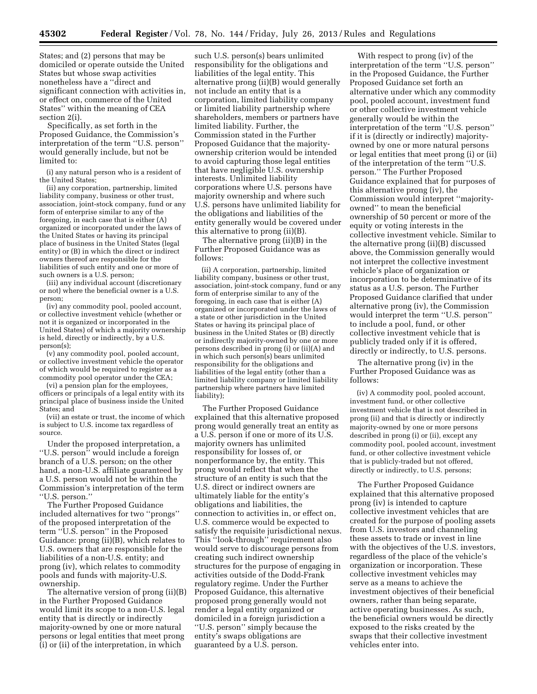States; and (2) persons that may be domiciled or operate outside the United States but whose swap activities nonetheless have a ''direct and significant connection with activities in, or effect on, commerce of the United States'' within the meaning of CEA section 2(i).

Specifically, as set forth in the Proposed Guidance, the Commission's interpretation of the term ''U.S. person'' would generally include, but not be limited to:

(i) any natural person who is a resident of the United States;

(ii) any corporation, partnership, limited liability company, business or other trust, association, joint-stock company, fund or any form of enterprise similar to any of the foregoing, in each case that is either (A) organized or incorporated under the laws of the United States or having its principal place of business in the United States (legal entity) or (B) in which the direct or indirect owners thereof are responsible for the liabilities of such entity and one or more of such owners is a U.S. person;

(iii) any individual account (discretionary or not) where the beneficial owner is a U.S. person;

(iv) any commodity pool, pooled account, or collective investment vehicle (whether or not it is organized or incorporated in the United States) of which a majority ownership is held, directly or indirectly, by a U.S. person(s);

(v) any commodity pool, pooled account, or collective investment vehicle the operator of which would be required to register as a commodity pool operator under the CEA;

(vi) a pension plan for the employees, officers or principals of a legal entity with its principal place of business inside the United States; and

(vii) an estate or trust, the income of which is subject to U.S. income tax regardless of source.

Under the proposed interpretation, a ''U.S. person'' would include a foreign branch of a U.S. person; on the other hand, a non-U.S. affiliate guaranteed by a U.S. person would not be within the Commission's interpretation of the term ''U.S. person.''

The Further Proposed Guidance included alternatives for two ''prongs'' of the proposed interpretation of the term ''U.S. person'' in the Proposed Guidance: prong (ii)(B), which relates to U.S. owners that are responsible for the liabilities of a non-U.S. entity; and prong (iv), which relates to commodity pools and funds with majority-U.S. ownership.

The alternative version of prong (ii)(B) in the Further Proposed Guidance would limit its scope to a non-U.S. legal entity that is directly or indirectly majority-owned by one or more natural persons or legal entities that meet prong (i) or (ii) of the interpretation, in which

such U.S. person(s) bears unlimited responsibility for the obligations and liabilities of the legal entity. This alternative prong (ii)(B) would generally not include an entity that is a corporation, limited liability company or limited liability partnership where shareholders, members or partners have limited liability. Further, the Commission stated in the Further Proposed Guidance that the majorityownership criterion would be intended to avoid capturing those legal entities that have negligible U.S. ownership interests. Unlimited liability corporations where U.S. persons have majority ownership and where such U.S. persons have unlimited liability for the obligations and liabilities of the entity generally would be covered under this alternative to prong (ii)(B).

The alternative prong (ii)(B) in the Further Proposed Guidance was as follows:

(ii) A corporation, partnership, limited liability company, business or other trust, association, joint-stock company, fund or any form of enterprise similar to any of the foregoing, in each case that is either (A) organized or incorporated under the laws of a state or other jurisdiction in the United States or having its principal place of business in the United States or (B) directly or indirectly majority-owned by one or more persons described in prong (i) or (ii)(A) and in which such person(s) bears unlimited responsibility for the obligations and liabilities of the legal entity (other than a limited liability company or limited liability partnership where partners have limited liability);

The Further Proposed Guidance explained that this alternative proposed prong would generally treat an entity as a U.S. person if one or more of its U.S. majority owners has unlimited responsibility for losses of, or nonperformance by, the entity. This prong would reflect that when the structure of an entity is such that the U.S. direct or indirect owners are ultimately liable for the entity's obligations and liabilities, the connection to activities in, or effect on, U.S. commerce would be expected to satisfy the requisite jurisdictional nexus. This ''look-through'' requirement also would serve to discourage persons from creating such indirect ownership structures for the purpose of engaging in activities outside of the Dodd-Frank regulatory regime. Under the Further Proposed Guidance, this alternative proposed prong generally would not render a legal entity organized or domiciled in a foreign jurisdiction a ''U.S. person'' simply because the entity's swaps obligations are guaranteed by a U.S. person.

With respect to prong (iv) of the interpretation of the term ''U.S. person'' in the Proposed Guidance, the Further Proposed Guidance set forth an alternative under which any commodity pool, pooled account, investment fund or other collective investment vehicle generally would be within the interpretation of the term ''U.S. person'' if it is (directly or indirectly) majorityowned by one or more natural persons or legal entities that meet prong (i) or (ii) of the interpretation of the term ''U.S. person.'' The Further Proposed Guidance explained that for purposes of this alternative prong (iv), the Commission would interpret ''majorityowned'' to mean the beneficial ownership of 50 percent or more of the equity or voting interests in the collective investment vehicle. Similar to the alternative prong (ii)(B) discussed above, the Commission generally would not interpret the collective investment vehicle's place of organization or incorporation to be determinative of its status as a U.S. person. The Further Proposed Guidance clarified that under alternative prong (iv), the Commission would interpret the term ''U.S. person'' to include a pool, fund, or other collective investment vehicle that is publicly traded only if it is offered, directly or indirectly, to U.S. persons.

The alternative prong (iv) in the Further Proposed Guidance was as follows:

(iv) A commodity pool, pooled account, investment fund, or other collective investment vehicle that is not described in prong (ii) and that is directly or indirectly majority-owned by one or more persons described in prong (i) or (ii), except any commodity pool, pooled account, investment fund, or other collective investment vehicle that is publicly-traded but not offered, directly or indirectly, to U.S. persons;

The Further Proposed Guidance explained that this alternative proposed prong (iv) is intended to capture collective investment vehicles that are created for the purpose of pooling assets from U.S. investors and channeling these assets to trade or invest in line with the objectives of the U.S. investors, regardless of the place of the vehicle's organization or incorporation. These collective investment vehicles may serve as a means to achieve the investment objectives of their beneficial owners, rather than being separate, active operating businesses. As such, the beneficial owners would be directly exposed to the risks created by the swaps that their collective investment vehicles enter into.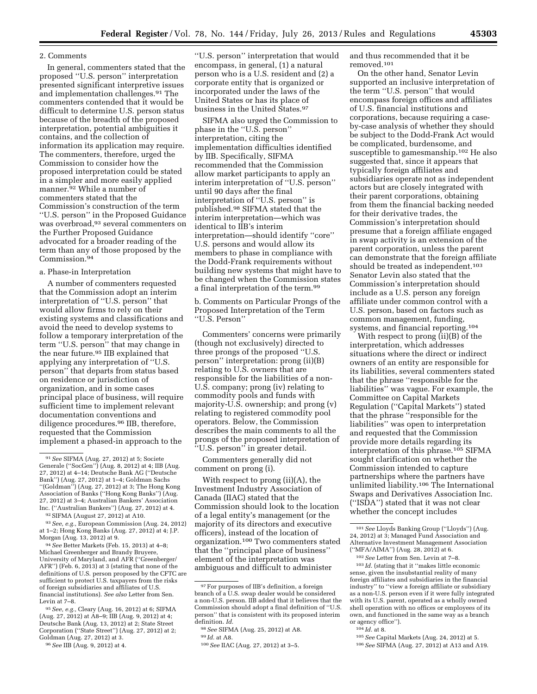#### 2. Comments

In general, commenters stated that the proposed ''U.S. person'' interpretation presented significant interpretive issues and implementation challenges.91 The commenters contended that it would be difficult to determine U.S. person status because of the breadth of the proposed interpretation, potential ambiguities it contains, and the collection of information its application may require. The commenters, therefore, urged the Commission to consider how the proposed interpretation could be stated in a simpler and more easily applied manner.92 While a number of commenters stated that the Commission's construction of the term ''U.S. person'' in the Proposed Guidance was overbroad,93 several commenters on the Further Proposed Guidance advocated for a broader reading of the term than any of those proposed by the Commission.94

#### a. Phase-in Interpretation

A number of commenters requested that the Commission adopt an interim interpretation of ''U.S. person'' that would allow firms to rely on their existing systems and classifications and avoid the need to develop systems to follow a temporary interpretation of the term ''U.S. person'' that may change in the near future.95 IIB explained that applying any interpretation of ''U.S. person'' that departs from status based on residence or jurisdiction of organization, and in some cases principal place of business, will require sufficient time to implement relevant documentation conventions and diligence procedures.96 IIB, therefore, requested that the Commission implement a phased-in approach to the

94*See* Better Markets (Feb. 15, 2013) at 4–8; Michael Greenberger and Brandy Bruyere, University of Maryland, and AFR (''Greenberger/ AFR'') (Feb. 6, 2013) at 3 (stating that none of the definitions of U.S. person proposed by the CFTC are sufficient to protect U.S. taxpayers from the risks of foreign subsidiaries and affiliates of U.S. financial institutions). *See also* Letter from Sen. Levin at 7–8.

95*See, e.g.,* Cleary (Aug. 16, 2012) at 6; SIFMA (Aug. 27, 2012) at A8–9; IIB (Aug. 9, 2012) at 4; Deutsche Bank (Aug. 13, 2012) at 2; State Street Corporation (''State Street'') (Aug. 27, 2012) at 2; Goldman (Aug. 27, 2012) at 3.

''U.S. person'' interpretation that would encompass, in general, (1) a natural person who is a U.S. resident and (2) a corporate entity that is organized or incorporated under the laws of the United States or has its place of business in the United States.97

SIFMA also urged the Commission to phase in the ''U.S. person'' interpretation, citing the implementation difficulties identified by IIB. Specifically, SIFMA recommended that the Commission allow market participants to apply an interim interpretation of ''U.S. person'' until 90 days after the final interpretation of ''U.S. person'' is published.98 SIFMA stated that the interim interpretation—which was identical to IIB's interim interpretation—should identify ''core'' U.S. persons and would allow its members to phase in compliance with the Dodd-Frank requirements without building new systems that might have to be changed when the Commission states a final interpretation of the term.99

b. Comments on Particular Prongs of the Proposed Interpretation of the Term ''U.S. Person''

Commenters' concerns were primarily (though not exclusively) directed to three prongs of the proposed ''U.S. person'' interpretation: prong (ii)(B) relating to U.S. owners that are responsible for the liabilities of a non-U.S. company; prong (iv) relating to commodity pools and funds with majority-U.S. ownership; and prong (v) relating to registered commodity pool operators. Below, the Commission describes the main comments to all the prongs of the proposed interpretation of ''U.S. person'' in greater detail.

Commenters generally did not comment on prong (i).

With respect to prong (ii)(A), the Investment Industry Association of Canada (IIAC) stated that the Commission should look to the location of a legal entity's management (or the majority of its directors and executive officers), instead of the location of organization.100 Two commenters stated that the ''principal place of business'' element of the interpretation was ambiguous and difficult to administer

and thus recommended that it be removed.101

On the other hand, Senator Levin supported an inclusive interpretation of the term "U.S. person" that would encompass foreign offices and affiliates of U.S. financial institutions and corporations, because requiring a caseby-case analysis of whether they should be subject to the Dodd-Frank Act would be complicated, burdensome, and susceptible to gamesmanship.102 He also suggested that, since it appears that typically foreign affiliates and subsidiaries operate not as independent actors but are closely integrated with their parent corporations, obtaining from them the financial backing needed for their derivative trades, the Commission's interpretation should presume that a foreign affiliate engaged in swap activity is an extension of the parent corporation, unless the parent can demonstrate that the foreign affiliate should be treated as independent.<sup>103</sup> Senator Levin also stated that the Commission's interpretation should include as a U.S. person any foreign affiliate under common control with a U.S. person, based on factors such as common management, funding, systems, and financial reporting.104

With respect to prong (ii)(B) of the interpretation, which addresses situations where the direct or indirect owners of an entity are responsible for its liabilities, several commenters stated that the phrase ''responsible for the liabilities'' was vague. For example, the Committee on Capital Markets Regulation (''Capital Markets'') stated that the phrase ''responsible for the liabilities'' was open to interpretation and requested that the Commission provide more details regarding its interpretation of this phrase.105 SIFMA sought clarification on whether the Commission intended to capture partnerships where the partners have unlimited liability.106 The International Swaps and Derivatives Association Inc. (''ISDA'') stated that it was not clear whether the concept includes

 $^{\rm 103}$   $ld.$  (stating that it ''makes little economic sense, given the insubstantial reality of many foreign affiliates and subsidiaries in the financial industry'' to ''view a foreign affiliate or subsidiary as a non-U.S. person even if it were fully integrated with its U.S. parent, operated as a wholly owned shell operation with no offices or employees of its own, and functioned in the same way as a branch or agency office'').

106*See* SIFMA (Aug. 27, 2012) at A13 and A19.

<sup>91</sup>*See* SIFMA (Aug. 27, 2012) at 5; Societe Generale (''SocGen'') (Aug. 8, 2012) at 4; IIB (Aug. 27, 2012) at 4–14; Deutsche Bank AG (''Deutsche Bank'') (Aug. 27, 2012) at 1–4; Goldman Sachs ''(Goldman'') (Aug. 27, 2012) at 3; The Hong Kong Association of Banks (''Hong Kong Banks'') (Aug. 27, 2012) at 3–4; Australian Bankers' Association Inc. (''Australian Bankers'') (Aug. 27, 2012) at 4.

<sup>92</sup>SIFMA (August 27, 2012) at A10.

<sup>93</sup>*See, e.g.,* European Commission (Aug. 24, 2012) at 1–2; Hong Kong Banks (Aug. 27, 2012) at 4; J.P. Morgan (Aug. 13, 2012) at 9.

<sup>96</sup>*See* IIB (Aug. 9, 2012) at 4.

 $\rm ^{97}$  For purposes of IIB's definition, a foreign branch of a U.S. swap dealer would be considered a non-U.S. person. IIB added that it believes that the Commission should adopt a final definition of ''U.S. person'' that is consistent with its proposed interim definition. *Id.* 

<sup>98</sup>*See* SIFMA (Aug. 25, 2012) at A8.

<sup>99</sup> *Id.* at A8.

<sup>100</sup>*See* IIAC (Aug. 27, 2012) at 3–5.

<sup>101</sup>*See* Lloyds Banking Group (''Lloyds'') (Aug. 24, 2012) at 3; Managed Fund Association and Alternative Investment Management Association (''MFA/AIMA'') (Aug. 28, 2012) at 6.

<sup>102</sup>*See* Letter from Sen. Levin at 7–8.

<sup>104</sup> *Id.* at 8.

<sup>105</sup>*See* Capital Markets (Aug. 24, 2012) at 5.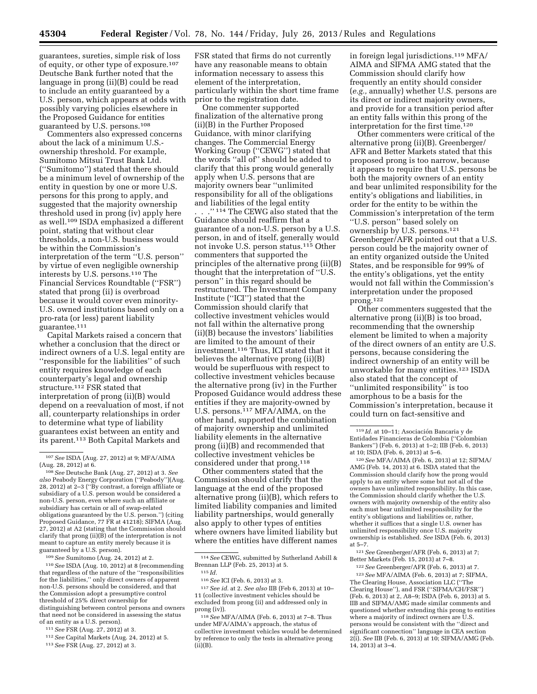guarantees, sureties, simple risk of loss of equity, or other type of exposure.107 Deutsche Bank further noted that the language in prong (ii)(B) could be read to include an entity guaranteed by a U.S. person, which appears at odds with possibly varying policies elsewhere in the Proposed Guidance for entities guaranteed by U.S. persons.108

Commenters also expressed concerns about the lack of a minimum U.S. ownership threshold. For example, Sumitomo Mitsui Trust Bank Ltd. (''Sumitomo'') stated that there should be a minimum level of ownership of the entity in question by one or more U.S. persons for this prong to apply, and suggested that the majority ownership threshold used in prong (iv) apply here as well.109 ISDA emphasized a different point, stating that without clear thresholds, a non-U.S. business would be within the Commission's interpretation of the term ''U.S. person'' by virtue of even negligible ownership interests by U.S. persons.110 The Financial Services Roundtable (''FSR'') stated that prong (ii) is overbroad because it would cover even minority-U.S. owned institutions based only on a pro-rata (or less) parent liability guarantee.111

Capital Markets raised a concern that whether a conclusion that the direct or indirect owners of a U.S. legal entity are ''responsible for the liabilities'' of such entity requires knowledge of each counterparty's legal and ownership structure.112 FSR stated that interpretation of prong (ii)(B) would depend on a reevaluation of most, if not all, counterparty relationships in order to determine what type of liability guarantees exist between an entity and its parent.113 Both Capital Markets and

109*See* Sumitomo (Aug. 24, 2012) at 2.

110*See* ISDA (Aug. 10, 2012) at 8 (recommending that regardless of the nature of the ''responsibilities for the liabilities,'' only direct owners of apparent non-U.S. persons should be considered, and that the Commission adopt a presumptive control threshold of 25% direct ownership for distinguishing between control persons and owners that need not be considered in assessing the status of an entity as a U.S. person).

111*See* FSR (Aug. 27, 2012) at 3.

112*See* Capital Markets (Aug. 24, 2012) at 5.

FSR stated that firms do not currently have any reasonable means to obtain information necessary to assess this element of the interpretation, particularly within the short time frame prior to the registration date.

One commenter supported finalization of the alternative prong (ii)(B) in the Further Proposed Guidance, with minor clarifying changes. The Commercial Energy Working Group (''CEWG'') stated that the words ''all of'' should be added to clarify that this prong would generally apply when U.S. persons that are majority owners bear ''unlimited responsibility for all of the obligations and liabilities of the legal entity . . .'' 114 The CEWG also stated that the Guidance should reaffirm that a guarantee of a non-U.S. person by a U.S. person, in and of itself, generally would not invoke U.S. person status.115 Other commenters that supported the principles of the alternative prong (ii)(B) thought that the interpretation of ''U.S. person'' in this regard should be restructured. The Investment Company Institute (''ICI'') stated that the Commission should clarify that collective investment vehicles would not fall within the alternative prong (ii)(B) because the investors' liabilities are limited to the amount of their investment.116 Thus, ICI stated that it believes the alternative prong (ii)(B) would be superfluous with respect to collective investment vehicles because the alternative prong (iv) in the Further Proposed Guidance would address these entities if they are majority-owned by U.S. persons.117 MFA/AIMA, on the other hand, supported the combination of majority ownership and unlimited liability elements in the alternative prong (ii)(B) and recommended that collective investment vehicles be considered under that prong.118

Other commenters stated that the Commission should clarify that the language at the end of the proposed alternative prong (ii)(B), which refers to limited liability companies and limited liability partnerships, would generally also apply to other types of entities where owners have limited liability but where the entities have different names

117*See id.* at 2. *See also* IIB (Feb 6, 2013) at 10– 11 (collective investment vehicles should be excluded from prong (ii) and addressed only in prong (iv)).

118*See* MFA/AIMA (Feb. 6, 2013) at 7–8. Thus under MFA/AIMA's approach, the status of collective investment vehicles would be determined by reference to only the tests in alternative prong  $(ii)(B)$ .

in foreign legal jurisdictions.119 MFA/ AIMA and SIFMA AMG stated that the Commission should clarify how frequently an entity should consider (*e.g.,* annually) whether U.S. persons are its direct or indirect majority owners, and provide for a transition period after an entity falls within this prong of the interpretation for the first time.120

Other commenters were critical of the alternative prong (ii)(B). Greenberger/ AFR and Better Markets stated that this proposed prong is too narrow, because it appears to require that U.S. persons be both the majority owners of an entity and bear unlimited responsibility for the entity's obligations and liabilities, in order for the entity to be within the Commission's interpretation of the term ''U.S. person'' based solely on ownership by U.S. persons.121 Greenberger/AFR pointed out that a U.S. person could be the majority owner of an entity organized outside the United States, and be responsible for 99% of the entity's obligations, yet the entity would not fall within the Commission's interpretation under the proposed prong.122

Other commenters suggested that the alternative prong (ii)(B) is too broad, recommending that the ownership element be limited to when a majority of the direct owners of an entity are U.S. persons, because considering the indirect ownership of an entity will be unworkable for many entities.123 ISDA also stated that the concept of ''unlimited responsibility'' is too amorphous to be a basis for the Commission's interpretation, because it could turn on fact-sensitive and

120*See* MFA/AIMA (Feb. 6, 2013) at 12; SIFMA/ AMG (Feb. 14, 2013) at 6. ISDA stated that the Commission should clarify how the prong would apply to an entity where some but not all of the owners have unlimited responsibility. In this case, the Commission should clarify whether the U.S. owners with majority ownership of the entity also each must bear unlimited responsibility for the entity's obligations and liabilities or, rather, whether it suffices that a single U.S. owner has unlimited responsibility once U.S. majority ownership is established. *See* ISDA (Feb. 6, 2013) at 5–7.

121*See* Greenberger/AFR (Feb. 6, 2013) at 7; Better Markets (Feb. 15, 2013) at 7–8.

122*See* Greenberger/AFR (Feb. 6, 2013) at 7. 123*See* MFA/AIMA (Feb. 6, 2013) at 7; SIFMA, The Clearing House, Association LLC (''The Clearing House''), and FSR (''SIFMA/CH/FSR'') (Feb. 6, 2013) at 2, A8–9; ISDA (Feb. 6, 2013) at 5. IIB and SIFMA/AMG made similar comments and questioned whether extending this prong to entities where a majority of indirect owners are U.S. persons would be consistent with the ''direct and significant connection'' language in CEA section 2(i). *See* IIB (Feb. 6, 2013) at 10; SIFMA/AMG (Feb. 14, 2013) at 3–4.

<sup>107</sup>*See* ISDA (Aug. 27, 2012) at 9; MFA/AIMA (Aug. 28, 2012) at 6.

<sup>108</sup>*See* Deutsche Bank (Aug. 27, 2012) at 3. *See also* Peabody Energy Corporation (''Peabody'')(Aug. 28, 2012) at 2–3 (''By contrast, a foreign affiliate or subsidiary of a U.S. person would be considered a non-U.S. person, even where such an affiliate or subsidiary has certain or all of swap-related obligations guaranteed by the U.S. person.'') (citing Proposed Guidance, 77 FR at 41218); SIFMA (Aug. 27, 2012) at A2 (stating that the Commission should clarify that prong (ii)(B) of the interpretation is not meant to capture an entity merely because it is guaranteed by a U.S. person).

<sup>113</sup>*See* FSR (Aug. 27, 2012) at 3.

<sup>114</sup>*See* CEWG, submitted by Sutherland Asbill & Brennan LLP (Feb. 25, 2013) at 5.

<sup>115</sup> *Id.* 

<sup>116</sup>*See* ICI (Feb. 6, 2013) at 3.

 $^{119}$   $\!Id.$ at 10–11; Asociación Bancaria y de Entidades Financieras de Colombia (''Colombian Bankers'') (Feb. 6, 2013) at 1–2; IIB (Feb. 6, 2013) at 10; ISDA (Feb. 6, 2013) at 5–6.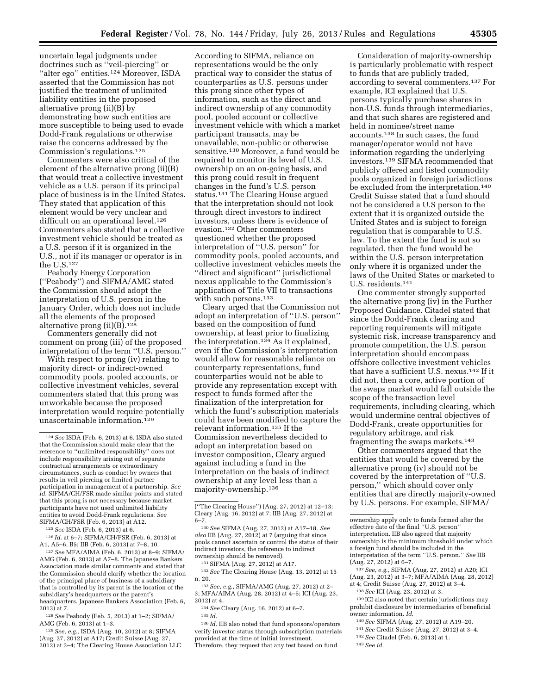uncertain legal judgments under doctrines such as ''veil-piercing'' or ''alter ego'' entities.124 Moreover, ISDA asserted that the Commission has not justified the treatment of unlimited liability entities in the proposed alternative prong (ii)(B) by demonstrating how such entities are more susceptible to being used to evade Dodd-Frank regulations or otherwise raise the concerns addressed by the Commission's regulations.125

Commenters were also critical of the element of the alternative prong (ii)(B) that would treat a collective investment vehicle as a U.S. person if its principal place of business is in the United States. They stated that application of this element would be very unclear and difficult on an operational level.<sup>126</sup> Commenters also stated that a collective investment vehicle should be treated as a U.S. person if it is organized in the U.S., not if its manager or operator is in the U.S.127

Peabody Energy Corporation (''Peabody'') and SIFMA/AMG stated the Commission should adopt the interpretation of U.S. person in the January Order, which does not include all the elements of the proposed alternative prong (ii)(B).128

Commenters generally did not comment on prong (iii) of the proposed interpretation of the term ''U.S. person.''

With respect to prong (iv) relating to majority direct- or indirect-owned commodity pools, pooled accounts, or collective investment vehicles, several commenters stated that this prong was unworkable because the proposed interpretation would require potentially unascertainable information.129

125*See* ISDA (Feb. 6, 2013) at 6.

126 *Id.* at 6–7; SIFMA/CH/FSR (Feb. 6, 2013) at A1, A5–6, B5; IIB (Feb. 6, 2013) at 7–8, 10.

127*See* MFA/AIMA (Feb. 6, 2013) at 8–9; SIFMA/ AMG (Feb. 6, 2013) at A7–8. The Japanese Bankers Association made similar comments and stated that the Commission should clarify whether the location of the principal place of business of a subsidiary that is controlled by its parent is the location of the subsidiary's headquarters or the parent's headquarters. Japanese Bankers Association (Feb. 6, 2013) at 7.

128*See* Peabody (Feb. 5, 2013) at 1–2; SIFMA/ AMG (Feb. 6, 2013) at 1–3.

129*See, e.g.,* ISDA (Aug. 10, 2012) at 8; SIFMA (Aug. 27, 2012) at A17; Credit Suisse (Aug. 27, 2012) at 3–4; The Clearing House Association LLC

According to SIFMA, reliance on representations would be the only practical way to consider the status of counterparties as U.S. persons under this prong since other types of information, such as the direct and indirect ownership of any commodity pool, pooled account or collective investment vehicle with which a market participant transacts, may be unavailable, non-public or otherwise sensitive.130 Moreover, a fund would be required to monitor its level of U.S. ownership on an on-going basis, and this prong could result in frequent changes in the fund's U.S. person status.131 The Clearing House argued that the interpretation should not look through direct investors to indirect investors, unless there is evidence of evasion.132 Other commenters questioned whether the proposed interpretation of ''U.S. person'' for commodity pools, pooled accounts, and collective investment vehicles meets the ''direct and significant'' jurisdictional nexus applicable to the Commission's application of Title VII to transactions with such persons.<sup>133</sup>

Cleary urged that the Commission not adopt an interpretation of ''U.S. person'' based on the composition of fund ownership, at least prior to finalizing the interpretation.134 As it explained, even if the Commission's interpretation would allow for reasonable reliance on counterparty representations, fund counterparties would not be able to provide any representation except with respect to funds formed after the finalization of the interpretation for which the fund's subscription materials could have been modified to capture the relevant information.135 If the Commission nevertheless decided to adopt an interpretation based on investor composition, Cleary argued against including a fund in the interpretation on the basis of indirect ownership at any level less than a majority-ownership.136

131SIFMA (Aug. 27, 2012) at A17.

132*See* The Clearing House (Aug. 13, 2012) at 15 n. 20.

136 *Id.* IIB also noted that fund sponsors/operators verify investor status through subscription materials provided at the time of initial investment.

Therefore, they request that any test based on fund

Consideration of majority-ownership is particularly problematic with respect to funds that are publicly traded, according to several commenters.137 For example, ICI explained that U.S. persons typically purchase shares in non-U.S. funds through intermediaries, and that such shares are registered and held in nominee/street name accounts.138 In such cases, the fund manager/operator would not have information regarding the underlying investors.139 SIFMA recommended that publicly offered and listed commodity pools organized in foreign jurisdictions be excluded from the interpretation.<sup>140</sup> Credit Suisse stated that a fund should not be considered a U.S person to the extent that it is organized outside the United States and is subject to foreign regulation that is comparable to U.S. law. To the extent the fund is not so regulated, then the fund would be within the U.S. person interpretation only where it is organized under the laws of the United States or marketed to U.S. residents.141

One commenter strongly supported the alternative prong (iv) in the Further Proposed Guidance. Citadel stated that since the Dodd-Frank clearing and reporting requirements will mitigate systemic risk, increase transparency and promote competition, the U.S. person interpretation should encompass offshore collective investment vehicles that have a sufficient U.S. nexus.142 If it did not, then a core, active portion of the swaps market would fall outside the scope of the transaction level requirements, including clearing, which would undermine central objectives of Dodd-Frank, create opportunities for regulatory arbitrage, and risk fragmenting the swaps markets.143

Other commenters argued that the entities that would be covered by the alternative prong (iv) should not be covered by the interpretation of ''U.S. person,'' which should cover only entities that are directly majority-owned by U.S. persons. For example, SIFMA/

- 141*See* Credit Suisse (Aug, 27, 2012) at 3–4.
- 142*See* Citadel (Feb. 6, 2013) at 1.
- 143*See id.*

<sup>124</sup>*See* ISDA (Feb. 6, 2013) at 6. ISDA also stated that the Commission should make clear that the reference to ''unlimited responsibility'' does not include responsibility arising out of separate contractual arrangements or extraordinary circumstances, such as conduct by owners that results in veil piercing or limited partner participation in management of a partnership. *See id.* SIFMA/CH/FSR made similar points and stated that this prong is not necessary because market participants have not used unlimited liability entities to avoid Dodd-Frank regulations. *See*  SIFMA/CH/FSR (Feb. 6, 2013) at A12.

<sup>(&#</sup>x27;'The Clearing House'') (Aug. 27, 2012) at 12–13; Cleary (Aug. 16, 2012) at 7; IIB (Aug. 27, 2012) at  $6 - 7$ .

<sup>130</sup>*See* SIFMA (Aug. 27, 2012) at A17–18. *See also* IIB (Aug. 27, 2012) at 7 (arguing that since pools cannot ascertain or control the status of their indirect investors, the reference to indirect ownership should be removed).

<sup>133</sup>*See, e.g.,* SIFMA/AMG (Aug. 27, 2012) at 2– 3; MFA/AIMA (Aug. 28, 2012) at 4–5; ICI (Aug. 23, 2012) at 4.

<sup>134</sup>*See* Cleary (Aug. 16, 2012) at 6–7.

<sup>135</sup> *Id.* 

ownership apply only to funds formed after the effective date of the final ''U.S. person'' interpretation. IIB also agreed that majority ownership is the minimum threshold under which a foreign fund should be included in the interpretation of the term ''U.S. person.'' *See* IIB (Aug. 27, 2012) at 6–7.

<sup>137</sup>*See, e.g.,* SIFMA (Aug. 27, 2012) at A20; ICI (Aug. 23, 2012) at 3–7; MFA/AIMA (Aug. 28, 2012) at 4; Credit Suisse (Aug. 27, 2012) at 3–4.

<sup>138</sup>*See* ICI (Aug. 23, 2012) at 3.

<sup>139</sup> ICI also noted that certain jurisdictions may prohibit disclosure by intermediaries of beneficial owner information. *Id.* 

<sup>140</sup>*See* SIFMA (Aug. 27, 2012) at A19–20.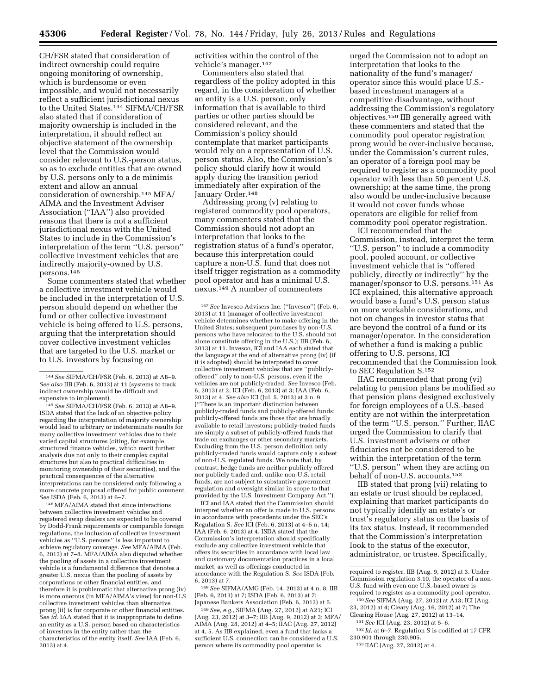CH/FSR stated that consideration of indirect ownership could require ongoing monitoring of ownership, which is burdensome or even impossible, and would not necessarily reflect a sufficient jurisdictional nexus to the United States.144 SIFMA/CH/FSR also stated that if consideration of majority ownership is included in the interpretation, it should reflect an objective statement of the ownership level that the Commission would consider relevant to U.S.-person status, so as to exclude entities that are owned by U.S. persons only to a de minimis extent and allow an annual consideration of ownership.145 MFA/ AIMA and the Investment Adviser Association (''IAA'') also provided reasons that there is not a sufficient jurisdictional nexus with the United States to include in the Commission's interpretation of the term ''U.S. person'' collective investment vehicles that are indirectly majority-owned by U.S. persons.146

Some commenters stated that whether a collective investment vehicle would be included in the interpretation of U.S. person should depend on whether the fund or other collective investment vehicle is being offered to U.S. persons, arguing that the interpretation should cover collective investment vehicles that are targeted to the U.S. market or to U.S. investors by focusing on

145*See* SIFMA/CH/FSR (Feb. 6, 2013) at A8–9. ISDA stated that the lack of an objective policy regarding the interpretation of majority ownership would lead to arbitrary or indeterminate results for many collective investment vehicles due to their varied capital structures (citing, for example, structured finance vehicles, which merit further analysis due not only to their complex capital structures but also to practical difficulties in monitoring ownership of their securities), and the practical consequences of the alternative interpretations can be considered only following a more concrete proposal offered for public comment. *See* ISDA (Feb. 6, 2013) at 6–7.

146MFA/AIMA stated that since interactions between collective investment vehicles and registered swap dealers are expected to be covered by Dodd-Frank requirements or comparable foreign regulations, the inclusion of collective investment vehicles as ''U.S. persons'' is less important to achieve regulatory coverage. *See* MFA/AIMA (Feb. 6, 2013) at 7–8. MFA/AIMA also disputed whether the pooling of assets in a collective investment vehicle is a fundamental difference that denotes a greater U.S. nexus than the pooling of assets by corporations or other financial entities, and therefore it is problematic that alternative prong (iv) is more onerous (in MFA/AIMA's view) for non-U.S collective investment vehicles than alternative prong (ii) is for corporate or other financial entities. *See id.* IAA stated that it is inappropriate to define an entity as a U.S. person based on characteristics of investors in the entity rather than the characteristics of the entity itself. *See* IAA (Feb. 6, 2013) at 4.

activities within the control of the vehicle's manager.147

Commenters also stated that regardless of the policy adopted in this regard, in the consideration of whether an entity is a U.S. person, only information that is available to third parties or other parties should be considered relevant, and the Commission's policy should contemplate that market participants would rely on a representation of U.S. person status. Also, the Commission's policy should clarify how it would apply during the transition period immediately after expiration of the January Order.148

Addressing prong (v) relating to registered commodity pool operators, many commenters stated that the Commission should not adopt an interpretation that looks to the registration status of a fund's operator, because this interpretation could capture a non-U.S. fund that does not itself trigger registration as a commodity pool operator and has a minimal U.S. nexus.149 A number of commenters

ICI and IAA stated that the Commission should interpret whether an offer is made to U.S. persons in accordance with precedents under the SEC's Regulation S. *See* ICI (Feb. 6, 2013) at 4–5 n. 14; IAA (Feb. 6, 2013) at 4. ISDA stated that the Commission's interpretation should specifically exclude any collective investment vehicle that offers its securities in accordance with local law and customary documentation practices in a local market, as well as offerings conducted in accordance with the Regulation S. *See* ISDA (Feb. 6, 2013) at 7.

148*See* SIFMA/AMG (Feb. 14, 2013) at 4 n. 8; IIB (Feb. 6, 2013) at 7; ISDA (Feb. 6, 2013) at 7; Japanese Bankers Association (Feb. 6, 2013) at 5.

149*See, e.g.,* SIFMA (Aug. 27, 2012) at A21; ICI (Aug. 23, 2012) at 3–7; IIB (Aug. 9, 2012) at 3; MFA/ AIMA (Aug. 28, 2012) at 4–5; IIAC (Aug. 27, 2012) at 4, 5. As IIB explained, even a fund that lacks a sufficient U.S. connection can be considered a U.S. person where its commodity pool operator is

urged the Commission not to adopt an interpretation that looks to the nationality of the fund's manager/ operator since this would place U.S. based investment managers at a competitive disadvantage, without addressing the Commission's regulatory objectives.150 IIB generally agreed with these commenters and stated that the commodity pool operator registration prong would be over-inclusive because, under the Commission's current rules, an operator of a foreign pool may be required to register as a commodity pool operator with less than 50 percent U.S. ownership; at the same time, the prong also would be under-inclusive because it would not cover funds whose operators are eligible for relief from commodity pool operator registration. ICI recommended that the

Commission, instead, interpret the term ''U.S. person'' to include a commodity pool, pooled account, or collective investment vehicle that is ''offered publicly, directly or indirectly'' by the manager/sponsor to U.S. persons.151 As ICI explained, this alternative approach would base a fund's U.S. person status on more workable considerations, and not on changes in investor status that are beyond the control of a fund or its manager/operator. In the consideration of whether a fund is making a public offering to U.S. persons, ICI recommended that the Commission look to SEC Regulation S.152

IIAC recommended that prong (vi) relating to pension plans be modified so that pension plans designed exclusively for foreign employees of a U.S.-based entity are not within the interpretation of the term ''U.S. person.'' Further, IIAC urged the Commission to clarify that U.S. investment advisers or other fiduciaries not be considered to be within the interpretation of the term ''U.S. person'' when they are acting on behalf of non-U.S. accounts.153

IIB stated that prong (vii) relating to an estate or trust should be replaced, explaining that market participants do not typically identify an estate's or trust's regulatory status on the basis of its tax status. Instead, it recommended that the Commission's interpretation look to the status of the executor, administrator, or trustee. Specifically,

<sup>144</sup>*See* SIFMA/CH/FSR (Feb. 6, 2013) at A8–9. *See also* IIB (Feb. 6, 2013) at 11 (systems to track indirect ownership would be difficult and expensive to implement).

<sup>147</sup>*See* Invesco Advisers Inc. (''Invesco'') (Feb. 6, 2013) at 11 (manager of collective investment vehicle determines whether to make offering in the United States; subsequent purchases by non-U.S. persons who have relocated to the U.S. should not alone constitute offering in the U.S.); IIB (Feb. 6, 2013) at 11. Invesco, ICI and IAA each stated that the language at the end of alternative prong (iv) (if it is adopted) should be interpreted to cover collective investment vehicles that are ''publiclyoffered'' only to non-U.S. persons, even if the vehicles are not publicly-traded. *See* Invesco (Feb. 6, 2013) at 2; ICI (Feb. 6, 2013) at 3; IAA (Feb. 6, 2013) at 4. *See also* ICI (Jul. 5, 2013) at 3 n. 9 (''There is an important distinction between publicly-traded funds and publicly-offered funds: publicly-offered funds are those that are broadly available to retail investors; publicly-traded funds are simply a subset of publicly-offered funds that trade on exchanges or other secondary markets. Excluding from the U.S. person definition only publicly-traded funds would capture only a subset of non-U.S. regulated funds. We note that, by contrast, hedge funds are neither publicly offered nor publicly traded and, unlike non-U.S. retail funds, are not subject to substantive government regulation and oversight similar in scope to that provided by the U.S. Investment Company Act.'').

required to register. IIB (Aug. 9, 2012) at 3. Under Commission regulation 3.10, the operator of a non-U.S. fund with even one U.S.-based owner is required to register as a commodity pool operator.

<sup>150</sup>*See* SIFMA (Aug. 27, 2012) at A13; ICI (Aug, 23, 2012) at 4; Cleary (Aug. 16, 2012) at 7; The Clearing House (Aug. 27, 2012) at 13–14.

<sup>151</sup>*See* ICI (Aug. 23, 2012) at 5–6.

 $^{152}$   $\emph{Id.}$  at 6–7. Regulation S is codified at 17 CFR 230.901 through 230.905.

<sup>153</sup> IIAC (Aug. 27, 2012) at 4.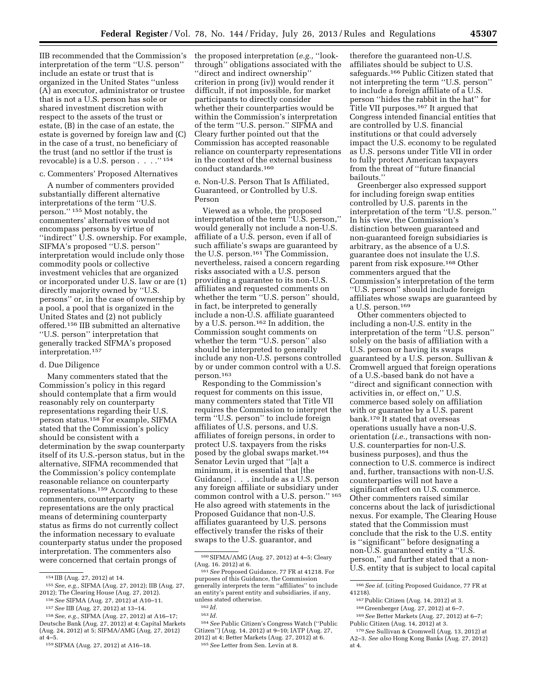IIB recommended that the Commission's interpretation of the term ''U.S. person'' include an estate or trust that is organized in the United States ''unless (A) an executor, administrator or trustee that is not a U.S. person has sole or shared investment discretion with respect to the assets of the trust or estate, (B) in the case of an estate, the estate is governed by foreign law and (C) in the case of a trust, no beneficiary of the trust (and no settlor if the trust is revocable) is a U.S. person  $\ldots$  .  $\ldots$ <sup>154</sup>

#### c. Commenters' Proposed Alternatives

A number of commenters provided substantially different alternative interpretations of the term ''U.S. person.'' 155 Most notably, the commenters' alternatives would not encompass persons by virtue of ''indirect'' U.S. ownership. For example, SIFMA's proposed ''U.S. person'' interpretation would include only those commodity pools or collective investment vehicles that are organized or incorporated under U.S. law or are (1) directly majority owned by ''U.S. persons'' or, in the case of ownership by a pool, a pool that is organized in the United States and (2) not publicly offered.156 IIB submitted an alternative ''U.S. person'' interpretation that generally tracked SIFMA's proposed interpretation.157

#### d. Due Diligence

Many commenters stated that the Commission's policy in this regard should contemplate that a firm would reasonably rely on counterparty representations regarding their U.S. person status.158 For example, SIFMA stated that the Commission's policy should be consistent with a determination by the swap counterparty itself of its U.S.-person status, but in the alternative, SIFMA recommended that the Commission's policy contemplate reasonable reliance on counterparty representations.159 According to these commenters, counterparty representations are the only practical means of determining counterparty status as firms do not currently collect the information necessary to evaluate counterparty status under the proposed interpretation. The commenters also were concerned that certain prongs of

the proposed interpretation (*e.g.,* ''lookthrough'' obligations associated with the ''direct and indirect ownership'' criterion in prong (iv)) would render it difficult, if not impossible, for market participants to directly consider whether their counterparties would be within the Commission's interpretation of the term ''U.S. person.'' SIFMA and Cleary further pointed out that the Commission has accepted reasonable reliance on counterparty representations in the context of the external business conduct standards.160

e. Non-U.S. Person That Is Affiliated, Guaranteed, or Controlled by U.S. Person

Viewed as a whole, the proposed interpretation of the term ''U.S. person,'' would generally not include a non-U.S. affiliate of a U.S. person, even if all of such affiliate's swaps are guaranteed by the U.S. person.161 The Commission, nevertheless, raised a concern regarding risks associated with a U.S. person providing a guarantee to its non-U.S. affiliates and requested comments on whether the term "U.S. person" should, in fact, be interpreted to generally include a non-U.S. affiliate guaranteed by a U.S. person.162 In addition, the Commission sought comments on whether the term ''U.S. person'' also should be interpreted to generally include any non-U.S. persons controlled by or under common control with a U.S. person.163

Responding to the Commission's request for comments on this issue, many commenters stated that Title VII requires the Commission to interpret the term ''U.S. person'' to include foreign affiliates of U.S. persons, and U.S. affiliates of foreign persons, in order to protect U.S. taxpayers from the risks posed by the global swaps market.164 Senator Levin urged that ''[a]t a minimum, it is essential that [the Guidance] . . . include as a U.S. person any foreign affiliate or subsidiary under common control with a U.S. person.'' 165 He also agreed with statements in the Proposed Guidance that non-U.S. affiliates guaranteed by U.S. persons effectively transfer the risks of their swaps to the U.S. guarantor, and

164*See* Public Citizen's Congress Watch (''Public Citizen'') (Aug. 14, 2012) at 9–10; IATP (Aug. 27, 2012) at 4; Better Markets (Aug. 27, 2012) at 6. 165*See* Letter from Sen. Levin at 8.

therefore the guaranteed non-U.S. affiliates should be subject to U.S. safeguards.166 Public Citizen stated that not interpreting the term ''U.S. person'' to include a foreign affiliate of a U.S. person ''hides the rabbit in the hat'' for Title VII purposes.167 It argued that Congress intended financial entities that are controlled by U.S. financial institutions or that could adversely impact the U.S. economy to be regulated as U.S. persons under Title VII in order to fully protect American taxpayers from the threat of ''future financial bailouts.''

Greenberger also expressed support for including foreign swap entities controlled by U.S. parents in the interpretation of the term ''U.S. person.'' In his view, the Commission's distinction between guaranteed and non-guaranteed foreign subsidiaries is arbitrary, as the absence of a U.S. guarantee does not insulate the U.S. parent from risk exposure.168 Other commenters argued that the Commission's interpretation of the term ''U.S. person'' should include foreign affiliates whose swaps are guaranteed by a U.S. person.169

Other commenters objected to including a non-U.S. entity in the interpretation of the term ''U.S. person'' solely on the basis of affiliation with a U.S. person or having its swaps guaranteed by a U.S. person. Sullivan & Cromwell argued that foreign operations of a U.S.-based bank do not have a ''direct and significant connection with activities in, or effect on,'' U.S. commerce based solely on affiliation with or guarantee by a U.S. parent bank.170 It stated that overseas operations usually have a non-U.S. orientation (*i.e.,* transactions with non-U.S. counterparties for non-U.S. business purposes), and thus the connection to U.S. commerce is indirect and, further, transactions with non-U.S. counterparties will not have a significant effect on U.S. commerce. Other commenters raised similar concerns about the lack of jurisdictional nexus. For example, The Clearing House stated that the Commission must conclude that the risk to the U.S. entity is ''significant'' before designating a non-U.S. guaranteed entity a ''U.S. person,'' and further stated that a non-U.S. entity that is subject to local capital

<sup>154</sup> IIB (Aug. 27, 2012) at 14.

<sup>155</sup>*See, e.g.,* SIFMA (Aug. 27, 2012); IIB (Aug. 27, 2012); The Clearing House (Aug. 27, 2012).

<sup>156</sup>*See* SIFMA (Aug. 27, 2012) at A10–11. 157*See* IIB (Aug. 27, 2012) at 13–14.

<sup>158</sup>*See, e.g.,* SIFMA (Aug. 27, 2012) at A16–17; Deutsche Bank (Aug. 27, 2012) at 4; Capital Markets (Aug. 24, 2012) at 5; SIFMA/AMG (Aug. 27, 2012) at 4–5.

<sup>159</sup>SIFMA (Aug. 27, 2012) at A16–18.

<sup>160</sup>SIFMA/AMG (Aug. 27, 2012) at 4–5; Cleary (Aug. 16. 2012) at 6.

<sup>161</sup>*See* Proposed Guidance, 77 FR at 41218. For purposes of this Guidance, the Commission generally interprets the term ''affiliates'' to include an entity's parent entity and subsidiaries, if any, unless stated otherwise.

<sup>162</sup> *Id.* 

<sup>163</sup> *Id.* 

<sup>166</sup>*See id.* (citing Proposed Guidance, 77 FR at 41218).

<sup>167</sup>Public Citizen (Aug. 14, 2012) at 3. 168 Greenberger (Aug. 27, 2012) at 6–7.

<sup>169</sup>*See* Better Markets (Aug. 27, 2012) at 6–7; Public Citizen (Aug. 14, 2012) at 3.

<sup>170</sup>*See* Sullivan & Cromwell (Aug. 13, 2012) at A2–3. *See also* Hong Kong Banks (Aug. 27, 2012) at 4.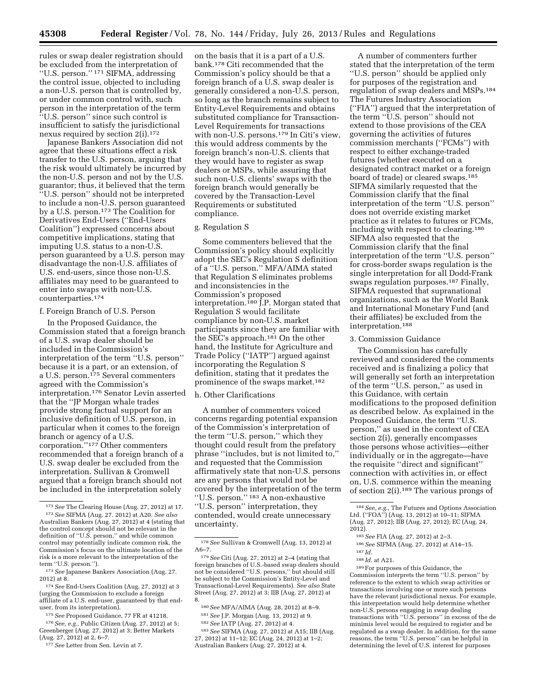rules or swap dealer registration should be excluded from the interpretation of ''U.S. person.'' 171 SIFMA, addressing the control issue, objected to including a non-U.S. person that is controlled by, or under common control with, such person in the interpretation of the term ''U.S. person'' since such control is insufficient to satisfy the jurisdictional nexus required by section 2(i).172

Japanese Bankers Association did not agree that these situations effect a risk transfer to the U.S. person, arguing that the risk would ultimately be incurred by the non-U.S. person and not by the U.S. guarantor; thus, it believed that the term ''U.S. person'' should not be interpreted to include a non-U.S. person guaranteed by a U.S. person.<sup>173</sup> The Coalition for Derivatives End-Users (''End-Users Coalition'') expressed concerns about competitive implications, stating that imputing U.S. status to a non-U.S. person guaranteed by a U.S. person may disadvantage the non-U.S. affiliates of U.S. end-users, since those non-U.S. affiliates may need to be guaranteed to enter into swaps with non-U.S. counterparties.174

#### f. Foreign Branch of U.S. Person

In the Proposed Guidance, the Commission stated that a foreign branch of a U.S. swap dealer should be included in the Commission's interpretation of the term ''U.S. person'' because it is a part, or an extension, of a U.S. person.<sup>175</sup> Several commenters agreed with the Commission's interpretation.176 Senator Levin asserted that the ''JP Morgan whale trades provide strong factual support for an inclusive definition of U.S. person, in particular when it comes to the foreign branch or agency of a U.S. corporation.''177 Other commenters recommended that a foreign branch of a U.S. swap dealer be excluded from the interpretation. Sullivan & Cromwell argued that a foreign branch should not be included in the interpretation solely

174*See* End-Users Coalition (Aug. 27, 2012) at 3 (urging the Commission to exclude a foreign affiliate of a U.S. end-user, guaranteed by that enduser, from its interpretation).

175*See* Proposed Guidance, 77 FR at 41218.

176*See, e.g.,* Public Citizen (Aug. 27, 2012) at 5; Greenberger (Aug. 27, 2012) at 3; Better Markets (Aug. 27, 2012) at 2, 6–7.

177*See* Letter from Sen. Levin at 7.

on the basis that it is a part of a U.S. bank.178 Citi recommended that the Commission's policy should be that a foreign branch of a U.S. swap dealer is generally considered a non-U.S. person, so long as the branch remains subject to Entity-Level Requirements and obtains substituted compliance for Transaction-Level Requirements for transactions with non-U.S. persons.179 In Citi's view, this would address comments by the foreign branch's non-U.S. clients that they would have to register as swap dealers or MSPs, while assuring that such non-U.S. clients' swaps with the foreign branch would generally be covered by the Transaction-Level Requirements or substituted compliance.

#### g. Regulation S

Some commenters believed that the Commission's policy should explicitly adopt the SEC's Regulation S definition of a ''U.S. person.'' MFA/AIMA stated that Regulation S eliminates problems and inconsistencies in the Commission's proposed interpretation.<sup>180</sup> J.P. Morgan stated that Regulation S would facilitate compliance by non-U.S. market participants since they are familiar with the SEC's approach.181 On the other hand, the Institute for Agriculture and Trade Policy (''IATP'') argued against incorporating the Regulation S definition, stating that it predates the prominence of the swaps market.182

#### h. Other Clarifications

A number of commenters voiced concerns regarding potential expansion of the Commission's interpretation of the term ''U.S. person,'' which they thought could result from the prefatory phrase ''includes, but is not limited to,'' and requested that the Commission affirmatively state that non-U.S. persons are any persons that would not be covered by the interpretation of the term ''U.S. person.'' 183 A non-exhaustive ''U.S. person'' interpretation, they contended, would create unnecessary uncertainty.

180*See* MFA/AIMA (Aug. 28, 2012) at 8–9.

183*See* SIFMA (Aug. 27, 2012) at A15; IIB (Aug. 27, 2012) at 11–12; EC (Aug. 24, 2012) at 1–2; Australian Bankers (Aug. 27, 2012) at 4.

A number of commenters further stated that the interpretation of the term ''U.S. person'' should be applied only for purposes of the registration and regulation of swap dealers and MSPs.184 The Futures Industry Association (''FIA'') argued that the interpretation of the term ''U.S. person'' should not extend to those provisions of the CEA governing the activities of futures commission merchants (''FCMs'') with respect to either exchange-traded futures (whether executed on a designated contract market or a foreign board of trade) or cleared swaps.185 SIFMA similarly requested that the Commission clarify that the final interpretation of the term ''U.S. person'' does not override existing market practice as it relates to futures or FCMs, including with respect to clearing.186 SIFMA also requested that the Commission clarify that the final interpretation of the term ''U.S. person'' for cross-border swaps regulation is the single interpretation for all Dodd-Frank swaps regulation purposes.187 Finally, SIFMA requested that supranational organizations, such as the World Bank and International Monetary Fund (and their affiliates) be excluded from the interpretation.188

#### 3. Commission Guidance

The Commission has carefully reviewed and considered the comments received and is finalizing a policy that will generally set forth an interpretation of the term ''U.S. person,'' as used in this Guidance, with certain modifications to the proposed definition as described below. As explained in the Proposed Guidance, the term ''U.S. person,'' as used in the context of CEA section 2(i), generally encompasses those persons whose activities—either individually or in the aggregate—have the requisite ''direct and significant'' connection with activities in, or effect on, U.S. commerce within the meaning of section 2(i).189 The various prongs of

188 *Id.* at A21.

189For purposes of this Guidance, the Commission interprets the term ''U.S. person'' by reference to the extent to which swap activities or transactions involving one or more such persons have the relevant jurisdictional nexus. For example, this interpretation would help determine whether non-U.S. persons engaging in swap dealing transactions with ''U.S. persons'' in excess of the de minimis level would be required to register and be regulated as a swap dealer. In addition, for the same reasons, the term ''U.S. person'' can be helpful in determining the level of U.S. interest for purposes

<sup>171</sup>*See* The Clearing House (Aug. 27, 2012) at 17. 172*See* SIFMA (Aug. 27. 2012) at A20. *See also*  Australian Bankers (Aug. 27, 2012) at 4 (stating that the control concept should not be relevant in the definition of ''U.S. person,'' and while common control may potentially indicate common risk, the Commission's focus on the ultimate location of the risk is a more relevant to the interpretation of the term ''U.S. person.'').

<sup>173</sup>*See* Japanese Bankers Association (Aug. 27. 2012) at 8.

<sup>178</sup>*See* Sullivan & Cromwell (Aug. 13, 2012) at A6–7.

<sup>179</sup>*See* Citi (Aug. 27, 2012) at 2–4 (stating that foreign branches of U.S.-based swap dealers should not be considered ''U.S. persons,'' but should still be subject to the Commission's Entity-Level and Transactional-Level Requirements). *See also* State Street (Aug. 27, 2012) at 3; IIB (Aug. 27, 2012) at 8.

<sup>181</sup>*See* J.P. Morgan (Aug. 13, 2012) at 9.

<sup>182</sup>*See* IATP (Aug. 27, 2012) at 4.

<sup>184</sup>*See, e.g.,* The Futures and Options Association Ltd. (''FOA'') (Aug. 13, 2012) at 10–11; SIFMA (Aug. 27, 2012); IIB (Aug. 27, 2012); EC (Aug. 24, 2012).

<sup>185</sup>*See* FIA (Aug. 27, 2012) at 2–3.

<sup>186</sup>*See* SIFMA (Aug. 27, 2012) at A14–15.

<sup>187</sup> *Id.*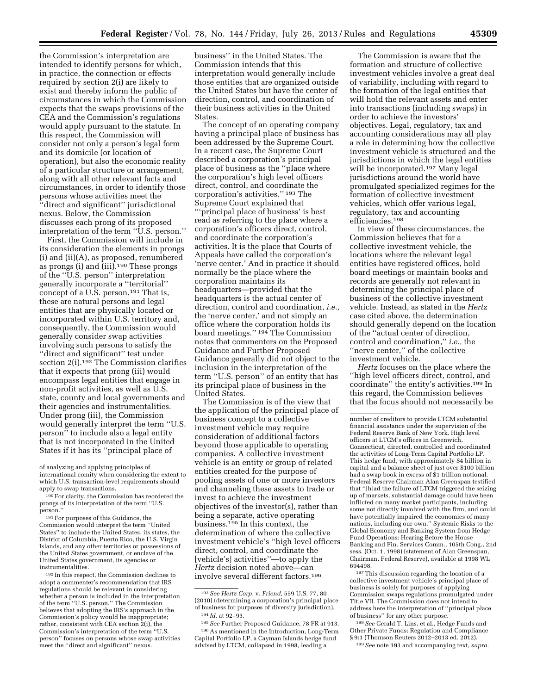the Commission's interpretation are intended to identify persons for which, in practice, the connection or effects required by section 2(i) are likely to exist and thereby inform the public of circumstances in which the Commission expects that the swaps provisions of the CEA and the Commission's regulations would apply pursuant to the statute. In this respect, the Commission will consider not only a person's legal form and its domicile (or location of operation), but also the economic reality of a particular structure or arrangement, along with all other relevant facts and circumstances, in order to identify those persons whose activities meet the ''direct and significant'' jurisdictional nexus. Below, the Commission discusses each prong of its proposed interpretation of the term ''U.S. person.''

First, the Commission will include in its consideration the elements in prongs (i) and (ii)(A), as proposed, renumbered as prongs (i) and (iii).<sup>190</sup> These prongs of the ''U.S. person'' interpretation generally incorporate a ''territorial'' concept of a U.S. person.<sup>191</sup> That is, these are natural persons and legal entities that are physically located or incorporated within U.S. territory and, consequently, the Commission would generally consider swap activities involving such persons to satisfy the ''direct and significant'' test under section 2(i).192 The Commission clarifies that it expects that prong (iii) would encompass legal entities that engage in non-profit activities, as well as U.S. state, county and local governments and their agencies and instrumentalities. Under prong (iii), the Commission would generally interpret the term ''U.S. person'' to include also a legal entity that is not incorporated in the United States if it has its ''principal place of

192 In this respect, the Commission declines to adopt a commenter's recommendation that IRS regulations should be relevant in considering whether a person is included in the interpretation of the term ''U.S. person.'' The Commission believes that adopting the IRS's approach in the Commission's policy would be inappropriate; rather, consistent with CEA section 2(i), the Commission's interpretation of the term ''U.S. person'' focuses on persons whose swap activities meet the ''direct and significant'' nexus.

business'' in the United States. The Commission intends that this interpretation would generally include those entities that are organized outside the United States but have the center of direction, control, and coordination of their business activities in the United States.

The concept of an operating company having a principal place of business has been addressed by the Supreme Court. In a recent case, the Supreme Court described a corporation's principal place of business as the ''place where the corporation's high level officers direct, control, and coordinate the corporation's activities.'' 193 The Supreme Court explained that '''principal place of business' is best read as referring to the place where a corporation's officers direct, control, and coordinate the corporation's activities. It is the place that Courts of Appeals have called the corporation's 'nerve center.' And in practice it should normally be the place where the corporation maintains its headquarters—provided that the headquarters is the actual center of direction, control and coordination, *i.e.,*  the 'nerve center,' and not simply an office where the corporation holds its board meetings.'' 194 The Commission notes that commenters on the Proposed Guidance and Further Proposed Guidance generally did not object to the inclusion in the interpretation of the term ''U.S. person'' of an entity that has its principal place of business in the United States.

The Commission is of the view that the application of the principal place of business concept to a collective investment vehicle may require consideration of additional factors beyond those applicable to operating companies. A collective investment vehicle is an entity or group of related entities created for the purpose of pooling assets of one or more investors and channeling these assets to trade or invest to achieve the investment objectives of the investor(s), rather than being a separate, active operating business.195 In this context, the determination of where the collective investment vehicle's ''high level officers direct, control, and coordinate the [vehicle's] activities''—to apply the *Hertz* decision noted above—can involve several different factors.196

The Commission is aware that the formation and structure of collective investment vehicles involve a great deal of variability, including with regard to the formation of the legal entities that will hold the relevant assets and enter into transactions (including swaps) in order to achieve the investors' objectives. Legal, regulatory, tax and accounting considerations may all play a role in determining how the collective investment vehicle is structured and the jurisdictions in which the legal entities will be incorporated.197 Many legal jurisdictions around the world have promulgated specialized regimes for the formation of collective investment vehicles, which offer various legal, regulatory, tax and accounting efficiencies.198

In view of these circumstances, the Commission believes that for a collective investment vehicle, the locations where the relevant legal entities have registered offices, hold board meetings or maintain books and records are generally not relevant in determining the principal place of business of the collective investment vehicle. Instead, as stated in the *Hertz*  case cited above, the determination should generally depend on the location of the ''actual center of direction, control and coordination,'' *i.e.,* the ''nerve center,'' of the collective investment vehicle.

*Hertz* focuses on the place where the ''high level officers direct, control, and coordinate'' the entity's activities.199 In this regard, the Commission believes that the focus should not necessarily be

197This discussion regarding the location of a collective investment vehicle's principal place of business is solely for purposes of applying Commission swaps regulations promulgated under Title VII. The Commission does not intend to address here the interpretation of ''principal place of business'' for any other purpose.

198*See* Gerald T. Lins, et al., Hedge Funds and Other Private Funds: Regulation and Compliance § 9:1 (Thomson Reuters 2012–2013 ed. 2012).

199*See* note 193 and accompanying text, *supra.* 

of analyzing and applying principles of international comity when considering the extent to which U.S. transaction-level requirements should apply to swap transactions.

<sup>190</sup>For clarity, the Commission has reordered the prongs of its interpretation of the term ''U.S. person.''

<sup>191</sup>For purposes of this Guidance, the Commission would interpret the term ''United States'' to include the United States, its states, the District of Columbia, Puerto Rico, the U.S. Virgin Islands, and any other territories or possessions of the United States government, or enclave of the United States government, its agencies or instrumentalities.

<sup>193</sup>*See Hertz Corp.* v. *Friend,* 559 U.S. 77, 80 (2010) (determining a corporation's principal place of business for purposes of diversity jurisdiction). 194 *Id.* at 92–93.

<sup>195</sup>*See* Further Proposed Guidance, 78 FR at 913. 196As mentioned in the Introduction, Long-Term Capital Portfolio LP, a Cayman Islands hedge fund advised by LTCM, collapsed in 1998, leading a

number of creditors to provide LTCM substantial financial assistance under the supervision of the Federal Reserve Bank of New York. High level officers at LTCM's offices in Greenwich, Connecticut, directed, controlled and coordinated the activities of Long-Term Capital Portfolio LP. This hedge fund, with approximately \$4 billion in capital and a balance sheet of just over \$100 billion had a swap book in excess of \$1 trillion notional. Federal Reserve Chairman Alan Greenspan testified that ''[h]ad the failure of LTCM triggered the seizing up of markets, substantial damage could have been inflicted on many market participants, including some not directly involved with the firm, and could have potentially impaired the economies of many nations, including our own.'' Systemic Risks to the Global Economy and Banking System from Hedge Fund Operations: Hearing Before the House Banking and Fin. Services Comm., 105th Cong., 2nd sess. (Oct. 1, 1998) (statement of Alan Greenspan, Chairman, Federal Reserve), available at 1998 WL 694498.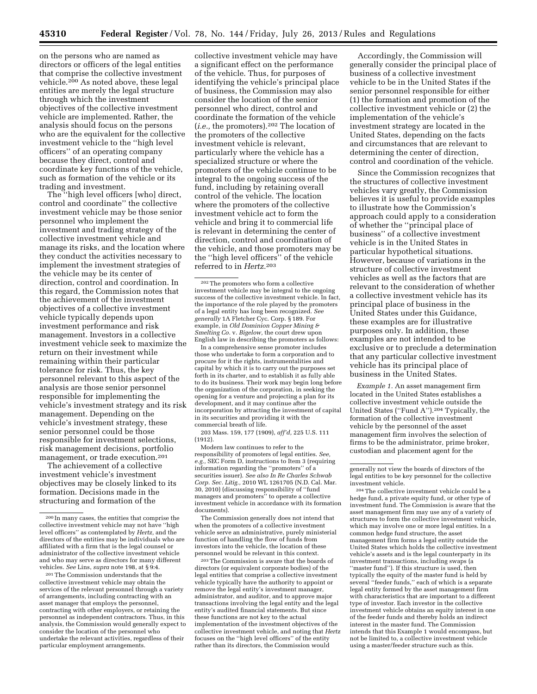on the persons who are named as directors or officers of the legal entities that comprise the collective investment vehicle.200 As noted above, these legal entities are merely the legal structure through which the investment objectives of the collective investment vehicle are implemented. Rather, the analysis should focus on the persons who are the equivalent for the collective investment vehicle to the ''high level officers'' of an operating company because they direct, control and coordinate key functions of the vehicle, such as formation of the vehicle or its trading and investment.

The ''high level officers [who] direct, control and coordinate'' the collective investment vehicle may be those senior personnel who implement the investment and trading strategy of the collective investment vehicle and manage its risks, and the location where they conduct the activities necessary to implement the investment strategies of the vehicle may be its center of direction, control and coordination. In this regard, the Commission notes that the achievement of the investment objectives of a collective investment vehicle typically depends upon investment performance and risk management. Investors in a collective investment vehicle seek to maximize the return on their investment while remaining within their particular tolerance for risk. Thus, the key personnel relevant to this aspect of the analysis are those senior personnel responsible for implementing the vehicle's investment strategy and its risk management. Depending on the vehicle's investment strategy, these senior personnel could be those responsible for investment selections, risk management decisions, portfolio management, or trade execution.201

The achievement of a collective investment vehicle's investment objectives may be closely linked to its formation. Decisions made in the structuring and formation of the

201The Commission understands that the collective investment vehicle may obtain the services of the relevant personnel through a variety of arrangements, including contracting with an asset manager that employs the personnel, contracting with other employers, or retaining the personnel as independent contractors. Thus, in this analysis, the Commission would generally expect to consider the location of the personnel who undertake the relevant activities, regardless of their particular employment arrangements.

collective investment vehicle may have a significant effect on the performance of the vehicle. Thus, for purposes of identifying the vehicle's principal place of business, the Commission may also consider the location of the senior personnel who direct, control and coordinate the formation of the vehicle (*i.e.,* the promoters).202 The location of the promoters of the collective investment vehicle is relevant, particularly where the vehicle has a specialized structure or where the promoters of the vehicle continue to be integral to the ongoing success of the fund, including by retaining overall control of the vehicle. The location where the promoters of the collective investment vehicle act to form the vehicle and bring it to commercial life is relevant in determining the center of direction, control and coordination of the vehicle, and those promoters may be the ''high level officers'' of the vehicle referred to in *Hertz.*203

202The promoters who form a collective investment vehicle may be integral to the ongoing success of the collective investment vehicle. In fact, the importance of the role played by the promoters of a legal entity has long been recognized. *See generally* 1A Fletcher Cyc. Corp. § 189. For example, in *Old Dominion Copper Mining & Smelting Co.* v. *Bigelow,* the court drew upon English law in describing the promoters as follows:

In a comprehensive sense promoter includes those who undertake to form a corporation and to procure for it the rights, instrumentalities and capital by which it is to carry out the purposes set forth in its charter, and to establish it as fully able to do its business. Their work may begin long before the organization of the corporation, in seeking the opening for a venture and projecting a plan for its development, and it may continue after the incorporation by attracting the investment of capital in its securities and providing it with the commercial breath of life.

203 Mass. 159, 177 (1909), *aff'd,* 225 U.S. 111 (1912).

Modern law continues to refer to the responsibility of promoters of legal entities. *See, e.g.,* SEC Form D, instructions to Item 3 (requiring information regarding the ''promoters'' of a securities issuer). *See also In Re Charles Schwab Corp. Sec. Litig.,* 2010 WL 1261705 (N.D. Cal. Mar. 30, 2010) (discussing responsibility of ''fund managers and promoters'' to operate a collective investment vehicle in accordance with its formation documents).

The Commission generally does not intend that when the promoters of a collective investment vehicle serve an administrative, purely ministerial function of handling the flow of funds from investors into the vehicle, the location of these personnel would be relevant in this context.

203The Commission is aware that the boards of directors (or equivalent corporate bodies) of the legal entities that comprise a collective investment vehicle typically have the authority to appoint or remove the legal entity's investment manager, administrator, and auditor, and to approve major transactions involving the legal entity and the legal entity's audited financial statements. But since these functions are not key to the actual implementation of the investment objectives of the collective investment vehicle, and noting that *Hertz*  focuses on the ''high level officers'' of the entity rather than its directors, the Commission would

Accordingly, the Commission will generally consider the principal place of business of a collective investment vehicle to be in the United States if the senior personnel responsible for either (1) the formation and promotion of the collective investment vehicle or (2) the implementation of the vehicle's investment strategy are located in the United States, depending on the facts and circumstances that are relevant to determining the center of direction, control and coordination of the vehicle.

Since the Commission recognizes that the structures of collective investment vehicles vary greatly, the Commission believes it is useful to provide examples to illustrate how the Commission's approach could apply to a consideration of whether the ''principal place of business'' of a collective investment vehicle is in the United States in particular hypothetical situations. However, because of variations in the structure of collective investment vehicles as well as the factors that are relevant to the consideration of whether a collective investment vehicle has its principal place of business in the United States under this Guidance, these examples are for illustrative purposes only. In addition, these examples are not intended to be exclusive or to preclude a determination that any particular collective investment vehicle has its principal place of business in the United States.

*Example 1.* An asset management firm located in the United States establishes a collective investment vehicle outside the United States (''Fund A'').204 Typically, the formation of the collective investment vehicle by the personnel of the asset management firm involves the selection of firms to be the administrator, prime broker, custodian and placement agent for the

204The collective investment vehicle could be a hedge fund, a private equity fund, or other type of investment fund. The Commission is aware that the asset management firm may use any of a variety of structures to form the collective investment vehicle, which may involve one or more legal entities. In a common hedge fund structure, the asset management firm forms a legal entity outside the United States which holds the collective investment vehicle's assets and is the legal counterparty in its investment transactions, including swaps (a ''master fund''). If this structure is used, then typically the equity of the master fund is held by several ''feeder funds,'' each of which is a separate legal entity formed by the asset management firm with characteristics that are important to a different type of investor. Each investor in the collective investment vehicle obtains an equity interest in one of the feeder funds and thereby holds an indirect interest in the master fund. The Commission intends that this Example 1 would encompass, but not be limited to, a collective investment vehicle using a master/feeder structure such as this.

<sup>200</sup> In many cases, the entities that comprise the collective investment vehicle may not have ''high level officers'' as contemplated by *Hertz,* and the directors of the entities may be individuals who are affiliated with a firm that is the legal counsel or administrator of the collective investment vehicle and who may serve as directors for many different vehicles. *See* Lins, *supra* note 198, at § 9:4.

generally not view the boards of directors of the legal entities to be key personnel for the collective investment vehicle.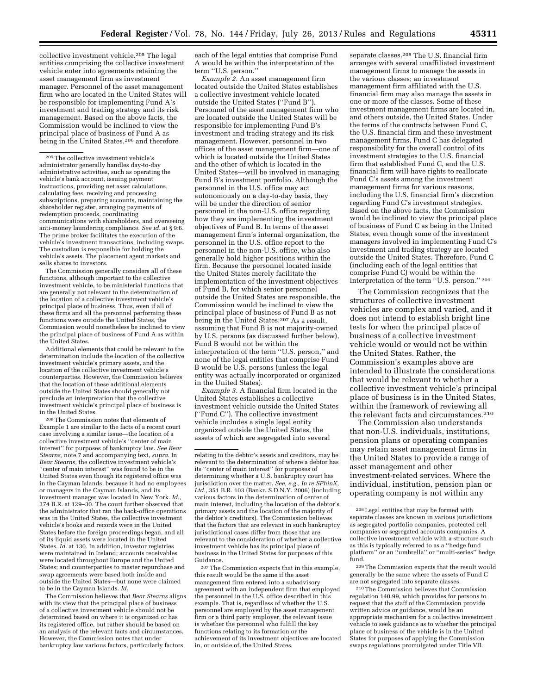collective investment vehicle.205 The legal entities comprising the collective investment vehicle enter into agreements retaining the asset management firm as investment manager. Personnel of the asset management firm who are located in the United States will be responsible for implementing Fund A's investment and trading strategy and its risk management. Based on the above facts, the Commission would be inclined to view the principal place of business of Fund A as being in the United States,<sup>206</sup> and therefore

 $^{\rm 205}\rm{The}$  collective investment vehicle's administrator generally handles day-to-day administrative activities, such as operating the vehicle's bank account, issuing payment instructions, providing net asset calculations, calculating fees, receiving and processing subscriptions, preparing accounts, maintaining the shareholder register, arranging payments of redemption proceeds, coordinating communications with shareholders, and overseeing anti-money laundering compliance. *See id.* at § 9:6. The prime broker facilitates the execution of the vehicle's investment transactions, including swaps. The custodian is responsible for holding the vehicle's assets. The placement agent markets and sells shares to investors.

The Commission generally considers all of these functions, although important to the collective investment vehicle, to be ministerial functions that are generally not relevant to the determination of the location of a collective investment vehicle's principal place of business. Thus, even if all of these firms and all the personnel performing these functions were outside the United States, the Commission would nonetheless be inclined to view the principal place of business of Fund A as within the United States.

Additional elements that could be relevant to the determination include the location of the collective investment vehicle's primary assets, and the location of the collective investment vehicle's counterparties. However, the Commission believes that the location of these additional elements outside the United States should generally not preclude an interpretation that the collective investment vehicle's principal place of business is in the United States.

206The Commission notes that elements of Example 1 are similar to the facts of a recent court case involving a similar issue—the location of a collective investment vehicle's ''center of main interest'' for purposes of bankruptcy law. *See Bear Stearns,* note 7 and accompanying text, *supra.* In *Bear Stearns,* the collective investment vehicle's ''center of main interest'' was found to be in the United States even though its registered office was in the Cayman Islands, because it had no employees or managers in the Cayman Islands, and its investment manager was located in New York. *Id.,*  374 B.R. at 129–30. The court further observed that the administrator that ran the back-office operations was in the United States, the collective investment vehicle's books and records were in the United States before the foreign proceedings began, and all of its liquid assets were located in the United States. *Id.* at 130. In addition, investor registries were maintained in Ireland; accounts receivables were located throughout Europe and the United States; and counterparties to master repurchase and swap agreements were based both inside and outside the United States—but none were claimed to be in the Cayman Islands. *Id.* 

The Commission believes that *Bear Stearns* aligns with its view that the principal place of business of a collective investment vehicle should not be determined based on where it is organized or has its registered office, but rather should be based on an analysis of the relevant facts and circumstances. However, the Commission notes that under bankruptcy law various factors, particularly factors

each of the legal entities that comprise Fund A would be within the interpretation of the term ''U.S. person.''

*Example 2.* An asset management firm located outside the United States establishes a collective investment vehicle located outside the United States (''Fund B''). Personnel of the asset management firm who are located outside the United States will be responsible for implementing Fund B's investment and trading strategy and its risk management. However, personnel in two offices of the asset management firm—one of which is located outside the United States and the other of which is located in the United States—will be involved in managing Fund B's investment portfolio. Although the personnel in the U.S. office may act autonomously on a day-to-day basis, they will be under the direction of senior personnel in the non-U.S. office regarding how they are implementing the investment objectives of Fund B. In terms of the asset management firm's internal organization, the personnel in the U.S. office report to the personnel in the non-U.S. office, who also generally hold higher positions within the firm. Because the personnel located inside the United States merely facilitate the implementation of the investment objectives of Fund B, for which senior personnel outside the United States are responsible, the Commission would be inclined to view the principal place of business of Fund B as not being in the United States.<sup>207</sup> As a result, assuming that Fund B is not majority-owned by U.S. persons (as discussed further below), Fund B would not be within the interpretation of the term ''U.S. person,'' and none of the legal entities that comprise Fund B would be U.S. persons (unless the legal entity was actually incorporated or organized in the United States).

*Example 3.* A financial firm located in the United States establishes a collective investment vehicle outside the United States (''Fund C''). The collective investment vehicle includes a single legal entity organized outside the United States, the assets of which are segregated into several

207The Commission expects that in this example, this result would be the same if the asset management firm entered into a subadvisory agreement with an independent firm that employed the personnel in the U.S. office described in this example. That is, regardless of whether the U.S. personnel are employed by the asset management firm or a third party employer, the relevant issue is whether the personnel who fulfill the key functions relating to its formation or the achievement of its investment objectives are located in, or outside of, the United States.

separate classes.208 The U.S. financial firm arranges with several unaffiliated investment management firms to manage the assets in the various classes; an investment management firm affiliated with the U.S. financial firm may also manage the assets in one or more of the classes. Some of these investment management firms are located in, and others outside, the United States. Under the terms of the contracts between Fund C, the U.S. financial firm and these investment management firms, Fund C has delegated responsibility for the overall control of its investment strategies to the U.S. financial firm that established Fund C, and the U.S. financial firm will have rights to reallocate Fund C's assets among the investment management firms for various reasons, including the U.S. financial firm's discretion regarding Fund C's investment strategies. Based on the above facts, the Commission would be inclined to view the principal place of business of Fund C as being in the United States, even though some of the investment managers involved in implementing Fund C's investment and trading strategy are located outside the United States. Therefore, Fund C (including each of the legal entities that comprise Fund C) would be within the interpretation of the term ''U.S. person.'' 209

The Commission recognizes that the structures of collective investment vehicles are complex and varied, and it does not intend to establish bright line tests for when the principal place of business of a collective investment vehicle would or would not be within the United States. Rather, the Commission's examples above are intended to illustrate the considerations that would be relevant to whether a collective investment vehicle's principal place of business is in the United States, within the framework of reviewing all the relevant facts and circumstances.210

The Commission also understands that non-U.S. individuals, institutions, pension plans or operating companies may retain asset management firms in the United States to provide a range of asset management and other investment-related services. Where the individual, institution, pension plan or operating company is not within any

209The Commission expects that the result would generally be the same where the assets of Fund C are not segregated into separate classes.

210The Commission believes that Commission regulation 140.99, which provides for persons to request that the staff of the Commission provide written advice or guidance, would be an appropriate mechanism for a collective investment vehicle to seek guidance as to whether the principal place of business of the vehicle is in the United States for purposes of applying the Commission swaps regulations promulgated under Title VII.

relating to the debtor's assets and creditors, may be relevant to the determination of where a debtor has its ''center of main interest'' for purposes of determining whether a U.S. bankruptcy court has jurisdiction over the matter. *See, e.g., In re SPhinX, Ltd.,* 351 B.R. 103 (Bankr. S.D.N.Y. 2006) (including various factors in the determination of center of main interest, including the location of the debtor's primary assets and the location of the majority of the debtor's creditors). The Commission believes that the factors that are relevant in such bankruptcy jurisdictional cases differ from those that are relevant to the consideration of whether a collective investment vehicle has its principal place of business in the United States for purposes of this Guidance.

<sup>208</sup>Legal entities that may be formed with separate classes are known in various jurisdictions as segregated portfolio companies, protected cell companies or segregated accounts companies. A collective investment vehicle with a structure such as this is typically referred to as a ''hedge fund platform'' or an ''umbrella'' or ''multi-series'' hedge fund.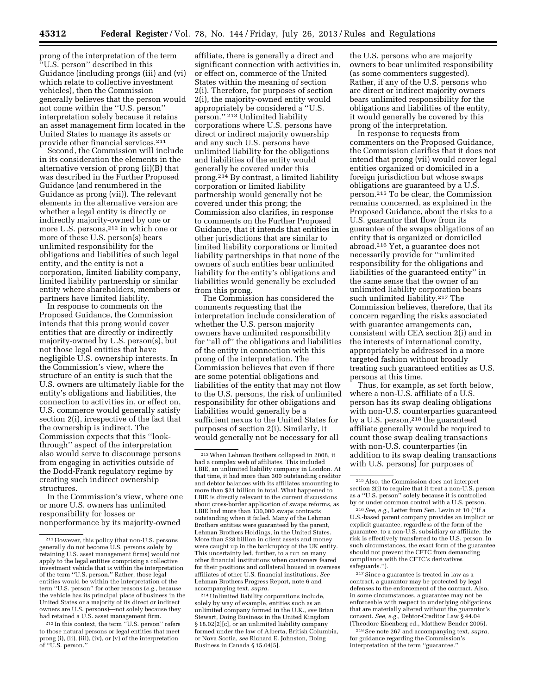prong of the interpretation of the term ''U.S. person'' described in this Guidance (including prongs (iii) and (vi) which relate to collective investment vehicles), then the Commission generally believes that the person would not come within the ''U.S. person'' interpretation solely because it retains an asset management firm located in the United States to manage its assets or provide other financial services.211

Second, the Commission will include in its consideration the elements in the alternative version of prong (ii)(B) that was described in the Further Proposed Guidance (and renumbered in the Guidance as prong (vii)). The relevant elements in the alternative version are whether a legal entity is directly or indirectly majority-owned by one or more U.S. persons,<sup>212</sup> in which one or more of these U.S. person(s) bears unlimited responsibility for the obligations and liabilities of such legal entity, and the entity is not a corporation, limited liability company, limited liability partnership or similar entity where shareholders, members or partners have limited liability.

In response to comments on the Proposed Guidance, the Commission intends that this prong would cover entities that are directly or indirectly majority-owned by U.S. person(s), but not those legal entities that have negligible U.S. ownership interests. In the Commission's view, where the structure of an entity is such that the U.S. owners are ultimately liable for the entity's obligations and liabilities, the connection to activities in, or effect on, U.S. commerce would generally satisfy section 2(i), irrespective of the fact that the ownership is indirect. The Commission expects that this ''lookthrough'' aspect of the interpretation also would serve to discourage persons from engaging in activities outside of the Dodd-Frank regulatory regime by creating such indirect ownership structures.

In the Commission's view, where one or more U.S. owners has unlimited responsibility for losses or nonperformance by its majority-owned

affiliate, there is generally a direct and significant connection with activities in, or effect on, commerce of the United States within the meaning of section 2(i). Therefore, for purposes of section 2(i), the majority-owned entity would appropriately be considered a ''U.S. person.'' 213 Unlimited liability corporations where U.S. persons have direct or indirect majority ownership and any such U.S. persons have unlimited liability for the obligations and liabilities of the entity would generally be covered under this prong.214 By contrast, a limited liability corporation or limited liability partnership would generally not be covered under this prong; the Commission also clarifies, in response to comments on the Further Proposed Guidance, that it intends that entities in other jurisdictions that are similar to limited liability corporations or limited liability partnerships in that none of the owners of such entities bear unlimited liability for the entity's obligations and liabilities would generally be excluded from this prong.

The Commission has considered the comments requesting that the interpretation include consideration of whether the U.S. person majority owners have unlimited responsibility for ''all of'' the obligations and liabilities of the entity in connection with this prong of the interpretation. The Commission believes that even if there are some potential obligations and liabilities of the entity that may not flow to the U.S. persons, the risk of unlimited responsibility for other obligations and liabilities would generally be a sufficient nexus to the United States for purposes of section 2(i). Similarly, it would generally not be necessary for all

the U.S. persons who are majority owners to bear unlimited responsibility (as some commenters suggested). Rather, if any of the U.S. persons who are direct or indirect majority owners bears unlimited responsibility for the obligations and liabilities of the entity, it would generally be covered by this prong of the interpretation.

In response to requests from commenters on the Proposed Guidance, the Commission clarifies that it does not intend that prong (vii) would cover legal entities organized or domiciled in a foreign jurisdiction but whose swaps obligations are guaranteed by a U.S. person.215 To be clear, the Commission remains concerned, as explained in the Proposed Guidance, about the risks to a U.S. guarantor that flow from its guarantee of the swaps obligations of an entity that is organized or domiciled abroad.216 Yet, a guarantee does not necessarily provide for ''unlimited responsibility for the obligations and liabilities of the guaranteed entity'' in the same sense that the owner of an unlimited liability corporation bears such unlimited liability.<sup>217</sup> The Commission believes, therefore, that its concern regarding the risks associated with guarantee arrangements can, consistent with CEA section 2(i) and in the interests of international comity, appropriately be addressed in a more targeted fashion without broadly treating such guaranteed entities as U.S. persons at this time.

Thus, for example, as set forth below, where a non-U.S. affiliate of a U.S. person has its swap dealing obligations with non-U.S. counterparties guaranteed by a U.S. person,<sup>218</sup> the guaranteed affiliate generally would be required to count those swap dealing transactions with non-U.S. counterparties (in addition to its swap dealing transactions with U.S. persons) for purposes of

217Since a guarantee is treated in law as a contract, a guarantor may be protected by legal defenses to the enforcement of the contract. Also, in some circumstances, a guarantee may not be enforceable with respect to underlying obligations that are materially altered without the guarantor's consent. *See, e.g.,* Debtor-Creditor Law § 44.04 (Theodore Eisenberg ed., Matthew Bender 2005).

218See note 267 and accompanying text, *supra,*  for guidance regarding the Commission's interpretation of the term ''guarantee.''

<sup>211</sup>However, this policy (that non-U.S. persons generally do not become U.S. persons solely by retaining U.S. asset management firms) would not apply to the legal entities comprising a collective investment vehicle that is within the interpretation of the term ''U.S. person.'' Rather, those legal entities would be within the interpretation of the term ''U.S. person'' for other reasons (*e.g.,* because the vehicle has its principal place of business in the United States or a majority of its direct or indirect owners are U.S. persons)—not solely because they had retained a U.S. asset management firm.

<sup>212</sup> In this context, the term ''U.S. person'' refers to those natural persons or legal entities that meet prong (i), (ii), (iii), (iv), or (v) of the interpretation of ''U.S. person.''

<sup>213</sup>When Lehman Brothers collapsed in 2008, it had a complex web of affiliates. This included LBIE, an unlimited liability company in London. At that time, it had more than 300 outstanding creditor and debtor balances with its affiliates amounting to more than \$21 billion in total. What happened to LBIE is directly relevant to the current discussions about cross-border application of swaps reforms, as LBIE had more than 130,000 swaps contracts outstanding when it failed. Many of the Lehman Brothers entities were guaranteed by the parent, Lehman Brothers Holdings, in the United States. More than \$28 billion in client assets and money were caught up in the bankruptcy of the UK entity. This uncertainty led, further, to a run on many other financial institutions when customers feared for their positions and collateral housed in overseas affiliates of other U.S. financial institutions. *See*  Lehman Brothers Progress Report, note 6 and accompanying text, *supra.* 

<sup>214</sup>Unlimited liability corporations include, solely by way of example, entities such as an unlimited company formed in the U.K., *see* Brian Stewart, Doing Business in the United Kingdom § 18.02[2][c], or an unlimited liability company formed under the law of Alberta, British Columbia, or Nova Scotia, *see* Richard E. Johnston, Doing Business in Canada § 15.04[5].

<sup>215</sup>Also, the Commission does not interpret section 2(i) to require that it treat a non-U.S. person as a ''U.S. person'' solely because it is controlled by or under common control with a U.S. person.

<sup>216</sup>*See, e.g.,* Letter from Sen. Levin at 10 (''If a U.S.-based parent company provides an implicit or explicit guarantee, regardless of the form of the guarantee, to a non-U.S. subsidiary or affiliate, the risk is effectively transferred to the U.S. person. In such circumstances, the exact form of the guarantee should not prevent the CFTC from demanding compliance with the CFTC's derivatives safeguards.'').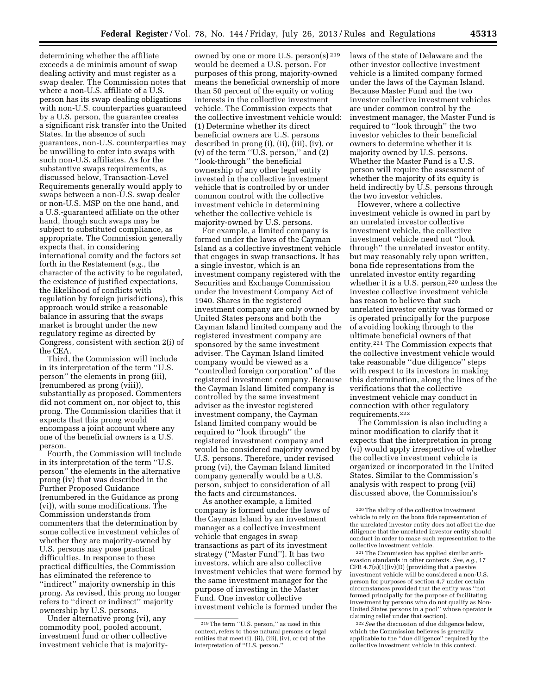determining whether the affiliate exceeds a de minimis amount of swap dealing activity and must register as a swap dealer. The Commission notes that where a non-U.S. affiliate of a U.S. person has its swap dealing obligations with non-U.S. counterparties guaranteed by a U.S. person, the guarantee creates a significant risk transfer into the United States. In the absence of such guarantees, non-U.S. counterparties may be unwilling to enter into swaps with such non-U.S. affiliates. As for the substantive swaps requirements, as discussed below, Transaction-Level Requirements generally would apply to swaps between a non-U.S. swap dealer or non-U.S. MSP on the one hand, and a U.S.-guaranteed affiliate on the other hand, though such swaps may be subject to substituted compliance, as appropriate. The Commission generally expects that, in considering international comity and the factors set forth in the Restatement (*e.g.,* the character of the activity to be regulated, the existence of justified expectations, the likelihood of conflicts with regulation by foreign jurisdictions), this approach would strike a reasonable balance in assuring that the swaps market is brought under the new regulatory regime as directed by Congress, consistent with section 2(i) of the CEA.

Third, the Commission will include in its interpretation of the term ''U.S. person'' the elements in prong (iii), (renumbered as prong (viii)), substantially as proposed. Commenters did not comment on, nor object to, this prong. The Commission clarifies that it expects that this prong would encompass a joint account where any one of the beneficial owners is a U.S. person.

Fourth, the Commission will include in its interpretation of the term ''U.S. person'' the elements in the alternative prong (iv) that was described in the Further Proposed Guidance (renumbered in the Guidance as prong (vi)), with some modifications. The Commission understands from commenters that the determination by some collective investment vehicles of whether they are majority-owned by U.S. persons may pose practical difficulties. In response to these practical difficulties, the Commission has eliminated the reference to ''indirect'' majority ownership in this prong. As revised, this prong no longer refers to ''direct or indirect'' majority ownership by U.S. persons.

Under alternative prong (vi), any commodity pool, pooled account, investment fund or other collective investment vehicle that is majority-

owned by one or more U.S. person(s) 219 would be deemed a U.S. person. For purposes of this prong, majority-owned means the beneficial ownership of more than 50 percent of the equity or voting interests in the collective investment vehicle. The Commission expects that the collective investment vehicle would: (1) Determine whether its direct beneficial owners are U.S. persons described in prong (i), (ii), (iii), (iv), or (v) of the term ''U.S. person,'' and (2) ''look-through'' the beneficial ownership of any other legal entity invested in the collective investment vehicle that is controlled by or under common control with the collective investment vehicle in determining whether the collective vehicle is majority-owned by U.S. persons.

For example, a limited company is formed under the laws of the Cayman Island as a collective investment vehicle that engages in swap transactions. It has a single investor, which is an investment company registered with the Securities and Exchange Commission under the Investment Company Act of 1940. Shares in the registered investment company are only owned by United States persons and both the Cayman Island limited company and the registered investment company are sponsored by the same investment adviser. The Cayman Island limited company would be viewed as a ''controlled foreign corporation'' of the registered investment company. Because the Cayman Island limited company is controlled by the same investment adviser as the investor registered investment company, the Cayman Island limited company would be required to ''look through'' the registered investment company and would be considered majority owned by U.S. persons. Therefore, under revised prong (vi), the Cayman Island limited company generally would be a U.S. person, subject to consideration of all the facts and circumstances.

As another example, a limited company is formed under the laws of the Cayman Island by an investment manager as a collective investment vehicle that engages in swap transactions as part of its investment strategy (''Master Fund''). It has two investors, which are also collective investment vehicles that were formed by the same investment manager for the purpose of investing in the Master Fund. One investor collective investment vehicle is formed under the

laws of the state of Delaware and the other investor collective investment vehicle is a limited company formed under the laws of the Cayman Island. Because Master Fund and the two investor collective investment vehicles are under common control by the investment manager, the Master Fund is required to ''look through'' the two investor vehicles to their beneficial owners to determine whether it is majority owned by U.S. persons. Whether the Master Fund is a U.S. person will require the assessment of whether the majority of its equity is held indirectly by U.S. persons through the two investor vehicles.

However, where a collective investment vehicle is owned in part by an unrelated investor collective investment vehicle, the collective investment vehicle need not ''look through'' the unrelated investor entity, but may reasonably rely upon written, bona fide representations from the unrelated investor entity regarding whether it is a U.S. person,<sup>220</sup> unless the investee collective investment vehicle has reason to believe that such unrelated investor entity was formed or is operated principally for the purpose of avoiding looking through to the ultimate beneficial owners of that entity.221 The Commission expects that the collective investment vehicle would take reasonable ''due diligence'' steps with respect to its investors in making this determination, along the lines of the verifications that the collective investment vehicle may conduct in connection with other regulatory requirements.222

The Commission is also including a minor modification to clarify that it expects that the interpretation in prong (vi) would apply irrespective of whether the collective investment vehicle is organized or incorporated in the United States. Similar to the Commission's analysis with respect to prong (vii) discussed above, the Commission's

221The Commission has applied similar antievasion standards in other contexts. *See, e.g.,* 17 CFR 4.7(a)(1)(iv)(D) (providing that a passive investment vehicle will be considered a non-U.S. person for purposes of section 4.7 under certain circumstances provided that the entity was ''not formed principally for the purpose of facilitating investment by persons who do not qualify as Non-United States persons in a pool'' whose operator is claiming relief under that section).

222*See* the discussion of due diligence below, which the Commission believes is generally applicable to the ''due diligence'' required by the collective investment vehicle in this context.

<sup>219</sup>The term ''U.S. person,'' as used in this context, refers to those natural persons or legal entities that meet (i), (ii), (iii), (iv), or (v) of the interpretation of ''U.S. person.''

<sup>220</sup>The ability of the collective investment vehicle to rely on the bona fide representation of the unrelated investor entity does not affect the due diligence that the unrelated investor entity should conduct in order to make such representation to the collective investment vehicle.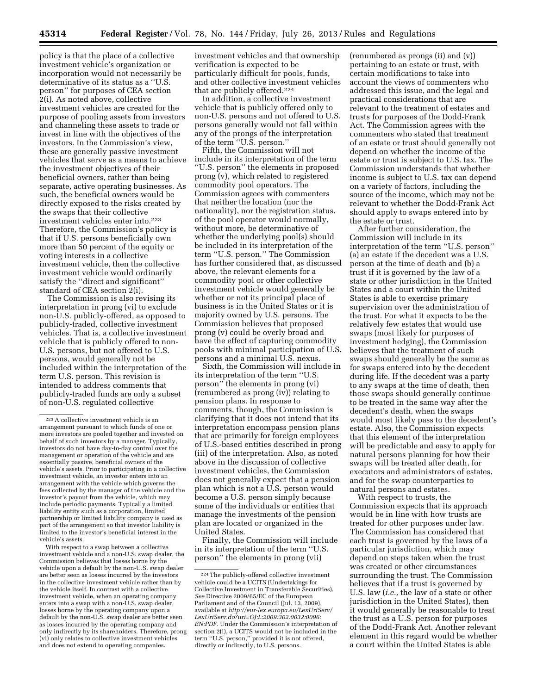policy is that the place of a collective investment vehicle's organization or incorporation would not necessarily be determinative of its status as a ''U.S. person'' for purposes of CEA section 2(i). As noted above, collective investment vehicles are created for the purpose of pooling assets from investors and channeling these assets to trade or invest in line with the objectives of the investors. In the Commission's view, these are generally passive investment vehicles that serve as a means to achieve the investment objectives of their beneficial owners, rather than being separate, active operating businesses. As such, the beneficial owners would be directly exposed to the risks created by the swaps that their collective investment vehicles enter into.223 Therefore, the Commission's policy is that if U.S. persons beneficially own more than 50 percent of the equity or voting interests in a collective investment vehicle, then the collective investment vehicle would ordinarily satisfy the ''direct and significant'' standard of CEA section 2(i).

The Commission is also revising its interpretation in prong (vi) to exclude non-U.S. publicly-offered, as opposed to publicly-traded, collective investment vehicles. That is, a collective investment vehicle that is publicly offered to non-U.S. persons, but not offered to U.S. persons, would generally not be included within the interpretation of the term U.S. person. This revision is intended to address comments that publicly-traded funds are only a subset of non-U.S. regulated collective

With respect to a swap between a collective investment vehicle and a non-U.S. swap dealer, the Commission believes that losses borne by the vehicle upon a default by the non-U.S. swap dealer are better seen as losses incurred by the investors in the collective investment vehicle rather than by the vehicle itself. In contrast with a collective investment vehicle, when an operating company enters into a swap with a non-U.S. swap dealer, losses borne by the operating company upon a default by the non-U.S. swap dealer are better seen as losses incurred by the operating company and only indirectly by its shareholders. Therefore, prong (vi) only relates to collective investment vehicles and does not extend to operating companies.

investment vehicles and that ownership verification is expected to be particularly difficult for pools, funds, and other collective investment vehicles that are publicly offered.224

In addition, a collective investment vehicle that is publicly offered only to non-U.S. persons and not offered to U.S. persons generally would not fall within any of the prongs of the interpretation of the term ''U.S. person.''

Fifth, the Commission will not include in its interpretation of the term ''U.S. person'' the elements in proposed prong (v), which related to registered commodity pool operators. The Commission agrees with commenters that neither the location (nor the nationality), nor the registration status, of the pool operator would normally, without more, be determinative of whether the underlying pool(s) should be included in its interpretation of the term ''U.S. person.'' The Commission has further considered that, as discussed above, the relevant elements for a commodity pool or other collective investment vehicle would generally be whether or not its principal place of business is in the United States or it is majority owned by U.S. persons. The Commission believes that proposed prong (v) could be overly broad and have the effect of capturing commodity pools with minimal participation of U.S. persons and a minimal U.S. nexus.

Sixth, the Commission will include in its interpretation of the term ''U.S. person'' the elements in prong (vi) (renumbered as prong (iv)) relating to pension plans. In response to comments, though, the Commission is clarifying that it does not intend that its interpretation encompass pension plans that are primarily for foreign employees of U.S.-based entities described in prong (iii) of the interpretation. Also, as noted above in the discussion of collective investment vehicles, the Commission does not generally expect that a pension plan which is not a U.S. person would become a U.S. person simply because some of the individuals or entities that manage the investments of the pension plan are located or organized in the United States.

Finally, the Commission will include in its interpretation of the term ''U.S. person'' the elements in prong (vii)

(renumbered as prongs (ii) and (v)) pertaining to an estate or trust, with certain modifications to take into account the views of commenters who addressed this issue, and the legal and practical considerations that are relevant to the treatment of estates and trusts for purposes of the Dodd-Frank Act. The Commission agrees with the commenters who stated that treatment of an estate or trust should generally not depend on whether the income of the estate or trust is subject to U.S. tax. The Commission understands that whether income is subject to U.S. tax can depend on a variety of factors, including the source of the income, which may not be relevant to whether the Dodd-Frank Act should apply to swaps entered into by the estate or trust.

After further consideration, the Commission will include in its interpretation of the term ''U.S. person'' (a) an estate if the decedent was a U.S. person at the time of death and (b) a trust if it is governed by the law of a state or other jurisdiction in the United States and a court within the United States is able to exercise primary supervision over the administration of the trust. For what it expects to be the relatively few estates that would use swaps (most likely for purposes of investment hedging), the Commission believes that the treatment of such swaps should generally be the same as for swaps entered into by the decedent during life. If the decedent was a party to any swaps at the time of death, then those swaps should generally continue to be treated in the same way after the decedent's death, when the swaps would most likely pass to the decedent's estate. Also, the Commission expects that this element of the interpretation will be predictable and easy to apply for natural persons planning for how their swaps will be treated after death, for executors and administrators of estates, and for the swap counterparties to natural persons and estates.

With respect to trusts, the Commission expects that its approach would be in line with how trusts are treated for other purposes under law. The Commission has considered that each trust is governed by the laws of a particular jurisdiction, which may depend on steps taken when the trust was created or other circumstances surrounding the trust. The Commission believes that if a trust is governed by U.S. law (*i.e.,* the law of a state or other jurisdiction in the United States), then it would generally be reasonable to treat the trust as a U.S. person for purposes of the Dodd-Frank Act. Another relevant element in this regard would be whether a court within the United States is able

<sup>223</sup>A collective investment vehicle is an arrangement pursuant to which funds of one or more investors are pooled together and invested on behalf of such investors by a manager. Typically, investors do not have day-to-day control over the management or operation of the vehicle and are essentially passive, beneficial owners of the vehicle's assets. Prior to participating in a collective investment vehicle, an investor enters into an arrangement with the vehicle which governs the fees collected by the manager of the vehicle and the investor's payout from the vehicle, which may include periodic payments. Typically a limited liability entity such as a corporation, limited partnership or limited liability company is used as part of the arrangement so that investor liability is limited to the investor's beneficial interest in the vehicle's assets.

<sup>224</sup>The publicly-offered collective investment vehicle could be a UCITS (Undertakings for Collective Investment in Transferable Securities). *See* Directive 2009/65/EC of the European Parliament and of the Council (Jul. 13, 2009), available at *[http://eur-lex.europa.eu/LexUriServ/](http://eur-lex.europa.eu/LexUriServ/LexUriServ.do?uri=OJ:L:2009:302:0032:0096:EN:PDF) [LexUriServ.do?uri=OJ:L:2009:302:0032:0096:](http://eur-lex.europa.eu/LexUriServ/LexUriServ.do?uri=OJ:L:2009:302:0032:0096:EN:PDF) [EN:PDF.](http://eur-lex.europa.eu/LexUriServ/LexUriServ.do?uri=OJ:L:2009:302:0032:0096:EN:PDF)* Under the Commission's interpretation of section 2(i), a UCITS would not be included in the term ''U.S. person,'' provided it is not offered, directly or indirectly, to U.S. persons.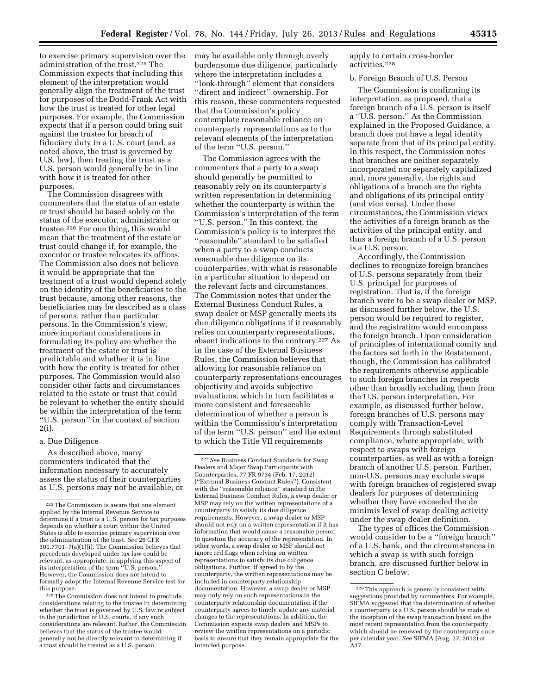to exercise primary supervision over the administration of the trust.225 The Commission expects that including this element of the interpretation would generally align the treatment of the trust for purposes of the Dodd-Frank Act with how the trust is treated for other legal purposes. For example, the Commission expects that if a person could bring suit against the trustee for breach of fiduciary duty in a U.S. court (and, as noted above, the trust is governed by U.S. law), then treating the trust as a U.S. person would generally be in line with how it is treated for other purposes.

The Commission disagrees with commenters that the status of an estate or trust should be based solely on the status of the executor, administrator or trustee.226 For one thing, this would mean that the treatment of the estate or trust could change if, for example, the executor or trustee relocates its offices. The Commission also does not believe it would be appropriate that the treatment of a trust would depend solely on the identity of the beneficiaries to the trust because, among other reasons, the beneficiaries may be described as a class of persons, rather than particular persons. In the Commission's view, more important considerations in formulating its policy are whether the treatment of the estate or trust is predictable and whether it is in line with how the entity is treated for other purposes. The Commission would also consider other facts and circumstances related to the estate or trust that could be relevant to whether the entity should be within the interpretation of the term ''U.S. person'' in the context of section 2(i).

#### a. Due Diligence

As described above, many commenters indicated that the information necessary to accurately assess the status of their counterparties as U.S. persons may not be available, or may be available only through overly burdensome due diligence, particularly where the interpretation includes a ''look-through'' element that considers ''direct and indirect'' ownership. For this reason, these commenters requested that the Commission's policy contemplate reasonable reliance on counterparty representations as to the relevant elements of the interpretation of the term ''U.S. person.''

The Commission agrees with the commenters that a party to a swap should generally be permitted to reasonably rely on its counterparty's written representation in determining whether the counterparty is within the Commission's interpretation of the term ''U.S. person.'' In this context, the Commission's policy is to interpret the 'reasonable'' standard to be satisfied when a party to a swap conducts reasonable due diligence on its counterparties, with what is reasonable in a particular situation to depend on the relevant facts and circumstances. The Commission notes that under the External Business Conduct Rules, a swap dealer or MSP generally meets its due diligence obligations if it reasonably relies on counterparty representations, absent indications to the contrary.227 As in the case of the External Business Rules, the Commission believes that allowing for reasonable reliance on counterparty representations encourages objectivity and avoids subjective evaluations, which in turn facilitates a more consistent and foreseeable determination of whether a person is within the Commission's interpretation of the term ''U.S. person'' and the extent to which the Title VII requirements

apply to certain cross-border activities.228

#### b. Foreign Branch of U.S. Person

The Commission is confirming its interpretation, as proposed, that a foreign branch of a U.S. person is itself a ''U.S. person.'' As the Commission explained in the Proposed Guidance, a branch does not have a legal identity separate from that of its principal entity. In this respect, the Commission notes that branches are neither separately incorporated nor separately capitalized and, more generally, the rights and obligations of a branch are the rights and obligations of its principal entity (and vice versa). Under these circumstances, the Commission views the activities of a foreign branch as the activities of the principal entity, and thus a foreign branch of a U.S. person is a U.S. person.

Accordingly, the Commission declines to recognize foreign branches of U.S. persons separately from their U.S. principal for purposes of registration. That is, if the foreign branch were to be a swap dealer or MSP, as discussed further below, the U.S. person would be required to register, and the registration would encompass the foreign branch. Upon consideration of principles of international comity and the factors set forth in the Restatement, though, the Commission has calibrated the requirements otherwise applicable to such foreign branches in respects other than broadly excluding them from the U.S. person interpretation. For example, as discussed further below, foreign branches of U.S. persons may comply with Transaction-Level Requirements through substituted compliance, where appropriate, with respect to swaps with foreign counterparties, as well as with a foreign branch of another U.S. person. Further, non-U.S. persons may exclude swaps with foreign branches of registered swap dealers for purposes of determining whether they have exceeded the de minimis level of swap dealing activity under the swap dealer definition.

The types of offices the Commission would consider to be a ''foreign branch'' of a U.S. bank, and the circumstances in which a swap is with such foreign branch, are discussed further below in section C below.

<sup>225</sup>The Commission is aware that one element applied by the Internal Revenue Service to determine if a trust is a U.S. person for tax purposes depends on whether a court within the United States is able to exercise primary supervision over the administration of the trust. *See* 26 CFR 301.7701–7(a)(1)(i). The Commission believes that precedents developed under tax law could be relevant, as appropriate, in applying this aspect of its interpretation of the term ''U.S. person.'' However, the Commission does not intend to formally adopt the Internal Revenue Service test for this purpose.

<sup>226</sup>The Commission does not intend to preclude considerations relating to the trustee in determining whether the trust is governed by U.S. law or subject to the jurisdiction of U.S. courts, if any such considerations are relevant. Rather, the Commission believes that the status of the trustee would generally not be directly relevant to determining if a trust should be treated as a U.S. person.

<sup>227</sup>*See* Business Conduct Standards for Swap Dealers and Major Swap Participants with Counterparties, 77 FR 9734 (Feb. 17, 2012) (''External Business Conduct Rules''). Consistent with the ''reasonable reliance'' standard in the External Business Conduct Rules, a swap dealer or MSP may rely on the written representations of a counterparty to satisfy its due diligence requirements. However, a swap dealer or MSP should not rely on a written representation if it has information that would cause a reasonable person to question the accuracy of the representation. In other words, a swap dealer or MSP should not ignore red flags when relying on written representations to satisfy its due diligence obligations. Further, if agreed to by the counterparty, the written representations may be included in counterparty relationship documentation. However, a swap dealer or MSP may only rely on such representations in the counterparty relationship documentation if the counterparty agrees to timely update any material changes to the representations. In addition, the Commission expects swap dealers and MSPs to review the written representations on a periodic basis to ensure that they remain appropriate for the intended purpose.

<sup>228</sup>This approach is generally consistent with suggestions provided by commenters. For example, SIFMA suggested that the determination of whether a counterparty is a U.S. person should be made at the inception of the swap transaction based on the most recent representation from the counterparty, which should be renewed by the counterparty once per calendar year. *See* SIFMA (Aug. 27, 2012) at A17.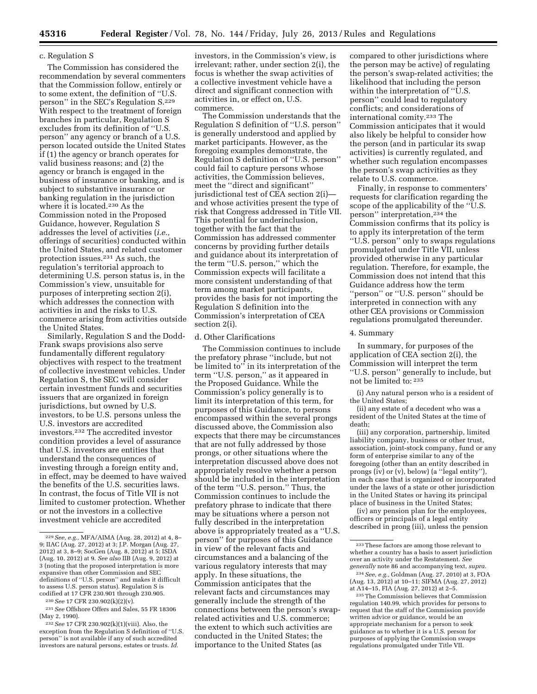#### c. Regulation S

The Commission has considered the recommendation by several commenters that the Commission follow, entirely or to some extent, the definition of ''U.S. person'' in the SEC's Regulation S.229 With respect to the treatment of foreign branches in particular, Regulation S excludes from its definition of ''U.S. person'' any agency or branch of a U.S. person located outside the United States if (1) the agency or branch operates for valid business reasons; and (2) the agency or branch is engaged in the business of insurance or banking, and is subject to substantive insurance or banking regulation in the jurisdiction where it is located.<sup>230</sup> As the Commission noted in the Proposed Guidance, however, Regulation S addresses the level of activities (*i.e.,*  offerings of securities) conducted within the United States, and related customer protection issues.231 As such, the regulation's territorial approach to determining U.S. person status is, in the Commission's view, unsuitable for purposes of interpreting section 2(i), which addresses the connection with activities in and the risks to U.S. commerce arising from activities outside the United States.

Similarly, Regulation S and the Dodd-Frank swaps provisions also serve fundamentally different regulatory objectives with respect to the treatment of collective investment vehicles. Under Regulation S, the SEC will consider certain investment funds and securities issuers that are organized in foreign jurisdictions, but owned by U.S. investors, to be U.S. persons unless the U.S. investors are accredited investors.232 The accredited investor condition provides a level of assurance that U.S. investors are entities that understand the consequences of investing through a foreign entity and, in effect, may be deemed to have waived the benefits of the U.S. securities laws. In contrast, the focus of Title VII is not limited to customer protection. Whether or not the investors in a collective investment vehicle are accredited

investors, in the Commission's view, is irrelevant; rather, under section 2(i), the focus is whether the swap activities of a collective investment vehicle have a direct and significant connection with activities in, or effect on, U.S. commerce.

The Commission understands that the Regulation S definition of ''U.S. person'' is generally understood and applied by market participants. However, as the foregoing examples demonstrate, the Regulation S definition of ''U.S. person'' could fail to capture persons whose activities, the Commission believes, meet the ''direct and significant'' jurisdictional test of CEA section 2(i) and whose activities present the type of risk that Congress addressed in Title VII. This potential for underinclusion, together with the fact that the Commission has addressed commenter concerns by providing further details and guidance about its interpretation of the term ''U.S. person,'' which the Commission expects will facilitate a more consistent understanding of that term among market participants, provides the basis for not importing the Regulation S definition into the Commission's interpretation of CEA section 2(i).

#### d. Other Clarifications

The Commission continues to include the prefatory phrase ''include, but not be limited to'' in its interpretation of the term ''U.S. person,'' as it appeared in the Proposed Guidance. While the Commission's policy generally is to limit its interpretation of this term, for purposes of this Guidance, to persons encompassed within the several prongs discussed above, the Commission also expects that there may be circumstances that are not fully addressed by those prongs, or other situations where the interpretation discussed above does not appropriately resolve whether a person should be included in the interpretation of the term ''U.S. person.'' Thus, the Commission continues to include the prefatory phrase to indicate that there may be situations where a person not fully described in the interpretation above is appropriately treated as a ''U.S. person'' for purposes of this Guidance in view of the relevant facts and circumstances and a balancing of the various regulatory interests that may apply. In these situations, the Commission anticipates that the relevant facts and circumstances may generally include the strength of the connections between the person's swaprelated activities and U.S. commerce; the extent to which such activities are conducted in the United States; the importance to the United States (as

compared to other jurisdictions where the person may be active) of regulating the person's swap-related activities; the likelihood that including the person within the interpretation of ''U.S. person'' could lead to regulatory conflicts; and considerations of international comity.233 The Commission anticipates that it would also likely be helpful to consider how the person (and in particular its swap activities) is currently regulated, and whether such regulation encompasses the person's swap activities as they relate to U.S. commerce.

Finally, in response to commenters' requests for clarification regarding the scope of the applicability of the ''U.S. person'' interpretation,234 the Commission confirms that its policy is to apply its interpretation of the term ''U.S. person'' only to swaps regulations promulgated under Title VII, unless provided otherwise in any particular regulation. Therefore, for example, the Commission does not intend that this Guidance address how the term ''person'' or ''U.S. person'' should be interpreted in connection with any other CEA provisions or Commission regulations promulgated thereunder.

#### 4. Summary

In summary, for purposes of the application of CEA section 2(i), the Commission will interpret the term ''U.S. person'' generally to include, but not be limited to: 235

(i) Any natural person who is a resident of the United States;

(ii) any estate of a decedent who was a resident of the United States at the time of death;

(iii) any corporation, partnership, limited liability company, business or other trust, association, joint-stock company, fund or any form of enterprise similar to any of the foregoing (other than an entity described in prongs (iv) or (v), below) (a ''legal entity''), in each case that is organized or incorporated under the laws of a state or other jurisdiction in the United States or having its principal place of business in the United States;

(iv) any pension plan for the employees, officers or principals of a legal entity described in prong (iii), unless the pension

<sup>229</sup>*See, e.g.,* MFA/AIMA (Aug. 28, 2012) at 4, 8– 9; IIAC (Aug. 27, 2012) at 3; J.P. Morgan (Aug. 27, 2012) at 3, 8–9; SocGen (Aug. 8, 2012) at 5; ISDA (Aug. 10, 2012) at 9. *See also* IIB (Aug. 9, 2012) at 3 (noting that the proposed interpretation is more expansive than other Commission and SEC definitions of ''U.S. person'' and makes it difficult to assess U.S. person status). Regulation S is codified at 17 CFR 230.901 through 230.905.

<sup>230</sup>*See* 17 CFR 230.902(k)(2)(v).

<sup>231</sup>*See* Offshore Offers and Sales, 55 FR 18306 (May 2, 1990).

<sup>232</sup>*See* 17 CFR 230.902(k)(1)(viii). Also, the exception from the Regulation S definition of ''U.S. person'' is not available if any of such accredited investors are natural persons, estates or trusts. *Id.* 

<sup>233</sup>These factors are among those relevant to whether a country has a basis to assert jurisdiction over an activity under the Restatement. *See generally* note 86 and accompanying text, *supra.* 

<sup>234</sup>*See, e.g.,* Goldman (Aug. 27, 2010) at 3, FOA (Aug. 13, 2012) at 10–11; SIFMA (Aug. 27, 2012) at A14–15, FIA (Aug. 27, 2012) at 2–5.

<sup>235</sup>The Commission believes that Commission regulation 140.99, which provides for persons to request that the staff of the Commission provide written advice or guidance, would be an appropriate mechanism for a person to seek guidance as to whether it is a U.S. person for purposes of applying the Commission swaps regulations promulgated under Title VII.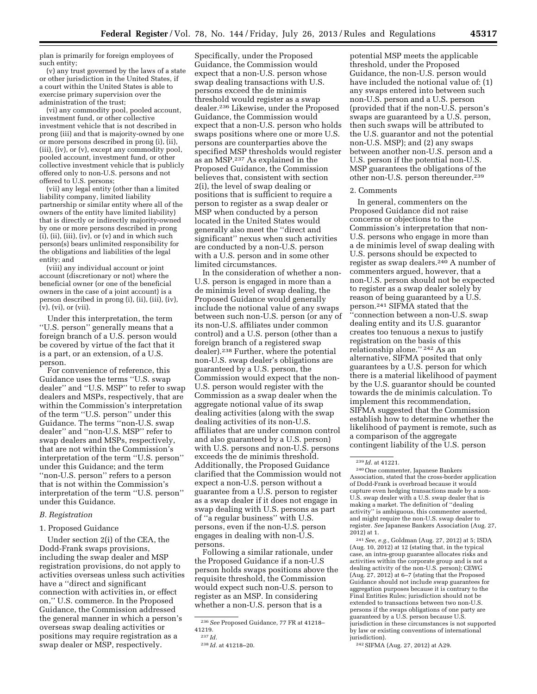plan is primarily for foreign employees of

such entity; (v) any trust governed by the laws of a state or other jurisdiction in the United States, if a court within the United States is able to exercise primary supervision over the

administration of the trust; (vi) any commodity pool, pooled account, investment fund, or other collective investment vehicle that is not described in prong (iii) and that is majority-owned by one or more persons described in prong (i), (ii), (iii), (iv), or (v), except any commodity pool, pooled account, investment fund, or other collective investment vehicle that is publicly offered only to non-U.S. persons and not offered to U.S. persons;

(vii) any legal entity (other than a limited liability company, limited liability partnership or similar entity where all of the owners of the entity have limited liability) that is directly or indirectly majority-owned by one or more persons described in prong  $(i)$ ,  $(ii)$ ,  $(iii)$ ,  $(iv)$ ,  $\overline{or}$   $(v)$  and in which such person(s) bears unlimited responsibility for the obligations and liabilities of the legal entity; and

(viii) any individual account or joint account (discretionary or not) where the beneficial owner (or one of the beneficial owners in the case of a joint account) is a person described in prong (i), (ii), (iii), (iv), (v), (vi), or (vii).

Under this interpretation, the term ''U.S. person'' generally means that a foreign branch of a U.S. person would be covered by virtue of the fact that it is a part, or an extension, of a U.S. person.

For convenience of reference, this Guidance uses the terms ''U.S. swap dealer'' and ''U.S. MSP'' to refer to swap dealers and MSPs, respectively, that are within the Commission's interpretation of the term ''U.S. person'' under this Guidance. The terms ''non-U.S. swap dealer'' and ''non-U.S. MSP'' refer to swap dealers and MSPs, respectively, that are not within the Commission's interpretation of the term ''U.S. person'' under this Guidance; and the term ''non-U.S. person'' refers to a person that is not within the Commission's interpretation of the term ''U.S. person'' under this Guidance.

#### *B. Registration*

#### 1. Proposed Guidance

Under section 2(i) of the CEA, the Dodd-Frank swaps provisions, including the swap dealer and MSP registration provisions, do not apply to activities overseas unless such activities have a ''direct and significant connection with activities in, or effect on,'' U.S. commerce. In the Proposed Guidance, the Commission addressed the general manner in which a person's overseas swap dealing activities or positions may require registration as a swap dealer or MSP, respectively.

Specifically, under the Proposed Guidance, the Commission would expect that a non-U.S. person whose swap dealing transactions with U.S. persons exceed the de minimis threshold would register as a swap dealer.236 Likewise, under the Proposed Guidance, the Commission would expect that a non-U.S. person who holds swaps positions where one or more U.S. persons are counterparties above the specified MSP thresholds would register as an MSP.237 As explained in the Proposed Guidance, the Commission believes that, consistent with section 2(i), the level of swap dealing or positions that is sufficient to require a person to register as a swap dealer or MSP when conducted by a person located in the United States would generally also meet the ''direct and significant'' nexus when such activities are conducted by a non-U.S. person with a U.S. person and in some other limited circumstances.

In the consideration of whether a non-U.S. person is engaged in more than a de minimis level of swap dealing, the Proposed Guidance would generally include the notional value of any swaps between such non-U.S. person (or any of its non-U.S. affiliates under common control) and a U.S. person (other than a foreign branch of a registered swap dealer).238 Further, where the potential non-U.S. swap dealer's obligations are guaranteed by a U.S. person, the Commission would expect that the non-U.S. person would register with the Commission as a swap dealer when the aggregate notional value of its swap dealing activities (along with the swap dealing activities of its non-U.S. affiliates that are under common control and also guaranteed by a U.S. person) with U.S. persons and non-U.S. persons exceeds the de minimis threshold. Additionally, the Proposed Guidance clarified that the Commission would not expect a non-U.S. person without a guarantee from a U.S. person to register as a swap dealer if it does not engage in swap dealing with U.S. persons as part of ''a regular business'' with U.S. persons, even if the non-U.S. person engages in dealing with non-U.S. persons.

Following a similar rationale, under the Proposed Guidance if a non-U.S person holds swaps positions above the requisite threshold, the Commission would expect such non-U.S. person to register as an MSP. In considering whether a non-U.S. person that is a

potential MSP meets the applicable threshold, under the Proposed Guidance, the non-U.S. person would have included the notional value of: (1) any swaps entered into between such non-U.S. person and a U.S. person (provided that if the non-U.S. person's swaps are guaranteed by a U.S. person, then such swaps will be attributed to the U.S. guarantor and not the potential non-U.S. MSP); and (2) any swaps between another non-U.S. person and a U.S. person if the potential non-U.S. MSP guarantees the obligations of the other non-U.S. person thereunder.239

#### 2. Comments

In general, commenters on the Proposed Guidance did not raise concerns or objections to the Commission's interpretation that non-U.S. persons who engage in more than a de minimis level of swap dealing with U.S. persons should be expected to register as swap dealers.240 A number of commenters argued, however, that a non-U.S. person should not be expected to register as a swap dealer solely by reason of being guaranteed by a U.S. person.241 SIFMA stated that the ''connection between a non-U.S. swap dealing entity and its U.S. guarantor creates too tenuous a nexus to justify registration on the basis of this relationship alone.'' 242 As an alternative, SIFMA posited that only guarantees by a U.S. person for which there is a material likelihood of payment by the U.S. guarantor should be counted towards the de minimis calculation. To implement this recommendation, SIFMA suggested that the Commission establish how to determine whether the likelihood of payment is remote, such as a comparison of the aggregate contingent liability of the U.S. person

241*See, e.g.,* Goldman (Aug. 27, 2012) at 5; ISDA (Aug. 10, 2012) at 12 (stating that, in the typical case, an intra-group guarantee allocates risks and activities within the corporate group and is not a dealing activity of the non-U.S. person); CEWG (Aug. 27, 2012) at 6–7 (stating that the Proposed Guidance should not include swap guarantees for aggregation purposes because it is contrary to the Final Entities Rules; jurisdiction should not be extended to transactions between two non-U.S. persons if the swaps obligations of one party are guaranteed by a U.S. person because U.S. jurisdiction in these circumstances is not supported by law or existing conventions of international jurisdiction).

242SIFMA (Aug. 27, 2012) at A29.

<sup>236</sup>*See* Proposed Guidance, 77 FR at 41218– 41219.

<sup>237</sup> *Id.* 

<sup>238</sup> *Id.* at 41218–20.

<sup>239</sup> *Id.* at 41221.

<sup>240</sup>One commenter, Japanese Bankers Association, stated that the cross-border application of Dodd-Frank is overbroad because it would capture even hedging transactions made by a non-U.S. swap dealer with a U.S. swap dealer that is making a market. The definition of ''dealing activity'' is ambiguous, this commenter asserted, and might require the non-U.S. swap dealer to register. *See* Japanese Bankers Association (Aug. 27, 2012) at 1.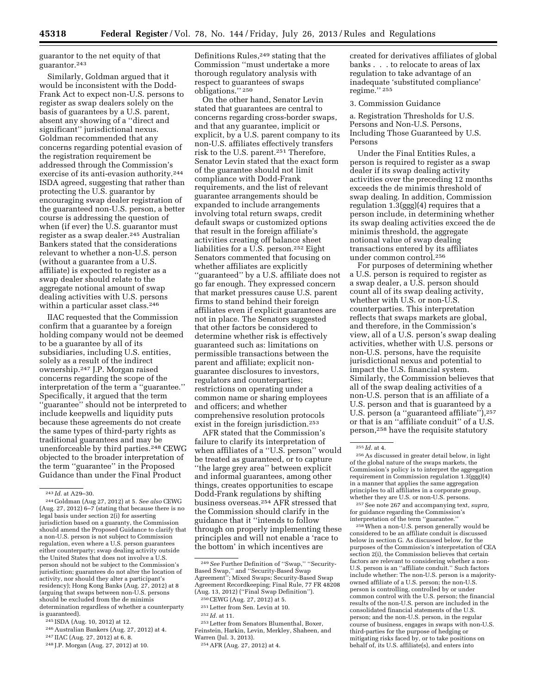guarantor to the net equity of that guarantor.243

Similarly, Goldman argued that it would be inconsistent with the Dodd-Frank Act to expect non-U.S. persons to register as swap dealers solely on the basis of guarantees by a U.S. parent, absent any showing of a ''direct and significant'' jurisdictional nexus. Goldman recommended that any concerns regarding potential evasion of the registration requirement be addressed through the Commission's exercise of its anti-evasion authority.244 ISDA agreed, suggesting that rather than protecting the U.S. guarantor by encouraging swap dealer registration of the guaranteed non-U.S. person, a better course is addressing the question of when (if ever) the U.S. guarantor must register as a swap dealer.245 Australian Bankers stated that the considerations relevant to whether a non-U.S. person (without a guarantee from a U.S. affiliate) is expected to register as a swap dealer should relate to the aggregate notional amount of swap dealing activities with U.S. persons within a particular asset class.246

IIAC requested that the Commission confirm that a guarantee by a foreign holding company would not be deemed to be a guarantee by all of its subsidiaries, including U.S. entities, solely as a result of the indirect ownership.247 J.P. Morgan raised concerns regarding the scope of the interpretation of the term a ''guarantee.'' Specifically, it argued that the term ''guarantee'' should not be interpreted to include keepwells and liquidity puts because these agreements do not create the same types of third-party rights as traditional guarantees and may be unenforceable by third parties.<sup>248</sup> CEWG objected to the broader interpretation of the term ''guarantee'' in the Proposed Guidance than under the Final Product

245 ISDA (Aug. 10, 2012) at 12.

246Australian Bankers (Aug. 27, 2012) at 4.

- 247 IIAC (Aug. 27, 2012) at 6, 8.
- 248 J.P. Morgan (Aug. 27, 2012) at 10.

Definitions Rules,<sup>249</sup> stating that the Commission ''must undertake a more thorough regulatory analysis with respect to guarantees of swaps obligations.'' 250

On the other hand, Senator Levin stated that guarantees are central to concerns regarding cross-border swaps, and that any guarantee, implicit or explicit, by a U.S. parent company to its non-U.S. affiliates effectively transfers risk to the U.S. parent.251 Therefore, Senator Levin stated that the exact form of the guarantee should not limit compliance with Dodd-Frank requirements, and the list of relevant guarantee arrangements should be expanded to include arrangements involving total return swaps, credit default swaps or customized options that result in the foreign affiliate's activities creating off balance sheet liabilities for a U.S. person.252 Eight Senators commented that focusing on whether affiliates are explicitly ''guaranteed'' by a U.S. affiliate does not go far enough. They expressed concern that market pressures cause U.S. parent firms to stand behind their foreign affiliates even if explicit guarantees are not in place. The Senators suggested that other factors be considered to determine whether risk is effectively guaranteed such as: limitations on permissible transactions between the parent and affiliate; explicit nonguarantee disclosures to investors, regulators and counterparties; restrictions on operating under a common name or sharing employees and officers; and whether comprehensive resolution protocols exist in the foreign jurisdiction.<sup>253</sup>

AFR stated that the Commission's failure to clarify its interpretation of when affiliates of a ''U.S. person'' would be treated as guaranteed, or to capture ''the large grey area'' between explicit and informal guarantees, among other things, creates opportunities to escape Dodd-Frank regulations by shifting business overseas.254 AFR stressed that the Commission should clarify in the guidance that it ''intends to follow through on properly implementing these principles and will not enable a 'race to the bottom' in which incentives are

253Letter from Senators Blumenthal, Boxer, Feinstein, Harkin, Levin, Merkley, Shaheen, and Warren (Jul. 3, 2013).

created for derivatives affiliates of global banks . . . to relocate to areas of lax regulation to take advantage of an inadequate 'substituted compliance' regime.'' 255

#### 3. Commission Guidance

a. Registration Thresholds for U.S. Persons and Non-U.S. Persons, Including Those Guaranteed by U.S. Persons

Under the Final Entities Rules, a person is required to register as a swap dealer if its swap dealing activity activities over the preceding 12 months exceeds the de minimis threshold of swap dealing. In addition, Commission regulation 1.3(ggg)(4) requires that a person include, in determining whether its swap dealing activities exceed the de minimis threshold, the aggregate notional value of swap dealing transactions entered by its affiliates under common control.256

For purposes of determining whether a U.S. person is required to register as a swap dealer, a U.S. person should count all of its swap dealing activity, whether with U.S. or non-U.S. counterparties. This interpretation reflects that swaps markets are global, and therefore, in the Commission's view, all of a U.S. person's swap dealing activities, whether with U.S. persons or non-U.S. persons, have the requisite jurisdictional nexus and potential to impact the U.S. financial system. Similarly, the Commission believes that all of the swap dealing activities of a non-U.S. person that is an affiliate of a U.S. person and that is guaranteed by a U.S. person (a "guaranteed affiliate"), 257 or that is an ''affiliate conduit'' of a U.S. person,258 have the requisite statutory

256As discussed in greater detail below, in light of the global nature of the swaps markets, the Commission's policy is to interpret the aggregation requirement in Commission regulation 1.3(ggg)(4) in a manner that applies the same aggregation principles to all affiliates in a corporate group, whether they are U.S. or non-U.S. persons.

257See note 267 and accompanying text, *supra,*  for guidance regarding the Commission's interpretation of the term ''guarantee.''

258When a non-U.S. person generally would be considered to be an affiliate conduit is discussed below in section G. As discussed below, for the purposes of the Commission's interpretation of CEA section 2(i), the Commission believes that certain factors are relevant to considering whether a non-U.S. person is an ''affiliate conduit.'' Such factors include whether: The non-U.S. person is a majorityowned affiliate of a U.S. person; the non-U.S. person is controlling, controlled by or under common control with the U.S. person; the financial results of the non-U.S. person are included in the consolidated financial statements of the U.S. person; and the non-U.S. person, in the regular course of business, engages in swaps with non-U.S. third-parties for the purpose of hedging or mitigating risks faced by, or to take positions on behalf of, its U.S. affiliate(s), and enters into

<sup>243</sup> *Id.* at A29–30.

<sup>244</sup> Goldman (Aug 27, 2012) at 5. *See also* CEWG (Aug. 27, 2012) 6–7 (stating that because there is no legal basis under section  $2(i)$  for asserting jurisdiction based on a guaranty, the Commission should amend the Proposed Guidance to clarify that a non-U.S. person is not subject to Commission regulation, even where a U.S. person guarantees either counterparty; swap dealing activity outside the United States that does not involve a U.S. person should not be subject to the Commission's jurisdiction; guarantees do not alter the location of activity, nor should they alter a participant's residency); Hong Kong Banks (Aug. 27, 2012) at 8 (arguing that swaps between non-U.S. persons should be excluded from the de minimis determination regardless of whether a counterparty is guaranteed).

<sup>249</sup>*See* Further Definition of ''Swap,'' ''Security-Based Swap,'' and ''Security-Based Swap Agreement''; Mixed Swaps; Security-Based Swap Agreement Recordkeeping; Final Rule, 77 FR 48208 (Aug. 13, 2012) (''Final Swap Definition'').

<sup>250</sup>CEWG (Aug. 27, 2012) at 5.

<sup>251</sup>Letter from Sen. Levin at 10.

<sup>252</sup> *Id.* at 11.

<sup>254</sup>AFR (Aug. 27, 2012) at 4.

<sup>255</sup> *Id.* at 4.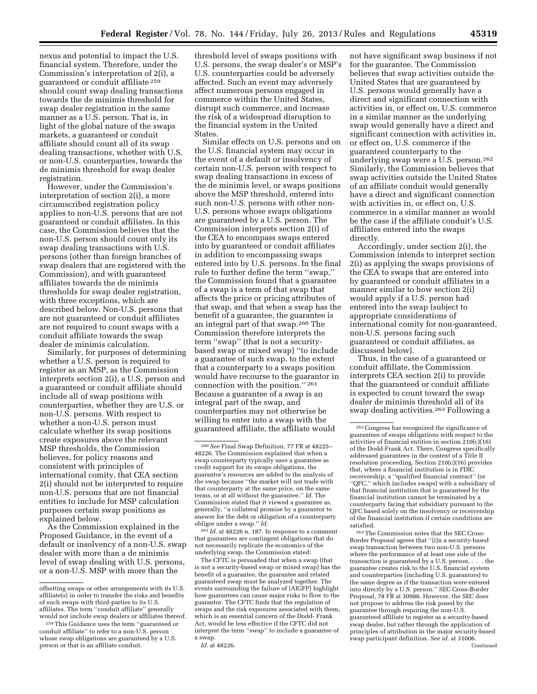nexus and potential to impact the U.S. financial system. Therefore, under the Commission's interpretation of 2(i), a guaranteed or conduit affiliate 259 should count swap dealing transactions towards the de minimis threshold for swap dealer registration in the same manner as a U.S. person. That is, in light of the global nature of the swaps markets, a guaranteed or conduit affiliate should count all of its swap dealing transactions, whether with U.S. or non-U.S. counterparties, towards the de minimis threshold for swap dealer registration.

However, under the Commission's interpretation of section 2(i), a more circumscribed registration policy applies to non-U.S. persons that are not guaranteed or conduit affiliates. In this case, the Commission believes that the non-U.S. person should count only its swap dealing transactions with U.S. persons (other than foreign branches of swap dealers that are registered with the Commission), and with guaranteed affiliates towards the de minimis thresholds for swap dealer registration, with three exceptions, which are described below. Non-U.S. persons that are not guaranteed or conduit affiliates are not required to count swaps with a conduit affiliate towards the swap dealer de minimis calculation.

Similarly, for purposes of determining whether a U.S. person is required to register as an MSP, as the Commission interprets section 2(i), a U.S. person and a guaranteed or conduit affiliate should include all of swap positions with counterparties, whether they are U.S. or non-U.S. persons. With respect to whether a non-U.S. person must calculate whether its swap positions create exposures above the relevant MSP thresholds, the Commission believes, for policy reasons and consistent with principles of international comity, that CEA section 2(i) should not be interpreted to require non-U.S. persons that are not financial entities to include for MSP calculation purposes certain swap positions as explained below.

As the Commission explained in the Proposed Guidance, in the event of a default or insolvency of a non-U.S. swap dealer with more than a de minimis level of swap dealing with U.S. persons, or a non-U.S. MSP with more than the

threshold level of swaps positions with U.S. persons, the swap dealer's or MSP's U.S. counterparties could be adversely affected. Such an event may adversely affect numerous persons engaged in commerce within the United States, disrupt such commerce, and increase the risk of a widespread disruption to the financial system in the United States.

Similar effects on U.S. persons and on the U.S. financial system may occur in the event of a default or insolvency of certain non-U.S. person with respect to swap dealing transactions in excess of the de minimis level, or swaps positions above the MSP threshold, entered into such non-U.S. persons with other non-U.S. persons whose swaps obligations are guaranteed by a U.S. person. The Commission interprets section 2(i) of the CEA to encompass swaps entered into by guaranteed or conduit affiliates in addition to encompassing swaps entered into by U.S. persons. In the final rule to further define the term ''swap,'' the Commission found that a guarantee of a swap is a term of that swap that affects the price or pricing attributes of that swap, and that when a swap has the benefit of a guarantee, the guarantee is an integral part of that swap.260 The Commission therefore interprets the term ''swap'' (that is not a securitybased swap or mixed swap) ''to include a guarantee of such swap, to the extent that a counterparty to a swaps position would have recourse to the guarantor in connection with the position.'' 261 Because a guarantee of a swap is an integral part of the swap, and counterparties may not otherwise be willing to enter into a swap with the guaranteed affiliate, the affiliate would

261 *Id.* at 48226 n. 187. In response to a comment that guarantees are contingent obligations that do not necessarily replicate the economics of the underlying swap, the Commission stated:

The CFTC is persuaded that when a swap (that is not a security-based swap or mixed swap) has the benefit of a guarantee, the guarantee and related guaranteed swap must be analyzed together. The events surrounding the failure of [AIGFP] highlight how guarantees can cause major risks to flow to the guarantor. The CFTC finds that the regulation of swaps and the risk exposures associated with them, which is an essential concern of the Dodd- Frank Act, would be less effective if the CFTC did not interpret the term ''swap'' to include a guarantee of a swap.

not have significant swap business if not for the guarantee. The Commission believes that swap activities outside the United States that are guaranteed by U.S. persons would generally have a direct and significant connection with activities in, or effect on, U.S. commerce in a similar manner as the underlying swap would generally have a direct and significant connection with activities in, or effect on, U.S. commerce if the guaranteed counterparty to the underlying swap were a U.S. person.262 Similarly, the Commission believes that swap activities outside the United States of an affiliate conduit would generally have a direct and significant connection with activities in, or effect on, U.S. commerce in a similar manner as would be the case if the affiliate conduit's U.S. affiliates entered into the swaps directly.

Accordingly, under section 2(i), the Commission intends to interpret section 2(i) as applying the swaps provisions of the CEA to swaps that are entered into by guaranteed or conduit affiliates in a manner similar to how section 2(i) would apply if a U.S. person had entered into the swap (subject to appropriate considerations of international comity for non-guaranteed, non-U.S. persons facing such guaranteed or conduit affiliates, as discussed below).

Thus, in the case of a guaranteed or conduit affiliate, the Commission interprets CEA section 2(i) to provide that the guaranteed or conduit affiliate is expected to count toward the swap dealer de minimis threshold all of its swap dealing activities.263 Following a

263The Commission notes that the SEC Cross-Border Proposal agrees that ''[i]n a security-based swap transaction between two non-U.S. persons where the performance of at least one side of the transaction is guaranteed by a U.S. person, . . . the guarantee creates risk to the U.S. financial system and counterparties (including U.S. guarantors) to the same degree as if the transaction were entered into directly by a U.S. person.'' SEC Cross-Border Proposal, 78 FR at 30986. However, the SEC does not propose to address the risk posed by the guarantee through requiring the non-U.S. guaranteed affiliate to register as a security-based swap dealer, but rather through the application of principles of attribution in the major security-based swap participant definition. *See id.* at 31006. Continued

offsetting swaps or other arrangements with its U.S. affiliate(s) in order to transfer the risks and benefits of such swaps with third-parties to its U.S. affiliates. The term ''conduit affiliate'' generally would not include swap dealers or affiliates thereof.

<sup>259</sup>This Guidance uses the term ''guaranteed or conduit affiliate'' to refer to a non-U.S. person whose swap obligations are guaranteed by a U.S. person or that is an affiliate conduit.

<sup>260</sup>*See* Final Swap Definition, 77 FR at 48225– 48226. The Commission explained that when a swap counterparty typically uses a guarantee as credit support for its swaps obligations, the guarantor's resources are added to the analysis of the swap because ''the market will not trade with that counterparty at the same price, on the same terms, or at all without the guarantee.'' *Id.* The Commission stated that it viewed a guarantee as, generally, ''a collateral promise by a guarantor to answer for the debt or obligation of a counterparty obligor under a swap.'' *Id.* 

*Id.* at 48226.

<sup>262</sup>Congress has recognized the significance of guarantees of swaps obligations with respect to the activities of financial entities in section  $210(c)(16)$ of the Dodd-Frank Act. There, Congress specifically addressed guarantees in the context of a Title II resolution proceeding. Section 210(c)(16) provides that, where a financial institution is in FDIC receivership, a ''qualified financial contract'' (or ''QFC,'' which includes swaps) with a subsidiary of that financial institution that is guaranteed by the financial institution cannot be terminated by a counterparty facing that subsidiary pursuant to the QFC based solely on the insolvency or receivership of the financial institution if certain conditions are satisfied.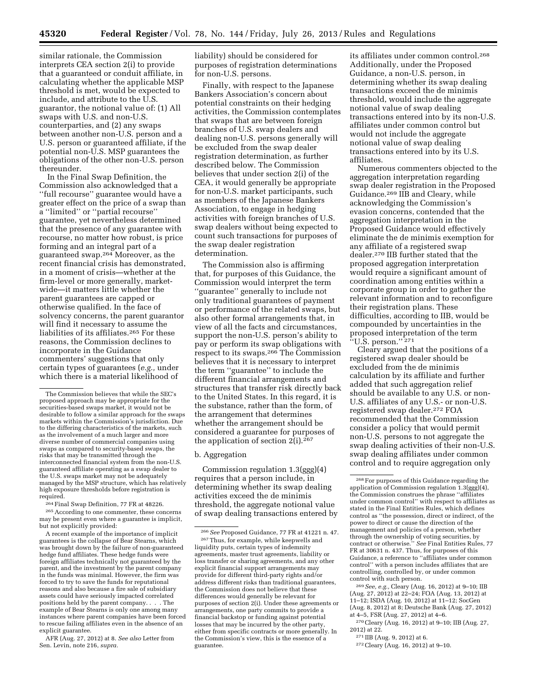similar rationale, the Commission interprets CEA section 2(i) to provide that a guaranteed or conduit affiliate, in calculating whether the applicable MSP threshold is met, would be expected to include, and attribute to the U.S. guarantor, the notional value of: (1) All swaps with U.S. and non-U.S. counterparties, and (2) any swaps between another non-U.S. person and a U.S. person or guaranteed affiliate, if the potential non-U.S. MSP guarantees the obligations of the other non-U.S. person thereunder.

In the Final Swap Definition, the Commission also acknowledged that a ''full recourse'' guarantee would have a greater effect on the price of a swap than a ''limited'' or ''partial recourse'' guarantee, yet nevertheless determined that the presence of any guarantee with recourse, no matter how robust, is price forming and an integral part of a guaranteed swap.264 Moreover, as the recent financial crisis has demonstrated, in a moment of crisis—whether at the firm-level or more generally, marketwide—it matters little whether the parent guarantees are capped or otherwise qualified. In the face of solvency concerns, the parent guarantor will find it necessary to assume the liabilities of its affiliates.265 For these reasons, the Commission declines to incorporate in the Guidance commenters' suggestions that only certain types of guarantees (*e.g.,* under which there is a material likelihood of

264Final Swap Definition, 77 FR at 48226.

265According to one commenter, these concerns may be present even where a guarantee is implicit, but not explicitly provided:

A recent example of the importance of implicit guarantees is the collapse of Bear Stearns, which was brought down by the failure of non-guaranteed hedge fund affiliates. These hedge funds were foreign affiliates technically not guaranteed by the parent, and the investment by the parent company in the funds was minimal. However, the firm was forced to try to save the funds for reputational reasons and also because a fire sale of subsidiary assets could have seriously impacted correlated positions held by the parent company. . . . The example of Bear Stearns is only one among many instances where parent companies have been forced to rescue failing affiliates even in the absence of an explicit guarantee.

AFR (Aug. 27, 2012) at 8. *See also* Letter from Sen. Levin, note 216, *supra.* 

liability) should be considered for purposes of registration determinations for non-U.S. persons.

Finally, with respect to the Japanese Bankers Association's concern about potential constraints on their hedging activities, the Commission contemplates that swaps that are between foreign branches of U.S. swap dealers and dealing non-U.S. persons generally will be excluded from the swap dealer registration determination, as further described below. The Commission believes that under section 2(i) of the CEA, it would generally be appropriate for non-U.S. market participants, such as members of the Japanese Bankers Association, to engage in hedging activities with foreign branches of U.S. swap dealers without being expected to count such transactions for purposes of the swap dealer registration determination.

The Commission also is affirming that, for purposes of this Guidance, the Commission would interpret the term ''guarantee'' generally to include not only traditional guarantees of payment or performance of the related swaps, but also other formal arrangements that, in view of all the facts and circumstances, support the non-U.S. person's ability to pay or perform its swap obligations with respect to its swaps.266 The Commission believes that it is necessary to interpret the term ''guarantee'' to include the different financial arrangements and structures that transfer risk directly back to the United States. In this regard, it is the substance, rather than the form, of the arrangement that determines whether the arrangement should be considered a guarantee for purposes of the application of section 2(i).267

b. Aggregation

Commission regulation 1.3(ggg)(4) requires that a person include, in determining whether its swap dealing activities exceed the de minimis threshold, the aggregate notional value of swap dealing transactions entered by its affiliates under common control.268 Additionally, under the Proposed Guidance, a non-U.S. person, in determining whether its swap dealing transactions exceed the de minimis threshold, would include the aggregate notional value of swap dealing transactions entered into by its non-U.S. affiliates under common control but would not include the aggregate notional value of swap dealing transactions entered into by its U.S. affiliates.

Numerous commenters objected to the aggregation interpretation regarding swap dealer registration in the Proposed Guidance.269 IIB and Cleary, while acknowledging the Commission's evasion concerns, contended that the aggregation interpretation in the Proposed Guidance would effectively eliminate the de minimis exemption for any affiliate of a registered swap dealer.270 IIB further stated that the proposed aggregation interpretation would require a significant amount of coordination among entities within a corporate group in order to gather the relevant information and to reconfigure their registration plans. These difficulties, according to IIB, would be compounded by uncertainties in the proposed interpretation of the term "U.S. person."<sup>271</sup>

Cleary argued that the positions of a registered swap dealer should be excluded from the de minimis calculation by its affiliate and further added that such aggregation relief should be available to any U.S. or non-U.S. affiliates of any U.S.- or non-U.S. registered swap dealer.272 FOA recommended that the Commission consider a policy that would permit non-U.S. persons to not aggregate the swap dealing activities of their non-U.S. swap dealing affiliates under common control and to require aggregation only

272Cleary (Aug. 16, 2012) at 9–10.

The Commission believes that while the SEC's proposed approach may be appropriate for the securities-based swaps market, it would not be desirable to follow a similar approach for the swaps markets within the Commission's jurisdiction. Due to the differing characteristics of the markets, such as the involvement of a much larger and more diverse number of commercial companies using swaps as compared to security-based swaps, the risks that may be transmitted through the interconnected financial system from the non-U.S. guaranteed affiliate operating as a swap dealer to the U.S. swaps market may not be adequately managed by the MSP structure, which has relatively high exposure thresholds before registration is required.

<sup>266</sup>*See* Proposed Guidance, 77 FR at 41221 n. 47. 267Thus, for example, while keepwells and liquidity puts, certain types of indemnity agreements, master trust agreements, liability or loss transfer or sharing agreements, and any other explicit financial support arrangements may provide for different third-party rights and/or address different risks than traditional guarantees, the Commission does not believe that these differences would generally be relevant for purposes of section 2(i). Under these agreements or arrangements, one party commits to provide a financial backstop or funding against potential losses that may be incurred by the other party, either from specific contracts or more generally. In the Commission's view, this is the essence of a guarantee.

<sup>268</sup>For purposes of this Guidance regarding the application of Commission regulation 1.3(ggg)(4), the Commission construes the phrase ''affiliates under common control'' with respect to affiliates as stated in the Final Entities Rules, which defines control as ''the possession, direct or indirect, of the power to direct or cause the direction of the management and policies of a person, whether through the ownership of voting securities, by contract or otherwise.'' *See* Final Entities Rules, 77 FR at 30631 n. 437. Thus, for purposes of this Guidance, a reference to ''affiliates under common control'' with a person includes affiliates that are controlling, controlled by, or under common control with such person.

<sup>269</sup>*See, e.g.,* Cleary (Aug. 16, 2012) at 9–10; IIB (Aug. 27, 2012) at 22–24; FOA (Aug. 13, 2012) at 11–12; ISDA (Aug. 10, 2012) at 11–12; SocGen (Aug. 8, 2012) at 8; Deutsche Bank (Aug. 27, 2012) at 4–5, FSR (Aug. 27, 2012) at 4–6.

<sup>270</sup>Cleary (Aug. 16, 2012) at 9–10; IIB (Aug. 27, 2012) at 22.

<sup>271</sup> IIB (Aug. 9, 2012) at 6.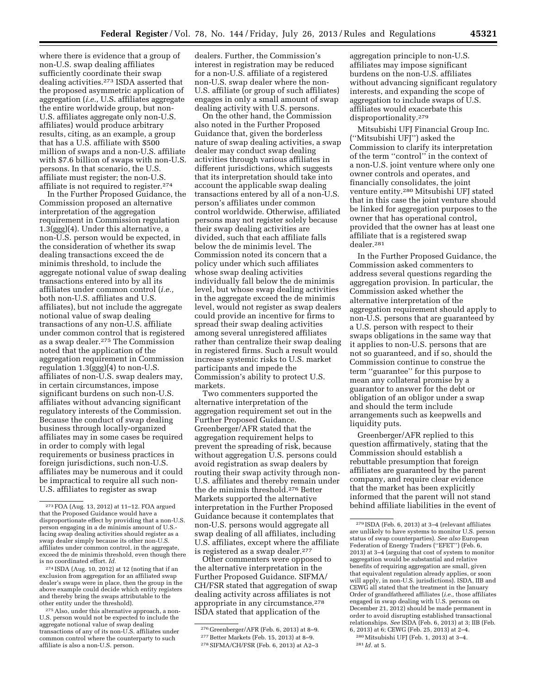where there is evidence that a group of non-U.S. swap dealing affiliates sufficiently coordinate their swap dealing activities.273 ISDA asserted that the proposed asymmetric application of aggregation (*i.e.,* U.S. affiliates aggregate the entire worldwide group, but non-U.S. affiliates aggregate only non-U.S. affiliates) would produce arbitrary results, citing, as an example, a group that has a U.S. affiliate with \$500 million of swaps and a non-U.S. affiliate with \$7.6 billion of swaps with non-U.S. persons. In that scenario, the U.S. affiliate must register; the non-U.S. affiliate is not required to register.274

In the Further Proposed Guidance, the Commission proposed an alternative interpretation of the aggregation requirement in Commission regulation 1.3(ggg)(4). Under this alternative, a non-U.S. person would be expected, in the consideration of whether its swap dealing transactions exceed the de minimis threshold, to include the aggregate notional value of swap dealing transactions entered into by all its affiliates under common control (*i.e.,*  both non-U.S. affiliates and U.S. affiliates), but not include the aggregate notional value of swap dealing transactions of any non-U.S. affiliate under common control that is registered as a swap dealer.275 The Commission noted that the application of the aggregation requirement in Commission regulation 1.3(ggg)(4) to non-U.S. affiliates of non-U.S. swap dealers may, in certain circumstances, impose significant burdens on such non-U.S. affiliates without advancing significant regulatory interests of the Commission. Because the conduct of swap dealing business through locally-organized affiliates may in some cases be required in order to comply with legal requirements or business practices in foreign jurisdictions, such non-U.S. affiliates may be numerous and it could be impractical to require all such non-U.S. affiliates to register as swap

274 ISDA (Aug. 10, 2012) at 12 (noting that if an exclusion from aggregation for an affiliated swap dealer's swaps were in place, then the group in the above example could decide which entity registers and thereby bring the swaps attributable to the

<sup>275</sup> Also, under this alternative approach, a non-U.S. person would not be expected to include the aggregate notional value of swap dealing transactions of any of its non-U.S. affiliates under common control where the counterparty to such affiliate is also a non-U.S. person.

dealers. Further, the Commission's interest in registration may be reduced for a non-U.S. affiliate of a registered non-U.S. swap dealer where the non-U.S. affiliate (or group of such affiliates) engages in only a small amount of swap dealing activity with U.S. persons.

On the other hand, the Commission also noted in the Further Proposed Guidance that, given the borderless nature of swap dealing activities, a swap dealer may conduct swap dealing activities through various affiliates in different jurisdictions, which suggests that its interpretation should take into account the applicable swap dealing transactions entered by all of a non-U.S. person's affiliates under common control worldwide. Otherwise, affiliated persons may not register solely because their swap dealing activities are divided, such that each affiliate falls below the de minimis level. The Commission noted its concern that a policy under which such affiliates whose swap dealing activities individually fall below the de minimis level, but whose swap dealing activities in the aggregate exceed the de minimis level, would not register as swap dealers could provide an incentive for firms to spread their swap dealing activities among several unregistered affiliates rather than centralize their swap dealing in registered firms. Such a result would increase systemic risks to U.S. market participants and impede the Commission's ability to protect U.S. markets.

Two commenters supported the alternative interpretation of the aggregation requirement set out in the Further Proposed Guidance. Greenberger/AFR stated that the aggregation requirement helps to prevent the spreading of risk, because without aggregation U.S. persons could avoid registration as swap dealers by routing their swap activity through non-U.S. affiliates and thereby remain under the de minimis threshold.276 Better Markets supported the alternative interpretation in the Further Proposed Guidance because it contemplates that non-U.S. persons would aggregate all swap dealing of all affiliates, including U.S. affiliates, except where the affiliate is registered as a swap dealer.<sup>277</sup>

Other commenters were opposed to the alternative interpretation in the Further Proposed Guidance. SIFMA/ CH/FSR stated that aggregation of swap dealing activity across affiliates is not appropriate in any circumstance.278 ISDA stated that application of the

aggregation principle to non-U.S. affiliates may impose significant burdens on the non-U.S. affiliates without advancing significant regulatory interests, and expanding the scope of aggregation to include swaps of U.S. affiliates would exacerbate this disproportionality.279

Mitsubishi UFJ Financial Group Inc. (''Mitsubishi UFJ'') asked the Commission to clarify its interpretation of the term ''control'' in the context of a non-U.S. joint venture where only one owner controls and operates, and financially consolidates, the joint venture entity.280 Mitsubishi UFJ stated that in this case the joint venture should be linked for aggregation purposes to the owner that has operational control, provided that the owner has at least one affiliate that is a registered swap dealer.281

In the Further Proposed Guidance, the Commission asked commenters to address several questions regarding the aggregation provision. In particular, the Commission asked whether the alternative interpretation of the aggregation requirement should apply to non-U.S. persons that are guaranteed by a U.S. person with respect to their swaps obligations in the same way that it applies to non-U.S. persons that are not so guaranteed, and if so, should the Commission continue to construe the term ''guarantee'' for this purpose to mean any collateral promise by a guarantor to answer for the debt or obligation of an obligor under a swap and should the term include arrangements such as keepwells and liquidity puts.

Greenberger/AFR replied to this question affirmatively, stating that the Commission should establish a rebuttable presumption that foreign affiliates are guaranteed by the parent company, and require clear evidence that the market has been explicitly informed that the parent will not stand behind affiliate liabilities in the event of

<sup>273</sup>FOA (Aug. 13, 2012) at 11–12. FOA argued that the Proposed Guidance would have a disproportionate effect by providing that a non-U.S. person engaging in a de minimis amount of U.S. facing swap dealing activities should register as a swap dealer simply because its other non-U.S. affiliates under common control, in the aggregate, exceed the de minimis threshold, even though there is no coordinated effort. *Id.* 

<sup>276</sup> Greenberger/AFR (Feb. 6, 2013) at 8–9.

<sup>277</sup>Better Markets (Feb. 15, 2013) at 8–9.

<sup>278</sup>SIFMA/CH/FSR (Feb. 6, 2013) at A2–3

<sup>279</sup> ISDA (Feb. 6, 2013) at 3–4 (relevant affiliates are unlikely to have systems to monitor U.S. person status of swap counterparties). *See also* European Federation of Energy Traders (''EFET'') (Feb. 6, 2013) at 3–4 (arguing that cost of system to monitor aggregation would be substantial and relative benefits of requiring aggregation are small, given that equivalent regulation already applies, or soon will apply, in non-U.S. jurisdictions). ISDA, IIB and CEWG all stated that the treatment in the January Order of grandfathered affiliates (*i.e.,* those affiliates engaged in swap dealing with U.S. persons on December 21, 2012) should be made permanent in order to avoid disrupting established transactional relationships. *See* ISDA (Feb. 6, 2013) at 3; IIB (Feb. 6, 2013) at 6; CEWG (Feb. 25, 2013) at 2–4.

<sup>280</sup>Mitsubishi UFJ (Feb. 1, 2013) at 3–4.

<sup>281</sup> *Id.* at 5.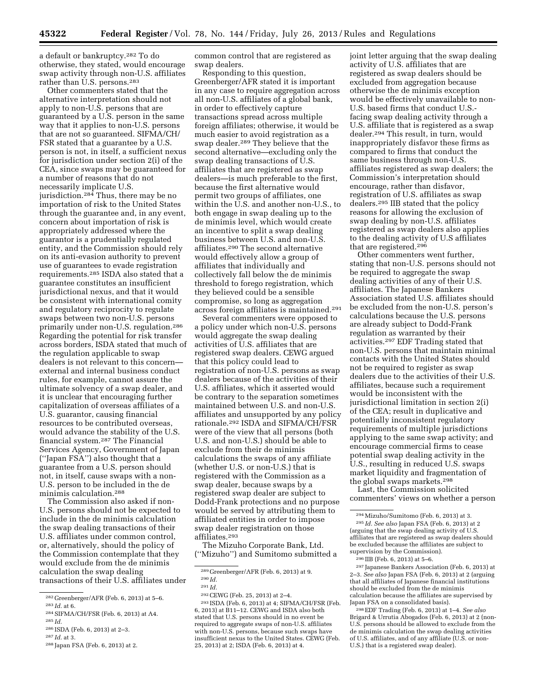a default or bankruptcy.282 To do otherwise, they stated, would encourage swap activity through non-U.S. affiliates rather than U.S. persons.<sup>283</sup>

Other commenters stated that the alternative interpretation should not apply to non-U.S. persons that are guaranteed by a U.S. person in the same way that it applies to non-U.S. persons that are not so guaranteed. SIFMA/CH/ FSR stated that a guarantee by a U.S. person is not, in itself, a sufficient nexus for jurisdiction under section 2(i) of the CEA, since swaps may be guaranteed for a number of reasons that do not necessarily implicate U.S. jurisdiction.284 Thus, there may be no importation of risk to the United States through the guarantee and, in any event, concern about importation of risk is appropriately addressed where the guarantor is a prudentially regulated entity, and the Commission should rely on its anti-evasion authority to prevent use of guarantees to evade registration requirements.285 ISDA also stated that a guarantee constitutes an insufficient jurisdictional nexus, and that it would be consistent with international comity and regulatory reciprocity to regulate swaps between two non-U.S. persons primarily under non-U.S. regulation.286 Regarding the potential for risk transfer across borders, ISDA stated that much of the regulation applicable to swap dealers is not relevant to this concern external and internal business conduct rules, for example, cannot assure the ultimate solvency of a swap dealer, and it is unclear that encouraging further capitalization of overseas affiliates of a U.S. guarantor, causing financial resources to be contributed overseas, would advance the stability of the U.S. financial system.287 The Financial Services Agency, Government of Japan (''Japan FSA'') also thought that a guarantee from a U.S. person should not, in itself, cause swaps with a non-U.S. person to be included in the de minimis calculation.288

The Commission also asked if non-U.S. persons should not be expected to include in the de minimis calculation the swap dealing transactions of their U.S. affiliates under common control, or, alternatively, should the policy of the Commission contemplate that they would exclude from the de minimis calculation the swap dealing transactions of their U.S. affiliates under

284SIFMA/CH/FSR (Feb. 6, 2013) at A4. 285 *Id.* 

common control that are registered as swap dealers.

Responding to this question, Greenberger/AFR stated it is important in any case to require aggregation across all non-U.S. affiliates of a global bank, in order to effectively capture transactions spread across multiple foreign affiliates; otherwise, it would be much easier to avoid registration as a swap dealer.289 They believe that the second alternative—excluding only the swap dealing transactions of U.S. affiliates that are registered as swap dealers—is much preferable to the first, because the first alternative would permit two groups of affiliates, one within the U.S. and another non-U.S., to both engage in swap dealing up to the de minimis level, which would create an incentive to split a swap dealing business between U.S. and non-U.S. affiliates.290 The second alternative would effectively allow a group of affiliates that individually and collectively fall below the de minimis threshold to forego registration, which they believed could be a sensible compromise, so long as aggregation across foreign affiliates is maintained.291

Several commenters were opposed to a policy under which non-U.S. persons would aggregate the swap dealing activities of U.S. affiliates that are registered swap dealers. CEWG argued that this policy could lead to registration of non-U.S. persons as swap dealers because of the activities of their U.S. affiliates, which it asserted would be contrary to the separation sometimes maintained between U.S. and non-U.S. affiliates and unsupported by any policy rationale.292 ISDA and SIFMA/CH/FSR were of the view that all persons (both U.S. and non-U.S.) should be able to exclude from their de minimis calculations the swaps of any affiliate (whether U.S. or non-U.S.) that is registered with the Commission as a swap dealer, because swaps by a registered swap dealer are subject to Dodd-Frank protections and no purpose would be served by attributing them to affiliated entities in order to impose swap dealer registration on those affiliates.293

The Mizuho Corporate Bank, Ltd. (''Mizuho'') and Sumitomo submitted a joint letter arguing that the swap dealing activity of U.S. affiliates that are registered as swap dealers should be excluded from aggregation because otherwise the de minimis exception would be effectively unavailable to non-U.S. based firms that conduct U.S. facing swap dealing activity through a U.S. affiliate that is registered as a swap dealer.294 This result, in turn, would inappropriately disfavor these firms as compared to firms that conduct the same business through non-U.S. affiliates registered as swap dealers; the Commission's interpretation should encourage, rather than disfavor, registration of U.S. affiliates as swap dealers.295 IIB stated that the policy reasons for allowing the exclusion of swap dealing by non-U.S. affiliates registered as swap dealers also applies to the dealing activity of U.S affiliates that are registered.296

Other commenters went further, stating that non-U.S. persons should not be required to aggregate the swap dealing activities of any of their U.S. affiliates. The Japanese Bankers Association stated U.S. affiliates should be excluded from the non-U.S. person's calculations because the U.S. persons are already subject to Dodd-Frank regulation as warranted by their activities.297 EDF Trading stated that non-U.S. persons that maintain minimal contacts with the United States should not be required to register as swap dealers due to the activities of their U.S. affiliates, because such a requirement would be inconsistent with the jurisdictional limitation in section 2(i) of the CEA; result in duplicative and potentially inconsistent regulatory requirements of multiple jurisdictions applying to the same swap activity; and encourage commercial firms to cease potential swap dealing activity in the U.S., resulting in reduced U.S. swaps market liquidity and fragmentation of the global swaps markets.298

Last, the Commission solicited commenters' views on whether a person

297 Japanese Bankers Association (Feb. 6, 2013) at 2–3. *See also* Japan FSA (Feb. 6, 2013) at 2 (arguing that all affiliates of Japanese financial institutions should be excluded from the de minimis calculation because the affiliates are supervised by Japan FSA on a consolidated basis).

298EDF Trading (Feb. 6, 2013) at 1–4. *See also*  Brigard & Urrutia Abogados (Feb. 6, 2013) at 2 (non-U.S. persons should be allowed to exclude from the de minimis calculation the swap dealing activities of U.S. affiliates, and of any affiliate (U.S. or non-U.S.) that is a registered swap dealer).

<sup>282</sup> Greenberger/AFR (Feb. 6, 2013) at 5–6.

<sup>283</sup> *Id.* at 6.

<sup>286</sup> ISDA (Feb. 6, 2013) at 2–3.

<sup>287</sup> *Id.* at 3.

<sup>288</sup> Japan FSA (Feb. 6, 2013) at 2.

<sup>289</sup> Greenberger/AFR (Feb. 6, 2013) at 9.

<sup>290</sup> *Id.* 

<sup>291</sup> *Id.* 

<sup>292</sup>CEWG (Feb. 25, 2013) at 2–4.

<sup>293</sup> ISDA (Feb. 6, 2013) at 4; SIFMA/CH/FSR (Feb. 6, 2013) at B11–12. CEWG and ISDA also both stated that U.S. persons should in no event be required to aggregate swaps of non-U.S. affiliates with non-U.S. persons, because such swaps have insufficient nexus to the United States. CEWG (Feb. 25, 2013) at 2; ISDA (Feb. 6, 2013) at 4.

<sup>294</sup>Mizuho/Sumitomo (Feb. 6, 2013) at 3. 295 *Id. See also* Japan FSA (Feb. 6, 2013) at 2 (arguing that the swap dealing activity of U.S. affiliates that are registered as swap dealers should be excluded because the affiliates are subject to supervision by the Commission).

<sup>296</sup> IIB (Feb. 6, 2013) at 5–6.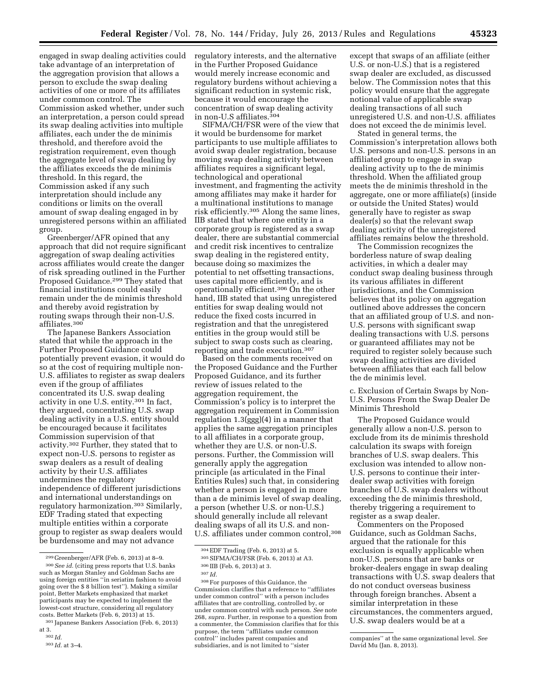engaged in swap dealing activities could take advantage of an interpretation of the aggregation provision that allows a person to exclude the swap dealing activities of one or more of its affiliates under common control. The Commission asked whether, under such an interpretation, a person could spread its swap dealing activities into multiple affiliates, each under the de minimis threshold, and therefore avoid the registration requirement, even though the aggregate level of swap dealing by the affiliates exceeds the de minimis threshold. In this regard, the Commission asked if any such interpretation should include any conditions or limits on the overall amount of swap dealing engaged in by unregistered persons within an affiliated group.

Greenberger/AFR opined that any approach that did not require significant aggregation of swap dealing activities across affiliates would create the danger of risk spreading outlined in the Further Proposed Guidance.<sup>299</sup> They stated that financial institutions could easily remain under the de minimis threshold and thereby avoid registration by routing swaps through their non-U.S. affiliates.300

The Japanese Bankers Association stated that while the approach in the Further Proposed Guidance could potentially prevent evasion, it would do so at the cost of requiring multiple non-U.S. affiliates to register as swap dealers even if the group of affiliates concentrated its U.S. swap dealing activity in one U.S. entity.301 In fact, they argued, concentrating U.S. swap dealing activity in a U.S. entity should be encouraged because it facilitates Commission supervision of that activity.302 Further, they stated that to expect non-U.S. persons to register as swap dealers as a result of dealing activity by their U.S. affiliates undermines the regulatory independence of different jurisdictions and international understandings on regulatory harmonization.303 Similarly, EDF Trading stated that expecting multiple entities within a corporate group to register as swap dealers would be burdensome and may not advance

regulatory interests, and the alternative in the Further Proposed Guidance would merely increase economic and regulatory burdens without achieving a significant reduction in systemic risk, because it would encourage the concentration of swap dealing activity in non-U.S affiliates.304

SIFMA/CH/FSR were of the view that it would be burdensome for market participants to use multiple affiliates to avoid swap dealer registration, because moving swap dealing activity between affiliates requires a significant legal, technological and operational investment, and fragmenting the activity among affiliates may make it harder for a multinational institutions to manage risk efficiently.305 Along the same lines, IIB stated that where one entity in a corporate group is registered as a swap dealer, there are substantial commercial and credit risk incentives to centralize swap dealing in the registered entity, because doing so maximizes the potential to net offsetting transactions, uses capital more efficiently, and is operationally efficient.306 On the other hand, IIB stated that using unregistered entities for swap dealing would not reduce the fixed costs incurred in registration and that the unregistered entities in the group would still be subject to swap costs such as clearing, reporting and trade execution.307

Based on the comments received on the Proposed Guidance and the Further Proposed Guidance, and its further review of issues related to the aggregation requirement, the Commission's policy is to interpret the aggregation requirement in Commission regulation 1.3(ggg)(4) in a manner that applies the same aggregation principles to all affiliates in a corporate group, whether they are U.S. or non-U.S. persons. Further, the Commission will generally apply the aggregation principle (as articulated in the Final Entities Rules) such that, in considering whether a person is engaged in more than a de minimis level of swap dealing, a person (whether U.S. or non-U.S.) should generally include all relevant dealing swaps of all its U.S. and non-U.S. affiliates under common control,308

except that swaps of an affiliate (either U.S. or non-U.S.) that is a registered swap dealer are excluded, as discussed below. The Commission notes that this policy would ensure that the aggregate notional value of applicable swap dealing transactions of all such unregistered U.S. and non-U.S. affiliates does not exceed the de minimis level.

Stated in general terms, the Commission's interpretation allows both U.S. persons and non-U.S. persons in an affiliated group to engage in swap dealing activity up to the de minimis threshold. When the affiliated group meets the de minimis threshold in the aggregate, one or more affiliate(s) (inside or outside the United States) would generally have to register as swap dealer(s) so that the relevant swap dealing activity of the unregistered affiliates remains below the threshold.

The Commission recognizes the borderless nature of swap dealing activities, in which a dealer may conduct swap dealing business through its various affiliates in different jurisdictions, and the Commission believes that its policy on aggregation outlined above addresses the concern that an affiliated group of U.S. and non-U.S. persons with significant swap dealing transactions with U.S. persons or guaranteed affiliates may not be required to register solely because such swap dealing activities are divided between affiliates that each fall below the de minimis level.

c. Exclusion of Certain Swaps by Non-U.S. Persons From the Swap Dealer De Minimis Threshold

The Proposed Guidance would generally allow a non-U.S. person to exclude from its de minimis threshold calculation its swaps with foreign branches of U.S. swap dealers. This exclusion was intended to allow non-U.S. persons to continue their interdealer swap activities with foreign branches of U.S. swap dealers without exceeding the de minimis threshold, thereby triggering a requirement to register as a swap dealer.

Commenters on the Proposed Guidance, such as Goldman Sachs, argued that the rationale for this exclusion is equally applicable when non-U.S. persons that are banks or broker-dealers engage in swap dealing transactions with U.S. swap dealers that do not conduct overseas business through foreign branches. Absent a similar interpretation in these circumstances, the commenters argued, U.S. swap dealers would be at a

<sup>299</sup> Greenberger/AFR (Feb. 6, 2013) at 8–9. 300*See id.* (citing press reports that U.S. banks such as Morgan Stanley and Goldman Sachs are using foreign entities ''in seriatim fashion to avoid going over the \$ 8 billion test''). Making a similar point, Better Markets emphasized that market participants may be expected to implement the lowest-cost structure, considering all regulatory costs. Better Markets (Feb. 6, 2013) at 15.

<sup>301</sup> Japanese Bankers Association (Feb. 6, 2013) at 3.

<sup>302</sup> *Id.* 

<sup>303</sup> *Id.* at 3–4.

<sup>304</sup>EDF Trading (Feb. 6, 2013) at 5.

<sup>305</sup>SIFMA/CH/FSR (Feb. 6, 2013) at A3.

<sup>306</sup> IIB (Feb. 6, 2013) at 3.

<sup>307</sup> *Id.* 

<sup>308</sup>For purposes of this Guidance, the Commission clarifies that a reference to ''affiliates under common control'' with a person includes affiliates that are controlling, controlled by, or under common control with such person. *See* note 268, *supra.* Further, in response to a question from a commenter, the Commission clarifies that for this purpose, the term ''affiliates under common control'' includes parent companies and subsidiaries, and is not limited to ''sister

companies'' at the same organizational level. *See*  David Mu (Jan. 8, 2013).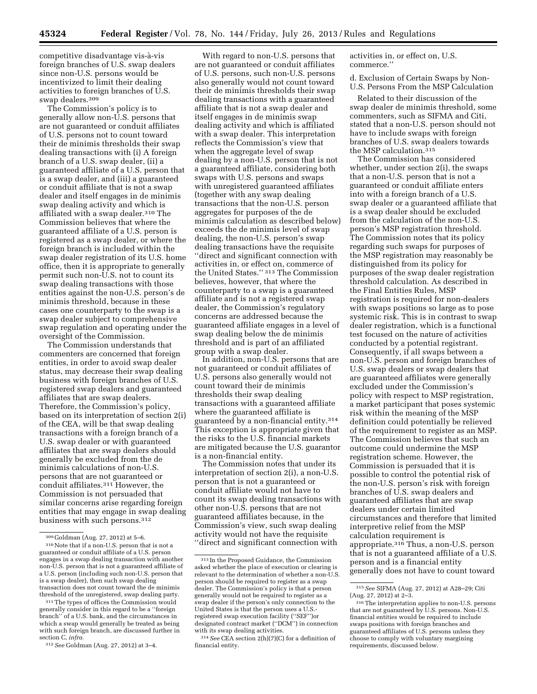competitive disadvantage vis-à-vis foreign branches of U.S. swap dealers since non-U.S. persons would be incentivized to limit their dealing activities to foreign branches of U.S. swap dealers.309

The Commission's policy is to generally allow non-U.S. persons that are not guaranteed or conduit affiliates of U.S. persons not to count toward their de minimis thresholds their swap dealing transactions with (i) A foreign branch of a U.S. swap dealer, (ii) a guaranteed affiliate of a U.S. person that is a swap dealer, and (iii) a guaranteed or conduit affiliate that is not a swap dealer and itself engages in de minimis swap dealing activity and which is affiliated with a swap dealer.310 The Commission believes that where the guaranteed affiliate of a U.S. person is registered as a swap dealer, or where the foreign branch is included within the swap dealer registration of its U.S. home office, then it is appropriate to generally permit such non-U.S. not to count its swap dealing transactions with those entities against the non-U.S. person's de minimis threshold, because in these cases one counterparty to the swap is a swap dealer subject to comprehensive swap regulation and operating under the oversight of the Commission.

The Commission understands that commenters are concerned that foreign entities, in order to avoid swap dealer status, may decrease their swap dealing business with foreign branches of U.S. registered swap dealers and guaranteed affiliates that are swap dealers. Therefore, the Commission's policy, based on its interpretation of section 2(i) of the CEA, will be that swap dealing transactions with a foreign branch of a U.S. swap dealer or with guaranteed affiliates that are swap dealers should generally be excluded from the de minimis calculations of non-U.S. persons that are not guaranteed or conduit affiliates.311 However, the Commission is not persuaded that similar concerns arise regarding foreign entities that may engage in swap dealing business with such persons.312

With regard to non-U.S. persons that are not guaranteed or conduit affiliates of U.S. persons, such non-U.S. persons also generally would not count toward their de minimis thresholds their swap dealing transactions with a guaranteed affiliate that is not a swap dealer and itself engages in de minimis swap dealing activity and which is affiliated with a swap dealer. This interpretation reflects the Commission's view that when the aggregate level of swap dealing by a non-U.S. person that is not a guaranteed affiliate, considering both swaps with U.S. persons and swaps with unregistered guaranteed affiliates (together with any swap dealing transactions that the non-U.S. person aggregates for purposes of the de minimis calculation as described below) exceeds the de minimis level of swap dealing, the non-U.S. person's swap dealing transactions have the requisite ''direct and significant connection with activities in, or effect on, commerce of the United States.'' 313 The Commission believes, however, that where the counterparty to a swap is a guaranteed affiliate and is not a registered swap dealer, the Commission's regulatory concerns are addressed because the guaranteed affiliate engages in a level of swap dealing below the de minimis threshold and is part of an affiliated group with a swap dealer.

In addition, non-U.S. persons that are not guaranteed or conduit affiliates of U.S. persons also generally would not count toward their de minimis thresholds their swap dealing transactions with a guaranteed affiliate where the guaranteed affiliate is guaranteed by a non-financial entity.314 This exception is appropriate given that the risks to the U.S. financial markets are mitigated because the U.S. guarantor is a non-financial entity.

The Commission notes that under its interpretation of section 2(i), a non-U.S. person that is not a guaranteed or conduit affiliate would not have to count its swap dealing transactions with other non-U.S. persons that are not guaranteed affiliates because, in the Commission's view, such swap dealing activity would not have the requisite ''direct and significant connection with

activities in, or effect on, U.S. commerce.''

d. Exclusion of Certain Swaps by Non-U.S. Persons From the MSP Calculation

Related to their discussion of the swap dealer de minimis threshold, some commenters, such as SIFMA and Citi, stated that a non-U.S. person should not have to include swaps with foreign branches of U.S. swap dealers towards the MSP calculation.315

The Commission has considered whether, under section 2(i), the swaps that a non-U.S. person that is not a guaranteed or conduit affiliate enters into with a foreign branch of a U.S. swap dealer or a guaranteed affiliate that is a swap dealer should be excluded from the calculation of the non-U.S. person's MSP registration threshold. The Commission notes that its policy regarding such swaps for purposes of the MSP registration may reasonably be distinguished from its policy for purposes of the swap dealer registration threshold calculation. As described in the Final Entities Rules, MSP registration is required for non-dealers with swaps positions so large as to pose systemic risk. This is in contrast to swap dealer registration, which is a functional test focused on the nature of activities conducted by a potential registrant. Consequently, if all swaps between a non-U.S. person and foreign branches of U.S. swap dealers or swap dealers that are guaranteed affiliates were generally excluded under the Commission's policy with respect to MSP registration, a market participant that poses systemic risk within the meaning of the MSP definition could potentially be relieved of the requirement to register as an MSP. The Commission believes that such an outcome could undermine the MSP registration scheme. However, the Commission is persuaded that it is possible to control the potential risk of the non-U.S. person's risk with foreign branches of U.S. swap dealers and guaranteed affiliates that are swap dealers under certain limited circumstances and therefore that limited interpretive relief from the MSP calculation requirement is appropriate.316 Thus, a non-U.S. person that is not a guaranteed affiliate of a U.S. person and is a financial entity generally does not have to count toward

<sup>309</sup> Goldman (Aug. 27, 2012) at 5–6.

<sup>310</sup>Note that if a non-U.S. person that is not a guaranteed or conduit affiliate of a U.S. person engages in a swap dealing transaction with another non-U.S. person that is not a guaranteed affiliate of a U.S. person (including such non-U.S. person that is a swap dealer), then such swap dealing transaction does not count toward the de minimis threshold of the unregistered, swap dealing party.

<sup>311</sup>The types of offices the Commission would generally consider in this regard to be a ''foreign branch'' of a U.S. bank, and the circumstances in which a swap would generally be treated as being with such foreign branch, are discussed further in section C, *infra.* 

<sup>312</sup>*See* Goldman (Aug. 27, 2012) at 3–4.

<sup>313</sup> In the Proposed Guidance, the Commission asked whether the place of execution or clearing is relevant to the determination of whether a non-U.S. person should be required to register as a swap dealer. The Commission's policy is that a person generally would not be required to register as a swap dealer if the person's only connection to the United States is that the person uses a U.S. registered swap execution facility (''SEF'')or designated contract market (''DCM'') in connection with its swap dealing activities.

<sup>314</sup>*See* CEA section 2(h)(7)(C) for a definition of financial entity.

<sup>315</sup>*See* SIFMA (Aug. 27, 2012) at A28–29; Citi (Aug. 27, 2012) at 2–3.

<sup>316</sup>The interpretation applies to non-U.S. persons that are not guaranteed by U.S. persons. Non-U.S. financial entities would be required to include swaps positions with foreign branches and guaranteed affiliates of U.S. persons unless they choose to comply with voluntary margining requirements, discussed below.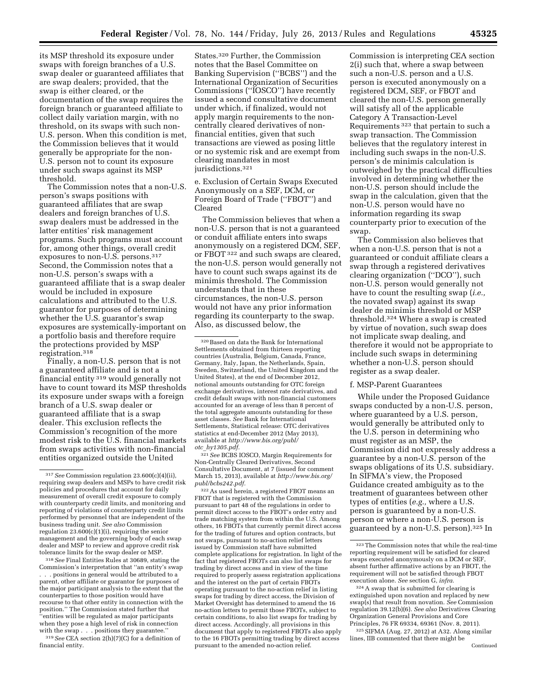its MSP threshold its exposure under swaps with foreign branches of a U.S. swap dealer or guaranteed affiliates that are swap dealers; provided, that the swap is either cleared, or the documentation of the swap requires the foreign branch or guaranteed affiliate to collect daily variation margin, with no threshold, on its swaps with such non-U.S. person. When this condition is met, the Commission believes that it would generally be appropriate for the non-U.S. person not to count its exposure under such swaps against its MSP threshold.

The Commission notes that a non-U.S. person's swaps positions with guaranteed affiliates that are swap dealers and foreign branches of U.S. swap dealers must be addressed in the latter entities' risk management programs. Such programs must account for, among other things, overall credit exposures to non-U.S. persons.317 Second, the Commission notes that a non-U.S. person's swaps with a guaranteed affiliate that is a swap dealer would be included in exposure calculations and attributed to the U.S. guarantor for purposes of determining whether the U.S. guarantor's swap exposures are systemically-important on a portfolio basis and therefore require the protections provided by MSP registration.318

Finally, a non-U.S. person that is not a guaranteed affiliate and is not a financial entity 319 would generally not have to count toward its MSP thresholds its exposure under swaps with a foreign branch of a U.S. swap dealer or guaranteed affiliate that is a swap dealer. This exclusion reflects the Commission's recognition of the more modest risk to the U.S. financial markets from swaps activities with non-financial entities organized outside the United

318*See* Final Entities Rules at 30689, stating the Commission's interpretation that ''an entity's swap . . . positions in general would be attributed to a parent, other affiliate or guarantor for purposes of the major participant analysis to the extent that the counterparties to those position would have recourse to that other entity in connection with the position.'' The Commission stated further that 'entities will be regulated as major participants when they pose a high level of risk in connection with the swap . . . positions they guarantee.'' 319*See* CEA section 2(h)(7)(C) for a definition of

financial entity.

States.320 Further, the Commission notes that the Basel Committee on Banking Supervision (''BCBS'') and the International Organization of Securities Commissions (''IOSCO'') have recently issued a second consultative document under which, if finalized, would not apply margin requirements to the noncentrally cleared derivatives of nonfinancial entities, given that such transactions are viewed as posing little or no systemic risk and are exempt from clearing mandates in most jurisdictions.321

e. Exclusion of Certain Swaps Executed Anonymously on a SEF, DCM, or Foreign Board of Trade (''FBOT'') and Cleared

The Commission believes that when a non-U.S. person that is not a guaranteed or conduit affiliate enters into swaps anonymously on a registered DCM, SEF, or FBOT 322 and such swaps are cleared, the non-U.S. person would generally not have to count such swaps against its de minimis threshold. The Commission understands that in these circumstances, the non-U.S. person would not have any prior information regarding its counterparty to the swap. Also, as discussed below, the

321*See* BCBS IOSCO, Margin Requirements for Non-Centrally Cleared Derivatives, Second Consultative Document, at 7 (issued for comment March 15, 2013), available at *[http://www.bis.org/](http://www.bis.org/publ/bcbs242.pdf)  [publ/bcbs242.pdf.](http://www.bis.org/publ/bcbs242.pdf)* 

322As used herein, a registered FBOT means an FBOT that is registered with the Commission pursuant to part 48 of the regulations in order to permit direct access to the FBOT's order entry and trade matching system from within the U.S. Among others, 16 FBOTs that currently permit direct access for the trading of futures and option contracts, but not swaps, pursuant to no-action relief letters issued by Commission staff have submitted complete applications for registration. In light of the fact that registered FBOTs can also list swaps for trading by direct access and in view of the time required to properly assess registration applications and the interest on the part of certain FBOTs operating pursuant to the no-action relief in listing swaps for trading by direct access, the Division of Market Oversight has determined to amend the 16 no-action letters to permit those FBOTs, subject to certain conditions, to also list swaps for trading by direct access. Accordingly, all provisions in this document that apply to registered FBOTs also apply to the 16 FBOTs permitting trading by direct access pursuant to the amended no-action relief.

Commission is interpreting CEA section 2(i) such that, where a swap between such a non-U.S. person and a U.S. person is executed anonymously on a registered DCM, SEF, or FBOT and cleared the non-U.S. person generally will satisfy all of the applicable Category A Transaction-Level Requirements 323 that pertain to such a swap transaction. The Commission believes that the regulatory interest in including such swaps in the non-U.S. person's de minimis calculation is outweighed by the practical difficulties involved in determining whether the non-U.S. person should include the swap in the calculation, given that the non-U.S. person would have no information regarding its swap counterparty prior to execution of the swap.

The Commission also believes that when a non-U.S. person that is not a guaranteed or conduit affiliate clears a swap through a registered derivatives clearing organization (''DCO''), such non-U.S. person would generally not have to count the resulting swap (*i.e.,*  the novated swap) against its swap dealer de minimis threshold or MSP threshold.324 Where a swap is created by virtue of novation, such swap does not implicate swap dealing, and therefore it would not be appropriate to include such swaps in determining whether a non-U.S. person should register as a swap dealer.

#### f. MSP-Parent Guarantees

While under the Proposed Guidance swaps conducted by a non-U.S. person, where guaranteed by a U.S. person, would generally be attributed only to the U.S. person in determining who must register as an MSP, the Commission did not expressly address a guarantee by a non-U.S. person of the swaps obligations of its U.S. subsidiary. In SIFMA's view, the Proposed Guidance created ambiguity as to the treatment of guarantees between other types of entities (*e.g.,* where a U.S. person is guaranteed by a non-U.S. person or where a non-U.S. person is guaranteed by a non-U.S. person).325 In

324A swap that is submitted for clearing is extinguished upon novation and replaced by new swap(s) that result from novation. *See* Commission regulation 39.12(b)(6). *See also* Derivatives Clearing Organization General Provisions and Core Principles, 76 FR 69334, 69361 (Nov. 8, 2011).

325SIFMA (Aug. 27, 2012) at A32. Along similar lines, IIB commented that there might be Continued

<sup>317</sup>*See* Commission regulation 23.600(c)(4)(ii), requiring swap dealers and MSPs to have credit risk policies and procedures that account for daily measurement of overall credit exposure to comply with counterparty credit limits, and monitoring and reporting of violations of counterparty credit limits performed by personnel that are independent of the business trading unit. *See also* Commission regulation 23.600(c)(1)(i), requiring the senior management and the governing body of each swap dealer and MSP to review and approve credit risk tolerance limits for the swap dealer or MSP.

<sup>320</sup>Based on data the Bank for International Settlements obtained from thirteen reporting countries (Australia, Belgium, Canada, France, Germany, Italy, Japan, the Netherlands, Spain, Sweden, Switzerland, the United Kingdom and the United States), at the end of December 2012, notional amounts outstanding for OTC foreign exchange derivatives, interest rate derivatives, and credit default swaps with non-financial customers accounted for an average of less than 8 percent of the total aggregate amounts outstanding for these asset classes. *See* Bank for International Settlements, Statistical release: OTC derivatives statistics at end-December 2012 (May 2013), available at *[http://www.bis.org/publ/](http://www.bis.org/publ/otc_hy1305.pdf) otc*\_*[hy1305.pdf.](http://www.bis.org/publ/otc_hy1305.pdf)* 

<sup>323</sup>The Commission notes that while the real-time reporting requirement will be satisfied for cleared swaps executed anonymously on a DCM or SEF, absent further affirmative actions by an FBOT, the requirement will not be satisfied through FBOT execution alone. *See* section G, *infra.*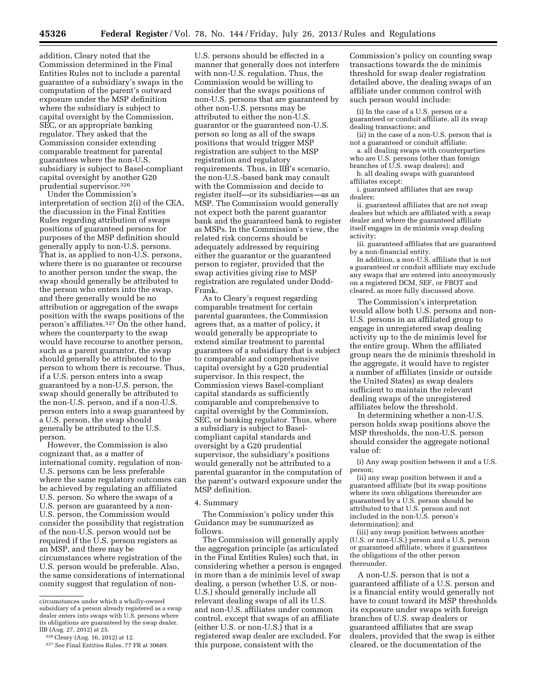addition, Cleary noted that the Commission determined in the Final Entities Rules not to include a parental guarantee of a subsidiary's swaps in the computation of the parent's outward exposure under the MSP definition where the subsidiary is subject to capital oversight by the Commission, SEC, or an appropriate banking regulator. They asked that the Commission consider extending comparable treatment for parental guarantees where the non-U.S. subsidiary is subject to Basel-compliant capital oversight by another G20 prudential supervisor.326

Under the Commission's interpretation of section 2(i) of the CEA, the discussion in the Final Entities Rules regarding attribution of swaps positions of guaranteed persons for purposes of the MSP definition should generally apply to non-U.S. persons. That is, as applied to non-U.S. persons, where there is no guarantee or recourse to another person under the swap, the swap should generally be attributed to the person who enters into the swap, and there generally would be no attribution or aggregation of the swaps position with the swaps positions of the person's affiliates.<sup>327</sup> On the other hand, where the counterparty to the swap would have recourse to another person, such as a parent guarantor, the swap should generally be attributed to the person to whom there is recourse. Thus, if a U.S. person enters into a swap guaranteed by a non-U.S. person, the swap should generally be attributed to the non-U.S. person, and if a non-U.S. person enters into a swap guaranteed by a U.S. person, the swap should generally be attributed to the U.S. person.

However, the Commission is also cognizant that, as a matter of international comity, regulation of non-U.S. persons can be less preferable where the same regulatory outcomes can be achieved by regulating an affiliated U.S. person. So where the swaps of a U.S. person are guaranteed by a non-U.S. person, the Commission would consider the possibility that registration of the non-U.S. person would not be required if the U.S. person registers as an MSP, and there may be circumstances where registration of the U.S. person would be preferable. Also, the same considerations of international comity suggest that regulation of non-

U.S. persons should be effected in a manner that generally does not interfere with non-U.S. regulation. Thus, the Commission would be willing to consider that the swaps positions of non-U.S. persons that are guaranteed by other non-U.S. persons may be attributed to either the non-U.S. guarantor or the guaranteed non-U.S. person so long as all of the swaps positions that would trigger MSP registration are subject to the MSP registration and regulatory requirements. Thus, in IIB's scenario, the non-U.S.-based bank may consult with the Commission and decide to register itself—or its subsidiaries—as an MSP. The Commission would generally not expect both the parent guarantor bank and the guaranteed bank to register as MSPs. In the Commission's view, the related risk concerns should be adequately addressed by requiring either the guarantor or the guaranteed person to register, provided that the swap activities giving rise to MSP registration are regulated under Dodd-Frank.

As to Cleary's request regarding comparable treatment for certain parental guarantees, the Commission agrees that, as a matter of policy, it would generally be appropriate to extend similar treatment to parental guarantees of a subsidiary that is subject to comparable and comprehensive capital oversight by a G20 prudential supervisor. In this respect, the Commission views Basel-compliant capital standards as sufficiently comparable and comprehensive to capital oversight by the Commission, SEC, or banking regulator. Thus, where a subsidiary is subject to Baselcompliant capital standards and oversight by a G20 prudential supervisor, the subsidiary's positions would generally not be attributed to a parental guarantor in the computation of the parent's outward exposure under the MSP definition.

#### 4. Summary

The Commission's policy under this Guidance may be summarized as follows.

The Commission will generally apply the aggregation principle (as articulated in the Final Entities Rules) such that, in considering whether a person is engaged in more than a de minimis level of swap dealing, a person (whether U.S. or non-U.S.) should generally include all relevant dealing swaps of all its U.S. and non-U.S. affiliates under common control, except that swaps of an affiliate (either U.S. or non-U.S.) that is a registered swap dealer are excluded. For this purpose, consistent with the

Commission's policy on counting swap transactions towards the de minimis threshold for swap dealer registration detailed above, the dealing swaps of an affiliate under common control with such person would include:

(i) In the case of a U.S. person or a guaranteed or conduit affiliate, all its swap dealing transactions; and

- (ii) in the case of a non-U.S. person that is not a guaranteed or conduit affiliate:
- a. all dealing swaps with counterparties who are U.S. persons (other than foreign branches of U.S. swap dealers); and
- b. all dealing swaps with guaranteed affiliates except:

i. guaranteed affiliates that are swap dealers;

ii. guaranteed affiliates that are not swap dealers but which are affiliated with a swap dealer and where the guaranteed affiliate itself engages in de minimis swap dealing activity;

iii. guaranteed affiliates that are guaranteed by a non-financial entity.

In addition, a non-U.S. affiliate that is not a guaranteed or conduit affiliate may exclude any swaps that are entered into anonymously on a registered DCM, SEF, or FBOT and cleared, as more fully discussed above.

The Commission's interpretation would allow both U.S. persons and non-U.S. persons in an affiliated group to engage in unregistered swap dealing activity up to the de minimis level for the entire group. When the affiliated group nears the de minimis threshold in the aggregate, it would have to register a number of affiliates (inside or outside the United States) as swap dealers sufficient to maintain the relevant dealing swaps of the unregistered affiliates below the threshold.

In determining whether a non-U.S. person holds swap positions above the MSP thresholds, the non-U.S. person should consider the aggregate notional value of:

(i) Any swap position between it and a U.S. person;

(ii) any swap position between it and a guaranteed affiliate (but its swap positions where its own obligations thereunder are guaranteed by a U.S. person should be attributed to that U.S. person and not included in the non-U.S. person's determination); and

(iii) any swap position between another (U.S. or non-U.S.) person and a U.S. person or guaranteed affiliate, where it guarantees the obligations of the other person thereunder.

A non-U.S. person that is not a guaranteed affiliate of a U.S. person and is a financial entity would generally not have to count toward its MSP thresholds its exposure under swaps with foreign branches of U.S. swap dealers or guaranteed affiliates that are swap dealers, provided that the swap is either cleared, or the documentation of the

circumstances under which a wholly-owned subsidiary of a person already registered as a swap dealer enters into swaps with U.S. persons where its obligations are guaranteed by the swap dealer. IIB (Aug. 27, 2012) at 25.

<sup>326</sup>Cleary (Aug. 16, 2012) at 12.

<sup>327</sup>*See* Final Entities Rules, 77 FR at 30689.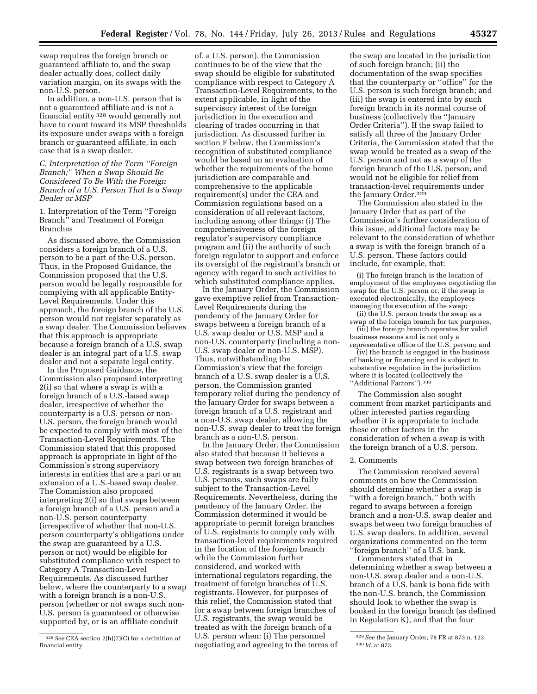swap requires the foreign branch or guaranteed affiliate to, and the swap dealer actually does, collect daily variation margin, on its swaps with the non-U.S. person.

In addition, a non-U.S. person that is not a guaranteed affiliate and is not a financial entity 328 would generally not have to count toward its MSP thresholds its exposure under swaps with a foreign branch or guaranteed affiliate, in each case that is a swap dealer.

### *C. Interpretation of the Term ''Foreign Branch;'' When a Swap Should Be Considered To Be With the Foreign Branch of a U.S. Person That Is a Swap Dealer or MSP*

1. Interpretation of the Term ''Foreign Branch<sup>7</sup> and Treatment of Foreign Branches

As discussed above, the Commission considers a foreign branch of a U.S. person to be a part of the U.S. person. Thus, in the Proposed Guidance, the Commission proposed that the U.S. person would be legally responsible for complying with all applicable Entity-Level Requirements. Under this approach, the foreign branch of the U.S. person would not register separately as a swap dealer. The Commission believes that this approach is appropriate because a foreign branch of a U.S. swap dealer is an integral part of a U.S. swap dealer and not a separate legal entity.

In the Proposed Guidance, the Commission also proposed interpreting 2(i) so that where a swap is with a foreign branch of a U.S.-based swap dealer, irrespective of whether the counterparty is a U.S. person or non-U.S. person, the foreign branch would be expected to comply with most of the Transaction-Level Requirements. The Commission stated that this proposed approach is appropriate in light of the Commission's strong supervisory interests in entities that are a part or an extension of a U.S.-based swap dealer. The Commission also proposed interpreting 2(i) so that swaps between a foreign branch of a U.S. person and a non-U.S. person counterparty (irrespective of whether that non-U.S. person counterparty's obligations under the swap are guaranteed by a U.S. person or not) would be eligible for substituted compliance with respect to Category A Transaction-Level Requirements. As discussed further below, where the counterparty to a swap with a foreign branch is a non-U.S. person (whether or not swaps such non-U.S. person is guaranteed or otherwise supported by, or is an affiliate conduit

of, a U.S. person), the Commission continues to be of the view that the swap should be eligible for substituted compliance with respect to Category A Transaction-Level Requirements, to the extent applicable, in light of the supervisory interest of the foreign jurisdiction in the execution and clearing of trades occurring in that jurisdiction. As discussed further in section F below, the Commission's recognition of substituted compliance would be based on an evaluation of whether the requirements of the home jurisdiction are comparable and comprehensive to the applicable requirement(s) under the CEA and Commission regulations based on a consideration of all relevant factors, including among other things: (i) The comprehensiveness of the foreign regulator's supervisory compliance program and (ii) the authority of such foreign regulator to support and enforce its oversight of the registrant's branch or agency with regard to such activities to which substituted compliance applies.

In the January Order, the Commission gave exemptive relief from Transaction-Level Requirements during the pendency of the January Order for swaps between a foreign branch of a U.S. swap dealer or U.S. MSP and a non-U.S. counterparty (including a non-U.S. swap dealer or non-U.S. MSP). Thus, notwithstanding the Commission's view that the foreign branch of a U.S. swap dealer is a U.S. person, the Commission granted temporary relief during the pendency of the January Order for swaps between a foreign branch of a U.S. registrant and a non-U.S. swap dealer, allowing the non-U.S. swap dealer to treat the foreign branch as a non-U.S. person.

In the January Order, the Commission also stated that because it believes a swap between two foreign branches of U.S. registrants is a swap between two U.S. persons, such swaps are fully subject to the Transaction-Level Requirements. Nevertheless, during the pendency of the January Order, the Commission determined it would be appropriate to permit foreign branches of U.S. registrants to comply only with transaction-level requirements required in the location of the foreign branch while the Commission further considered, and worked with international regulators regarding, the treatment of foreign branches of U.S. registrants. However, for purposes of this relief, the Commission stated that for a swap between foreign branches of U.S. registrants, the swap would be treated as with the foreign branch of a U.S. person when: (i) The personnel negotiating and agreeing to the terms of

the swap are located in the jurisdiction of such foreign branch; (ii) the documentation of the swap specifies that the counterparty or ''office'' for the U.S. person is such foreign branch; and (iii) the swap is entered into by such foreign branch in its normal course of business (collectively the ''January Order Criteria''). If the swap failed to satisfy all three of the January Order Criteria, the Commission stated that the swap would be treated as a swap of the U.S. person and not as a swap of the foreign branch of the U.S. person, and would not be eligible for relief from transaction-level requirements under the January Order.<sup>329</sup>

The Commission also stated in the January Order that as part of the Commission's further consideration of this issue, additional factors may be relevant to the consideration of whether a swap is with the foreign branch of a U.S. person. These factors could include, for example, that:

(i) The foreign branch is the location of employment of the employees negotiating the swap for the U.S. person or, if the swap is executed electronically, the employees managing the execution of the swap;

(ii) the U.S. person treats the swap as a swap of the foreign branch for tax purposes, (iii) the foreign branch operates for valid business reasons and is not only a

representative office of the U.S. person; and (iv) the branch is engaged in the business of banking or financing and is subject to

substantive regulation in the jurisdiction where it is located (collectively the ''Additional Factors'').330

The Commission also sought comment from market participants and other interested parties regarding whether it is appropriate to include these or other factors in the consideration of when a swap is with the foreign branch of a U.S. person.

#### 2. Comments

The Commission received several comments on how the Commission should determine whether a swap is ''with a foreign branch,'' both with regard to swaps between a foreign branch and a non-U.S. swap dealer and swaps between two foreign branches of U.S. swap dealers. In addition, several organizations commented on the term ''foreign branch'' of a U.S. bank.

Commenters stated that in determining whether a swap between a non-U.S. swap dealer and a non-U.S. branch of a U.S. bank is bona fide with the non-U.S. branch, the Commission should look to whether the swap is booked in the foreign branch (as defined in Regulation K), and that the four

<sup>328</sup>*See* CEA section 2(h)(7)(C) for a definition of financial entity.

<sup>329</sup>*See* the January Order, 78 FR at 873 n. 123. 330 *Id.* at 873.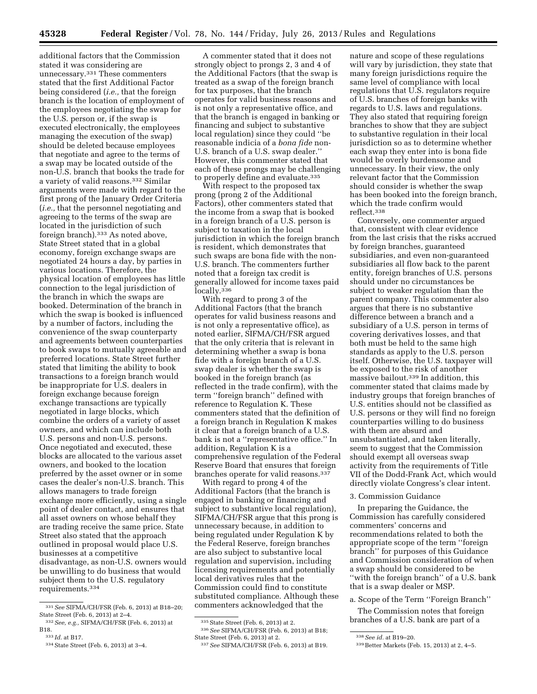additional factors that the Commission stated it was considering are unnecessary.331 These commenters stated that the first Additional Factor being considered (*i.e.,* that the foreign branch is the location of employment of the employees negotiating the swap for the U.S. person or, if the swap is executed electronically, the employees managing the execution of the swap) should be deleted because employees that negotiate and agree to the terms of a swap may be located outside of the non-U.S. branch that books the trade for a variety of valid reasons.332 Similar arguments were made with regard to the first prong of the January Order Criteria (*i.e.,* that the personnel negotiating and agreeing to the terms of the swap are located in the jurisdiction of such foreign branch).333 As noted above, State Street stated that in a global economy, foreign exchange swaps are negotiated 24 hours a day, by parties in various locations. Therefore, the physical location of employees has little connection to the legal jurisdiction of the branch in which the swaps are booked. Determination of the branch in which the swap is booked is influenced by a number of factors, including the convenience of the swap counterparty and agreements between counterparties to book swaps to mutually agreeable and preferred locations. State Street further stated that limiting the ability to book transactions to a foreign branch would be inappropriate for U.S. dealers in foreign exchange because foreign exchange transactions are typically negotiated in large blocks, which combine the orders of a variety of asset owners, and which can include both U.S. persons and non-U.S. persons. Once negotiated and executed, these blocks are allocated to the various asset owners, and booked to the location preferred by the asset owner or in some cases the dealer's non-U.S. branch. This allows managers to trade foreign exchange more efficiently, using a single point of dealer contact, and ensures that all asset owners on whose behalf they are trading receive the same price. State Street also stated that the approach outlined in proposal would place U.S. businesses at a competitive disadvantage, as non-U.S. owners would be unwilling to do business that would subject them to the U.S. regulatory

requirements.334

A commenter stated that it does not strongly object to prongs 2, 3 and 4 of the Additional Factors (that the swap is treated as a swap of the foreign branch for tax purposes, that the branch operates for valid business reasons and is not only a representative office, and that the branch is engaged in banking or financing and subject to substantive local regulation) since they could ''be reasonable indicia of a *bona fide* non-U.S. branch of a U.S. swap dealer.'' However, this commenter stated that each of these prongs may be challenging to properly define and evaluate.335

With respect to the proposed tax prong (prong 2 of the Additional Factors), other commenters stated that the income from a swap that is booked in a foreign branch of a U.S. person is subject to taxation in the local jurisdiction in which the foreign branch is resident, which demonstrates that such swaps are bona fide with the non-U.S. branch. The commenters further noted that a foreign tax credit is generally allowed for income taxes paid locally.336

With regard to prong 3 of the Additional Factors (that the branch operates for valid business reasons and is not only a representative office), as noted earlier, SIFMA/CH/FSR argued that the only criteria that is relevant in determining whether a swap is bona fide with a foreign branch of a U.S. swap dealer is whether the swap is booked in the foreign branch (as reflected in the trade confirm), with the term ''foreign branch'' defined with reference to Regulation K. These commenters stated that the definition of a foreign branch in Regulation K makes it clear that a foreign branch of a U.S. bank is not a ''representative office.'' In addition, Regulation K is a comprehensive regulation of the Federal Reserve Board that ensures that foreign branches operate for valid reasons.337

With regard to prong 4 of the Additional Factors (that the branch is engaged in banking or financing and subject to substantive local regulation), SIFMA/CH/FSR argue that this prong is unnecessary because, in addition to being regulated under Regulation K by the Federal Reserve, foreign branches are also subject to substantive local regulation and supervision, including licensing requirements and potentially local derivatives rules that the Commission could find to constitute substituted compliance. Although these commenters acknowledged that the

nature and scope of these regulations will vary by jurisdiction, they state that many foreign jurisdictions require the same level of compliance with local regulations that U.S. regulators require of U.S. branches of foreign banks with regards to U.S. laws and regulations. They also stated that requiring foreign branches to show that they are subject to substantive regulation in their local jurisdiction so as to determine whether each swap they enter into is bona fide would be overly burdensome and unnecessary. In their view, the only relevant factor that the Commission should consider is whether the swap has been booked into the foreign branch, which the trade confirm would reflect.338

Conversely, one commenter argued that, consistent with clear evidence from the last crisis that the risks accrued by foreign branches, guaranteed subsidiaries, and even non-guaranteed subsidiaries all flow back to the parent entity, foreign branches of U.S. persons should under no circumstances be subject to weaker regulation than the parent company. This commenter also argues that there is no substantive difference between a branch and a subsidiary of a U.S. person in terms of covering derivatives losses, and that both must be held to the same high standards as apply to the U.S. person itself. Otherwise, the U.S. taxpayer will be exposed to the risk of another massive bailout.339 In addition, this commenter stated that claims made by industry groups that foreign branches of U.S. entities should not be classified as U.S. persons or they will find no foreign counterparties willing to do business with them are absurd and unsubstantiated, and taken literally, seem to suggest that the Commission should exempt all overseas swap activity from the requirements of Title VII of the Dodd-Frank Act, which would directly violate Congress's clear intent.

## 3. Commission Guidance

In preparing the Guidance, the Commission has carefully considered commenters' concerns and recommendations related to both the appropriate scope of the term ''foreign branch'' for purposes of this Guidance and Commission consideration of when a swap should be considered to be "with the foreign branch" of a U.S. bank that is a swap dealer or MSP.

a. Scope of the Term ''Foreign Branch''

The Commission notes that foreign branches of a U.S. bank are part of a

<sup>331</sup>*See* SIFMA/CH/FSR (Feb. 6, 2013) at B18–20; State Street (Feb. 6, 2013) at 2–4.

<sup>332</sup>*See, e.g.,* SIFMA/CH/FSR (Feb. 6, 2013) at B18. 333 *Id.* at B17.

<sup>334</sup>State Street (Feb. 6, 2013) at 3–4.

<sup>335</sup>State Street (Feb. 6, 2013) at 2.

<sup>336</sup>*See* SIFMA/CH/FSR (Feb. 6, 2013) at B18; State Street (Feb. 6, 2013) at 2.

<sup>337</sup>*See* SIFMA/CH/FSR (Feb. 6, 2013) at B19.

<sup>338</sup>*See id.* at B19–20.

<sup>339</sup>Better Markets (Feb. 15, 2013) at 2, 4–5.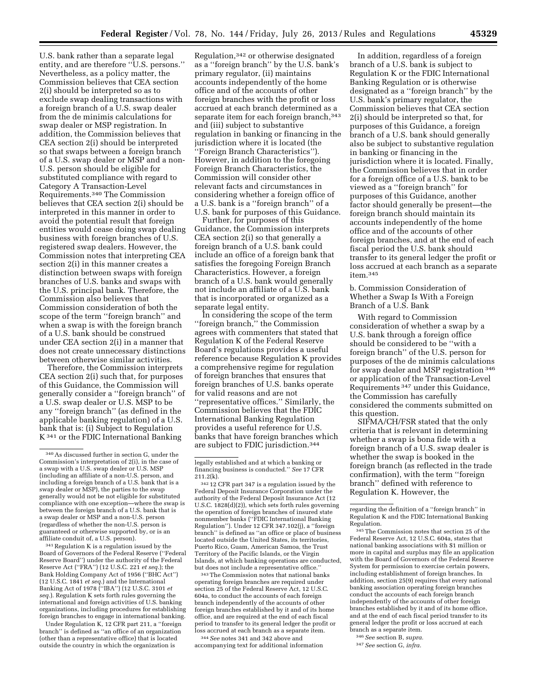U.S. bank rather than a separate legal entity, and are therefore ''U.S. persons.'' Nevertheless, as a policy matter, the Commission believes that CEA section 2(i) should be interpreted so as to exclude swap dealing transactions with a foreign branch of a U.S. swap dealer from the de minimis calculations for swap dealer or MSP registration. In addition, the Commission believes that CEA section 2(i) should be interpreted so that swaps between a foreign branch of a U.S. swap dealer or MSP and a non-U.S. person should be eligible for substituted compliance with regard to Category A Transaction-Level Requirements.340 The Commission believes that CEA section 2(i) should be interpreted in this manner in order to avoid the potential result that foreign entities would cease doing swap dealing business with foreign branches of U.S. registered swap dealers. However, the Commission notes that interpreting CEA section 2(i) in this manner creates a distinction between swaps with foreign branches of U.S. banks and swaps with the U.S. principal bank. Therefore, the Commission also believes that Commission consideration of both the scope of the term ''foreign branch'' and when a swap is with the foreign branch of a U.S. bank should be construed under CEA section 2(i) in a manner that does not create unnecessary distinctions between otherwise similar activities.

Therefore, the Commission interprets CEA section 2(i) such that, for purposes of this Guidance, the Commission will generally consider a ''foreign branch'' of a U.S. swap dealer or U.S. MSP to be any ''foreign branch'' (as defined in the applicable banking regulation) of a U.S. bank that is: (i) Subject to Regulation K 341 or the FDIC International Banking

341Regulation K is a regulation issued by the Board of Governors of the Federal Reserve (''Federal Reserve Board'') under the authority of the Federal Reserve Act (''FRA'') (12 U.S.C. 221 *et seq.*); the Bank Holding Company Act of 1956 (''BHC Act'') (12 U.S.C. 1841 *et seq.*) and the International Banking Act of 1978 (''IBA'') (12 U.S.C. 3101 *et seq.*). Regulation K sets forth rules governing the international and foreign activities of U.S. banking organizations, including procedures for establishing foreign branches to engage in international banking.

Under Regulation K, 12 CFR part 211, a ''foreign branch'' is defined as ''an office of an organization (other than a representative office) that is located outside the country in which the organization is

Regulation,342 or otherwise designated as a ''foreign branch'' by the U.S. bank's primary regulator, (ii) maintains accounts independently of the home office and of the accounts of other foreign branches with the profit or loss accrued at each branch determined as a separate item for each foreign branch,<sup>343</sup> and (iii) subject to substantive regulation in banking or financing in the jurisdiction where it is located (the ''Foreign Branch Characteristics''). However, in addition to the foregoing Foreign Branch Characteristics, the Commission will consider other relevant facts and circumstances in considering whether a foreign office of a U.S. bank is a ''foreign branch'' of a U.S. bank for purposes of this Guidance.

Further, for purposes of this Guidance, the Commission interprets CEA section 2(i) so that generally a foreign branch of a U.S. bank could include an office of a foreign bank that satisfies the foregoing Foreign Branch Characteristics. However, a foreign branch of a U.S. bank would generally not include an affiliate of a U.S. bank that is incorporated or organized as a separate legal entity.

In considering the scope of the term ''foreign branch,'' the Commission agrees with commenters that stated that Regulation K of the Federal Reserve Board's regulations provides a useful reference because Regulation K provides a comprehensive regime for regulation of foreign branches that ensures that foreign branches of U.S. banks operate for valid reasons and are not ''representative offices.'' Similarly, the Commission believes that the FDIC International Banking Regulation provides a useful reference for U.S. banks that have foreign branches which are subject to FDIC jurisdiction.344

legally established and at which a banking or financing business is conducted.'' *See* 17 CFR 211.2(k).

342 12 CFR part 347 is a regulation issued by the Federal Deposit Insurance Corporation under the authority of the Federal Deposit Insurance Act (12 U.S.C. 1828(d)(2)), which sets forth rules governing the operation of foreign branches of insured state nonmember banks (''FDIC International Banking Regulation''). Under 12 CFR 347.102(j), a ''foreign branch'' is defined as ''an office or place of business located outside the United States, its territories, Puerto Rico, Guam, American Samoa, the Trust Territory of the Pacific Islands, or the Virgin Islands, at which banking operations are conducted, but does not include a representative office.''

343The Commission notes that national banks operating foreign branches are required under section 25 of the Federal Reserve Act, 12 U.S.C. 604a, to conduct the accounts of each foreign branch independently of the accounts of other foreign branches established by it and of its home office, and are required at the end of each fiscal period to transfer to its general ledger the profit or loss accrued at each branch as a separate item.

344*See* notes 341 and 342 above and accompanying text for additional information

In addition, regardless of a foreign branch of a U.S. bank is subject to Regulation K or the FDIC International Banking Regulation or is otherwise designated as a ''foreign branch'' by the U.S. bank's primary regulator, the Commission believes that CEA section 2(i) should be interpreted so that, for purposes of this Guidance, a foreign branch of a U.S. bank should generally also be subject to substantive regulation in banking or financing in the jurisdiction where it is located. Finally, the Commission believes that in order for a foreign office of a U.S. bank to be viewed as a ''foreign branch'' for purposes of this Guidance, another factor should generally be present—the foreign branch should maintain its accounts independently of the home office and of the accounts of other foreign branches, and at the end of each fiscal period the U.S. bank should transfer to its general ledger the profit or loss accrued at each branch as a separate item.345

b. Commission Consideration of Whether a Swap Is With a Foreign Branch of a U.S. Bank

With regard to Commission consideration of whether a swap by a U.S. bank through a foreign office should be considered to be ''with a foreign branch'' of the U.S. person for purposes of the de minimis calculations for swap dealer and MSP registration 346 or application of the Transaction-Level Requirements 347 under this Guidance, the Commission has carefully considered the comments submitted on this question.

SIFMA/CH/FSR stated that the only criteria that is relevant in determining whether a swap is bona fide with a foreign branch of a U.S. swap dealer is whether the swap is booked in the foreign branch (as reflected in the trade confirmation), with the term ''foreign branch'' defined with reference to Regulation K. However, the

345The Commission notes that section 25 of the Federal Reserve Act, 12 U.S.C. 604a, states that national banking associations with \$1 million or more in capital and surplus may file an application with the Board of Governors of the Federal Reserve System for permission to exercise certain powers, including establishment of foreign branches. In addition, section 25(9) requires that every national banking association operating foreign branches conduct the accounts of each foreign branch independently of the accounts of other foreign branches established by it and of its home office, and at the end of each fiscal period transfer to its general ledger the profit or loss accrued at each branch as a separate item.

346*See* section B, *supra.* 

<sup>340</sup>As discussed further in section G, under the Commission's interpretation of 2(i), in the case of a swap with a U.S. swap dealer or U.S. MSP (including an affiliate of a non-U.S. person, and including a foreign branch of a U.S. bank that is a swap dealer or MSP), the parties to the swap generally would not be not eligible for substituted compliance with one exception—where the swap is between the foreign branch of a U.S. bank that is a swap dealer or MSP and a non-U.S. person (regardless of whether the non-U.S. person is guaranteed or otherwise supported by, or is an affiliate conduit of, a U.S. person).

regarding the definition of a ''foreign branch'' in Regulation K and the FDIC International Banking Regulation.

<sup>347</sup>*See* section G, *infra.*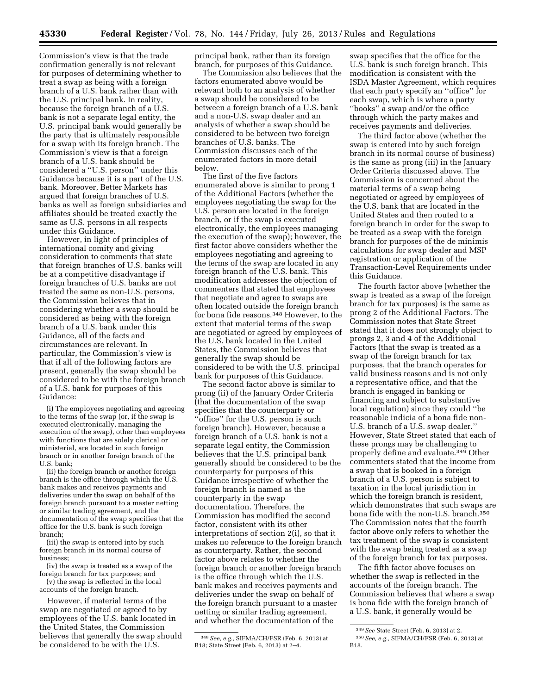Commission's view is that the trade confirmation generally is not relevant for purposes of determining whether to treat a swap as being with a foreign branch of a U.S. bank rather than with the U.S. principal bank. In reality, because the foreign branch of a U.S. bank is not a separate legal entity, the U.S. principal bank would generally be the party that is ultimately responsible for a swap with its foreign branch. The Commission's view is that a foreign branch of a U.S. bank should be considered a ''U.S. person'' under this Guidance because it is a part of the U.S. bank. Moreover, Better Markets has argued that foreign branches of U.S. banks as well as foreign subsidiaries and affiliates should be treated exactly the same as U.S. persons in all respects under this Guidance.

However, in light of principles of international comity and giving consideration to comments that state that foreign branches of U.S. banks will be at a competitive disadvantage if foreign branches of U.S. banks are not treated the same as non-U.S. persons, the Commission believes that in considering whether a swap should be considered as being with the foreign branch of a U.S. bank under this Guidance, all of the facts and circumstances are relevant. In particular, the Commission's view is that if all of the following factors are present, generally the swap should be considered to be with the foreign branch of a U.S. bank for purposes of this Guidance:

(i) The employees negotiating and agreeing to the terms of the swap (or, if the swap is executed electronically, managing the execution of the swap), other than employees with functions that are solely clerical or ministerial, are located in such foreign branch or in another foreign branch of the U.S. bank;

(ii) the foreign branch or another foreign branch is the office through which the U.S. bank makes and receives payments and deliveries under the swap on behalf of the foreign branch pursuant to a master netting or similar trading agreement, and the documentation of the swap specifies that the office for the U.S. bank is such foreign branch;

(iii) the swap is entered into by such foreign branch in its normal course of business;

(iv) the swap is treated as a swap of the foreign branch for tax purposes; and

(v) the swap is reflected in the local accounts of the foreign branch.

However, if material terms of the swap are negotiated or agreed to by employees of the U.S. bank located in the United States, the Commission believes that generally the swap should be considered to be with the U.S.

principal bank, rather than its foreign branch, for purposes of this Guidance.

The Commission also believes that the factors enumerated above would be relevant both to an analysis of whether a swap should be considered to be between a foreign branch of a U.S. bank and a non-U.S. swap dealer and an analysis of whether a swap should be considered to be between two foreign branches of U.S. banks. The Commission discusses each of the enumerated factors in more detail below.

The first of the five factors enumerated above is similar to prong 1 of the Additional Factors (whether the employees negotiating the swap for the U.S. person are located in the foreign branch, or if the swap is executed electronically, the employees managing the execution of the swap); however, the first factor above considers whether the employees negotiating and agreeing to the terms of the swap are located in any foreign branch of the U.S. bank. This modification addresses the objection of commenters that stated that employees that negotiate and agree to swaps are often located outside the foreign branch for bona fide reasons.348 However, to the extent that material terms of the swap are negotiated or agreed by employees of the U.S. bank located in the United States, the Commission believes that generally the swap should be considered to be with the U.S. principal bank for purposes of this Guidance.

The second factor above is similar to prong (ii) of the January Order Criteria (that the documentation of the swap specifies that the counterparty or ''office'' for the U.S. person is such foreign branch). However, because a foreign branch of a U.S. bank is not a separate legal entity, the Commission believes that the U.S. principal bank generally should be considered to be the counterparty for purposes of this Guidance irrespective of whether the foreign branch is named as the counterparty in the swap documentation. Therefore, the Commission has modified the second factor, consistent with its other interpretations of section 2(i), so that it makes no reference to the foreign branch as counterparty. Rather, the second factor above relates to whether the foreign branch or another foreign branch is the office through which the U.S. bank makes and receives payments and deliveries under the swap on behalf of the foreign branch pursuant to a master netting or similar trading agreement, and whether the documentation of the

swap specifies that the office for the U.S. bank is such foreign branch. This modification is consistent with the ISDA Master Agreement, which requires that each party specify an ''office'' for each swap, which is where a party ''books'' a swap and/or the office through which the party makes and receives payments and deliveries.

The third factor above (whether the swap is entered into by such foreign branch in its normal course of business) is the same as prong (iii) in the January Order Criteria discussed above. The Commission is concerned about the material terms of a swap being negotiated or agreed by employees of the U.S. bank that are located in the United States and then routed to a foreign branch in order for the swap to be treated as a swap with the foreign branch for purposes of the de minimis calculations for swap dealer and MSP registration or application of the Transaction-Level Requirements under this Guidance.

The fourth factor above (whether the swap is treated as a swap of the foreign branch for tax purposes) is the same as prong 2 of the Additional Factors. The Commission notes that State Street stated that it does not strongly object to prongs 2, 3 and 4 of the Additional Factors (that the swap is treated as a swap of the foreign branch for tax purposes, that the branch operates for valid business reasons and is not only a representative office, and that the branch is engaged in banking or financing and subject to substantive local regulation) since they could ''be reasonable indicia of a bona fide non-U.S. branch of a U.S. swap dealer.'' However, State Street stated that each of these prongs may be challenging to properly define and evaluate.349 Other commenters stated that the income from a swap that is booked in a foreign branch of a U.S. person is subject to taxation in the local jurisdiction in which the foreign branch is resident, which demonstrates that such swaps are bona fide with the non-U.S. branch.350 The Commission notes that the fourth factor above only refers to whether the tax treatment of the swap is consistent with the swap being treated as a swap of the foreign branch for tax purposes.

The fifth factor above focuses on whether the swap is reflected in the accounts of the foreign branch. The Commission believes that where a swap is bona fide with the foreign branch of a U.S. bank, it generally would be

<sup>348</sup>*See, e.g.,* SIFMA/CH/FSR (Feb. 6, 2013) at B18; State Street (Feb. 6, 2013) at 2–4.

<sup>349</sup>*See* State Street (Feb. 6, 2013) at 2.

<sup>350</sup>*See, e.g.,* SIFMA/CH/FSR (Feb. 6, 2013) at B18.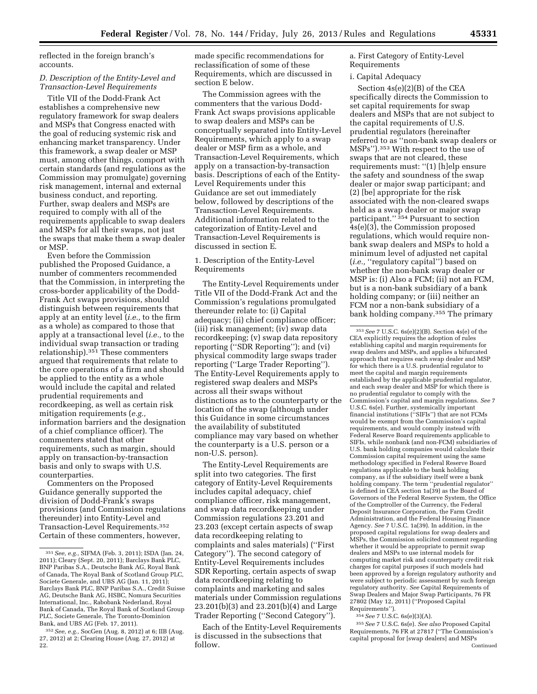reflected in the foreign branch's accounts.

### *D. Description of the Entity-Level and Transaction-Level Requirements*

Title VII of the Dodd-Frank Act establishes a comprehensive new regulatory framework for swap dealers and MSPs that Congress enacted with the goal of reducing systemic risk and enhancing market transparency. Under this framework, a swap dealer or MSP must, among other things, comport with certain standards (and regulations as the Commission may promulgate) governing risk management, internal and external business conduct, and reporting. Further, swap dealers and MSPs are required to comply with all of the requirements applicable to swap dealers and MSPs for all their swaps, not just the swaps that make them a swap dealer or MSP.

Even before the Commission published the Proposed Guidance, a number of commenters recommended that the Commission, in interpreting the cross-border applicability of the Dodd-Frank Act swaps provisions, should distinguish between requirements that apply at an entity level (*i.e.,* to the firm as a whole) as compared to those that apply at a transactional level (*i.e.,* to the individual swap transaction or trading relationship).351 These commenters argued that requirements that relate to the core operations of a firm and should be applied to the entity as a whole would include the capital and related prudential requirements and recordkeeping, as well as certain risk mitigation requirements (*e.g.,*  information barriers and the designation of a chief compliance officer). The commenters stated that other requirements, such as margin, should apply on transaction-by-transaction basis and only to swaps with U.S. counterparties.

Commenters on the Proposed Guidance generally supported the division of Dodd-Frank's swaps provisions (and Commission regulations thereunder) into Entity-Level and Transaction-Level Requirements.352 Certain of these commenters, however,

made specific recommendations for reclassification of some of these Requirements, which are discussed in section E below.

The Commission agrees with the commenters that the various Dodd-Frank Act swaps provisions applicable to swap dealers and MSPs can be conceptually separated into Entity-Level Requirements, which apply to a swap dealer or MSP firm as a whole, and Transaction-Level Requirements, which apply on a transaction-by-transaction basis. Descriptions of each of the Entity-Level Requirements under this Guidance are set out immediately below, followed by descriptions of the Transaction-Level Requirements. Additional information related to the categorization of Entity-Level and Transaction-Level Requirements is discussed in section E.

### 1. Description of the Entity-Level Requirements

The Entity-Level Requirements under Title VII of the Dodd-Frank Act and the Commission's regulations promulgated thereunder relate to: (i) Capital adequacy; (ii) chief compliance officer; (iii) risk management; (iv) swap data recordkeeping; (v) swap data repository reporting ("SDR Reporting"); and (vi) physical commodity large swaps trader reporting (''Large Trader Reporting''). The Entity-Level Requirements apply to registered swap dealers and MSPs across all their swaps without distinctions as to the counterparty or the location of the swap (although under this Guidance in some circumstances the availability of substituted compliance may vary based on whether the counterparty is a U.S. person or a non-U.S. person).

The Entity-Level Requirements are split into two categories. The first category of Entity-Level Requirements includes capital adequacy, chief compliance officer, risk management, and swap data recordkeeping under Commission regulations 23.201 and 23.203 (except certain aspects of swap data recordkeeping relating to complaints and sales materials) (''First Category''). The second category of Entity-Level Requirements includes SDR Reporting, certain aspects of swap data recordkeeping relating to complaints and marketing and sales materials under Commission regulations 23.201(b)(3) and 23.201(b)(4) and Large Trader Reporting (''Second Category'').

Each of the Entity-Level Requirements is discussed in the subsections that follow.

a. First Category of Entity-Level Requirements

#### i. Capital Adequacy

Section 4s(e)(2)(B) of the CEA specifically directs the Commission to set capital requirements for swap dealers and MSPs that are not subject to the capital requirements of U.S. prudential regulators (hereinafter referred to as ''non-bank swap dealers or MSPs'').353 With respect to the use of swaps that are not cleared, these requirements must: ''(1) [h]elp ensure the safety and soundness of the swap dealer or major swap participant; and (2) [be] appropriate for the risk associated with the non-cleared swaps held as a swap dealer or major swap participant."<sup>354</sup> Pursuant to section 4s(e)(3), the Commission proposed regulations, which would require nonbank swap dealers and MSPs to hold a minimum level of adjusted net capital (*i.e.,* "regulatory capital") based on whether the non-bank swap dealer or MSP is: (i) Also a FCM; (ii) not an FCM, but is a non-bank subsidiary of a bank holding company; or (iii) neither an FCM nor a non-bank subsidiary of a bank holding company.355 The primary

354*See* 7 U.S.C. 6s(e)(3)(A).

355*See* 7 U.S.C. 6s(e). *See also* Proposed Capital Requirements, 76 FR at 27817 (''The Commission's capital proposal for [swap dealers] and MSPs Continued

<sup>351</sup>*See, e.g.,* SIFMA (Feb. 3, 2011); ISDA (Jan. 24, 2011); Cleary (Sept. 20, 2011); Barclays Bank PLC, BNP Paribas S.A., Deutsche Bank AG, Royal Bank of Canada, The Royal Bank of Scotland Group PLC, Societe Generale, and UBS AG (Jan. 11, 2011); Barclays Bank PLC, BNP Paribas S.A., Credit Suisse AG, Deutsche Bank AG, HSBC, Nomura Securities International, Inc., Rabobank Nederland, Royal Bank of Canada, The Royal Bank of Scotland Group PLC, Societe Generale, The Toronto-Dominion Bank, and UBS AG (Feb. 17, 2011).

<sup>352</sup>*See, e.g.,* SocGen (Aug. 8, 2012) at 6; IIB (Aug. 27, 2012) at 2; Clearing House (Aug. 27, 2012) at 22.

<sup>353</sup>*See* 7 U.S.C. 6s(e)(2)(B). Section 4s(e) of the CEA explicitly requires the adoption of rules establishing capital and margin requirements for swap dealers and MSPs, and applies a bifurcated approach that requires each swap dealer and MSP for which there is a U.S. prudential regulator to meet the capital and margin requirements established by the applicable prudential regulator, and each swap dealer and MSP for which there is no prudential regulator to comply with the Commission's capital and margin regulations. *See* 7 U.S.C. 6s(e). Further, systemically important financial institutions (''SIFIs'') that are not FCMs would be exempt from the Commission's capital requirements, and would comply instead with Federal Reserve Board requirements applicable to SIFIs, while nonbank (and non-FCM) subsidiaries of U.S. bank holding companies would calculate their Commission capital requirement using the same methodology specified in Federal Reserve Board regulations applicable to the bank holding company, as if the subsidiary itself were a bank holding company. The term ''prudential regulator'' is defined in CEA section 1a(39) as the Board of Governors of the Federal Reserve System, the Office of the Comptroller of the Currency, the Federal Deposit Insurance Corporation, the Farm Credit Administration, and the Federal Housing Finance Agency. *See* 7 U.S.C. 1a(39). In addition, in the proposed capital regulations for swap dealers and MSPs, the Commission solicited comment regarding whether it would be appropriate to permit swap dealers and MSPs to use internal models for computing market risk and counterparty credit risk charges for capital purposes if such models had been approved by a foreign regulatory authority and were subject to periodic assessment by such foreign regulatory authority. *See* Capital Requirements of Swap Dealers and Major Swap Participants, 76 FR 27802 (May 12, 2011) (''Proposed Capital Requirements'').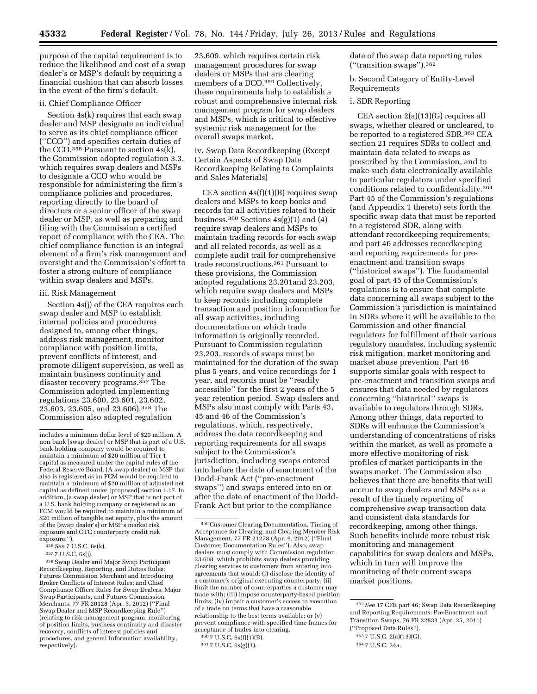purpose of the capital requirement is to reduce the likelihood and cost of a swap dealer's or MSP's default by requiring a financial cushion that can absorb losses in the event of the firm's default.

# ii. Chief Compliance Officer

Section 4s(k) requires that each swap dealer and MSP designate an individual to serve as its chief compliance officer (''CCO'') and specifies certain duties of the CCO.<sup>356</sup> Pursuant to section  $4s(k)$ , the Commission adopted regulation 3.3, which requires swap dealers and MSPs to designate a CCO who would be responsible for administering the firm's compliance policies and procedures, reporting directly to the board of directors or a senior officer of the swap dealer or MSP, as well as preparing and filing with the Commission a certified report of compliance with the CEA. The chief compliance function is an integral element of a firm's risk management and oversight and the Commission's effort to foster a strong culture of compliance within swap dealers and MSPs.

#### iii. Risk Management

Section 4s(j) of the CEA requires each swap dealer and MSP to establish internal policies and procedures designed to, among other things, address risk management, monitor compliance with position limits, prevent conflicts of interest, and promote diligent supervision, as well as maintain business continuity and disaster recovery programs.<sup>357</sup> The Commission adopted implementing regulations 23.600, 23.601, 23.602, 23.603, 23.605, and 23.606).358 The Commission also adopted regulation

23.609, which requires certain risk management procedures for swap dealers or MSPs that are clearing members of a DCO.<sup>359</sup> Collectively, these requirements help to establish a robust and comprehensive internal risk management program for swap dealers and MSPs, which is critical to effective systemic risk management for the overall swaps market.

iv. Swap Data Recordkeeping (Except Certain Aspects of Swap Data Recordkeeping Relating to Complaints and Sales Materials)

CEA section  $4s(f)(1)(B)$  requires swap dealers and MSPs to keep books and records for all activities related to their business.<sup>360</sup> Sections  $4s(g)(1)$  and  $(4)$ require swap dealers and MSPs to maintain trading records for each swap and all related records, as well as a complete audit trail for comprehensive trade reconstructions.361 Pursuant to these provisions, the Commission adopted regulations 23.201and 23.203, which require swap dealers and MSPs to keep records including complete transaction and position information for all swap activities, including documentation on which trade information is originally recorded. Pursuant to Commission regulation 23.203, records of swaps must be maintained for the duration of the swap plus 5 years, and voice recordings for 1 year, and records must be ''readily accessible'' for the first 2 years of the 5 year retention period. Swap dealers and MSPs also must comply with Parts 43, 45 and 46 of the Commission's regulations, which, respectively, address the data recordkeeping and reporting requirements for all swaps subject to the Commission's jurisdiction, including swaps entered into before the date of enactment of the Dodd-Frank Act (''pre-enactment swaps'') and swaps entered into on or after the date of enactment of the Dodd-Frank Act but prior to the compliance

360 7 U.S.C. 6s(f)(1)(B). 361 7 U.S.C. 6s(g)(1).

date of the swap data reporting rules (''transition swaps'').362

b. Second Category of Entity-Level Requirements

#### i. SDR Reporting

CEA section 2(a)(13)(G) requires all swaps, whether cleared or uncleared, to be reported to a registered SDR.363 CEA section 21 requires SDRs to collect and maintain data related to swaps as prescribed by the Commission, and to make such data electronically available to particular regulators under specified conditions related to confidentiality.364 Part 45 of the Commission's regulations (and Appendix 1 thereto) sets forth the specific swap data that must be reported to a registered SDR, along with attendant recordkeeping requirements; and part 46 addresses recordkeeping and reporting requirements for preenactment and transition swaps (''historical swaps''). The fundamental goal of part 45 of the Commission's regulations is to ensure that complete data concerning all swaps subject to the Commission's jurisdiction is maintained in SDRs where it will be available to the Commission and other financial regulators for fulfillment of their various regulatory mandates, including systemic risk mitigation, market monitoring and market abuse prevention. Part 46 supports similar goals with respect to pre-enactment and transition swaps and ensures that data needed by regulators concerning ''historical'' swaps is available to regulators through SDRs. Among other things, data reported to SDRs will enhance the Commission's understanding of concentrations of risks within the market, as well as promote a more effective monitoring of risk profiles of market participants in the swaps market. The Commission also believes that there are benefits that will accrue to swap dealers and MSPs as a result of the timely reporting of comprehensive swap transaction data and consistent data standards for recordkeeping, among other things. Such benefits include more robust risk monitoring and management capabilities for swap dealers and MSPs, which in turn will improve the monitoring of their current swaps market positions.

includes a minimum dollar level of \$20 million. A non-bank [swap dealer] or MSP that is part of a U.S. bank holding company would be required to maintain a minimum of \$20 million of Tier 1 capital as measured under the capital rules of the Federal Reserve Board. [A swap dealer] or MSP that also is registered as an FCM would be required to maintain a minimum of \$20 million of adjusted net capital as defined under [proposed] section 1.17. In addition, [a swap dealer] or MSP that is not part of a U.S. bank holding company or registered as an FCM would be required to maintain a minimum of \$20 million of tangible net equity, plus the amount of the [swap dealer's] or MSP's market risk exposure and OTC counterparty credit risk exposure.'').

<sup>356</sup>*See* 7 U.S.C. 6s(k).

<sup>357</sup> 7 U.S.C. 6s(j).

<sup>358</sup>Swap Dealer and Major Swap Participant Recordkeeping, Reporting, and Duties Rules; Futures Commission Merchant and Introducing Broker Conflicts of Interest Rules; and Chief Compliance Officer Rules for Swap Dealers, Major Swap Participants, and Futures Commission Merchants, 77 FR 20128 (Apr. 3, 2012) (''Final Swap Dealer and MSP Recordkeeping Rule'') (relating to risk management program, monitoring of position limits, business continuity and disaster recovery, conflicts of interest policies and procedures, and general information availability, respectively).

<sup>359</sup>Customer Clearing Documentation, Timing of Acceptance for Clearing, and Clearing Member Risk Management, 77 FR 21278 (Apr. 9, 2012) (''Final Customer Documentation Rules''). Also, swap dealers must comply with Commission regulation 23.608, which prohibits swap dealers providing clearing services to customers from entering into agreements that would: (i) disclose the identity of a customer's original executing counterparty; (ii) limit the number of counterparties a customer may trade with; (iii) impose counterparty-based position limits; (iv) impair a customer's access to execution of a trade on terms that have a reasonable relationship to the best terms available; or (v) prevent compliance with specified time frames for acceptance of trades into clearing.

<sup>362</sup>*See* 17 CFR part 46; Swap Data Recordkeeping and Reporting Requirements: Pre-Enactment and Transition Swaps, 76 FR 22833 (Apr. 25, 2011) (''Proposed Data Rules'').

<sup>363</sup> 7 U.S.C. 2(a)(13)(G).

<sup>364</sup> 7 U.S.C. 24a.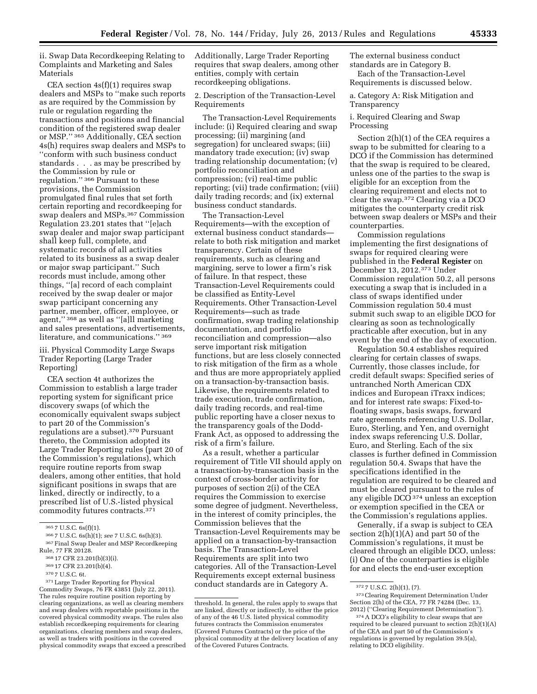ii. Swap Data Recordkeeping Relating to Complaints and Marketing and Sales Materials

CEA section  $4s(f)(1)$  requires swap dealers and MSPs to ''make such reports as are required by the Commission by rule or regulation regarding the transactions and positions and financial condition of the registered swap dealer or MSP.'' 365 Additionally, CEA section 4s(h) requires swap dealers and MSPs to ''conform with such business conduct standards . . . as may be prescribed by the Commission by rule or regulation.'' 366 Pursuant to these provisions, the Commission promulgated final rules that set forth certain reporting and recordkeeping for swap dealers and MSPs.367 Commission Regulation 23.201 states that ''[e]ach swap dealer and major swap participant shall keep full, complete, and systematic records of all activities related to its business as a swap dealer or major swap participant.'' Such records must include, among other things, ''[a] record of each complaint received by the swap dealer or major swap participant concerning any partner, member, officer, employee, or agent,'' 368 as well as ''[a]ll marketing and sales presentations, advertisements, literature, and communications.'' 369

iii. Physical Commodity Large Swaps Trader Reporting (Large Trader Reporting)

CEA section 4t authorizes the Commission to establish a large trader reporting system for significant price discovery swaps (of which the economically equivalent swaps subject to part 20 of the Commission's regulations are a subset).<sup>370</sup> Pursuant thereto, the Commission adopted its Large Trader Reporting rules (part 20 of the Commission's regulations), which require routine reports from swap dealers, among other entities, that hold significant positions in swaps that are linked, directly or indirectly, to a prescribed list of U.S.-listed physical commodity futures contracts.371

Additionally, Large Trader Reporting requires that swap dealers, among other entities, comply with certain recordkeeping obligations.

2. Description of the Transaction-Level Requirements

The Transaction-Level Requirements include: (i) Required clearing and swap processing; (ii) margining (and segregation) for uncleared swaps; (iii) mandatory trade execution; (iv) swap trading relationship documentation; (v) portfolio reconciliation and compression; (vi) real-time public reporting; (vii) trade confirmation; (viii) daily trading records; and (ix) external business conduct standards.

The Transaction-Level Requirements—with the exception of external business conduct standards relate to both risk mitigation and market transparency. Certain of these requirements, such as clearing and margining, serve to lower a firm's risk of failure. In that respect, these Transaction-Level Requirements could be classified as Entity-Level Requirements. Other Transaction-Level Requirements—such as trade confirmation, swap trading relationship documentation, and portfolio reconciliation and compression—also serve important risk mitigation functions, but are less closely connected to risk mitigation of the firm as a whole and thus are more appropriately applied on a transaction-by-transaction basis. Likewise, the requirements related to trade execution, trade confirmation, daily trading records, and real-time public reporting have a closer nexus to the transparency goals of the Dodd-Frank Act, as opposed to addressing the risk of a firm's failure.

As a result, whether a particular requirement of Title VII should apply on a transaction-by-transaction basis in the context of cross-border activity for purposes of section 2(i) of the CEA requires the Commission to exercise some degree of judgment. Nevertheless, in the interest of comity principles, the Commission believes that the Transaction-Level Requirements may be applied on a transaction-by-transaction basis. The Transaction-Level Requirements are split into two categories. All of the Transaction-Level Requirements except external business conduct standards are in Category A.

The external business conduct standards are in Category B. Each of the Transaction-Level Requirements is discussed below.

a. Category A: Risk Mitigation and Transparency

#### i. Required Clearing and Swap Processing

Section 2(h)(1) of the CEA requires a swap to be submitted for clearing to a DCO if the Commission has determined that the swap is required to be cleared, unless one of the parties to the swap is eligible for an exception from the clearing requirement and elects not to clear the swap.372 Clearing via a DCO mitigates the counterparty credit risk between swap dealers or MSPs and their counterparties.

Commission regulations implementing the first designations of swaps for required clearing were published in the **Federal Register** on December 13, 2012.373 Under Commission regulation 50.2, all persons executing a swap that is included in a class of swaps identified under Commission regulation 50.4 must submit such swap to an eligible DCO for clearing as soon as technologically practicable after execution, but in any event by the end of the day of execution.

Regulation 50.4 establishes required clearing for certain classes of swaps. Currently, those classes include, for credit default swaps: Specified series of untranched North American CDX indices and European iTraxx indices; and for interest rate swaps: Fixed-tofloating swaps, basis swaps, forward rate agreements referencing U.S. Dollar, Euro, Sterling, and Yen, and overnight index swaps referencing U.S. Dollar, Euro, and Sterling. Each of the six classes is further defined in Commission regulation 50.4. Swaps that have the specifications identified in the regulation are required to be cleared and must be cleared pursuant to the rules of any eligible DCO 374 unless an exception or exemption specified in the CEA or the Commission's regulations applies.

Generally, if a swap is subject to CEA section  $2(h)(1)(A)$  and part 50 of the Commission's regulations, it must be cleared through an eligible DCO, unless: (i) One of the counterparties is eligible for and elects the end-user exception

<sup>365</sup> 7 U.S.C. 6s(f)(1).

<sup>366</sup> 7 U.S.C. 6s(h)(1); *see* 7 U.S.C. 6s(h)(3).

<sup>367</sup>Final Swap Dealer and MSP Recordkeeping Rule, 77 FR 20128.

<sup>368</sup> 17 CFR 23.201(b)(3)(i).

<sup>369</sup> 17 CFR 23.201(b)(4).

<sup>370</sup> 7 U.S.C. 6t.

<sup>371</sup>Large Trader Reporting for Physical Commodity Swaps, 76 FR 43851 (July 22, 2011). The rules require routine position reporting by clearing organizations, as well as clearing members and swap dealers with reportable positions in the covered physical commodity swaps. The rules also establish recordkeeping requirements for clearing organizations, clearing members and swap dealers, as well as traders with positions in the covered physical commodity swaps that exceed a prescribed

threshold. In general, the rules apply to swaps that are linked, directly or indirectly, to either the price of any of the 46 U.S. listed physical commodity futures contracts the Commission enumerates (Covered Futures Contracts) or the price of the physical commodity at the delivery location of any of the Covered Futures Contracts.

<sup>372</sup> 7 U.S.C. 2(h)(1), (7).

<sup>373</sup>Clearing Requirement Determination Under Section 2(h) of the CEA, 77 FR 74284 (Dec. 13, 2012) (''Clearing Requirement Determination'').

<sup>374</sup>A DCO's eligibility to clear swaps that are required to be cleared pursuant to section 2(h)(1)(A) of the CEA and part 50 of the Commission's regulations is governed by regulation 39.5(a), relating to DCO eligibility.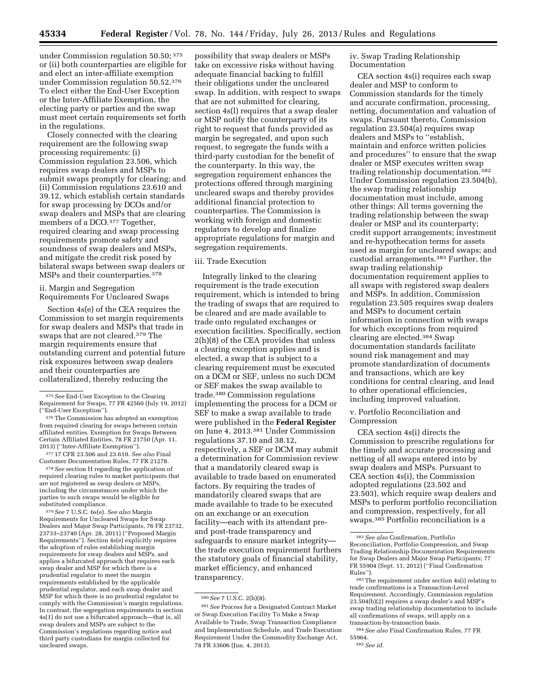under Commission regulation 50.50; 375 or (ii) both counterparties are eligible for and elect an inter-affiliate exemption under Commission regulation 50.52.376 To elect either the End-User Exception or the Inter-Affiliate Exemption, the electing party or parties and the swap must meet certain requirements set forth in the regulations.

Closely connected with the clearing requirement are the following swap processing requirements: (i) Commission regulation 23.506, which requires swap dealers and MSPs to submit swaps promptly for clearing; and (ii) Commission regulations 23.610 and 39.12, which establish certain standards for swap processing by DCOs and/or swap dealers and MSPs that are clearing members of a DCO.<sup>377</sup> Together, required clearing and swap processing requirements promote safety and soundness of swap dealers and MSPs, and mitigate the credit risk posed by bilateral swaps between swap dealers or MSPs and their counterparties.378

ii. Margin and Segregation Requirements For Uncleared Swaps

Section 4s(e) of the CEA requires the Commission to set margin requirements for swap dealers and MSPs that trade in swaps that are not cleared.379 The margin requirements ensure that outstanding current and potential future risk exposures between swap dealers and their counterparties are collateralized, thereby reducing the

377 17 CFR 23.506 and 23.610. *See also* Final Customer Documentation Rules, 77 FR 21278.

378*See* section H regarding the application of required clearing rules to market participants that are not registered as swap dealers or MSPs, including the circumstances under which the parties to such swaps would be eligible for substituted compliance.

379*See* 7 U.S.C. 6s(e). *See also* Margin Requirements for Uncleared Swaps for Swap Dealers and Major Swap Participants, 76 FR 23732, 23733–23740 (Apr. 28, 2011) (''Proposed Margin Requirements''). Section 4s(e) explicitly requires the adoption of rules establishing margin requirements for swap dealers and MSPs, and applies a bifurcated approach that requires each swap dealer and MSP for which there is a prudential regulator to meet the margin requirements established by the applicable prudential regulator, and each swap dealer and MSP for which there is no prudential regulator to comply with the Commission's margin regulations. In contrast, the segregation requirements in section 4s(1) do not use a bifurcated approach—that is, all swap dealers and MSPs are subject to the Commission's regulations regarding notice and third party custodians for margin collected for uncleared swaps.

possibility that swap dealers or MSPs take on excessive risks without having adequate financial backing to fulfill their obligations under the uncleared swap. In addition, with respect to swaps that are not submitted for clearing, section 4s(l) requires that a swap dealer or MSP notify the counterparty of its right to request that funds provided as margin be segregated, and upon such request, to segregate the funds with a third-party custodian for the benefit of the counterparty. In this way, the segregation requirement enhances the protections offered through margining uncleared swaps and thereby provides additional financial protection to counterparties. The Commission is working with foreign and domestic regulators to develop and finalize appropriate regulations for margin and segregation requirements.

### iii. Trade Execution

Integrally linked to the clearing requirement is the trade execution requirement, which is intended to bring the trading of swaps that are required to be cleared and are made available to trade onto regulated exchanges or execution facilities. Specifically, section 2(h)(8) of the CEA provides that unless a clearing exception applies and is elected, a swap that is subject to a clearing requirement must be executed on a DCM or SEF, unless no such DCM or SEF makes the swap available to trade.380 Commission regulations implementing the process for a DCM or SEF to make a swap available to trade were published in the **Federal Register**  on June 4, 2013.381 Under Commission regulations 37.10 and 38.12, respectively, a SEF or DCM may submit a determination for Commission review that a mandatorily cleared swap is available to trade based on enumerated factors. By requiring the trades of mandatorily cleared swaps that are made available to trade to be executed on an exchange or an execution facility—each with its attendant preand post-trade transparency and safeguards to ensure market integrity the trade execution requirement furthers the statutory goals of financial stability, market efficiency, and enhanced transparency.

iv. Swap Trading Relationship Documentation

CEA section 4s(i) requires each swap dealer and MSP to conform to Commission standards for the timely and accurate confirmation, processing, netting, documentation and valuation of swaps. Pursuant thereto, Commission regulation 23.504(a) requires swap dealers and MSPs to ''establish, maintain and enforce written policies and procedures'' to ensure that the swap dealer or MSP executes written swap trading relationship documentation.382 Under Commission regulation 23.504(b), the swap trading relationship documentation must include, among other things: All terms governing the trading relationship between the swap dealer or MSP and its counterparty; credit support arrangements; investment and re-hypothecation terms for assets used as margin for uncleared swaps; and custodial arrangements.383 Further, the swap trading relationship documentation requirement applies to all swaps with registered swap dealers and MSPs. In addition, Commission regulation 23.505 requires swap dealers and MSPs to document certain information in connection with swaps for which exceptions from required clearing are elected.384 Swap documentation standards facilitate sound risk management and may promote standardization of documents and transactions, which are key conditions for central clearing, and lead to other operational efficiencies, including improved valuation.

v. Portfolio Reconciliation and Compression

CEA section 4s(i) directs the Commission to prescribe regulations for the timely and accurate processing and netting of all swaps entered into by swap dealers and MSPs. Pursuant to CEA section 4s(i), the Commission adopted regulations (23.502 and 23.503), which require swap dealers and MSPs to perform portfolio reconciliation and compression, respectively, for all swaps.385 Portfolio reconciliation is a

<sup>375</sup>*See* End-User Exception to the Clearing Requirement for Swaps, 77 FR 42560 (July 19, 2012) (''End-User Exception'').

<sup>376</sup>The Commission has adopted an exemption from required clearing for swaps between certain affiliated entities. Exemption for Swaps Between Certain Affiliated Entities, 78 FR 21750 (Apr. 11, 2013) (''Inter-Affiliate Exemption'').

<sup>380</sup>*See* 7 U.S.C. 2(h)(8).

<sup>381</sup>*See* Process for a Designated Contract Market or Swap Execution Facility To Make a Swap Available to Trade, Swap Transaction Compliance and Implementation Schedule, and Trade Execution Requirement Under the Commodity Exchange Act, 78 FR 33606 (Jun. 4, 2013).

<sup>382</sup>*See also* Confirmation, Portfolio Reconciliation, Portfolio Compression, and Swap Trading Relationship Documentation Requirements for Swap Dealers and Major Swap Participants; 77 FR 55904 (Sept. 11, 2012) (''Final Confirmation Rules'').

<sup>383</sup>The requirement under section 4s(i) relating to trade confirmations is a Transaction-Level Requirement. Accordingly, Commission regulation 23.504(b)(2) requires a swap dealer's and MSP's swap trading relationship documentation to include all confirmations of swaps, will apply on a transaction-by-transaction basis.

<sup>384</sup>*See also* Final Confirmation Rules, 77 FR 55964.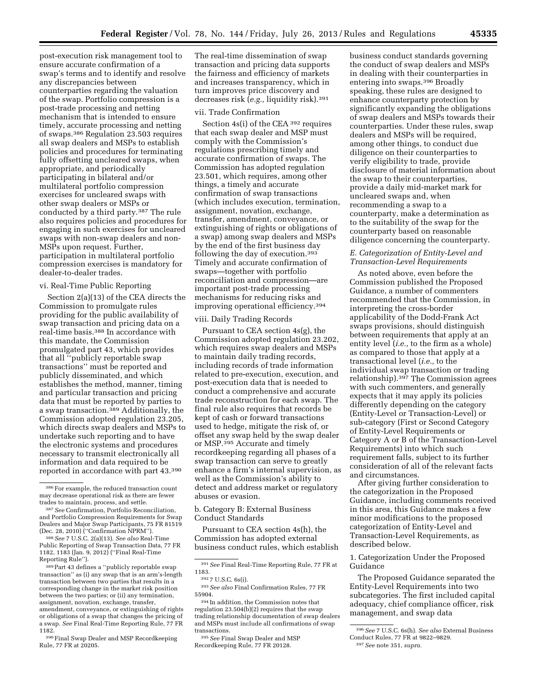post-execution risk management tool to ensure accurate confirmation of a swap's terms and to identify and resolve any discrepancies between counterparties regarding the valuation of the swap. Portfolio compression is a post-trade processing and netting mechanism that is intended to ensure timely, accurate processing and netting of swaps.386 Regulation 23.503 requires all swap dealers and MSPs to establish policies and procedures for terminating fully offsetting uncleared swaps, when appropriate, and periodically participating in bilateral and/or multilateral portfolio compression exercises for uncleared swaps with other swap dealers or MSPs or conducted by a third party.387 The rule also requires policies and procedures for engaging in such exercises for uncleared swaps with non-swap dealers and non-MSPs upon request. Further, participation in multilateral portfolio compression exercises is mandatory for dealer-to-dealer trades.

#### vi. Real-Time Public Reporting

Section 2(a)(13) of the CEA directs the Commission to promulgate rules providing for the public availability of swap transaction and pricing data on a real-time basis.388 In accordance with this mandate, the Commission promulgated part 43, which provides that all ''publicly reportable swap transactions'' must be reported and publicly disseminated, and which establishes the method, manner, timing and particular transaction and pricing data that must be reported by parties to a swap transaction.<sup>389</sup> Additionally, the Commission adopted regulation 23.205, which directs swap dealers and MSPs to undertake such reporting and to have the electronic systems and procedures necessary to transmit electronically all information and data required to be reported in accordance with part 43.390

389 Part 43 defines a "publicly reportable swap transaction'' as (i) any swap that is an arm's-length transaction between two parties that results in a corresponding change in the market risk position between the two parties; or (ii) any termination, assignment, novation, exchange, transfer, amendment, conveyance, or extinguishing of rights or obligations of a swap that changes the pricing of a swap. *See* Final Real-Time Reporting Rule, 77 FR 1182.

390Final Swap Dealer and MSP Recordkeeping Rule, 77 FR at 20205.

The real-time dissemination of swap transaction and pricing data supports the fairness and efficiency of markets and increases transparency, which in turn improves price discovery and decreases risk (*e.g.,* liquidity risk).391

#### vii. Trade Confirmation

Section 4s(i) of the CEA 392 requires that each swap dealer and MSP must comply with the Commission's regulations prescribing timely and accurate confirmation of swaps. The Commission has adopted regulation 23.501, which requires, among other things, a timely and accurate confirmation of swap transactions (which includes execution, termination, assignment, novation, exchange, transfer, amendment, conveyance, or extinguishing of rights or obligations of a swap) among swap dealers and MSPs by the end of the first business day following the day of execution.393 Timely and accurate confirmation of swaps—together with portfolio reconciliation and compression—are important post-trade processing mechanisms for reducing risks and improving operational efficiency.394

### viii. Daily Trading Records

Pursuant to CEA section 4s(g), the Commission adopted regulation 23.202, which requires swap dealers and MSPs to maintain daily trading records, including records of trade information related to pre-execution, execution, and post-execution data that is needed to conduct a comprehensive and accurate trade reconstruction for each swap. The final rule also requires that records be kept of cash or forward transactions used to hedge, mitigate the risk of, or offset any swap held by the swap dealer or MSP.395 Accurate and timely recordkeeping regarding all phases of a swap transaction can serve to greatly enhance a firm's internal supervision, as well as the Commission's ability to detect and address market or regulatory abuses or evasion.

b. Category B: External Business Conduct Standards

Pursuant to CEA section 4s(h), the Commission has adopted external business conduct rules, which establish

395*See* Final Swap Dealer and MSP Recordkeeping Rule, 77 FR 20128.

business conduct standards governing the conduct of swap dealers and MSPs in dealing with their counterparties in entering into swaps.396 Broadly speaking, these rules are designed to enhance counterparty protection by significantly expanding the obligations of swap dealers and MSPs towards their counterparties. Under these rules, swap dealers and MSPs will be required, among other things, to conduct due diligence on their counterparties to verify eligibility to trade, provide disclosure of material information about the swap to their counterparties, provide a daily mid-market mark for uncleared swaps and, when recommending a swap to a counterparty, make a determination as to the suitability of the swap for the counterparty based on reasonable diligence concerning the counterparty.

# *E. Categorization of Entity-Level and Transaction-Level Requirements*

As noted above, even before the Commission published the Proposed Guidance, a number of commenters recommended that the Commission, in interpreting the cross-border applicability of the Dodd-Frank Act swaps provisions, should distinguish between requirements that apply at an entity level (*i.e.,* to the firm as a whole) as compared to those that apply at a transactional level (*i.e.,* to the individual swap transaction or trading relationship).397 The Commission agrees with such commenters, and generally expects that it may apply its policies differently depending on the category (Entity-Level or Transaction-Level) or sub-category (First or Second Category of Entity-Level Requirements or Category A or B of the Transaction-Level Requirements) into which such requirement falls, subject to its further consideration of all of the relevant facts and circumstances.

After giving further consideration to the categorization in the Proposed Guidance, including comments received in this area, this Guidance makes a few minor modifications to the proposed categorization of Entity-Level and Transaction-Level Requirements, as described below.

# 1. Categorization Under the Proposed Guidance

The Proposed Guidance separated the Entity-Level Requirements into two subcategories. The first included capital adequacy, chief compliance officer, risk management, and swap data

<sup>386</sup>For example, the reduced transaction count may decrease operational risk as there are fewer trades to maintain, process, and settle.

<sup>387</sup>*See* Confirmation, Portfolio Reconciliation, and Portfolio Compression Requirements for Swap Dealers and Major Swap Participants, 75 FR 81519 (Dec. 28, 2010) (''Confirmation NPRM'').

<sup>388</sup>*See* 7 U.S.C. 2(a)(13). *See also* Real-Time Public Reporting of Swap Transaction Data, 77 FR 1182, 1183 (Jan. 9, 2012) (''Final Real-Time Reporting Rule'').

<sup>391</sup>*See* Final Real-Time Reporting Rule, 77 FR at 1183.

<sup>392</sup> 7 U.S.C. 6s(i).

<sup>393</sup>*See also* Final Confirmation Rules, 77 FR 55904.

<sup>394</sup> In addition, the Commission notes that regulation 23.504(b)(2) requires that the swap trading relationship documentation of swap dealers and MSPs must include all confirmations of swap transactions.

<sup>396</sup>*See* 7 U.S.C. 6s(h). *See also* External Business Conduct Rules, 77 FR at 9822–9829.

<sup>397</sup>*See* note 351, *supra.*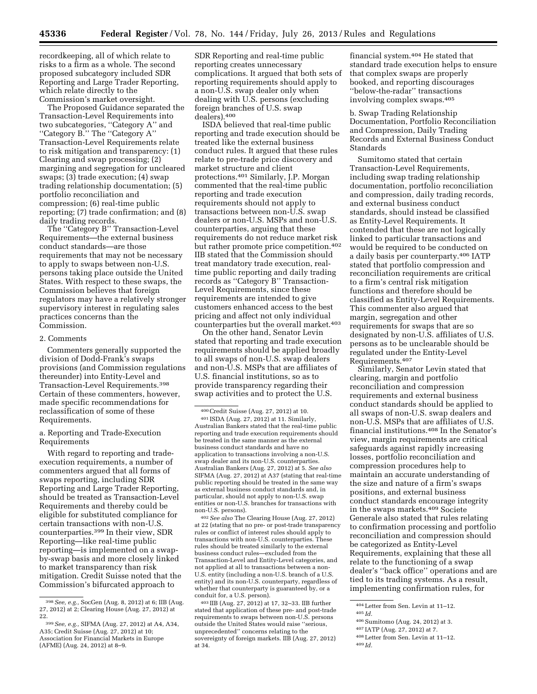recordkeeping, all of which relate to risks to a firm as a whole. The second proposed subcategory included SDR Reporting and Large Trader Reporting, which relate directly to the Commission's market oversight.

The Proposed Guidance separated the Transaction-Level Requirements into two subcategories, ''Category A'' and ''Category B.'' The ''Category A'' Transaction-Level Requirements relate to risk mitigation and transparency: (1) Clearing and swap processing; (2) margining and segregation for uncleared swaps; (3) trade execution; (4) swap trading relationship documentation; (5) portfolio reconciliation and compression; (6) real-time public reporting; (7) trade confirmation; and (8) daily trading records.

The "Category B" Transaction-Level Requirements—the external business conduct standards—are those requirements that may not be necessary to apply to swaps between non-U.S. persons taking place outside the United States. With respect to these swaps, the Commission believes that foreign regulators may have a relatively stronger supervisory interest in regulating sales practices concerns than the Commission.

#### 2. Comments

Commenters generally supported the division of Dodd-Frank's swaps provisions (and Commission regulations thereunder) into Entity-Level and Transaction-Level Requirements.398 Certain of these commenters, however, made specific recommendations for reclassification of some of these Requirements.

## a. Reporting and Trade-Execution Requirements

With regard to reporting and tradeexecution requirements, a number of commenters argued that all forms of swaps reporting, including SDR Reporting and Large Trader Reporting, should be treated as Transaction-Level Requirements and thereby could be eligible for substituted compliance for certain transactions with non-U.S. counterparties.399 In their view, SDR Reporting—like real-time public reporting—is implemented on a swapby-swap basis and more closely linked to market transparency than risk mitigation. Credit Suisse noted that the Commission's bifurcated approach to

SDR Reporting and real-time public reporting creates unnecessary complications. It argued that both sets of reporting requirements should apply to a non-U.S. swap dealer only when dealing with U.S. persons (excluding foreign branches of U.S. swap dealers).400

ISDA believed that real-time public reporting and trade execution should be treated like the external business conduct rules. It argued that these rules relate to pre-trade price discovery and market structure and client protections.401 Similarly, J.P. Morgan commented that the real-time public reporting and trade execution requirements should not apply to transactions between non-U.S. swap dealers or non-U.S. MSPs and non-U.S. counterparties, arguing that these requirements do not reduce market risk but rather promote price competition.<sup>402</sup> IIB stated that the Commission should treat mandatory trade execution, realtime public reporting and daily trading records as ''Category B'' Transaction-Level Requirements, since these requirements are intended to give customers enhanced access to the best pricing and affect not only individual counterparties but the overall market.403

On the other hand, Senator Levin stated that reporting and trade execution requirements should be applied broadly to all swaps of non-U.S. swap dealers and non-U.S. MSPs that are affiliates of U.S. financial institutions, so as to provide transparency regarding their swap activities and to protect the U.S.

402*See also* The Clearing House (Aug. 27, 2012) at 22 (stating that no pre- or post-trade transparency rules or conflict of interest rules should apply to transactions with non-U.S. counterparties. These rules should be treated similarly to the external business conduct rules—excluded from the Transaction-Level and Entity-Level categories, and not applied at all to transactions between a non-U.S. entity (including a non-U.S. branch of a U.S. entity) and its non-U.S. counterparty, regardless of whether that counterparty is guaranteed by, or a conduit for, a U.S. person).

403 IIB (Aug. 27, 2012) at 17, 32–33. IIB further stated that application of these pre- and post-trade requirements to swaps between non-U.S. persons outside the United States would raise ''serious, unprecedented'' concerns relating to the sovereignty of foreign markets. IIB (Aug. 27, 2012) at 34.

financial system.404 He stated that standard trade execution helps to ensure that complex swaps are properly booked, and reporting discourages ''below-the-radar'' transactions involving complex swaps.405

b. Swap Trading Relationship Documentation, Portfolio Reconciliation and Compression, Daily Trading Records and External Business Conduct Standards

Sumitomo stated that certain Transaction-Level Requirements, including swap trading relationship documentation, portfolio reconciliation and compression, daily trading records, and external business conduct standards, should instead be classified as Entity-Level Requirements. It contended that these are not logically linked to particular transactions and would be required to be conducted on a daily basis per counterparty.406 IATP stated that portfolio compression and reconciliation requirements are critical to a firm's central risk mitigation functions and therefore should be classified as Entity-Level Requirements. This commenter also argued that margin, segregation and other requirements for swaps that are so designated by non-U.S. affiliates of U.S. persons as to be unclearable should be regulated under the Entity-Level Requirements.407

Similarly, Senator Levin stated that clearing, margin and portfolio reconciliation and compression requirements and external business conduct standards should be applied to all swaps of non-U.S. swap dealers and non-U.S. MSPs that are affiliates of U.S. financial institutions.408 In the Senator's view, margin requirements are critical safeguards against rapidly increasing losses, portfolio reconciliation and compression procedures help to maintain an accurate understanding of the size and nature of a firm's swaps positions, and external business conduct standards encourage integrity in the swaps markets.409 Societe Generale also stated that rules relating to confirmation processing and portfolio reconciliation and compression should be categorized as Entity-Level Requirements, explaining that these all relate to the functioning of a swap dealer's ''back office'' operations and are tied to its trading systems. As a result, implementing confirmation rules, for

406Sumitomo (Aug. 24, 2012) at 3.

408Letter from Sen. Levin at 11–12.

<sup>398</sup>*See, e.g.,* SocGen (Aug. 8, 2012) at 6; IIB (Aug. 27, 2012) at 2; Clearing House (Aug. 27, 2012) at 22.

<sup>399</sup>*See, e.g.,* SIFMA (Aug. 27, 2012) at A4, A34, A35; Credit Suisse (Aug. 27, 2012) at 10; Association for Financial Markets in Europe (AFME) (Aug. 24, 2012) at 8–9.

<sup>400</sup>Credit Suisse (Aug. 27, 2012) at 10. 401 ISDA (Aug. 27, 2012) at 11. Similarly,

Australian Bankers stated that the real-time public reporting and trade execution requirements should be treated in the same manner as the external business conduct standards and have no application to transactions involving a non-U.S. swap dealer and its non-U.S. counterparties. Australian Bankers (Aug. 27, 2012) at 5. *See also*  SIFMA (Aug. 27, 2012) at A37 (stating that real-time public reporting should be treated in the same way as external business conduct standards and, in particular, should not apply to non-U.S. swap entities or non-U.S. branches for transactions with non-U.S. persons).

<sup>404</sup>Letter from Sen. Levin at 11–12. 405 *Id.* 

<sup>407</sup> IATP (Aug. 27, 2012) at 7.

<sup>409</sup> *Id.*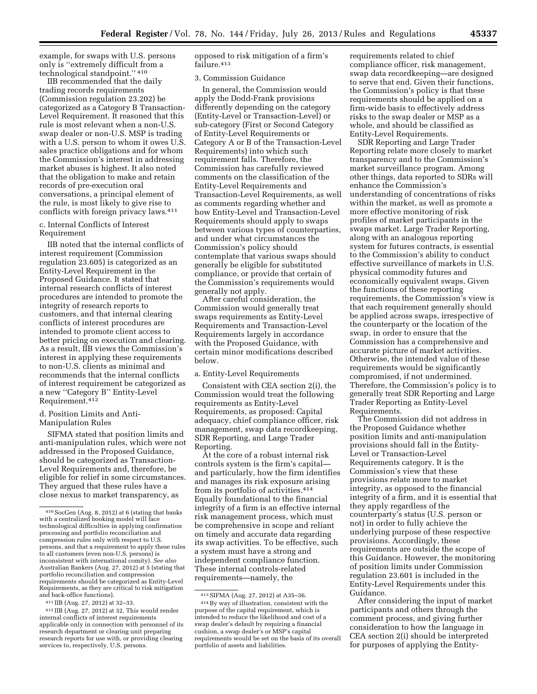example, for swaps with U.S. persons only is ''extremely difficult from a technological standpoint.'' 410

IIB recommended that the daily trading records requirements (Commission regulation 23.202) be categorized as a Category B Transaction-Level Requirement. It reasoned that this rule is most relevant when a non-U.S. swap dealer or non-U.S. MSP is trading with a U.S. person to whom it owes U.S. sales practice obligations and for whom the Commission's interest in addressing market abuses is highest. It also noted that the obligation to make and retain records of pre-execution oral conversations, a principal element of the rule, is most likely to give rise to conflicts with foreign privacy laws.411

### c. Internal Conflicts of Interest Requirement

IIB noted that the internal conflicts of interest requirement (Commission regulation 23.605) is categorized as an Entity-Level Requirement in the Proposed Guidance. It stated that internal research conflicts of interest procedures are intended to promote the integrity of research reports to customers, and that internal clearing conflicts of interest procedures are intended to promote client access to better pricing on execution and clearing. As a result, IIB views the Commission's interest in applying these requirements to non-U.S. clients as minimal and recommends that the internal conflicts of interest requirement be categorized as a new ''Category B'' Entity-Level Requirement.412

#### d. Position Limits and Anti-Manipulation Rules

SIFMA stated that position limits and anti-manipulation rules, which were not addressed in the Proposed Guidance, should be categorized as Transaction-Level Requirements and, therefore, be eligible for relief in some circumstances. They argued that these rules have a close nexus to market transparency, as

opposed to risk mitigation of a firm's failure.413

#### 3. Commission Guidance

In general, the Commission would apply the Dodd-Frank provisions differently depending on the category (Entity-Level or Transaction-Level) or sub-category (First or Second Category of Entity-Level Requirements or Category A or B of the Transaction-Level Requirements) into which such requirement falls. Therefore, the Commission has carefully reviewed comments on the classification of the Entity-Level Requirements and Transaction-Level Requirements, as well as comments regarding whether and how Entity-Level and Transaction-Level Requirements should apply to swaps between various types of counterparties, and under what circumstances the Commission's policy should contemplate that various swaps should generally be eligible for substituted compliance, or provide that certain of the Commission's requirements would generally not apply.

After careful consideration, the Commission would generally treat swaps requirements as Entity-Level Requirements and Transaction-Level Requirements largely in accordance with the Proposed Guidance, with certain minor modifications described below.

### a. Entity-Level Requirements

Consistent with CEA section 2(i), the Commission would treat the following requirements as Entity-Level Requirements, as proposed: Capital adequacy, chief compliance officer, risk management, swap data recordkeeping, SDR Reporting, and Large Trader Reporting.

At the core of a robust internal risk controls system is the firm's capital and particularly, how the firm identifies and manages its risk exposure arising from its portfolio of activities.414 Equally foundational to the financial integrity of a firm is an effective internal risk management process, which must be comprehensive in scope and reliant on timely and accurate data regarding its swap activities. To be effective, such a system must have a strong and independent compliance function. These internal controls-related requirements—namely, the

requirements related to chief compliance officer, risk management, swap data recordkeeping—are designed to serve that end. Given their functions, the Commission's policy is that these requirements should be applied on a firm-wide basis to effectively address risks to the swap dealer or MSP as a whole, and should be classified as Entity-Level Requirements.

SDR Reporting and Large Trader Reporting relate more closely to market transparency and to the Commission's market surveillance program. Among other things, data reported to SDRs will enhance the Commission's understanding of concentrations of risks within the market, as well as promote a more effective monitoring of risk profiles of market participants in the swaps market. Large Trader Reporting, along with an analogous reporting system for futures contracts, is essential to the Commission's ability to conduct effective surveillance of markets in U.S. physical commodity futures and economically equivalent swaps. Given the functions of these reporting requirements, the Commission's view is that each requirement generally should be applied across swaps, irrespective of the counterparty or the location of the swap, in order to ensure that the Commission has a comprehensive and accurate picture of market activities. Otherwise, the intended value of these requirements would be significantly compromised, if not undermined. Therefore, the Commission's policy is to generally treat SDR Reporting and Large Trader Reporting as Entity-Level Requirements.

The Commission did not address in the Proposed Guidance whether position limits and anti-manipulation provisions should fall in the Entity-Level or Transaction-Level Requirements category. It is the Commission's view that these provisions relate more to market integrity, as opposed to the financial integrity of a firm, and it is essential that they apply regardless of the counterparty's status (U.S. person or not) in order to fully achieve the underlying purpose of these respective provisions. Accordingly, these requirements are outside the scope of this Guidance. However, the monitoring of position limits under Commission regulation 23.601 is included in the Entity-Level Requirements under this Guidance.

After considering the input of market participants and others through the comment process, and giving further consideration to how the language in CEA section 2(i) should be interpreted for purposes of applying the Entity-

<sup>410</sup>SocGen (Aug. 8, 2012) at 6 (stating that banks with a centralized booking model will face technological difficulties in applying confirmation processing and portfolio reconciliation and compression rules only with respect to U.S. persons, and that a requirement to apply these rules to all customers (even non-U.S. persons) is inconsistent with international comity). *See also*  Australian Bankers (Aug. 27, 2012) at 5 (stating that portfolio reconciliation and compression requirements should be categorized as Entity-Level Requirements, as they are critical to risk mitigation and back-office functions).

<sup>411</sup> IIB (Aug. 27, 2012) at 32–33.

<sup>412</sup> IIB (Aug. 27, 2012) at 32. This would render internal conflicts of interest requirements applicable only in connection with personnel of its research department or clearing unit preparing research reports for use with, or providing clearing services to, respectively, U.S. persons.

<sup>413</sup>SIFMA (Aug. 27, 2012) at A35–36. 414By way of illustration, consistent with the purpose of the capital requirement, which is intended to reduce the likelihood and cost of a swap dealer's default by requiring a financial

cushion, a swap dealer's or MSP's capital requirements would be set on the basis of its overall portfolio of assets and liabilities.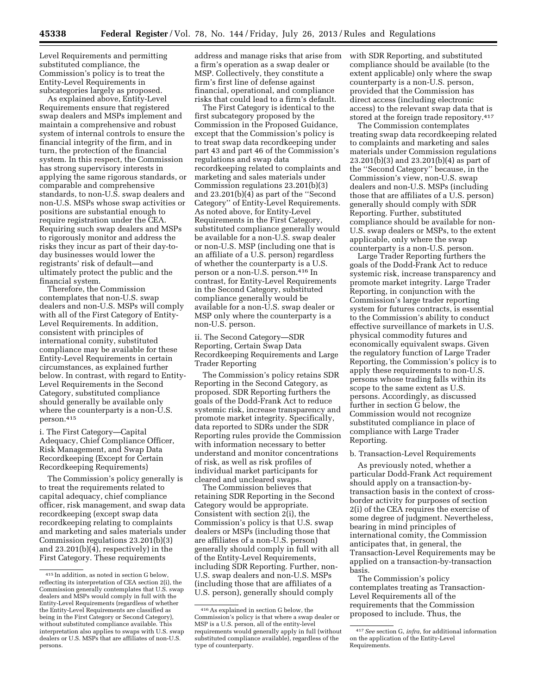Level Requirements and permitting substituted compliance, the Commission's policy is to treat the Entity-Level Requirements in subcategories largely as proposed.

As explained above, Entity-Level Requirements ensure that registered swap dealers and MSPs implement and maintain a comprehensive and robust system of internal controls to ensure the financial integrity of the firm, and in turn, the protection of the financial system. In this respect, the Commission has strong supervisory interests in applying the same rigorous standards, or comparable and comprehensive standards, to non-U.S. swap dealers and non-U.S. MSPs whose swap activities or positions are substantial enough to require registration under the CEA. Requiring such swap dealers and MSPs to rigorously monitor and address the risks they incur as part of their day-today businesses would lower the registrants' risk of default—and ultimately protect the public and the financial system.

Therefore, the Commission contemplates that non-U.S. swap dealers and non-U.S. MSPs will comply with all of the First Category of Entity-Level Requirements. In addition, consistent with principles of international comity, substituted compliance may be available for these Entity-Level Requirements in certain circumstances, as explained further below. In contrast, with regard to Entity-Level Requirements in the Second Category, substituted compliance should generally be available only where the counterparty is a non-U.S. person.415

i. The First Category—Capital Adequacy, Chief Compliance Officer, Risk Management, and Swap Data Recordkeeping (Except for Certain Recordkeeping Requirements)

The Commission's policy generally is to treat the requirements related to capital adequacy, chief compliance officer, risk management, and swap data recordkeeping (except swap data recordkeeping relating to complaints and marketing and sales materials under Commission regulations 23.201(b)(3) and 23.201(b)(4), respectively) in the First Category. These requirements

address and manage risks that arise from a firm's operation as a swap dealer or MSP. Collectively, they constitute a firm's first line of defense against financial, operational, and compliance risks that could lead to a firm's default.

The First Category is identical to the first subcategory proposed by the Commission in the Proposed Guidance, except that the Commission's policy is to treat swap data recordkeeping under part 43 and part 46 of the Commission's regulations and swap data recordkeeping related to complaints and marketing and sales materials under Commission regulations 23.201(b)(3) and 23.201(b)(4) as part of the ''Second Category'' of Entity-Level Requirements. As noted above, for Entity-Level Requirements in the First Category, substituted compliance generally would be available for a non-U.S. swap dealer or non-U.S. MSP (including one that is an affiliate of a U.S. person) regardless of whether the counterparty is a U.S. person or a non-U.S. person.416 In contrast, for Entity-Level Requirements in the Second Category, substituted compliance generally would be available for a non-U.S. swap dealer or MSP only where the counterparty is a non-U.S. person.

ii. The Second Category—SDR Reporting, Certain Swap Data Recordkeeping Requirements and Large Trader Reporting

The Commission's policy retains SDR Reporting in the Second Category, as proposed. SDR Reporting furthers the goals of the Dodd-Frank Act to reduce systemic risk, increase transparency and promote market integrity. Specifically, data reported to SDRs under the SDR Reporting rules provide the Commission with information necessary to better understand and monitor concentrations of risk, as well as risk profiles of individual market participants for cleared and uncleared swaps.

The Commission believes that retaining SDR Reporting in the Second Category would be appropriate. Consistent with section 2(i), the Commission's policy is that U.S. swap dealers or MSPs (including those that are affiliates of a non-U.S. person) generally should comply in full with all of the Entity-Level Requirements, including SDR Reporting. Further, non-U.S. swap dealers and non-U.S. MSPs (including those that are affiliates of a U.S. person), generally should comply

with SDR Reporting, and substituted compliance should be available (to the extent applicable) only where the swap counterparty is a non-U.S. person, provided that the Commission has direct access (including electronic access) to the relevant swap data that is stored at the foreign trade repository.<sup>417</sup>

The Commission contemplates treating swap data recordkeeping related to complaints and marketing and sales materials under Commission regulations 23.201(b)(3) and 23.201(b)(4) as part of the ''Second Category'' because, in the Commission's view, non-U.S. swap dealers and non-U.S. MSPs (including those that are affiliates of a U.S. person) generally should comply with SDR Reporting. Further, substituted compliance should be available for non-U.S. swap dealers or MSPs, to the extent applicable, only where the swap counterparty is a non-U.S. person.

Large Trader Reporting furthers the goals of the Dodd-Frank Act to reduce systemic risk, increase transparency and promote market integrity. Large Trader Reporting, in conjunction with the Commission's large trader reporting system for futures contracts, is essential to the Commission's ability to conduct effective surveillance of markets in U.S. physical commodity futures and economically equivalent swaps. Given the regulatory function of Large Trader Reporting, the Commission's policy is to apply these requirements to non-U.S. persons whose trading falls within its scope to the same extent as U.S. persons. Accordingly, as discussed further in section G below, the Commission would not recognize substituted compliance in place of compliance with Large Trader Reporting.

#### b. Transaction-Level Requirements

As previously noted, whether a particular Dodd-Frank Act requirement should apply on a transaction-bytransaction basis in the context of crossborder activity for purposes of section 2(i) of the CEA requires the exercise of some degree of judgment. Nevertheless, bearing in mind principles of international comity, the Commission anticipates that, in general, the Transaction-Level Requirements may be applied on a transaction-by-transaction basis.

The Commission's policy contemplates treating as Transaction-Level Requirements all of the requirements that the Commission proposed to include. Thus, the

<sup>415</sup> In addition, as noted in section G below, reflecting its interpretation of CEA section 2(i), the Commission generally contemplates that U.S. swap dealers and MSPs would comply in full with the Entity-Level Requirements (regardless of whether the Entity-Level Requirements are classified as being in the First Category or Second Category), without substituted compliance available. This interpretation also applies to swaps with U.S. swap dealers or U.S. MSPs that are affiliates of non-U.S. persons.

<sup>416</sup>As explained in section G below, the Commission's policy is that where a swap dealer or MSP is a U.S. person, all of the entity-level requirements would generally apply in full (without substituted compliance available), regardless of the type of counterparty.

<sup>417</sup>*See* section G, *infra,* for additional information on the application of the Entity-Level Requirements.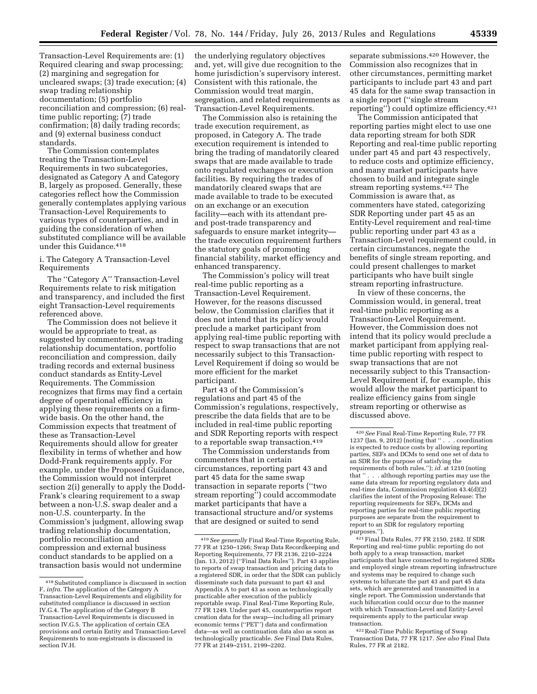Transaction-Level Requirements are: (1) Required clearing and swap processing; (2) margining and segregation for uncleared swaps; (3) trade execution; (4) swap trading relationship documentation; (5) portfolio reconciliation and compression; (6) realtime public reporting; (7) trade confirmation; (8) daily trading records; and (9) external business conduct standards.

The Commission contemplates treating the Transaction-Level Requirements in two subcategories, designated as Category A and Category B, largely as proposed. Generally, these categories reflect how the Commission generally contemplates applying various Transaction-Level Requirements to various types of counterparties, and in guiding the consideration of when substituted compliance will be available under this Guidance.418

### i. The Category A Transaction-Level Requirements

The ''Category A'' Transaction-Level Requirements relate to risk mitigation and transparency, and included the first eight Transaction-Level requirements referenced above.

The Commission does not believe it would be appropriate to treat, as suggested by commenters, swap trading relationship documentation, portfolio reconciliation and compression, daily trading records and external business conduct standards as Entity-Level Requirements. The Commission recognizes that firms may find a certain degree of operational efficiency in applying these requirements on a firmwide basis. On the other hand, the Commission expects that treatment of these as Transaction-Level Requirements should allow for greater flexibility in terms of whether and how Dodd-Frank requirements apply. For example, under the Proposed Guidance, the Commission would not interpret section 2(i) generally to apply the Dodd-Frank's clearing requirement to a swap between a non-U.S. swap dealer and a non-U.S. counterparty. In the Commission's judgment, allowing swap trading relationship documentation, portfolio reconciliation and compression and external business conduct standards to be applied on a transaction basis would not undermine

the underlying regulatory objectives and, yet, will give due recognition to the home jurisdiction's supervisory interest. Consistent with this rationale, the Commission would treat margin, segregation, and related requirements as Transaction-Level Requirements.

The Commission also is retaining the trade execution requirement, as proposed, in Category A. The trade execution requirement is intended to bring the trading of mandatorily cleared swaps that are made available to trade onto regulated exchanges or execution facilities. By requiring the trades of mandatorily cleared swaps that are made available to trade to be executed on an exchange or an execution facility—each with its attendant preand post-trade transparency and safeguards to ensure market integrity the trade execution requirement furthers the statutory goals of promoting financial stability, market efficiency and enhanced transparency.

The Commission's policy will treat real-time public reporting as a Transaction-Level Requirement. However, for the reasons discussed below, the Commission clarifies that it does not intend that its policy would preclude a market participant from applying real-time public reporting with respect to swap transactions that are not necessarily subject to this Transaction-Level Requirement if doing so would be more efficient for the market participant.

Part 43 of the Commission's regulations and part 45 of the Commission's regulations, respectively, prescribe the data fields that are to be included in real-time public reporting and SDR Reporting reports with respect to a reportable swap transaction.<sup>419</sup>

The Commission understands from commenters that in certain circumstances, reporting part 43 and part 45 data for the same swap transaction in separate reports (''two stream reporting'') could accommodate market participants that have a transactional structure and/or systems that are designed or suited to send

separate submissions.420 However, the Commission also recognizes that in other circumstances, permitting market participants to include part 43 and part 45 data for the same swap transaction in a single report (''single stream reporting'') could optimize efficiency.421

The Commission anticipated that reporting parties might elect to use one data reporting stream for both SDR Reporting and real-time public reporting under part 45 and part 43 respectively, to reduce costs and optimize efficiency, and many market participants have chosen to build and integrate single stream reporting systems.422 The Commission is aware that, as commenters have stated, categorizing SDR Reporting under part 45 as an Entity-Level requirement and real-time public reporting under part 43 as a Transaction-Level requirement could, in certain circumstances, negate the benefits of single stream reporting, and could present challenges to market participants who have built single stream reporting infrastructure.

In view of these concerns, the Commission would, in general, treat real-time public reporting as a Transaction-Level Requirement. However, the Commission does not intend that its policy would preclude a market participant from applying realtime public reporting with respect to swap transactions that are not necessarily subject to this Transaction-Level Requirement if, for example, this would allow the market participant to realize efficiency gains from single stream reporting or otherwise as discussed above.

421Final Data Rules, 77 FR 2150, 2182. If SDR Reporting and real-time public reporting do not both apply to a swap transaction, market participants that have connected to registered SDRs and employed single stream reporting infrastructure and systems may be required to change such systems to bifurcate the part 43 and part 45 data sets, which are generated and transmitted in a single report. The Commission understands that such bifurcation could occur due to the manner with which Transaction-Level and Entity-Level requirements apply to the particular swap transaction.

422Real-Time Public Reporting of Swap Transaction Data, 77 FR 1217. *See also* Final Data Rules, 77 FR at 2182.

<sup>418</sup>Substituted compliance is discussed in section F, *infra.* The application of the Category A Transaction-Level Requirements and eligibility for substituted compliance is discussed in section IV.G.4. The application of the Category B Transaction-Level Requirements is discussed in section IV.G.5. The application of certain CEA provisions and certain Entity and Transaction-Level Requirements to non-registrants is discussed in section IV.H.

<sup>419</sup>*See generally* Final Real-Time Reporting Rule, 77 FR at 1250–1266; Swap Data Recordkeeping and Reporting Requirements, 77 FR 2136, 2210–2224 (Jan. 13, 2012) (''Final Data Rules''). Part 43 applies to reports of swap transaction and pricing data to a registered SDR, in order that the SDR can publicly disseminate such data pursuant to part 43 and Appendix A to part 43 as soon as technologically practicable after execution of the publicly reportable swap. Final Real-Time Reporting Rule, 77 FR 1249. Under part 45, counterparties report creation data for the swap—including all primary economic terms (''PET'') data and confirmation data—as well as continuation data also as soon as technologically practicable. *See* Final Data Rules, 77 FR at 2149–2151, 2199–2202.

<sup>420</sup>*See* Final Real-Time Reporting Rule, 77 FR 1237 (Jan. 9, 2012) (noting that '' . . . coordination is expected to reduce costs by allowing reporting parties, SEFs and DCMs to send one set of data to an SDR for the purpose of satisfying the requirements of both rules.''); *id.* at 1210 (noting . . although reporting parties may use the same data stream for reporting regulatory data and real-time data, Commission regulation 43.4(d)(2) clarifies the intent of the Proposing Release: The reporting requirements for SEFs, DCMs and reporting parties for real-time public reporting purposes are separate from the requirement to report to an SDR for regulatory reporting purposes.'').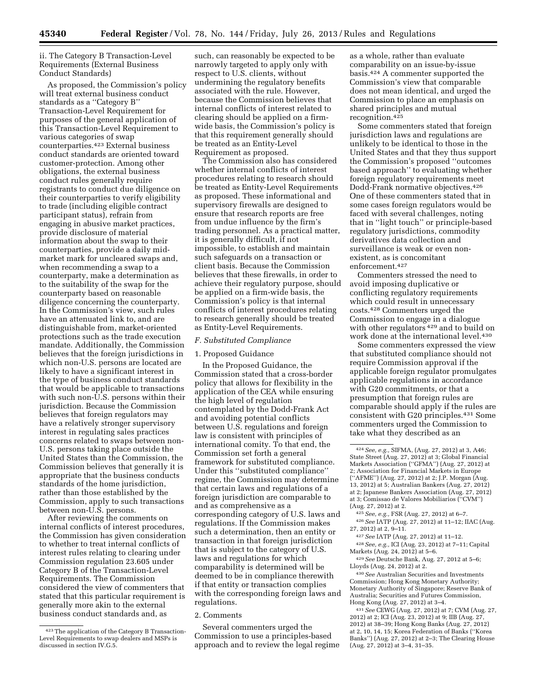ii. The Category B Transaction-Level Requirements (External Business Conduct Standards)

As proposed, the Commission's policy will treat external business conduct standards as a ''Category B'' Transaction-Level Requirement for purposes of the general application of this Transaction-Level Requirement to various categories of swap counterparties.423 External business conduct standards are oriented toward customer-protection. Among other obligations, the external business conduct rules generally require registrants to conduct due diligence on their counterparties to verify eligibility to trade (including eligible contract participant status), refrain from engaging in abusive market practices, provide disclosure of material information about the swap to their counterparties, provide a daily midmarket mark for uncleared swaps and, when recommending a swap to a counterparty, make a determination as to the suitability of the swap for the counterparty based on reasonable diligence concerning the counterparty. In the Commission's view, such rules have an attenuated link to, and are distinguishable from, market-oriented protections such as the trade execution mandate. Additionally, the Commission believes that the foreign jurisdictions in which non-U.S. persons are located are likely to have a significant interest in the type of business conduct standards that would be applicable to transactions with such non-U.S. persons within their jurisdiction. Because the Commission believes that foreign regulators may have a relatively stronger supervisory interest in regulating sales practices concerns related to swaps between non-U.S. persons taking place outside the United States than the Commission, the Commission believes that generally it is appropriate that the business conducts standards of the home jurisdiction, rather than those established by the Commission, apply to such transactions between non-U.S. persons.

After reviewing the comments on internal conflicts of interest procedures, the Commission has given consideration to whether to treat internal conflicts of interest rules relating to clearing under Commission regulation 23.605 under Category B of the Transaction-Level Requirements. The Commission considered the view of commenters that stated that this particular requirement is generally more akin to the external business conduct standards and, as

such, can reasonably be expected to be narrowly targeted to apply only with respect to U.S. clients, without undermining the regulatory benefits associated with the rule. However, because the Commission believes that internal conflicts of interest related to clearing should be applied on a firmwide basis, the Commission's policy is that this requirement generally should be treated as an Entity-Level Requirement as proposed.

The Commission also has considered whether internal conflicts of interest procedures relating to research should be treated as Entity-Level Requirements as proposed. These informational and supervisory firewalls are designed to ensure that research reports are free from undue influence by the firm's trading personnel. As a practical matter, it is generally difficult, if not impossible, to establish and maintain such safeguards on a transaction or client basis. Because the Commission believes that these firewalls, in order to achieve their regulatory purpose, should be applied on a firm-wide basis, the Commission's policy is that internal conflicts of interest procedures relating to research generally should be treated as Entity-Level Requirements.

#### *F. Substituted Compliance*

#### 1. Proposed Guidance

In the Proposed Guidance, the Commission stated that a cross-border policy that allows for flexibility in the application of the CEA while ensuring the high level of regulation contemplated by the Dodd-Frank Act and avoiding potential conflicts between U.S. regulations and foreign law is consistent with principles of international comity. To that end, the Commission set forth a general framework for substituted compliance. Under this ''substituted compliance'' regime, the Commission may determine that certain laws and regulations of a foreign jurisdiction are comparable to and as comprehensive as a corresponding category of U.S. laws and regulations. If the Commission makes such a determination, then an entity or transaction in that foreign jurisdiction that is subject to the category of U.S. laws and regulations for which comparability is determined will be deemed to be in compliance therewith if that entity or transaction complies with the corresponding foreign laws and regulations.

## 2. Comments

Several commenters urged the Commission to use a principles-based approach and to review the legal regime as a whole, rather than evaluate comparability on an issue-by-issue basis.424 A commenter supported the Commission's view that comparable does not mean identical, and urged the Commission to place an emphasis on shared principles and mutual recognition.425

Some commenters stated that foreign jurisdiction laws and regulations are unlikely to be identical to those in the United States and that they thus support the Commission's proposed ''outcomes based approach'' to evaluating whether foreign regulatory requirements meet Dodd-Frank normative objectives.426 One of these commenters stated that in some cases foreign regulators would be faced with several challenges, noting that in ''light touch'' or principle-based regulatory jurisdictions, commodity derivatives data collection and surveillance is weak or even nonexistent, as is concomitant enforcement.427

Commenters stressed the need to avoid imposing duplicative or conflicting regulatory requirements which could result in unnecessary costs.428 Commenters urged the Commission to engage in a dialogue with other regulators  $429$  and to build on work done at the international level.430

Some commenters expressed the view that substituted compliance should not require Commission approval if the applicable foreign regulator promulgates applicable regulations in accordance with G20 commitments, or that a presumption that foreign rules are comparable should apply if the rules are consistent with G20 principles.431 Some commenters urged the Commission to take what they described as an

425*See, e.g.,* FSR (Aug. 27, 2012) at 6–7. 426*See* IATP (Aug. 27, 2012) at 11–12; IIAC (Aug. 27, 2012) at 2, 9–11.

427*See* IATP (Aug. 27, 2012) at 11–12.

428*See, e.g.,* ICI (Aug. 23, 2012) at 7–11; Capital Markets (Aug. 24, 2012) at 5–6.

429*See* Deutsche Bank, Aug. 27, 2012 at 5–6; Lloyds (Aug. 24, 2012) at 2.

430*See* Australian Securities and Investments Commission; Hong Kong Monetary Authority; Monetary Authority of Singapore; Reserve Bank of Australia; Securities and Futures Commission, Hong Kong (Aug. 27, 2012) at 3–4.

431*See* CEWG (Aug. 27, 2012) at 7; CVM (Aug. 27, 2012) at 2; ICI (Aug. 23, 2012) at 9; IIB (Aug. 27, 2012) at 38–39; Hong Kong Banks (Aug. 27, 2012) at 2, 10, 14, 15; Korea Federation of Banks (''Korea Banks'') (Aug. 27, 2012) at 2–3; The Clearing House (Aug. 27, 2012) at 3–4, 31–35.

<sup>423</sup>The application of the Category B Transaction-Level Requirements to swap dealers and MSPs is discussed in section IV.G.5.

<sup>424</sup>*See, e.g.,* SIFMA, (Aug. 27, 2012) at 3, A46; State Street (Aug. 27, 2012) at 3; Global Financial Markets Association (''GFMA'') (Aug. 27, 2012) at 2; Association for Financial Markets in Europe (''AFME'') (Aug. 27, 2012) at 2; J.P. Morgan (Aug. 13, 2012) at 5; Australian Bankers (Aug. 27, 2012) at 2; Japanese Bankers Association (Aug. 27, 2012) at 3; Comissao de Valores Mobiliarios (''CVM'') (Aug. 27, 2012) at 2.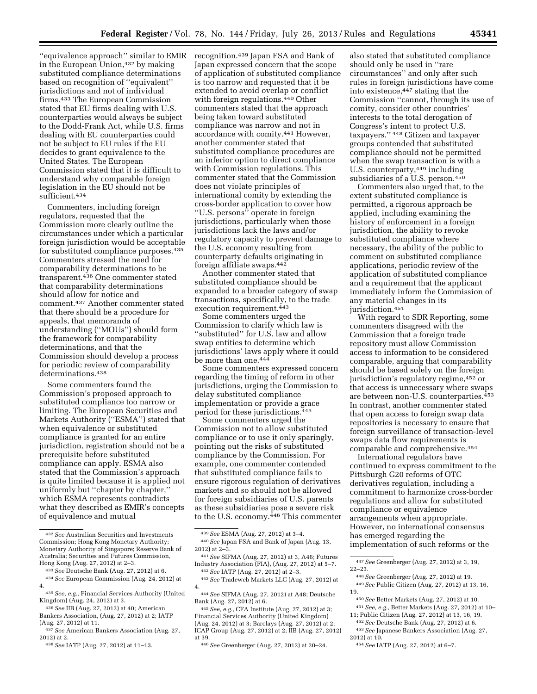"equivalence approach" similar to EMIR recognition.<sup>439</sup> Japan FSA and Bank of in the European Union,432 by making substituted compliance determinations based on recognition of ''equivalent'' jurisdictions and not of individual firms.433 The European Commission stated that EU firms dealing with U.S. counterparties would always be subject to the Dodd-Frank Act, while U.S. firms dealing with EU counterparties could not be subject to EU rules if the EU decides to grant equivalence to the United States. The European Commission stated that it is difficult to understand why comparable foreign legislation in the EU should not be sufficient.434

Commenters, including foreign regulators, requested that the Commission more clearly outline the circumstances under which a particular foreign jurisdiction would be acceptable for substituted compliance purposes.435 Commenters stressed the need for comparability determinations to be transparent.436 One commenter stated that comparability determinations should allow for notice and comment.437 Another commenter stated that there should be a procedure for appeals, that memoranda of understanding (''MOUs'') should form the framework for comparability determinations, and that the Commission should develop a process for periodic review of comparability determinations.438

Some commenters found the Commission's proposed approach to substituted compliance too narrow or limiting. The European Securities and Markets Authority (''ESMA'') stated that when equivalence or substituted compliance is granted for an entire jurisdiction, registration should not be a prerequisite before substituted compliance can apply. ESMA also stated that the Commission's approach is quite limited because it is applied not uniformly but ''chapter by chapter,'' which ESMA represents contradicts what they described as EMIR's concepts of equivalence and mutual

438*See* IATP (Aug. 27, 2012) at 11–13.

Japan expressed concern that the scope of application of substituted compliance is too narrow and requested that it be extended to avoid overlap or conflict with foreign regulations.440 Other commenters stated that the approach being taken toward substituted compliance was narrow and not in accordance with comity.441 However, another commenter stated that substituted compliance procedures are an inferior option to direct compliance with Commission regulations. This commenter stated that the Commission does not violate principles of international comity by extending the cross-border application to cover how ''U.S. persons'' operate in foreign jurisdictions, particularly when those jurisdictions lack the laws and/or regulatory capacity to prevent damage to the U.S. economy resulting from counterparty defaults originating in foreign affiliate swaps.442

Another commenter stated that substituted compliance should be expanded to a broader category of swap transactions, specifically, to the trade execution requirement.<sup>443</sup>

Some commenters urged the Commission to clarify which law is ''substituted'' for U.S. law and allow swap entities to determine which jurisdictions' laws apply where it could be more than one.444

Some commenters expressed concern regarding the timing of reform in other jurisdictions, urging the Commission to delay substituted compliance implementation or provide a grace period for these jurisdictions.445

Some commenters urged the Commission not to allow substituted compliance or to use it only sparingly, pointing out the risks of substituted compliance by the Commission. For example, one commenter contended that substituted compliance fails to ensure rigorous regulation of derivatives markets and so should not be allowed for foreign subsidiaries of U.S. parents as these subsidiaries pose a severe risk to the U.S. economy.446 This commenter

445*See, e.g.,* CFA Institute (Aug. 27, 2012) at 3; Financial Services Authority (United Kingdom) (Aug. 24, 2012) at 3; Barclays (Aug. 27, 2012) at 2; ICAP Group (Aug. 27, 2012) at 2; IIB (Aug. 27, 2012) at 39.

also stated that substituted compliance should only be used in ''rare circumstances'' and only after such rules in foreign jurisdictions have come into existence,447 stating that the Commission ''cannot, through its use of comity, consider other countries' interests to the total derogation of Congress's intent to protect U.S. taxpayers.'' 448 Citizen and taxpayer groups contended that substituted compliance should not be permitted when the swap transaction is with a U.S. counterparty,449 including subsidiaries of a U.S. person.450

Commenters also urged that, to the extent substituted compliance is permitted, a rigorous approach be applied, including examining the history of enforcement in a foreign jurisdiction, the ability to revoke substituted compliance where necessary, the ability of the public to comment on substituted compliance applications, periodic review of the application of substituted compliance and a requirement that the applicant immediately inform the Commission of any material changes in its jurisdiction.<sup>451</sup>

With regard to SDR Reporting, some commenters disagreed with the Commission that a foreign trade repository must allow Commission access to information to be considered comparable, arguing that comparability should be based solely on the foreign jurisdiction's regulatory regime,452 or that access is unnecessary where swaps are between non-U.S. counterparties.453 In contrast, another commenter stated that open access to foreign swap data repositories is necessary to ensure that foreign surveillance of transaction-level swaps data flow requirements is comparable and comprehensive.454

International regulators have continued to express commitment to the Pittsburgh G20 reforms of OTC derivatives regulation, including a commitment to harmonize cross-border regulations and allow for substituted compliance or equivalence arrangements when appropriate. However, no international consensus has emerged regarding the implementation of such reforms or the

2012) at 10. 454*See* IATP (Aug. 27, 2012) at 6–7.

<sup>432</sup>*See* Australian Securities and Investments Commission; Hong Kong Monetary Authority; Monetary Authority of Singapore; Reserve Bank of Australia; Securities and Futures Commission, Hong Kong (Aug. 27, 2012) at 2–3.

<sup>433</sup>*See* Deutsche Bank (Aug. 27, 2012) at 6. 434*See* European Commission (Aug. 24, 2012) at

<sup>4.</sup> 

<sup>435</sup>*See, e.g.,* Financial Services Authority (United Kingdom) (Aug. 24, 2012) at 3.

<sup>436</sup>*See* IIB (Aug. 27, 2012) at 40; American Bankers Association, (Aug. 27, 2012) at 2; IATP (Aug. 27, 2012) at 11.

<sup>437</sup>*See* American Bankers Association (Aug. 27, 2012) at 2.

<sup>439</sup>*See* ESMA (Aug. 27, 2012) at 3–4. 440*See* Japan FSA and Bank of Japan (Aug. 13, 2012) at 2–3.

<sup>441</sup>*See* SIFMA (Aug. 27, 2012) at 3, A46; Futures Industry Association (FIA), (Aug. 27, 2012) at 5–7. 442*See* IATP (Aug. 27, 2012) at 2–3.

<sup>443</sup>*See* Tradeweb Markets LLC (Aug. 27, 2012) at 4.

<sup>444</sup>*See* SIFMA (Aug. 27, 2012) at A48; Deutsche Bank (Aug. 27, 2012) at 6.

<sup>446</sup>*See* Greenberger (Aug. 27, 2012) at 20–24.

<sup>447</sup>*See* Greenberger (Aug. 27, 2012) at 3, 19, 22–23. 448*See* Greenberger (Aug. 27, 2012) at 19.

<sup>449</sup>*See* Public Citizen (Aug. 27, 2012) at 13, 16, 19.

<sup>450</sup>*See* Better Markets (Aug. 27, 2012) at 10. 451*See, e.g.,* Better Markets (Aug. 27, 2012) at 10– 11; Public Citizen (Aug. 27, 2012) at 13, 16, 19.

<sup>452</sup>*See* Deutsche Bank (Aug. 27, 2012) at 6. 453*See* Japanese Bankers Association (Aug. 27,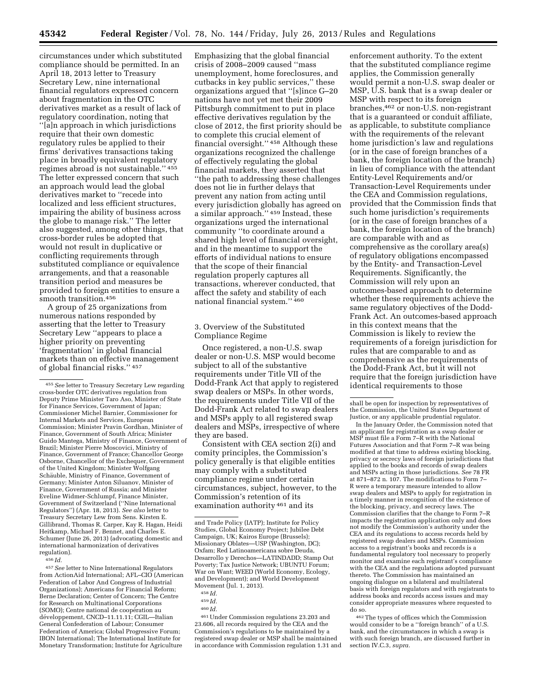circumstances under which substituted compliance should be permitted. In an April 18, 2013 letter to Treasury Secretary Lew, nine international financial regulators expressed concern about fragmentation in the OTC derivatives market as a result of lack of regulatory coordination, noting that ''[a]n approach in which jurisdictions require that their own domestic regulatory rules be applied to their firms' derivatives transactions taking place in broadly equivalent regulatory regimes abroad is not sustainable.'' 455 The letter expressed concern that such an approach would lead the global derivatives market to ''recede into localized and less efficient structures, impairing the ability of business across the globe to manage risk.'' The letter also suggested, among other things, that cross-border rules be adopted that would not result in duplicative or conflicting requirements through substituted compliance or equivalence arrangements, and that a reasonable transition period and measures be provided to foreign entities to ensure a smooth transition.456

A group of 25 organizations from numerous nations responded by asserting that the letter to Treasury Secretary Lew ''appears to place a higher priority on preventing 'fragmentation' in global financial markets than on effective management of global financial risks.'' 457

456 *Id.* 

457*See* letter to Nine International Regulators from ActionAid International; AFL–CIO (American Federation of Labor And Congress of Industrial Organizations); Americans for Financial Reform; Berne Declaration; Center of Concern; The Centre for Research on Multinational Corporations (SOMO); Centre national de coopération au développement, CNCD-11.11.11; CGIL-Italian General Confederation of Labour; Consumer Federation of America; Global Progressive Forum; IBON International; The International Institute for Monetary Transformation; Institute for Agriculture

Emphasizing that the global financial crisis of 2008–2009 caused ''mass unemployment, home foreclosures, and cutbacks in key public services,'' these organizations argued that ''[s]ince G–20 nations have not yet met their 2009 Pittsburgh commitment to put in place effective derivatives regulation by the close of 2012, the first priority should be to complete this crucial element of financial oversight.'' 458 Although these organizations recognized the challenge of effectively regulating the global financial markets, they asserted that ''the path to addressing these challenges does not lie in further delays that prevent any nation from acting until every jurisdiction globally has agreed on a similar approach.'' 459 Instead, these organizations urged the international community ''to coordinate around a shared high level of financial oversight, and in the meantime to support the efforts of individual nations to ensure that the scope of their financial regulation properly captures all transactions, wherever conducted, that affect the safety and stability of each national financial system.'' 460

3. Overview of the Substituted Compliance Regime

Once registered, a non-U.S. swap dealer or non-U.S. MSP would become subject to all of the substantive requirements under Title VII of the Dodd-Frank Act that apply to registered swap dealers or MSPs. In other words, the requirements under Title VII of the Dodd-Frank Act related to swap dealers and MSPs apply to all registered swap dealers and MSPs, irrespective of where they are based.

Consistent with CEA section 2(i) and comity principles, the Commission's policy generally is that eligible entities may comply with a substituted compliance regime under certain circumstances, subject, however, to the Commission's retention of its examination authority 461 and its

461Under Commission regulations 23.203 and 23.606, all records required by the CEA and the Commission's regulations to be maintained by a registered swap dealer or MSP shall be maintained in accordance with Commission regulation 1.31 and

enforcement authority. To the extent that the substituted compliance regime applies, the Commission generally would permit a non-U.S. swap dealer or MSP, U.S. bank that is a swap dealer or MSP with respect to its foreign branches,462 or non-U.S. non-registrant that is a guaranteed or conduit affiliate, as applicable, to substitute compliance with the requirements of the relevant home jurisdiction's law and regulations (or in the case of foreign branches of a bank, the foreign location of the branch) in lieu of compliance with the attendant Entity-Level Requirements and/or Transaction-Level Requirements under the CEA and Commission regulations, provided that the Commission finds that such home jurisdiction's requirements (or in the case of foreign branches of a bank, the foreign location of the branch) are comparable with and as comprehensive as the corollary area(s) of regulatory obligations encompassed by the Entity- and Transaction-Level Requirements. Significantly, the Commission will rely upon an outcomes-based approach to determine whether these requirements achieve the same regulatory objectives of the Dodd-Frank Act. An outcomes-based approach in this context means that the Commission is likely to review the requirements of a foreign jurisdiction for rules that are comparable to and as comprehensive as the requirements of the Dodd-Frank Act, but it will not require that the foreign jurisdiction have identical requirements to those

In the January Order, the Commission noted that an applicant for registration as a swap dealer or MSP must file a Form 7–R with the National Futures Association and that Form 7–R was being modified at that time to address existing blocking, privacy or secrecy laws of foreign jurisdictions that applied to the books and records of swap dealers and MSPs acting in those jurisdictions. *See* 78 FR at 871–872 n. 107. The modifications to Form 7– R were a temporary measure intended to allow swap dealers and MSPs to apply for registration in a timely manner in recognition of the existence of the blocking, privacy, and secrecy laws. The Commission clarifies that the change to Form 7–R impacts the registration application only and does not modify the Commission's authority under the CEA and its regulations to access records held by registered swap dealers and MSPs. Commission access to a registrant's books and records is a fundamental regulatory tool necessary to properly monitor and examine each registrant's compliance with the CEA and the regulations adopted pursuant thereto. The Commission has maintained an ongoing dialogue on a bilateral and multilateral basis with foreign regulators and with registrants to address books and records access issues and may consider appropriate measures where requested to do so.

462The types of offices which the Commission would consider to be a ''foreign branch'' of a U.S. bank, and the circumstances in which a swap is with such foreign branch, are discussed further in section IV.C.3, *supra.* 

<sup>455</sup>*See* letter to Treasury Secretary Lew regarding cross-border OTC derivatives regulation from Deputy Prime Minister Taro Aso, Minister of State for Finance Services, Government of Japan; Commissioner Michel Barnier, Commissioner for Internal Markets and Services, European Commission; Minister Pravin Gordhan, Minister of Finance, Government of South Africa; Minister Guido Mantega, Ministry of Finance, Government of Brazil; Minister Pierre Moscovici, Ministry of Finance, Government of France; Chancellor George Osborne, Chancellor of the Exchequer, Government of the United Kingdom; Minister Wolfgang Schäuble, Ministry of Finance, Government of Germany; Minister Anton Siluanov, Minister of Finance, Government of Russia; and Minister Eveline Widmer-Schlumpf, Finance Minister, Government of Switzerland (''Nine International Regulators'') (Apr. 18, 2013). *See also* letter to Treasury Secretary Lew from Sens. Kirsten E. Gillibrand, Thomas R. Carper, Kay R. Hagan, Heidi Heitkamp, Michael F. Bennet, and Charles E. Schumer (June 26, 2013) (advocating domestic and international harmonization of derivatives regulation).

and Trade Policy (IATP); Institute for Policy Studies, Global Economy Project; Jubilee Debt Campaign, UK; Kairos Europe (Brussels); Missionary Oblates—USP (Washington, DC); Oxfam; Red Latinoamericana sobre Deuda, Desarrollo y Derechos—LATINDADD; Stamp Out Poverty; Tax Justice Network; UBUNTU Forum; War on Want; WEED (World Economy, Ecology, and Development); and World Development Movement (Jul. 1, 2013).

<sup>458</sup> *Id.* 

<sup>459</sup> *Id.* 

<sup>460</sup> *Id.* 

shall be open for inspection by representatives of the Commission, the United States Department of Justice, or any applicable prudential regulator.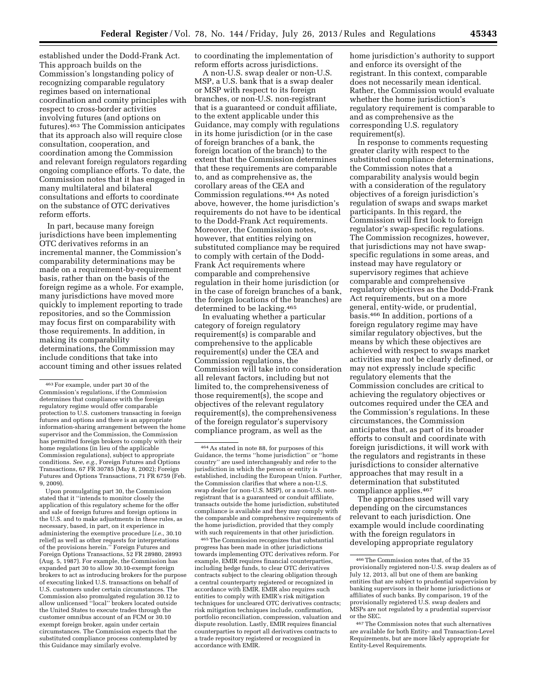established under the Dodd-Frank Act. This approach builds on the Commission's longstanding policy of recognizing comparable regulatory regimes based on international coordination and comity principles with respect to cross-border activities involving futures (and options on futures).463 The Commission anticipates that its approach also will require close consultation, cooperation, and coordination among the Commission and relevant foreign regulators regarding ongoing compliance efforts. To date, the Commission notes that it has engaged in many multilateral and bilateral consultations and efforts to coordinate on the substance of OTC derivatives reform efforts.

In part, because many foreign jurisdictions have been implementing OTC derivatives reforms in an incremental manner, the Commission's comparability determinations may be made on a requirement-by-requirement basis, rather than on the basis of the foreign regime as a whole. For example, many jurisdictions have moved more quickly to implement reporting to trade repositories, and so the Commission may focus first on comparability with those requirements. In addition, in making its comparability determinations, the Commission may include conditions that take into account timing and other issues related

Upon promulgating part 30, the Commission stated that it ''intends to monitor closely the application of this regulatory scheme for the offer and sale of foreign futures and foreign options in the U.S. and to make adjustments in these rules, as necessary, based, in part, on it experience in administering the exemptive procedure [*i.e.,* 30.10 relief] as well as other requests for interpretations of the provisions herein.'' Foreign Futures and Foreign Options Transactions, 52 FR 28980, 28993 (Aug. 5, 1987). For example, the Commission has expanded part 30 to allow 30.10-exempt foreign brokers to act as introducing brokers for the purpose of executing linked U.S. transactions on behalf of U.S. customers under certain circumstances. The Commission also promulgated regulation 30.12 to allow unlicensed ''local'' brokers located outside the United States to execute trades through the customer omnibus account of an FCM or 30.10 exempt foreign broker, again under certain circumstances. The Commission expects that the substituted compliance process contemplated by this Guidance may similarly evolve.

to coordinating the implementation of reform efforts across jurisdictions.

A non-U.S. swap dealer or non-U.S. MSP, a U.S. bank that is a swap dealer or MSP with respect to its foreign branches, or non-U.S. non-registrant that is a guaranteed or conduit affiliate, to the extent applicable under this Guidance, may comply with regulations in its home jurisdiction (or in the case of foreign branches of a bank, the foreign location of the branch) to the extent that the Commission determines that these requirements are comparable to, and as comprehensive as, the corollary areas of the CEA and Commission regulations.464 As noted above, however, the home jurisdiction's requirements do not have to be identical to the Dodd-Frank Act requirements. Moreover, the Commission notes, however, that entities relying on substituted compliance may be required to comply with certain of the Dodd-Frank Act requirements where comparable and comprehensive regulation in their home jurisdiction (or in the case of foreign branches of a bank, the foreign locations of the branches) are determined to be lacking.465

In evaluating whether a particular category of foreign regulatory requirement(s) is comparable and comprehensive to the applicable requirement(s) under the CEA and Commission regulations, the Commission will take into consideration all relevant factors, including but not limited to, the comprehensiveness of those requirement(s), the scope and objectives of the relevant regulatory requirement(s), the comprehensiveness of the foreign regulator's supervisory compliance program, as well as the

465The Commission recognizes that substantial progress has been made in other jurisdictions towards implementing OTC derivatives reform. For example, EMIR requires financial counterparties, including hedge funds, to clear OTC derivatives contracts subject to the clearing obligation through a central counterparty registered or recognized in accordance with EMIR. EMIR also requires such entities to comply with EMIR's risk mitigation techniques for uncleared OTC derivatives contracts; risk mitigation techniques include, confirmation, portfolio reconciliation, compression, valuation and dispute resolution. Lastly, EMIR requires financial counterparties to report all derivatives contracts to a trade repository registered or recognized in accordance with EMIR.

home jurisdiction's authority to support and enforce its oversight of the registrant. In this context, comparable does not necessarily mean identical. Rather, the Commission would evaluate whether the home jurisdiction's regulatory requirement is comparable to and as comprehensive as the corresponding U.S. regulatory requirement(s).

In response to comments requesting greater clarity with respect to the substituted compliance determinations, the Commission notes that a comparability analysis would begin with a consideration of the regulatory objectives of a foreign jurisdiction's regulation of swaps and swaps market participants. In this regard, the Commission will first look to foreign regulator's swap-specific regulations. The Commission recognizes, however, that jurisdictions may not have swapspecific regulations in some areas, and instead may have regulatory or supervisory regimes that achieve comparable and comprehensive regulatory objectives as the Dodd-Frank Act requirements, but on a more general, entity-wide, or prudential, basis.466 In addition, portions of a foreign regulatory regime may have similar regulatory objectives, but the means by which these objectives are achieved with respect to swaps market activities may not be clearly defined, or may not expressly include specific regulatory elements that the Commission concludes are critical to achieving the regulatory objectives or outcomes required under the CEA and the Commission's regulations. In these circumstances, the Commission anticipates that, as part of its broader efforts to consult and coordinate with foreign jurisdictions, it will work with the regulators and registrants in these jurisdictions to consider alternative approaches that may result in a determination that substituted compliance applies.467

The approaches used will vary depending on the circumstances relevant to each jurisdiction. One example would include coordinating with the foreign regulators in developing appropriate regulatory

<sup>463</sup>For example, under part 30 of the Commission's regulations, if the Commission determines that compliance with the foreign regulatory regime would offer comparable protection to U.S. customers transacting in foreign futures and options and there is an appropriate information-sharing arrangement between the home supervisor and the Commission, the Commission has permitted foreign brokers to comply with their home regulations (in lieu of the applicable Commission regulations), subject to appropriate conditions. *See, e.g.,* Foreign Futures and Options Transactions, 67 FR 30785 (May 8, 2002); Foreign Futures and Options Transactions, 71 FR 6759 (Feb. 9, 2009).

<sup>464</sup>As stated in note 88, for purposes of this Guidance, the terms ''home jurisdiction'' or ''home country'' are used interchangeably and refer to the jurisdiction in which the person or entity is established, including the European Union. Further, the Commission clarifies that where a non-U.S. swap dealer (or non-U.S. MSP), or a non-U.S. nonregistrant that is a guaranteed or conduit affiliate, transacts outside the home jurisdiction, substituted compliance is available and they may comply with the comparable and comprehensive requirements of the home jurisdiction, provided that they comply with such requirements in that other jurisdiction.

<sup>466</sup>The Commission notes that, of the 35 provisionally registered non-U.S. swap dealers as of July 12, 2013, all but one of them are banking entities that are subject to prudential supervision by banking supervisors in their home jurisdictions or affiliates of such banks. By comparison, 19 of the provisionally registered U.S. swap dealers and MSPs are not regulated by a prudential supervisor or the SEC.

<sup>467</sup>The Commission notes that such alternatives are available for both Entity- and Transaction-Level Requirements, but are more likely appropriate for Entity-Level Requirements.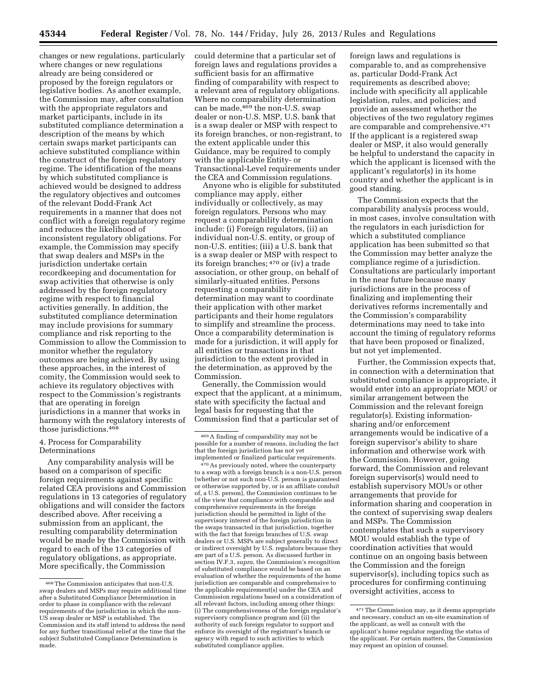changes or new regulations, particularly where changes or new regulations already are being considered or proposed by the foreign regulators or legislative bodies. As another example, the Commission may, after consultation with the appropriate regulators and market participants, include in its substituted compliance determination a description of the means by which certain swaps market participants can achieve substituted compliance within the construct of the foreign regulatory regime. The identification of the means by which substituted compliance is achieved would be designed to address the regulatory objectives and outcomes of the relevant Dodd-Frank Act requirements in a manner that does not conflict with a foreign regulatory regime and reduces the likelihood of inconsistent regulatory obligations. For example, the Commission may specify that swap dealers and MSPs in the jurisdiction undertake certain recordkeeping and documentation for swap activities that otherwise is only addressed by the foreign regulatory regime with respect to financial activities generally. In addition, the substituted compliance determination may include provisions for summary compliance and risk reporting to the Commission to allow the Commission to monitor whether the regulatory outcomes are being achieved. By using these approaches, in the interest of comity, the Commission would seek to achieve its regulatory objectives with respect to the Commission's registrants that are operating in foreign jurisdictions in a manner that works in harmony with the regulatory interests of those jurisdictions.468

# 4. Process for Comparability Determinations

Any comparability analysis will be based on a comparison of specific foreign requirements against specific related CEA provisions and Commission regulations in 13 categories of regulatory obligations and will consider the factors described above. After receiving a submission from an applicant, the resulting comparability determination would be made by the Commission with regard to each of the 13 categories of regulatory obligations, as appropriate. More specifically, the Commission

could determine that a particular set of foreign laws and regulations provides a sufficient basis for an affirmative finding of comparability with respect to a relevant area of regulatory obligations. Where no comparability determination can be made,  $469$  the non-U.S. swap dealer or non-U.S. MSP, U.S. bank that is a swap dealer or MSP with respect to its foreign branches, or non-registrant, to the extent applicable under this Guidance, may be required to comply with the applicable Entity- or Transactional-Level requirements under the CEA and Commission regulations.

Anyone who is eligible for substituted compliance may apply, either individually or collectively, as may foreign regulators. Persons who may request a comparability determination include: (i) Foreign regulators, (ii) an individual non-U.S. entity, or group of non-U.S. entities; (iii) a U.S. bank that is a swap dealer or MSP with respect to its foreign branches; 470 or (iv) a trade association, or other group, on behalf of similarly-situated entities. Persons requesting a comparability determination may want to coordinate their application with other market participants and their home regulators to simplify and streamline the process. Once a comparability determination is made for a jurisdiction, it will apply for all entities or transactions in that jurisdiction to the extent provided in the determination, as approved by the Commission.

Generally, the Commission would expect that the applicant, at a minimum, state with specificity the factual and legal basis for requesting that the Commission find that a particular set of

foreign laws and regulations is comparable to, and as comprehensive as, particular Dodd-Frank Act requirements as described above; include with specificity all applicable legislation, rules, and policies; and provide an assessment whether the objectives of the two regulatory regimes are comparable and comprehensive.471 If the applicant is a registered swap dealer or MSP, it also would generally be helpful to understand the capacity in which the applicant is licensed with the applicant's regulator(s) in its home country and whether the applicant is in good standing.

The Commission expects that the comparability analysis process would, in most cases, involve consultation with the regulators in each jurisdiction for which a substituted compliance application has been submitted so that the Commission may better analyze the compliance regime of a jurisdiction. Consultations are particularly important in the near future because many jurisdictions are in the process of finalizing and implementing their derivatives reforms incrementally and the Commission's comparability determinations may need to take into account the timing of regulatory reforms that have been proposed or finalized, but not yet implemented.

Further, the Commission expects that, in connection with a determination that substituted compliance is appropriate, it would enter into an appropriate MOU or similar arrangement between the Commission and the relevant foreign regulator(s). Existing informationsharing and/or enforcement arrangements would be indicative of a foreign supervisor's ability to share information and otherwise work with the Commission. However, going forward, the Commission and relevant foreign supervisor(s) would need to establish supervisory MOUs or other arrangements that provide for information sharing and cooperation in the context of supervising swap dealers and MSPs. The Commission contemplates that such a supervisory MOU would establish the type of coordination activities that would continue on an ongoing basis between the Commission and the foreign supervisor(s), including topics such as procedures for confirming continuing oversight activities, access to

<sup>468</sup>The Commission anticipates that non-U.S. swap dealers and MSPs may require additional time after a Substituted Compliance Determination in order to phase in compliance with the relevant requirements of the jurisdiction in which the non-US swap dealer or MSP is established. The Commission and its staff intend to address the need for any further transitional relief at the time that the subject Substituted Compliance Determination is made.

<sup>469</sup>A finding of comparability may not be possible for a number of reasons, including the fact that the foreign jurisdiction has not yet implemented or finalized particular requirements.

<sup>470</sup>As previously noted, where the counterparty to a swap with a foreign branch is a non-U.S. person (whether or not such non-U.S. person is guaranteed or otherwise supported by, or is an affiliate conduit of, a U.S. person), the Commission continues to be of the view that compliance with comparable and comprehensive requirements in the foreign jurisdiction should be permitted in light of the supervisory interest of the foreign jurisdiction in the swaps transacted in that jurisdiction, together with the fact that foreign branches of U.S. swap dealers or U.S. MSPs are subject generally to direct or indirect oversight by U.S. regulators because they are part of a U.S. person. As discussed further in section IV.F.3, *supra,* the Commission's recognition of substituted compliance would be based on an evaluation of whether the requirements of the home jurisdiction are comparable and comprehensive to the applicable requirement(s) under the CEA and Commission regulations based on a consideration of all relevant factors, including among other things: (i) The comprehensiveness of the foreign regulator's supervisory compliance program and (ii) the authority of such foreign regulator to support and enforce its oversight of the registrant's branch or agency with regard to such activities to which substituted compliance applies.

<sup>471</sup>The Commission may, as it deems appropriate and necessary, conduct an on-site examination of the applicant, as well as consult with the applicant's home regulator regarding the status of the applicant. For certain matters, the Commission may request an opinion of counsel.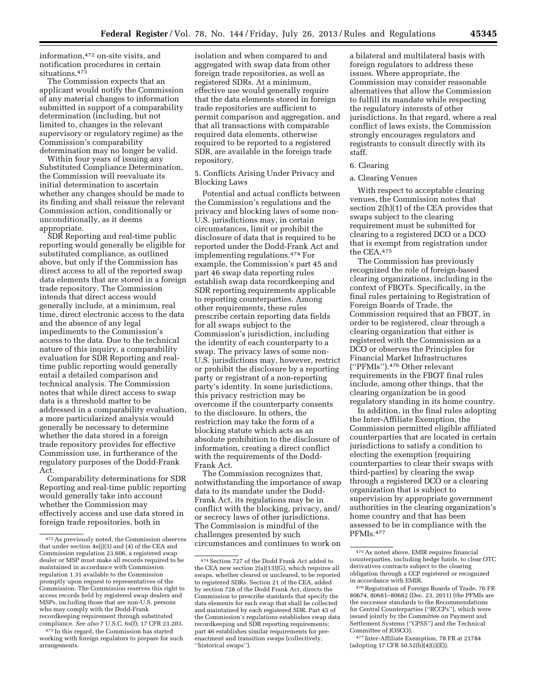information,472 on-site visits, and notification procedures in certain situations.473

The Commission expects that an applicant would notify the Commission of any material changes to information submitted in support of a comparability determination (including, but not limited to, changes in the relevant supervisory or regulatory regime) as the Commission's comparability determination may no longer be valid.

Within four years of issuing any Substituted Compliance Determination, the Commission will reevaluate its initial determination to ascertain whether any changes should be made to its finding and shall reissue the relevant Commission action, conditionally or unconditionally, as it deems appropriate.

SDR Reporting and real-time public reporting would generally be eligible for substituted compliance, as outlined above, but only if the Commission has direct access to all of the reported swap data elements that are stored in a foreign trade repository. The Commission intends that direct access would generally include, at a minimum, real time, direct electronic access to the data and the absence of any legal impediments to the Commission's access to the data. Due to the technical nature of this inquiry, a comparability evaluation for SDR Reporting and realtime public reporting would generally entail a detailed comparison and technical analysis. The Commission notes that while direct access to swap data is a threshold matter to be addressed in a comparability evaluation, a more particularized analysis would generally be necessary to determine whether the data stored in a foreign trade repository provides for effective Commission use, in furtherance of the regulatory purposes of the Dodd-Frank Act.

Comparability determinations for SDR Reporting and real-time public reporting would generally take into account whether the Commission may effectively access and use data stored in foreign trade repositories, both in

isolation and when compared to and aggregated with swap data from other foreign trade repositories, as well as registered SDRs. At a minimum, effective use would generally require that the data elements stored in foreign trade repositories are sufficient to permit comparison and aggregation, and that all transactions with comparable required data elements, otherwise required to be reported to a registered SDR, are available in the foreign trade repository.

5. Conflicts Arising Under Privacy and Blocking Laws

Potential and actual conflicts between the Commission's regulations and the privacy and blocking laws of some non-U.S. jurisdictions may, in certain circumstances, limit or prohibit the disclosure of data that is required to be reported under the Dodd-Frank Act and implementing regulations.474 For example, the Commission's part 45 and part 46 swap data reporting rules establish swap data recordkeeping and SDR reporting requirements applicable to reporting counterparties. Among other requirements, these rules prescribe certain reporting data fields for all swaps subject to the Commission's jurisdiction, including the identity of each counterparty to a swap. The privacy laws of some non-U.S. jurisdictions may, however, restrict or prohibit the disclosure by a reporting party or registrant of a non-reporting party's identity. In some jurisdictions, this privacy restriction may be overcome if the counterparty consents to the disclosure. In others, the restriction may take the form of a blocking statute which acts as an absolute prohibition to the disclosure of information, creating a direct conflict with the requirements of the Dodd-Frank Act.

The Commission recognizes that, notwithstanding the importance of swap data to its mandate under the Dodd-Frank Act, its regulations may be in conflict with the blocking, privacy, and/ or secrecy laws of other jurisdictions. The Commission is mindful of the challenges presented by such circumstances and continues to work on a bilateral and multilateral basis with foreign regulators to address these issues. Where appropriate, the Commission may consider reasonable alternatives that allow the Commission to fulfill its mandate while respecting the regulatory interests of other jurisdictions. In that regard, where a real conflict of laws exists, the Commission strongly encourages regulators and registrants to consult directly with its staff.

#### 6. Clearing

### a. Clearing Venues

With respect to acceptable clearing venues, the Commission notes that section 2(h)(1) of the CEA provides that swaps subject to the clearing requirement must be submitted for clearing to a registered DCO or a DCO that is exempt from registration under the CEA.475

The Commission has previously recognized the role of foreign-based clearing organizations, including in the context of FBOTs. Specifically, in the final rules pertaining to Registration of Foreign Boards of Trade, the Commission required that an FBOT, in order to be registered, clear through a clearing organization that either is registered with the Commission as a DCO or observes the Principles for Financial Market Infrastructures (''PFMIs'').476 Other relevant requirements in the FBOT final rules include, among other things, that the clearing organization be in good regulatory standing in its home country.

In addition, in the final rules adopting the Inter-Affiliate Exemption, the Commission permitted eligible affiliated counterparties that are located in certain jurisdictions to satisfy a condition to electing the exemption (requiring counterparties to clear their swaps with third-parties) by clearing the swap through a registered DCO or a clearing organization that is subject to supervision by appropriate government authorities in the clearing organization's home country and that has been assessed to be in compliance with the PFMIs.477

477 Inter-Affiliate Exemption, 78 FR at 21784 (adopting 17 CFR  $50.52(b)(4)(i)(E)$ ).

<sup>472</sup>As previously noted, the Commission observes that under section 4s(j)(3) and (4) of the CEA and Commission regulation 23.606, a registered swap dealer or MSP must make all records required to be maintained in accordance with Commission regulation 1.31 available to the Commission promptly upon request to representatives of the Commission. The Commission reserves this right to access records held by registered swap dealers and MSPs, including those that are non-U.S. persons who may comply with the Dodd-Frank recordkeeping requirement through substituted compliance. *See also* 7 U.S.C. 6s(f); 17 CFR 23.203.

<sup>473</sup> In this regard, the Commission has started working with foreign regulators to prepare for such arrangements.

<sup>474</sup>Section 727 of the Dodd Frank Act added to the CEA new section 2(a)(13)(G), which requires all swaps, whether cleared or uncleared, to be reported to registered SDRs. Section 21 of the CEA, added by section 728 of the Dodd Frank Act, directs the Commission to prescribe standards that specify the data elements for each swap that shall be collected and maintained by each registered SDR. Part 45 of the Commission's regulations establishes swap data recordkeeping and SDR reporting requirements; part 46 establishes similar requirements for preenactment and transition swaps (collectively, ''historical swaps'').

<sup>475</sup>As noted above, EMIR requires financial counterparties, including hedge funds, to clear OTC derivatives contracts subject to the clearing obligation through a CCP registered or recognized in accordance with EMIR.

<sup>476</sup>Registration of Foreign Boards of Trade, 76 FR 80674, 80681–80682 (Dec. 23, 2011) (the PFMIs are the successor standards to the Recommendations for Central Counterparties (''RCCPs''), which were issued jointly by the Committee on Payment and Settlement Systems (''CPSS'') and the Technical Committee of IOSCO).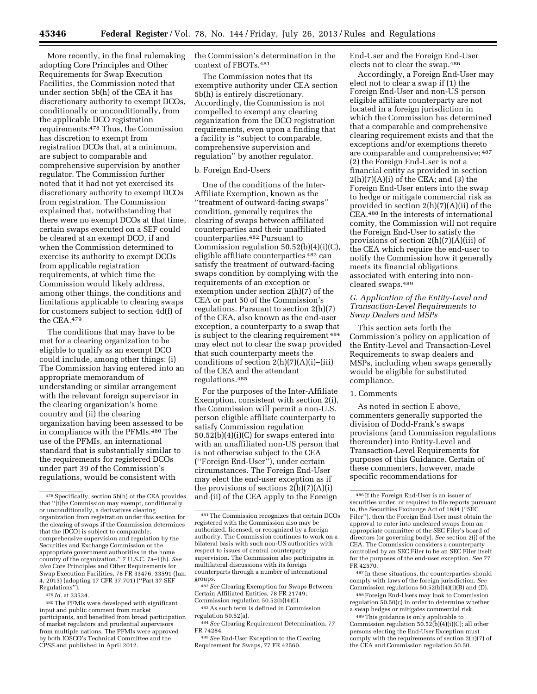More recently, in the final rulemaking adopting Core Principles and Other Requirements for Swap Execution Facilities, the Commission noted that under section 5b(h) of the CEA it has discretionary authority to exempt DCOs, conditionally or unconditionally, from the applicable DCO registration requirements.478 Thus, the Commission has discretion to exempt from registration DCOs that, at a minimum, are subject to comparable and comprehensive supervision by another regulator. The Commission further noted that it had not yet exercised its discretionary authority to exempt DCOs from registration. The Commission explained that, notwithstanding that there were no exempt DCOs at that time, certain swaps executed on a SEF could be cleared at an exempt DCO, if and when the Commission determined to exercise its authority to exempt DCOs from applicable registration requirements, at which time the Commission would likely address, among other things, the conditions and limitations applicable to clearing swaps for customers subject to section 4d(f) of the CEA.479

The conditions that may have to be met for a clearing organization to be eligible to qualify as an exempt DCO could include, among other things: (i) The Commission having entered into an appropriate memorandum of understanding or similar arrangement with the relevant foreign supervisor in the clearing organization's home country and (ii) the clearing organization having been assessed to be in compliance with the PFMIs.480 The use of the PFMIs, an international standard that is substantially similar to the requirements for registered DCOs under part 39 of the Commission's regulations, would be consistent with

the Commission's determination in the context of FBOTs.481

The Commission notes that its exemptive authority under CEA section 5b(h) is entirely discretionary. Accordingly, the Commission is not compelled to exempt any clearing organization from the DCO registration requirements, even upon a finding that a facility is ''subject to comparable, comprehensive supervision and regulation'' by another regulator.

#### b. Foreign End-Users

One of the conditions of the Inter-Affiliate Exemption, known as the ''treatment of outward-facing swaps'' condition, generally requires the clearing of swaps between affiliated counterparties and their unaffiliated counterparties.482 Pursuant to Commission regulation  $50.52(b)(4)(i)(C)$ , eligible affiliate counterparties 483 can satisfy the treatment of outward-facing swaps condition by complying with the requirements of an exception or exemption under section 2(h)(7) of the CEA or part 50 of the Commission's regulations. Pursuant to section 2(h)(7) of the CEA, also known as the end-user exception, a counterparty to a swap that is subject to the clearing requirement 484 may elect not to clear the swap provided that such counterparty meets the conditions of section  $2(h)(7)(A)(i)$ –(iii) of the CEA and the attendant regulations.485

For the purposes of the Inter-Affiliate Exemption, consistent with section 2(i), the Commission will permit a non-U.S. person eligible affiliate counterparty to satisfy Commission regulation 50.52(b)(4)(i)(C) for swaps entered into with an unaffiliated non-US person that is not otherwise subject to the CEA (''Foreign End-User''), under certain circumstances. The Foreign End-User may elect the end-user exception as if the provisions of sections  $2(h)(7)(A)(i)$ and (ii) of the CEA apply to the Foreign

End-User and the Foreign End-User elects not to clear the swap.486

Accordingly, a Foreign End-User may elect not to clear a swap if (1) the Foreign End-User and non-US person eligible affiliate counterparty are not located in a foreign jurisdiction in which the Commission has determined that a comparable and comprehensive clearing requirement exists and that the exceptions and/or exemptions thereto are comparable and comprehensive; 487 (2) the Foreign End-User is not a financial entity as provided in section  $2(h)(7)(A)(i)$  of the CEA; and (3) the Foreign End-User enters into the swap to hedge or mitigate commercial risk as provided in section 2(h)(7)(A)(ii) of the CEA.488 In the interests of international comity, the Commission will not require the Foreign End-User to satisfy the provisions of section 2(h)(7)(A)(iii) of the CEA which require the end-user to notify the Commission how it generally meets its financial obligations associated with entering into noncleared swaps.489

# *G. Application of the Entity-Level and Transaction-Level Requirements to Swap Dealers and MSPs*

This section sets forth the Commission's policy on application of the Entity-Level and Transaction-Level Requirements to swap dealers and MSPs, including when swaps generally would be eligible for substituted compliance.

#### 1. Comments

As noted in section E above, commenters generally supported the division of Dodd-Frank's swaps provisions (and Commission regulations thereunder) into Entity-Level and Transaction-Level Requirements for purposes of this Guidance. Certain of these commenters, however, made specific recommendations for

487 In these situations, the counterparties should comply with laws of the foreign jurisdiction. *See*  Commission regulations  $50.52(b)(4)(i)(B)$  and (D).

488Foreign End-Users may look to Commission regulation 50.50(c) in order to determine whether a swap hedges or mitigates commercial risk.

489This guidance is only applicable to Commission regulation  $50.52(b)(4)(i)(C)$ ; all other persons electing the End-User Exception must comply with the requirements of section 2(h)(7) of the CEA and Commission regulation 50.50.

<sup>478</sup>Specifically, section 5b(h) of the CEA provides that ''[t]he Commission may exempt, conditionally or unconditionally, a derivatives clearing organization from registration under this section for the clearing of swaps if the Commission determines that the [DCO] is subject to comparable, comprehensive supervision and regulation by the Securities and Exchange Commission or the appropriate government authorities in the home country of the organization.'' 7 U.S.C. 7a–1(h). *See also* Core Principles and Other Requirements for Swap Execution Facilities, 78 FR 33476, 33591 (Jun. 4, 2013) (adopting 17 CFR 37.701) (''Part 37 SEF Regulations'').

<sup>479</sup> *Id.* at 33534.

<sup>480</sup>The PFMIs were developed with significant input and public comment from market participants, and benefited from broad participation of market regulators and prudential supervisors from multiple nations. The PFMIs were approved by both IOSCO's Technical Committee and the CPSS and published in April 2012.

<sup>481</sup>The Commission recognizes that certain DCOs registered with the Commission also may be authorized, licensed, or recognized by a foreign authority. The Commission continues to work on a bilateral basis with such non-US authorities with respect to issues of central counterparty supervision. The Commission also participates in multilateral discussions with its foreign counterparts through a number of international groups.

<sup>482</sup>*See* Clearing Exemption for Swaps Between Certain Affiliated Entities, 78 FR 21749; Commission regulation 50.52(b)(4)(i).

<sup>483</sup>As such term is defined in Commission

regulation 50.52(a).

<sup>484</sup>*See* Clearing Requirement Determination, 77 FR 74284.

<sup>485</sup>*See* End-User Exception to the Clearing Requirement for Swaps, 77 FR 42560.

<sup>486</sup> If the Foreign End-User is an issuer of securities under, or required to file reports pursuant to, the Securities Exchange Act of 1934 (''SEC Filer''), then the Foreign End-User must obtain the approval to enter into uncleared swaps from an appropriate committee of the SEC Filer's board of directors (or governing body). *See* section 2(j) of the CEA. The Commission considers a counterparty controlled by an SEC Filer to be an SEC Filer itself for the purposes of the end-user exception. *See* 77 FR 42570.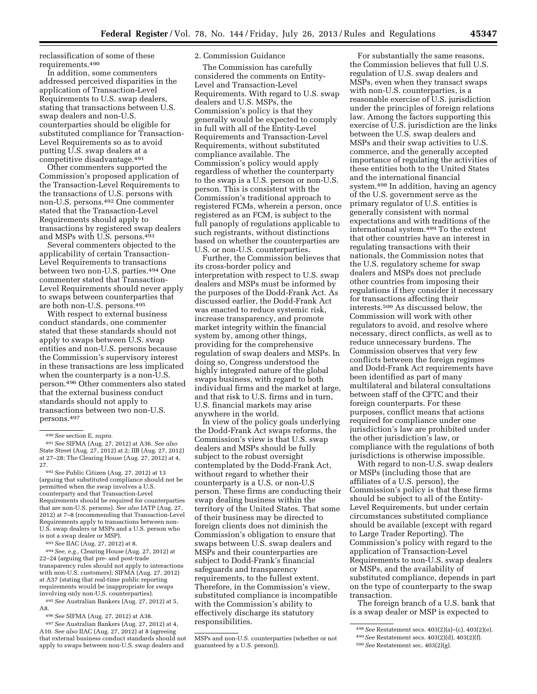reclassification of some of these requirements.490

In addition, some commenters addressed perceived disparities in the application of Transaction-Level Requirements to U.S. swap dealers, stating that transactions between U.S. swap dealers and non-U.S. counterparties should be eligible for substituted compliance for Transaction-Level Requirements so as to avoid putting U.S. swap dealers at a competitive disadvantage.491

Other commenters supported the Commission's proposed application of the Transaction-Level Requirements to the transactions of U.S. persons with non-U.S. persons.492 One commenter stated that the Transaction-Level Requirements should apply to transactions by registered swap dealers and MSPs with U.S. persons.493

Several commenters objected to the applicability of certain Transaction-Level Requirements to transactions between two non-U.S. parties.494 One commenter stated that Transaction-Level Requirements should never apply to swaps between counterparties that are both non-U.S. persons.495

With respect to external business conduct standards, one commenter stated that these standards should not apply to swaps between U.S. swap entities and non-U.S. persons because the Commission's supervisory interest in these transactions are less implicated when the counterparty is a non-U.S. person.496 Other commenters also stated that the external business conduct standards should not apply to transactions between two non-U.S. persons.497

493*See* IIAC (Aug. 27, 2012) at 8.

494*See, e.g.,* Clearing House (Aug. 27, 2012) at 22–24 (arguing that pre- and post-trade transparency rules should not apply to interactions with non-U.S. customers); SIFMA (Aug. 27, 2012) at A37 (stating that real-time public reporting requirements would be inappropriate for swaps involving only non-U.S. counterparties).

495*See* Australian Bankers (Aug. 27, 2012) at 5, A8.

496*See* SIFMA (Aug. 27, 2012) at A38.

# 2. Commission Guidance

The Commission has carefully considered the comments on Entity-Level and Transaction-Level Requirements. With regard to U.S. swap dealers and U.S. MSPs, the Commission's policy is that they generally would be expected to comply in full with all of the Entity-Level Requirements and Transaction-Level Requirements, without substituted compliance available. The Commission's policy would apply regardless of whether the counterparty to the swap is a U.S. person or non-U.S. person. This is consistent with the Commission's traditional approach to registered FCMs, wherein a person, once registered as an FCM, is subject to the full panoply of regulations applicable to such registrants, without distinctions based on whether the counterparties are U.S. or non-U.S. counterparties.

Further, the Commission believes that its cross-border policy and interpretation with respect to U.S. swap dealers and MSPs must be informed by the purposes of the Dodd-Frank Act. As discussed earlier, the Dodd-Frank Act was enacted to reduce systemic risk, increase transparency, and promote market integrity within the financial system by, among other things, providing for the comprehensive regulation of swap dealers and MSPs. In doing so, Congress understood the highly integrated nature of the global swaps business, with regard to both individual firms and the market at large, and that risk to U.S. firms and in turn, U.S. financial markets may arise anywhere in the world.

In view of the policy goals underlying the Dodd-Frank Act swaps reforms, the Commission's view is that U.S. swap dealers and MSPs should be fully subject to the robust oversight contemplated by the Dodd-Frank Act, without regard to whether their counterparty is a U.S. or non-U.S person. These firms are conducting their swap dealing business within the territory of the United States. That some of their business may be directed to foreign clients does not diminish the Commission's obligation to ensure that swaps between U.S. swap dealers and MSPs and their counterparties are subject to Dodd-Frank's financial safeguards and transparency requirements, to the fullest extent. Therefore, in the Commission's view, substituted compliance is incompatible with the Commission's ability to effectively discharge its statutory responsibilities.

For substantially the same reasons, the Commission believes that full U.S. regulation of U.S. swap dealers and MSPs, even when they transact swaps with non-U.S. counterparties, is a reasonable exercise of U.S. jurisdiction under the principles of foreign relations law. Among the factors supporting this exercise of U.S. jurisdiction are the links between the U.S. swap dealers and MSPs and their swap activities to U.S. commerce, and the generally accepted importance of regulating the activities of these entities both to the United States and the international financial system.498 In addition, having an agency of the U.S. government serve as the primary regulator of U.S. entities is generally consistent with normal expectations and with traditions of the international system.499 To the extent that other countries have an interest in regulating transactions with their nationals, the Commission notes that the U.S. regulatory scheme for swap dealers and MSPs does not preclude other countries from imposing their regulations if they consider it necessary for transactions affecting their interests.500 As discussed below, the Commission will work with other regulators to avoid, and resolve where necessary, direct conflicts, as well as to reduce unnecessary burdens. The Commission observes that very few conflicts between the foreign regimes and Dodd-Frank Act requirements have been identified as part of many multilateral and bilateral consultations between staff of the CFTC and their foreign counterparts. For these purposes, conflict means that actions required for compliance under one jurisdiction's law are prohibited under the other jurisdiction's law, or compliance with the regulations of both jurisdictions is otherwise impossible.

With regard to non-U.S. swap dealers or MSPs (including those that are affiliates of a U.S. person), the Commission's policy is that these firms should be subject to all of the Entity-Level Requirements, but under certain circumstances substituted compliance should be available (except with regard to Large Trader Reporting). The Commission's policy with regard to the application of Transaction-Level Requirements to non-U.S. swap dealers or MSPs, and the availability of substituted compliance, depends in part on the type of counterparty to the swap transaction.

The foreign branch of a U.S. bank that is a swap dealer or MSP is expected to

<sup>490</sup>*See* section E, *supra.* 

<sup>491</sup>*See* SIFMA (Aug. 27, 2012) at A36. *See also*  State Street (Aug. 27, 2012) at 2; IIB (Aug. 27, 2012) at 27–28; The Clearing House (Aug. 27, 2012) at 4, 27.

<sup>492</sup>*See* Public Citizen (Aug. 27, 2012) at 13 (arguing that substituted compliance should not be permitted when the swap involves a U.S. counterparty and that Transaction-Level Requirements should be required for counterparties that are non-U.S. persons). *See also* IATP (Aug. 27, 2012) at 7–8 (recommending that Transaction-Level Requirements apply to transactions between non-U.S. swap dealers or MSPs and a U.S. person who is not a swap dealer or MSP).

<sup>497</sup>*See* Australian Bankers (Aug. 27, 2012) at 4, A10. *See also* IIAC (Aug. 27, 2012) at 8 (agreeing that external business conduct standards should not apply to swaps between non-U.S. swap dealers and

MSPs and non-U.S. counterparties (whether or not guaranteed by a U.S. person)).

<sup>498</sup>*See* Restatement secs. 403(2)(a)–(c), 403(2)(e). 499*See* Restatement secs. 403(2)(d), 403(2)(f).

<sup>500</sup>*See* Restatement sec. 403(2)(g).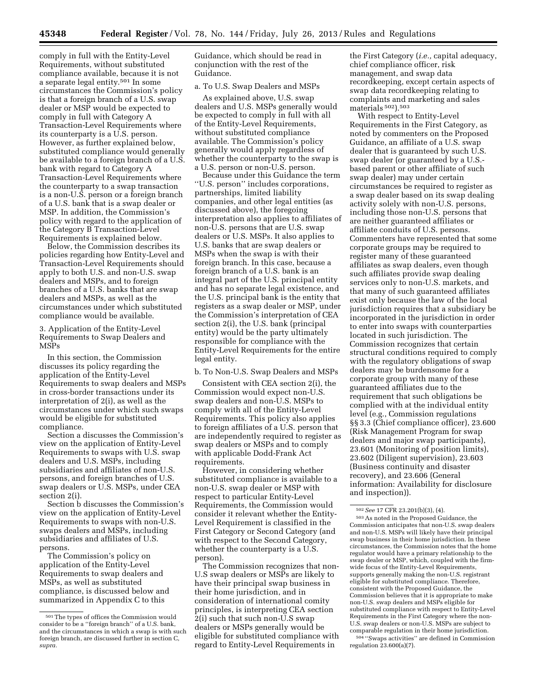comply in full with the Entity-Level Requirements, without substituted compliance available, because it is not a separate legal entity.501 In some circumstances the Commission's policy is that a foreign branch of a U.S. swap dealer or MSP would be expected to comply in full with Category A Transaction-Level Requirements where its counterparty is a U.S. person. However, as further explained below, substituted compliance would generally be available to a foreign branch of a U.S. bank with regard to Category A Transaction-Level Requirements where the counterparty to a swap transaction is a non-U.S. person or a foreign branch of a U.S. bank that is a swap dealer or MSP. In addition, the Commission's policy with regard to the application of the Category B Transaction-Level Requirements is explained below.

Below, the Commission describes its policies regarding how Entity-Level and Transaction-Level Requirements should apply to both U.S. and non-U.S. swap dealers and MSPs, and to foreign branches of a U.S. banks that are swap dealers and MSPs, as well as the circumstances under which substituted compliance would be available.

3. Application of the Entity-Level Requirements to Swap Dealers and MSPs

In this section, the Commission discusses its policy regarding the application of the Entity-Level Requirements to swap dealers and MSPs in cross-border transactions under its interpretation of 2(i), as well as the circumstances under which such swaps would be eligible for substituted compliance.

Section a discusses the Commission's view on the application of Entity-Level Requirements to swaps with U.S. swap dealers and U.S. MSPs, including subsidiaries and affiliates of non-U.S. persons, and foreign branches of U.S. swap dealers or U.S. MSPs, under CEA section 2(i).

Section b discusses the Commission's view on the application of Entity-Level Requirements to swaps with non-U.S. swaps dealers and MSPs, including subsidiaries and affiliates of U.S. persons.

The Commission's policy on application of the Entity-Level Requirements to swap dealers and MSPs, as well as substituted compliance, is discussed below and summarized in Appendix C to this

Guidance, which should be read in conjunction with the rest of the Guidance.

#### a. To U.S. Swap Dealers and MSPs

As explained above, U.S. swap dealers and U.S. MSPs generally would be expected to comply in full with all of the Entity-Level Requirements, without substituted compliance available. The Commission's policy generally would apply regardless of whether the counterparty to the swap is a U.S. person or non-U.S. person.

Because under this Guidance the term ''U.S. person'' includes corporations, partnerships, limited liability companies, and other legal entities (as discussed above), the foregoing interpretation also applies to affiliates of non-U.S. persons that are U.S. swap dealers or U.S. MSPs. It also applies to U.S. banks that are swap dealers or MSPs when the swap is with their foreign branch. In this case, because a foreign branch of a U.S. bank is an integral part of the U.S. principal entity and has no separate legal existence, and the U.S. principal bank is the entity that registers as a swap dealer or MSP, under the Commission's interpretation of CEA section 2(i), the U.S. bank (principal entity) would be the party ultimately responsible for compliance with the Entity-Level Requirements for the entire legal entity.

b. To Non-U.S. Swap Dealers and MSPs

Consistent with CEA section 2(i), the Commission would expect non-U.S. swap dealers and non-U.S. MSPs to comply with all of the Entity-Level Requirements. This policy also applies to foreign affiliates of a U.S. person that are independently required to register as swap dealers or MSPs and to comply with applicable Dodd-Frank Act requirements.

However, in considering whether substituted compliance is available to a non-U.S. swap dealer or MSP with respect to particular Entity-Level Requirements, the Commission would consider it relevant whether the Entity-Level Requirement is classified in the First Category or Second Category (and with respect to the Second Category, whether the counterparty is a U.S. person).

The Commission recognizes that non-U.S swap dealers or MSPs are likely to have their principal swap business in their home jurisdiction, and in consideration of international comity principles, is interpreting CEA section 2(i) such that such non-U.S swap dealers or MSPs generally would be eligible for substituted compliance with regard to Entity-Level Requirements in

the First Category (*i.e.,* capital adequacy, chief compliance officer, risk management, and swap data recordkeeping, except certain aspects of swap data recordkeeping relating to complaints and marketing and sales materials 502).503

With respect to Entity-Level Requirements in the First Category, as noted by commenters on the Proposed Guidance, an affiliate of a U.S. swap dealer that is guaranteed by such U.S. swap dealer (or guaranteed by a U.S. based parent or other affiliate of such swap dealer) may under certain circumstances be required to register as a swap dealer based on its swap dealing activity solely with non-U.S. persons, including those non-U.S. persons that are neither guaranteed affiliates or affiliate conduits of U.S. persons. Commenters have represented that some corporate groups may be required to register many of these guaranteed affiliates as swap dealers, even though such affiliates provide swap dealing services only to non-U.S. markets, and that many of such guaranteed affiliates exist only because the law of the local jurisdiction requires that a subsidiary be incorporated in the jurisdiction in order to enter into swaps with counterparties located in such jurisdiction. The Commission recognizes that certain structural conditions required to comply with the regulatory obligations of swap dealers may be burdensome for a corporate group with many of these guaranteed affiliates due to the requirement that such obligations be complied with at the individual entity level (e.g., Commission regulations §§ 3.3 (Chief compliance officer), 23.600 (Risk Management Program for swap dealers and major swap participants), 23.601 (Monitoring of position limits), 23.602 (Diligent supervision), 23.603 (Business continuity and disaster recovery), and 23.606 (General information: Availability for disclosure and inspection)).

504 ''Swaps activities'' are defined in Commission regulation  $23.600(a)(7)$ .

<sup>501</sup>The types of offices the Commission would consider to be a ''foreign branch'' of a U.S. bank, and the circumstances in which a swap is with such foreign branch, are discussed further in section C, *supra.* 

<sup>502</sup>*See* 17 CFR 23.201(b)(3), (4).

<sup>503</sup>As noted in the Proposed Guidance, the Commission anticipates that non-U.S. swap dealers and non-U.S. MSPs will likely have their principal swap business in their home jurisdiction. In these circumstances, the Commission notes that the home regulator would have a primary relationship to the swap dealer or MSP, which, coupled with the firmwide focus of the Entity-Level Requirements, supports generally making the non-U.S. registrant eligible for substituted compliance. Therefore, consistent with the Proposed Guidance, the Commission believes that it is appropriate to make non-U.S. swap dealers and MSPs eligible for substituted compliance with respect to Entity-Level Requirements in the First Category where the non-U.S. swap dealers or non-U.S. MSPs are subject to comparable regulation in their home jurisdiction.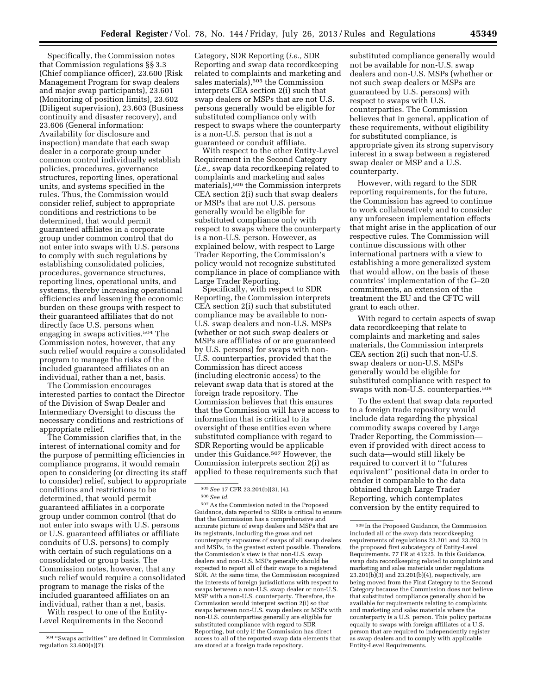Specifically, the Commission notes that Commission regulations §§ 3.3 (Chief compliance officer), 23.600 (Risk Management Program for swap dealers and major swap participants), 23.601 (Monitoring of position limits), 23.602 (Diligent supervision), 23.603 (Business continuity and disaster recovery), and 23.606 (General information: Availability for disclosure and inspection) mandate that each swap dealer in a corporate group under common control individually establish policies, procedures, governance structures, reporting lines, operational units, and systems specified in the rules. Thus, the Commission would consider relief, subject to appropriate conditions and restrictions to be determined, that would permit guaranteed affiliates in a corporate group under common control that do not enter into swaps with U.S. persons to comply with such regulations by establishing consolidated policies, procedures, governance structures, reporting lines, operational units, and systems, thereby increasing operational efficiencies and lessening the economic burden on these groups with respect to their guaranteed affiliates that do not directly face U.S. persons when engaging in swaps activities.504 The Commission notes, however, that any such relief would require a consolidated program to manage the risks of the included guaranteed affiliates on an individual, rather than a net, basis.

The Commission encourages interested parties to contact the Director of the Division of Swap Dealer and Intermediary Oversight to discuss the necessary conditions and restrictions of appropriate relief.

The Commission clarifies that, in the interest of international comity and for the purpose of permitting efficiencies in compliance programs, it would remain open to considering (or directing its staff to consider) relief, subject to appropriate conditions and restrictions to be determined, that would permit guaranteed affiliates in a corporate group under common control (that do not enter into swaps with U.S. persons or U.S. guaranteed affiliates or affiliate conduits of U.S. persons) to comply with certain of such regulations on a consolidated or group basis. The Commission notes, however, that any such relief would require a consolidated program to manage the risks of the included guaranteed affiliates on an individual, rather than a net, basis.

With respect to one of the Entity-Level Requirements in the Second

Category, SDR Reporting (*i.e.,* SDR Reporting and swap data recordkeeping related to complaints and marketing and sales materials),505 the Commission interprets CEA section 2(i) such that swap dealers or MSPs that are not U.S. persons generally would be eligible for substituted compliance only with respect to swaps where the counterparty is a non-U.S. person that is not a guaranteed or conduit affiliate.

With respect to the other Entity-Level Requirement in the Second Category (*i.e.,* swap data recordkeeping related to complaints and marketing and sales materials),506 the Commission interprets CEA section 2(i) such that swap dealers or MSPs that are not U.S. persons generally would be eligible for substituted compliance only with respect to swaps where the counterparty is a non-U.S. person. However, as explained below, with respect to Large Trader Reporting, the Commission's policy would not recognize substituted compliance in place of compliance with Large Trader Reporting.

Specifically, with respect to SDR Reporting, the Commission interprets CEA section 2(i) such that substituted compliance may be available to non-U.S. swap dealers and non-U.S. MSPs (whether or not such swap dealers or MSPs are affiliates of or are guaranteed by U.S. persons) for swaps with non-U.S. counterparties, provided that the Commission has direct access (including electronic access) to the relevant swap data that is stored at the foreign trade repository. The Commission believes that this ensures that the Commission will have access to information that is critical to its oversight of these entities even where substituted compliance with regard to SDR Reporting would be applicable under this Guidance.507 However, the Commission interprets section 2(i) as applied to these requirements such that

507As the Commission noted in the Proposed Guidance, data reported to SDRs is critical to ensure that the Commission has a comprehensive and accurate picture of swap dealers and MSPs that are its registrants, including the gross and net counterparty exposures of swaps of all swap dealers and MSPs, to the greatest extent possible. Therefore, the Commission's view is that non-U.S. swap dealers and non-U.S. MSPs generally should be expected to report all of their swaps to a registered SDR. At the same time, the Commission recognized the interests of foreign jurisdictions with respect to swaps between a non-U.S. swap dealer or non-U.S. MSP with a non-U.S. counterparty. Therefore, the Commission would interpret section 2(i) so that swaps between non-U.S. swap dealers or MSPs with non-U.S. counterparties generally are eligible for substituted compliance with regard to SDR Reporting, but only if the Commission has direct access to all of the reported swap data elements that are stored at a foreign trade repository.

substituted compliance generally would not be available for non-U.S. swap dealers and non-U.S. MSPs (whether or not such swap dealers or MSPs are guaranteed by U.S. persons) with respect to swaps with U.S. counterparties. The Commission believes that in general, application of these requirements, without eligibility for substituted compliance, is appropriate given its strong supervisory interest in a swap between a registered swap dealer or MSP and a U.S. counterparty.

However, with regard to the SDR reporting requirements, for the future, the Commission has agreed to continue to work collaboratively and to consider any unforeseen implementation effects that might arise in the application of our respective rules. The Commission will continue discussions with other international partners with a view to establishing a more generalized system that would allow, on the basis of these countries' implementation of the G–20 commitments, an extension of the treatment the EU and the CFTC will grant to each other.

With regard to certain aspects of swap data recordkeeping that relate to complaints and marketing and sales materials, the Commission interprets CEA section 2(i) such that non-U.S. swap dealers or non-U.S. MSPs generally would be eligible for substituted compliance with respect to swaps with non-U.S. counterparties.508

To the extent that swap data reported to a foreign trade repository would include data regarding the physical commodity swaps covered by Large Trader Reporting, the Commission even if provided with direct access to such data—would still likely be required to convert it to ''futures equivalent'' positional data in order to render it comparable to the data obtained through Large Trader Reporting, which contemplates conversion by the entity required to

<sup>504</sup> ''Swaps activities'' are defined in Commission regulation  $23.600(a)(7)$ .

<sup>505</sup>*See* 17 CFR 23.201(b)(3), (4).

<sup>506</sup>*See id.* 

<sup>508</sup> In the Proposed Guidance, the Commission included all of the swap data recordkeeping requirements of regulations 23.201 and 23.203 in the proposed first subcategory of Entity-Level Requirements. 77 FR at 41225. In this Guidance, swap data recordkeeping related to complaints and marketing and sales materials under regulations 23.201(b)(3) and 23.201(b)(4), respectively, are being moved from the First Category to the Second Category because the Commission does not believe that substituted compliance generally should be available for requirements relating to complaints and marketing and sales materials where the counterparty is a U.S. person. This policy pertains equally to swaps with foreign affiliates of a U.S. person that are required to independently register as swap dealers and to comply with applicable Entity-Level Requirements.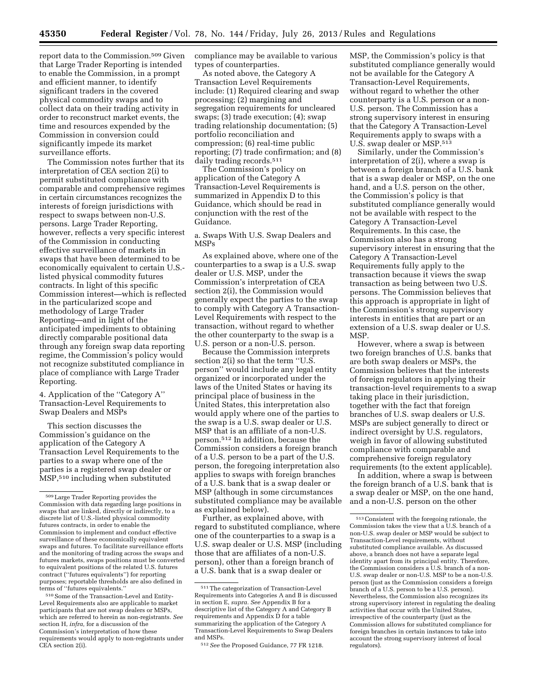report data to the Commission.509 Given that Large Trader Reporting is intended to enable the Commission, in a prompt and efficient manner, to identify significant traders in the covered physical commodity swaps and to collect data on their trading activity in order to reconstruct market events, the time and resources expended by the Commission in conversion could significantly impede its market surveillance efforts.

The Commission notes further that its interpretation of CEA section 2(i) to permit substituted compliance with comparable and comprehensive regimes in certain circumstances recognizes the interests of foreign jurisdictions with respect to swaps between non-U.S. persons. Large Trader Reporting, however, reflects a very specific interest of the Commission in conducting effective surveillance of markets in swaps that have been determined to be economically equivalent to certain U.S. listed physical commodity futures contracts. In light of this specific Commission interest—which is reflected in the particularized scope and methodology of Large Trader Reporting—and in light of the anticipated impediments to obtaining directly comparable positional data through any foreign swap data reporting regime, the Commission's policy would not recognize substituted compliance in place of compliance with Large Trader Reporting.

4. Application of the ''Category A'' Transaction-Level Requirements to Swap Dealers and MSPs

This section discusses the Commission's guidance on the application of the Category A Transaction Level Requirements to the parties to a swap where one of the parties is a registered swap dealer or MSP,510 including when substituted

510Some of the Transaction-Level and Entity-Level Requirements also are applicable to market participants that are not swap dealers or MSPs, which are referred to herein as non-registrants. *See*  section H, *infra,* for a discussion of the Commission's interpretation of how these requirements would apply to non-registrants under CEA section 2(i).

compliance may be available to various types of counterparties.

As noted above, the Category A Transaction Level Requirements include: (1) Required clearing and swap processing; (2) margining and segregation requirements for uncleared swaps; (3) trade execution; (4); swap trading relationship documentation; (5) portfolio reconciliation and compression; (6) real-time public reporting; (7) trade confirmation; and (8) daily trading records.511

The Commission's policy on application of the Category A Transaction-Level Requirements is summarized in Appendix D to this Guidance, which should be read in conjunction with the rest of the Guidance.

a. Swaps With U.S. Swap Dealers and MSPs

As explained above, where one of the counterparties to a swap is a U.S. swap dealer or U.S. MSP, under the Commission's interpretation of CEA section 2(i), the Commission would generally expect the parties to the swap to comply with Category A Transaction-Level Requirements with respect to the transaction, without regard to whether the other counterparty to the swap is a U.S. person or a non-U.S. person.

Because the Commission interprets section 2(i) so that the term ''U.S. person'' would include any legal entity organized or incorporated under the laws of the United States or having its principal place of business in the United States, this interpretation also would apply where one of the parties to the swap is a U.S. swap dealer or U.S. MSP that is an affiliate of a non-U.S. person.512 In addition, because the Commission considers a foreign branch of a U.S. person to be a part of the U.S. person, the foregoing interpretation also applies to swaps with foreign branches of a U.S. bank that is a swap dealer or MSP (although in some circumstances substituted compliance may be available as explained below).

Further, as explained above, with regard to substituted compliance, where one of the counterparties to a swap is a U.S. swap dealer or U.S. MSP (including those that are affiliates of a non-U.S. person), other than a foreign branch of a U.S. bank that is a swap dealer or

MSP, the Commission's policy is that substituted compliance generally would not be available for the Category A Transaction-Level Requirements, without regard to whether the other counterparty is a U.S. person or a non-U.S. person. The Commission has a strong supervisory interest in ensuring that the Category A Transaction-Level Requirements apply to swaps with a U.S. swap dealer or MSP.513

Similarly, under the Commission's interpretation of 2(i), where a swap is between a foreign branch of a U.S. bank that is a swap dealer or MSP, on the one hand, and a U.S. person on the other, the Commission's policy is that substituted compliance generally would not be available with respect to the Category A Transaction-Level Requirements. In this case, the Commission also has a strong supervisory interest in ensuring that the Category A Transaction-Level Requirements fully apply to the transaction because it views the swap transaction as being between two U.S. persons. The Commission believes that this approach is appropriate in light of the Commission's strong supervisory interests in entities that are part or an extension of a U.S. swap dealer or U.S. MSP.

However, where a swap is between two foreign branches of U.S. banks that are both swap dealers or MSPs, the Commission believes that the interests of foreign regulators in applying their transaction-level requirements to a swap taking place in their jurisdiction, together with the fact that foreign branches of U.S. swap dealers or U.S. MSPs are subject generally to direct or indirect oversight by U.S. regulators, weigh in favor of allowing substituted compliance with comparable and comprehensive foreign regulatory requirements (to the extent applicable).

In addition, where a swap is between the foreign branch of a U.S. bank that is a swap dealer or MSP, on the one hand, and a non-U.S. person on the other

<sup>509</sup>Large Trader Reporting provides the Commission with data regarding large positions in swaps that are linked, directly or indirectly, to a discrete list of U.S.-listed physical commodity futures contracts, in order to enable the Commission to implement and conduct effective surveillance of these economically equivalent swaps and futures. To facilitate surveillance efforts and the monitoring of trading across the swaps and futures markets, swaps positions must be converted to equivalent positions of the related U.S. futures contract (''futures equivalents'') for reporting purposes; reportable thresholds are also defined in terms of ''futures equivalents.''

<sup>511</sup>The categorization of Transaction-Level Requirements into Categories A and B is discussed in section E, *supra. See* Appendix B for a descriptive list of the Category A and Category B requirements and Appendix D for a table summarizing the application of the Category A Transaction-Level Requirements to Swap Dealers and MSPs.

<sup>512</sup>*See* the Proposed Guidance, 77 FR 1218.

<sup>513</sup>Consistent with the foregoing rationale, the Commission takes the view that a U.S. branch of a non-U.S. swap dealer or MSP would be subject to Transaction-Level requirements, without substituted compliance available. As discussed above, a branch does not have a separate legal identity apart from its principal entity. Therefore, the Commission considers a U.S. branch of a non-U.S. swap dealer or non-U.S. MSP to be a non-U.S. person (just as the Commission considers a foreign branch of a U.S. person to be a U.S. person). Nevertheless, the Commission also recognizes its strong supervisory interest in regulating the dealing activities that occur with the United States, irrespective of the counterparty (just as the Commission allows for substituted compliance for foreign branches in certain instances to take into account the strong supervisory interest of local regulators).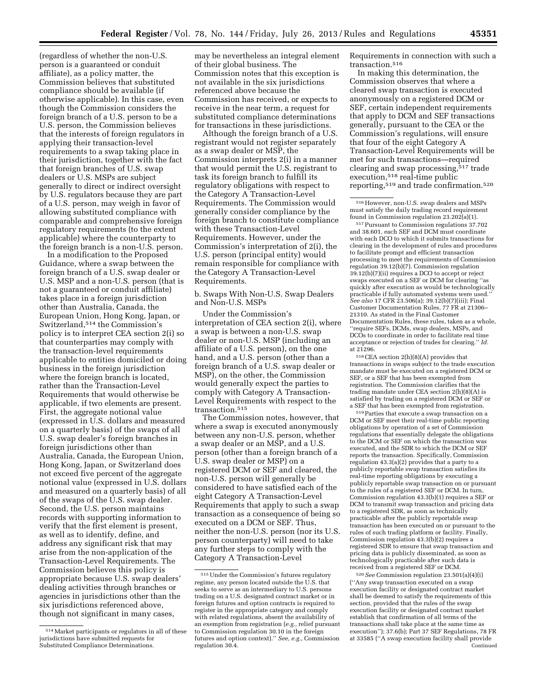(regardless of whether the non-U.S. person is a guaranteed or conduit affiliate), as a policy matter, the Commission believes that substituted compliance should be available (if otherwise applicable). In this case, even though the Commission considers the foreign branch of a U.S. person to be a U.S. person, the Commission believes that the interests of foreign regulators in applying their transaction-level requirements to a swap taking place in their jurisdiction, together with the fact that foreign branches of U.S. swap dealers or U.S. MSPs are subject generally to direct or indirect oversight by U.S. regulators because they are part of a U.S. person, may weigh in favor of allowing substituted compliance with comparable and comprehensive foreign regulatory requirements (to the extent applicable) where the counterparty to the foreign branch is a non-U.S. person.

In a modification to the Proposed Guidance, where a swap between the foreign branch of a U.S. swap dealer or U.S. MSP and a non-U.S. person (that is not a guaranteed or conduit affiliate) takes place in a foreign jurisdiction other than Australia, Canada, the European Union, Hong Kong, Japan, or Switzerland,514 the Commission's policy is to interpret CEA section 2(i) so that counterparties may comply with the transaction-level requirements applicable to entities domiciled or doing business in the foreign jurisdiction where the foreign branch is located, rather than the Transaction-Level Requirements that would otherwise be applicable, if two elements are present. First, the aggregate notional value (expressed in U.S. dollars and measured on a quarterly basis) of the swaps of all U.S. swap dealer's foreign branches in foreign jurisdictions other than Australia, Canada, the European Union, Hong Kong, Japan, or Switzerland does not exceed five percent of the aggregate notional value (expressed in U.S. dollars and measured on a quarterly basis) of all of the swaps of the U.S. swap dealer. Second, the U.S. person maintains records with supporting information to verify that the first element is present, as well as to identify, define, and address any significant risk that may arise from the non-application of the Transaction-Level Requirements. The Commission believes this policy is appropriate because U.S. swap dealers' dealing activities through branches or agencies in jurisdictions other than the six jurisdictions referenced above, though not significant in many cases,

may be nevertheless an integral element of their global business. The Commission notes that this exception is not available in the six jurisdictions referenced above because the Commission has received, or expects to receive in the near term, a request for substituted compliance determinations for transactions in these jurisdictions.

Although the foreign branch of a U.S. registrant would not register separately as a swap dealer or MSP, the Commission interprets 2(i) in a manner that would permit the U.S. registrant to task its foreign branch to fulfill its regulatory obligations with respect to the Category A Transaction-Level Requirements. The Commission would generally consider compliance by the foreign branch to constitute compliance with these Transaction-Level Requirements. However, under the Commission's interpretation of 2(i), the U.S. person (principal entity) would remain responsible for compliance with the Category A Transaction-Level Requirements.

# b. Swaps With Non-U.S. Swap Dealers and Non-U.S. MSPs

Under the Commission's interpretation of CEA section 2(i), where a swap is between a non-U.S. swap dealer or non-U.S. MSP (including an affiliate of a U.S. person), on the one hand, and a U.S. person (other than a foreign branch of a U.S. swap dealer or MSP), on the other, the Commission would generally expect the parties to comply with Category A Transaction-Level Requirements with respect to the transaction.<sup>515</sup>

The Commission notes, however, that where a swap is executed anonymously between any non-U.S. person, whether a swap dealer or an MSP, and a U.S. person (other than a foreign branch of a U.S. swap dealer or MSP) on a registered DCM or SEF and cleared, the non-U.S. person will generally be considered to have satisfied each of the eight Category A Transaction-Level Requirements that apply to such a swap transaction as a consequence of being so executed on a DCM or SEF. Thus, neither the non-U.S. person (nor its U.S. person counterparty) will need to take any further steps to comply with the Category A Transaction-Level

Requirements in connection with such a transaction.516

In making this determination, the Commission observes that where a cleared swap transaction is executed anonymously on a registered DCM or SEF, certain independent requirements that apply to DCM and SEF transactions generally, pursuant to the CEA or the Commission's regulations, will ensure that four of the eight Category A Transaction-Level Requirements will be met for such transactions—required clearing and swap processing,517 trade execution,518 real-time public reporting,519 and trade confirmation.520

516However, non-U.S. swap dealers and MSPs must satisfy the daily trading record requirement found in Commission regulation 23.202(a)(1).

517Pursuant to Commission regulations 37.702 and 38.601, each SEF and DCM must coordinate with each DCO to which it submits transactions for clearing in the development of rules and procedures to facilitate prompt and efficient transaction processing to meet the requirements of Commission regulation 39.12(b)(7). Commission regulation 39.12(b)(7)(ii) requires a DCO to accept or reject swaps executed on a SEF or DCM for clearing ''as quickly after execution as would be technologically practicable if fully automated systems were used. *See also* 17 CFR 23.506(a); 39.12(b)(7)(iii); Final Customer Documentation Rules, 77 FR at 21306– 21310. As stated in the Final Customer Documentation Rules, these rules, taken as a whole, ''require SEFs, DCMs, swap dealers, MSPs, and DCOs to coordinate in order to facilitate real time acceptance or rejection of trades for clearing.'' *Id.*  at 21296.

 $^{518}\rm{CEA}$  section 2(h)(8)(A) provides that transactions in swaps subject to the trade execution mandate must be executed on a registered DCM or SEF, or a SEF that has been exempted from registration. The Commission clarifies that the trading mandate under CEA section 2(h)(8)(A) is satisfied by trading on a registered DCM or SEF or a SEF that has been exempted from registration.

519Parties that execute a swap transaction on a DCM or SEF meet their real-time public reporting obligations by operation of a set of Commission regulations that essentially delegate the obligations to the DCM or SEF on which the transaction was executed, and the SDR to which the DCM or SEF reports the transaction. Specifically, Commission regulation 43.3(a)(2) provides that a party to a publicly reportable swap transaction satisfies its real-time reporting obligations by executing a publicly reportable swap transaction on or pursuant to the rules of a registered SEF or DCM. In turn, Commission regulation 43.3(b)(1) requires a SEF or DCM to transmit swap transaction and pricing data to a registered SDR, as soon as technically practicable after the publicly reportable swap transaction has been executed on or pursuant to the rules of such trading platform or facility. Finally, Commission regulation 43.3(b)(2) requires a registered SDR to ensure that swap transaction and pricing data is publicly disseminated, as soon as technologically practicable after such data is received from a registered SEF or DCM.

520*See* Commission regulation 23.501(a)(4)(i) (''Any swap transaction executed on a swap execution facility or designated contract market shall be deemed to satisfy the requirements of this section, provided that the rules of the swap execution facility or designated contract market establish that confirmation of all terms of the transactions shall take place at the same time as execution''); 37.6(b); Part 37 SEF Regulations, 78 FR at 33585 (''A swap execution facility shall provide Continued

<sup>514</sup>Market participants or regulators in all of these jurisdictions have submitted requests for Substituted Compliance Determinations.

<sup>515</sup>Under the Commission's futures regulatory regime, any person located outside the U.S. that seeks to serve as an intermediary to U.S. persons trading on a U.S. designated contract market or in foreign futures and option contracts is required to register in the appropriate category and comply with related regulations, absent the availability of an exemption from registration (*e.g.,* relief pursuant to Commission regulation 30.10 in the foreign futures and option context).'' *See, e.g.,* Commission regulation 30.4.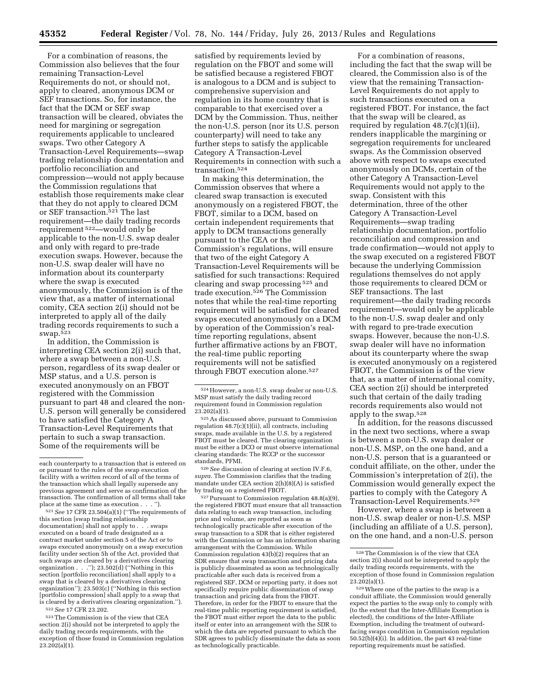For a combination of reasons, the Commission also believes that the four remaining Transaction-Level Requirements do not, or should not, apply to cleared, anonymous DCM or SEF transactions. So, for instance, the fact that the DCM or SEF swap transaction will be cleared, obviates the need for margining or segregation requirements applicable to uncleared swaps. Two other Category A Transaction-Level Requirements—swap trading relationship documentation and portfolio reconciliation and compression—would not apply because the Commission regulations that establish those requirements make clear that they do not apply to cleared DCM or SEF transaction.521 The last requirement—the daily trading records requirement 522—would only be applicable to the non-U.S. swap dealer and only with regard to pre-trade execution swaps. However, because the non-U.S. swap dealer will have no information about its counterparty where the swap is executed anonymously, the Commission is of the view that, as a matter of international comity, CEA section 2(i) should not be interpreted to apply all of the daily trading records requirements to such a swap.523

In addition, the Commission is interpreting CEA section 2(i) such that, where a swap between a non-U.S. person, regardless of its swap dealer or MSP status, and a U.S. person is executed anonymously on an FBOT registered with the Commission pursuant to part 48 and cleared the non-U.S. person will generally be considered to have satisfied the Category A Transaction-Level Requirements that pertain to such a swap transaction. Some of the requirements will be

<sup>521</sup> See 17 CFR 23.504(a)(1) ("The requirements of this section [swap trading relationship documentation] shall not apply to . . . swaps executed on a board of trade designated as a contract market under section 5 of the Act or to swaps executed anonymously on a swap execution facility under section 5h of the Act, provided that such swaps are cleared by a derivatives clearing organization . . .''); 23.502(d) (''Nothing in this section [portfolio reconciliation] shall apply to a swap that is cleared by a derivatives clearing organization''); 23.503(c) (''Nothing in this section [portfolio compression] shall apply to a swap that is cleared by a derivatives clearing organization.'').

522*See* 17 CFR 23.202.

523The Commission is of the view that CEA section 2(i) should not be interpreted to apply the daily trading records requirements, with the exception of those found in Commission regulation  $23.202(a)(1)$ .

satisfied by requirements levied by regulation on the FBOT and some will be satisfied because a registered FBOT is analogous to a DCM and is subject to comprehensive supervision and regulation in its home country that is comparable to that exercised over a DCM by the Commission. Thus, neither the non-U.S. person (nor its U.S. person counterparty) will need to take any further steps to satisfy the applicable Category A Transaction-Level Requirements in connection with such a transaction.524

In making this determination, the Commission observes that where a cleared swap transaction is executed anonymously on a registered FBOT, the FBOT, similar to a DCM, based on certain independent requirements that apply to DCM transactions generally pursuant to the CEA or the Commission's regulations, will ensure that two of the eight Category A Transaction-Level Requirements will be satisfied for such transactions: Required clearing and swap processing 525 and trade execution.526 The Commission notes that while the real-time reporting requirement will be satisfied for cleared swaps executed anonymously on a DCM by operation of the Commission's realtime reporting regulations, absent further affirmative actions by an FBOT, the real-time public reporting requirements will not be satisfied through FBOT execution alone.527

526*See* discussion of clearing at section IV.F.6, *supra.* The Commission clarifies that the trading mandate under CEA section 2(h)(8)(A) is satisfied by trading on a registered FBOT.

527Pursuant to Commission regulation 48.8(a)(9), the registered FBOT must ensure that all transaction data relating to each swap transaction, including price and volume, are reported as soon as technologically practicable after execution of the swap transaction to a SDR that is either registered with the Commission or has an information sharing arrangement with the Commission. While Commission regulation 43(b)(2) requires that an SDR ensure that swap transaction and pricing data is publicly disseminated as soon as technologically practicable after such data is received from a registered SEF, DCM or reporting party, it does not specifically require public dissemination of swap transaction and pricing data from the FBOT. Therefore, in order for the FBOT to ensure that the real-time public reporting requirement is satisfied, the FBOT must either report the data to the public itself or enter into an arrangement with the SDR to which the data are reported pursuant to which the SDR agrees to publicly disseminate the data as soon as technologically practicable.

For a combination of reasons, including the fact that the swap will be cleared, the Commission also is of the view that the remaining Transaction-Level Requirements do not apply to such transactions executed on a registered FBOT. For instance, the fact that the swap will be cleared, as required by regulation 48.7(c)(1)(ii), renders inapplicable the margining or segregation requirements for uncleared swaps. As the Commission observed above with respect to swaps executed anonymously on DCMs, certain of the other Category A Transaction-Level Requirements would not apply to the swap. Consistent with this determination, three of the other Category A Transaction-Level Requirements—swap trading relationship documentation, portfolio reconciliation and compression and trade confirmation—would not apply to the swap executed on a registered FBOT because the underlying Commission regulations themselves do not apply those requirements to cleared DCM or SEF transactions. The last requirement—the daily trading records requirement—would only be applicable to the non-U.S. swap dealer and only with regard to pre-trade execution swaps. However, because the non-U.S. swap dealer will have no information about its counterparty where the swap is executed anonymously on a registered FBOT, the Commission is of the view that, as a matter of international comity, CEA section 2(i) should be interpreted such that certain of the daily trading records requirements also would not apply to the swap.528

In addition, for the reasons discussed in the next two sections, where a swap is between a non-U.S. swap dealer or non-U.S. MSP, on the one hand, and a non-U.S. person that is a guaranteed or conduit affiliate, on the other, under the Commission's interpretation of 2(i), the Commission would generally expect the parties to comply with the Category A Transaction-Level Requirements.529

However, where a swap is between a non-U.S. swap dealer or non-U.S. MSP (including an affiliate of a U.S. person), on the one hand, and a non-U.S. person

each counterparty to a transaction that is entered on or pursuant to the rules of the swap execution facility with a written record of all of the terms of the transaction which shall legally supersede any previous agreement and serve as confirmation of the transaction. The confirmation of all terms shall take<br>place at the same time as execution . . . ").

<sup>524</sup>However, a non-U.S. swap dealer or non-U.S. MSP must satisfy the daily trading record requirement found in Commission regulation 23.202(a)(1).

<sup>525</sup>As discussed above, pursuant to Commission regulation  $48.7(c)(1)(ii)$ , all contracts, including swaps, made available in the U.S. by a registered FBOT must be cleared. The clearing organization must be either a DCO or must observe international clearing standards: The RCCP or the successor standards, PFMI.

<sup>528</sup>The Commission is of the view that CEA section 2(i) should not be interpreted to apply the daily trading records requirements, with the exception of those found in Commission regulation  $23.202(a)(1)$ .

<sup>529</sup>Where one of the parties to the swap is a conduit affiliate, the Commission would generally expect the parties to the swap only to comply with (to the extent that the Inter-Affiliate Exemption is elected), the conditions of the Inter-Affiliate Exemption, including the treatment of outwardfacing swaps condition in Commission regulation  $50.52(b)(4)(i)$ . In addition, the part 43 real-time reporting requirements must be satisfied.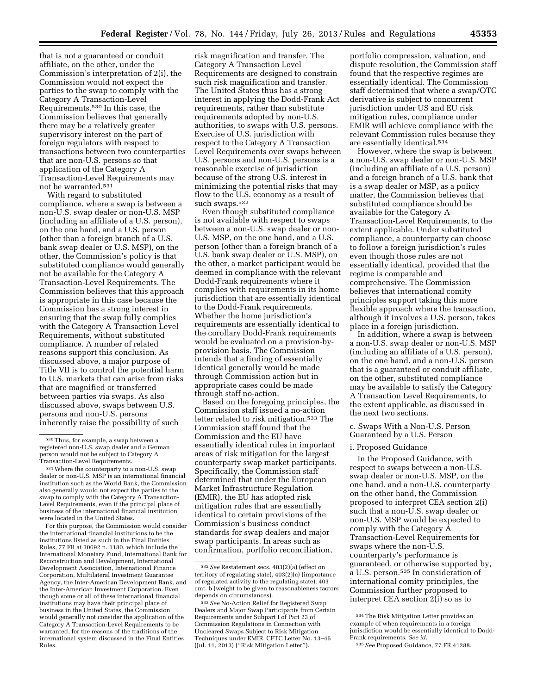that is not a guaranteed or conduit affiliate, on the other, under the Commission's interpretation of 2(i), the Commission would not expect the parties to the swap to comply with the Category A Transaction-Level Requirements.530 In this case, the Commission believes that generally there may be a relatively greater supervisory interest on the part of foreign regulators with respect to transactions between two counterparties that are non-U.S. persons so that application of the Category A Transaction-Level Requirements may not be warranted.531

With regard to substituted compliance, where a swap is between a non-U.S. swap dealer or non-U.S. MSP (including an affiliate of a U.S. person), on the one hand, and a U.S. person (other than a foreign branch of a U.S. bank swap dealer or U.S. MSP), on the other, the Commission's policy is that substituted compliance would generally not be available for the Category A Transaction-Level Requirements. The Commission believes that this approach is appropriate in this case because the Commission has a strong interest in ensuring that the swap fully complies with the Category A Transaction Level Requirements, without substituted compliance. A number of related reasons support this conclusion. As discussed above, a major purpose of Title VII is to control the potential harm to U.S. markets that can arise from risks that are magnified or transferred between parties via swaps. As also discussed above, swaps between U.S. persons and non-U.S. persons inherently raise the possibility of such

For this purpose, the Commission would consider the international financial institutions to be the institutions listed as such in the Final Entities Rules, 77 FR at 30692 n. 1180, which include the International Monetary Fund, International Bank for Reconstruction and Development, International Development Association, International Finance Corporation, Multilateral Investment Guarantee Agency, the Inter-American Development Bank, and the Inter-American Investment Corporation. Even though some or all of these international financial institutions may have their principal place of business in the United States, the Commission would generally not consider the application of the Category A Transaction-Level Requirements to be warranted, for the reasons of the traditions of the international system discussed in the Final Entities Rules.

risk magnification and transfer. The Category A Transaction Level Requirements are designed to constrain such risk magnification and transfer. The United States thus has a strong interest in applying the Dodd-Frank Act requirements, rather than substitute requirements adopted by non-U.S. authorities, to swaps with U.S. persons. Exercise of U.S. jurisdiction with respect to the Category A Transaction Level Requirements over swaps between U.S. persons and non-U.S. persons is a reasonable exercise of jurisdiction because of the strong U.S. interest in minimizing the potential risks that may flow to the U.S. economy as a result of such swaps.532

Even though substituted compliance is not available with respect to swaps between a non-U.S. swap dealer or non-U.S. MSP, on the one hand, and a U.S. person (other than a foreign branch of a U.S. bank swap dealer or U.S. MSP), on the other, a market participant would be deemed in compliance with the relevant Dodd-Frank requirements where it complies with requirements in its home jurisdiction that are essentially identical to the Dodd-Frank requirements. Whether the home jurisdiction's requirements are essentially identical to the corollary Dodd-Frank requirements would be evaluated on a provision-byprovision basis. The Commission intends that a finding of essentially identical generally would be made through Commission action but in appropriate cases could be made through staff no-action.

Based on the foregoing principles, the Commission staff issued a no-action letter related to risk mitigation.533 The Commission staff found that the Commission and the EU have essentially identical rules in important areas of risk mitigation for the largest counterparty swap market participants. Specifically, the Commission staff determined that under the European Market Infrastructure Regulation (EMIR), the EU has adopted risk mitigation rules that are essentially identical to certain provisions of the Commission's business conduct standards for swap dealers and major swap participants. In areas such as confirmation, portfolio reconciliation,

portfolio compression, valuation, and dispute resolution, the Commission staff found that the respective regimes are essentially identical. The Commission staff determined that where a swap/OTC derivative is subject to concurrent jurisdiction under US and EU risk mitigation rules, compliance under EMIR will achieve compliance with the relevant Commission rules because they are essentially identical.534

However, where the swap is between a non-U.S. swap dealer or non-U.S. MSP (including an affiliate of a U.S. person) and a foreign branch of a U.S. bank that is a swap dealer or MSP, as a policy matter, the Commission believes that substituted compliance should be available for the Category A Transaction-Level Requirements, to the extent applicable. Under substituted compliance, a counterparty can choose to follow a foreign jurisdiction's rules even though those rules are not essentially identical, provided that the regime is comparable and comprehensive. The Commission believes that international comity principles support taking this more flexible approach where the transaction, although it involves a U.S. person, takes place in a foreign jurisdiction.

In addition, where a swap is between a non-U.S. swap dealer or non-U.S. MSP (including an affiliate of a U.S. person), on the one hand, and a non-U.S. person that is a guaranteed or conduit affiliate, on the other, substituted compliance may be available to satisfy the Category A Transaction Level Requirements, to the extent applicable, as discussed in the next two sections.

c. Swaps With a Non-U.S. Person Guaranteed by a U.S. Person

# i. Proposed Guidance

In the Proposed Guidance, with respect to swaps between a non-U.S. swap dealer or non-U.S. MSP, on the one hand, and a non-U.S. counterparty on the other hand, the Commission proposed to interpret CEA section 2(i) such that a non-U.S. swap dealer or non-U.S. MSP would be expected to comply with the Category A Transaction-Level Requirements for swaps where the non-U.S. counterparty's performance is guaranteed, or otherwise supported by, a U.S. person.535 In consideration of international comity principles, the Commission further proposed to interpret CEA section 2(i) so as to

<sup>530</sup>Thus, for example, a swap between a registered non-U.S. swap dealer and a German person would not be subject to Category A Transaction-Level Requirements.

<sup>531</sup>Where the counterparty to a non-U.S. swap dealer or non-U.S. MSP is an international financial institution such as the World Bank, the Commission also generally would not expect the parties to the swap to comply with the Category A Transaction-Level Requirements, even if the principal place of business of the international financial institution were located in the United States.

<sup>532</sup>*See* Restatement secs. 403(2)(a) (effect on territory of regulating state), 403(2)(c) (importance of regulated activity to the regulating state); 403 cmt. b (weight to be given to reasonableness factors depends on circumstances).

<sup>533</sup>*See* No-Action Relief for Registered Swap Dealers and Major Swap Participants from Certain Requirements under Subpart I of Part 23 of Commission Regulations in Connection with Uncleared Swaps Subject to Risk Mitigation Techniques under EMIR, CFTC Letter No. 13–45 (Jul. 11, 2013) (''Risk Mitigation Letter'').

<sup>534</sup>The Risk Mitigation Letter provides an example of when requirements in a foreign jurisdiction would be essentially identical to Dodd-Frank requirements. *See id.* 

<sup>535</sup>*See* Proposed Guidance, 77 FR 41288.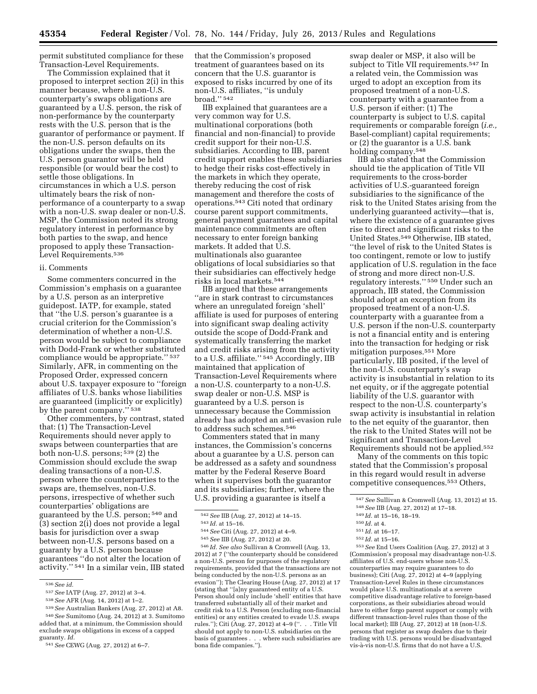permit substituted compliance for these Transaction-Level Requirements.

The Commission explained that it proposed to interpret section 2(i) in this manner because, where a non-U.S. counterparty's swaps obligations are guaranteed by a U.S. person, the risk of non-performance by the counterparty rests with the U.S. person that is the guarantor of performance or payment. If the non-U.S. person defaults on its obligations under the swaps, then the U.S. person guarantor will be held responsible (or would bear the cost) to settle those obligations. In circumstances in which a U.S. person ultimately bears the risk of nonperformance of a counterparty to a swap with a non-U.S. swap dealer or non-U.S. MSP, the Commission noted its strong regulatory interest in performance by both parties to the swap, and hence proposed to apply these Transaction-Level Requirements.536

### ii. Comments

Some commenters concurred in the Commission's emphasis on a guarantee by a U.S. person as an interpretive guidepost. IATP, for example, stated that ''the U.S. person's guarantee is a crucial criterion for the Commission's determination of whether a non-U.S. person would be subject to compliance with Dodd-Frank or whether substituted compliance would be appropriate.'' 537 Similarly, AFR, in commenting on the Proposed Order, expressed concern about U.S. taxpayer exposure to ''foreign affiliates of U.S. banks whose liabilities are guaranteed (implicitly or explicitly) by the parent company."<sup>538</sup>

Other commenters, by contrast, stated that: (1) The Transaction-Level Requirements should never apply to swaps between counterparties that are both non-U.S. persons; 539 (2) the Commission should exclude the swap dealing transactions of a non-U.S. person where the counterparties to the swaps are, themselves, non-U.S. persons, irrespective of whether such counterparties' obligations are guaranteed by the U.S. person; 540 and (3) section 2(i) does not provide a legal basis for jurisdiction over a swap between non-U.S. persons based on a guaranty by a U.S. person because guarantees ''do not alter the location of activity.'' 541 In a similar vein, IIB stated

539*See* Australian Bankers (Aug. 27, 2012) at A8. 540*See* Sumitomo (Aug. 24, 2012) at 3. Sumitomo added that, at a minimum, the Commission should exclude swaps obligations in excess of a capped guaranty. *Id.* 

that the Commission's proposed treatment of guarantees based on its concern that the U.S. guarantor is exposed to risks incurred by one of its non-U.S. affiliates, ''is unduly broad.'' 542

IIB explained that guarantees are a very common way for U.S. multinational corporations (both financial and non-financial) to provide credit support for their non-U.S. subsidiaries. According to IIB, parent credit support enables these subsidiaries to hedge their risks cost-effectively in the markets in which they operate, thereby reducing the cost of risk management and therefore the costs of operations.543 Citi noted that ordinary course parent support commitments, general payment guarantees and capital maintenance commitments are often necessary to enter foreign banking markets. It added that U.S. multinationals also guarantee obligations of local subsidiaries so that their subsidiaries can effectively hedge risks in local markets.544

IIB argued that these arrangements ''are in stark contrast to circumstances where an unregulated foreign 'shell' affiliate is used for purposes of entering into significant swap dealing activity outside the scope of Dodd-Frank and systematically transferring the market and credit risks arising from the activity to a U.S. affiliate.'' 545 Accordingly, IIB maintained that application of Transaction-Level Requirements where a non-U.S. counterparty to a non-U.S. swap dealer or non-U.S. MSP is guaranteed by a U.S. person is unnecessary because the Commission already has adopted an anti-evasion rule to address such schemes.546

Commenters stated that in many instances, the Commission's concerns about a guarantee by a U.S. person can be addressed as a safety and soundness matter by the Federal Reserve Board when it supervises both the guarantor and its subsidiaries; further, where the U.S. providing a guarantee is itself a

546 *Id. See also* Sullivan & Cromwell (Aug. 13, 2012) at 7 (''the counterparty should be considered a non-U.S. person for purposes of the regulatory requirements, provided that the transactions are not being conducted by the non-U.S. persons as an evasion''); The Clearing House (Aug. 27, 2012) at 17 (stating that ''[a]ny guaranteed entity of a U.S. Person should only include 'shell' entities that have transferred substantially all of their market and credit risk to a U.S. Person (excluding non-financial entities) or any entities created to evade U.S. swaps rules.''); Citi (Aug. 27, 2012) at 4–9 (''. . . Title VII should not apply to non-U.S. subsidiaries on the basis of guarantees . . . where such subsidiaries are bona fide companies.'').

swap dealer or MSP, it also will be subject to Title VII requirements.547 In a related vein, the Commission was urged to adopt an exception from its proposed treatment of a non-U.S. counterparty with a guarantee from a U.S. person if either: (1) The counterparty is subject to U.S. capital requirements or comparable foreign (*i.e.,*  Basel-compliant) capital requirements; or (2) the guarantor is a U.S. bank holding company.<sup>548</sup>

IIB also stated that the Commission should tie the application of Title VII requirements to the cross-border activities of U.S.-guaranteed foreign subsidiaries to the significance of the risk to the United States arising from the underlying guaranteed activity—that is, where the existence of a guarantee gives rise to direct and significant risks to the United States.549 Otherwise, IIB stated, ''the level of risk to the United States is too contingent, remote or low to justify application of U.S. regulation in the face of strong and more direct non-U.S. regulatory interests.'' 550 Under such an approach, IIB stated, the Commission should adopt an exception from its proposed treatment of a non-U.S. counterparty with a guarantee from a U.S. person if the non-U.S. counterparty is not a financial entity and is entering into the transaction for hedging or risk mitigation purposes.551 More particularly, IIB posited, if the level of the non-U.S. counterparty's swap activity is insubstantial in relation to its net equity, or if the aggregate potential liability of the U.S. guarantor with respect to the non-U.S. counterparty's swap activity is insubstantial in relation to the net equity of the guarantor, then the risk to the United States will not be significant and Transaction-Level Requirements should not be applied.552

Many of the comments on this topic stated that the Commission's proposal in this regard would result in adverse competitive consequences.553 Others,

553*See* End Users Coalition (Aug. 27, 2012) at 3 (Commission's proposal may disadvantage non-U.S. affiliates of U.S. end-users whose non-U.S. counterparties may require guarantees to do business); Citi (Aug. 27, 2012) at 4–9 (applying Transaction-Level Rules in these circumstances would place U.S. multinationals at a severe competitive disadvantage relative to foreign-based corporations, as their subsidiaries abroad would have to either forgo parent support or comply with different transaction-level rules than those of the local market); IIB (Aug. 27, 2012) at 18 (non-U.S. persons that register as swap dealers due to their trading with U.S. persons would be disadvantaged vis-à-vis non-U.S. firms that do not have a U.S.

<sup>536</sup>*See id.* 

<sup>537</sup>*See* IATP (Aug. 27, 2012) at 3–4.

<sup>538</sup>*See* AFR (Aug. 14, 2012) at 1–2.

<sup>541</sup>*See* CEWG (Aug. 27, 2012) at 6–7.

<sup>542</sup>*See* IIB (Aug. 27, 2012) at 14–15.

<sup>543</sup> *Id.* at 15–16.

<sup>544</sup>*See* Citi (Aug. 27, 2012) at 4–9.

<sup>545</sup>*See* IIB (Aug. 27, 2012) at 20.

<sup>547</sup>*See* Sullivan & Cromwell (Aug. 13, 2012) at 15.

<sup>548</sup>*See* IIB (Aug. 27, 2012) at 17–18. 549 *Id.* at 15–16, 18–19.

<sup>550</sup> *Id.* at 4.

<sup>551</sup> *Id.* at 16–17.

<sup>552</sup> *Id.* at 15–16.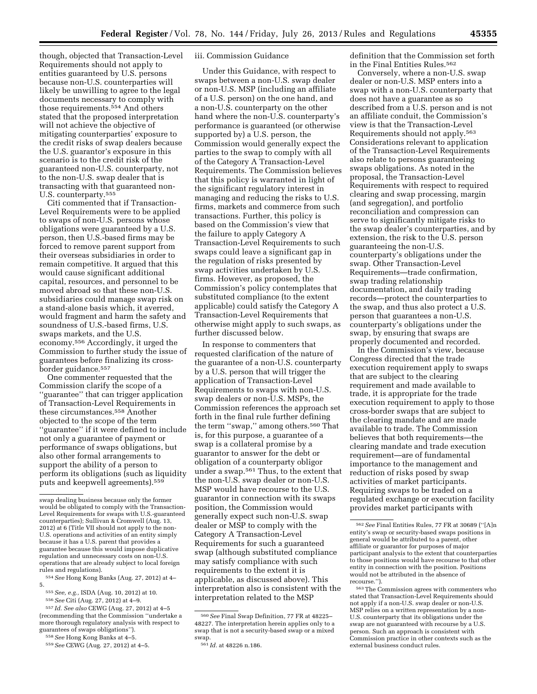though, objected that Transaction-Level Requirements should not apply to entities guaranteed by U.S. persons because non-U.S. counterparties will likely be unwilling to agree to the legal documents necessary to comply with those requirements.554 And others stated that the proposed interpretation will not achieve the objective of mitigating counterparties' exposure to the credit risks of swap dealers because the U.S. guarantor's exposure in this scenario is to the credit risk of the guaranteed non-U.S. counterparty, not

U.S. counterparty.555 Citi commented that if Transaction-Level Requirements were to be applied to swaps of non-U.S. persons whose obligations were guaranteed by a U.S. person, then U.S.-based firms may be forced to remove parent support from their overseas subsidiaries in order to remain competitive. It argued that this would cause significant additional capital, resources, and personnel to be moved abroad so that these non-U.S. subsidiaries could manage swap risk on a stand-alone basis which, it averred, would fragment and harm the safety and soundness of U.S.-based firms, U.S. swaps markets, and the U.S. economy.556 Accordingly, it urged the Commission to further study the issue of guarantees before finalizing its crossborder guidance.557

to the non-U.S. swap dealer that is transacting with that guaranteed non-

One commenter requested that the Commission clarify the scope of a ''guarantee'' that can trigger application of Transaction-Level Requirements in these circumstances.558 Another objected to the scope of the term ''guarantee'' if it were defined to include not only a guarantee of payment or performance of swaps obligations, but also other formal arrangements to support the ability of a person to perform its obligations (such as liquidity puts and keepwell agreements).559

554*See* Hong Kong Banks (Aug. 27, 2012) at 4– 5.

556*See* Citi (Aug. 27, 2012) at 4–9.

#### iii. Commission Guidance

Under this Guidance, with respect to swaps between a non-U.S. swap dealer or non-U.S. MSP (including an affiliate of a U.S. person) on the one hand, and a non-U.S. counterparty on the other hand where the non-U.S. counterparty's performance is guaranteed (or otherwise supported by) a U.S. person, the Commission would generally expect the parties to the swap to comply with all of the Category A Transaction-Level Requirements. The Commission believes that this policy is warranted in light of the significant regulatory interest in managing and reducing the risks to U.S. firms, markets and commerce from such transactions. Further, this policy is based on the Commission's view that the failure to apply Category A Transaction-Level Requirements to such swaps could leave a significant gap in the regulation of risks presented by swap activities undertaken by U.S. firms. However, as proposed, the Commission's policy contemplates that substituted compliance (to the extent applicable) could satisfy the Category A Transaction-Level Requirements that otherwise might apply to such swaps, as further discussed below.

In response to commenters that requested clarification of the nature of the guarantee of a non-U.S. counterparty by a U.S. person that will trigger the application of Transaction-Level Requirements to swaps with non-U.S. swap dealers or non-U.S. MSPs, the Commission references the approach set forth in the final rule further defining the term ''swap,'' among others.560 That is, for this purpose, a guarantee of a swap is a collateral promise by a guarantor to answer for the debt or obligation of a counterparty obligor under a swap.561 Thus, to the extent that the non-U.S. swap dealer or non-U.S. MSP would have recourse to the U.S. guarantor in connection with its swaps position, the Commission would generally expect such non-U.S. swap dealer or MSP to comply with the Category A Transaction-Level Requirements for such a guaranteed swap (although substituted compliance may satisfy compliance with such requirements to the extent it is applicable, as discussed above). This interpretation also is consistent with the interpretation related to the MSP

definition that the Commission set forth in the Final Entities Rules.562

Conversely, where a non-U.S. swap dealer or non-U.S. MSP enters into a swap with a non-U.S. counterparty that does not have a guarantee as so described from a U.S. person and is not an affiliate conduit, the Commission's view is that the Transaction-Level Requirements should not apply.563 Considerations relevant to application of the Transaction-Level Requirements also relate to persons guaranteeing swaps obligations. As noted in the proposal, the Transaction-Level Requirements with respect to required clearing and swap processing, margin (and segregation), and portfolio reconciliation and compression can serve to significantly mitigate risks to the swap dealer's counterparties, and by extension, the risk to the U.S. person guaranteeing the non-U.S. counterparty's obligations under the swap. Other Transaction-Level Requirements—trade confirmation, swap trading relationship documentation, and daily trading records—protect the counterparties to the swap, and thus also protect a U.S. person that guarantees a non-U.S. counterparty's obligations under the swap, by ensuring that swaps are properly documented and recorded.

In the Commission's view, because Congress directed that the trade execution requirement apply to swaps that are subject to the clearing requirement and made available to trade, it is appropriate for the trade execution requirement to apply to those cross-border swaps that are subject to the clearing mandate and are made available to trade. The Commission believes that both requirements—the clearing mandate and trade execution requirement—are of fundamental importance to the management and reduction of risks posed by swap activities of market participants. Requiring swaps to be traded on a regulated exchange or execution facility provides market participants with

swap dealing business because only the former would be obligated to comply with the Transaction-Level Requirements for swaps with U.S.-guaranteed counterparties); Sullivan & Cromwell (Aug. 13, 2012) at 6 (Title VII should not apply to the non-U.S. operations and activities of an entity simply because it has a U.S. parent that provides a guarantee because this would impose duplicative regulation and unnecessary costs on non-U.S. operations that are already subject to local foreign rules and regulations).

<sup>555</sup>*See, e.g.,* ISDA (Aug. 10, 2012) at 10.

<sup>557</sup> *Id. See also* CEWG (Aug. 27, 2012) at 4–5 (recommending that the Commission ''undertake a more thorough regulatory analysis with respect to guarantees of swaps obligations'').

<sup>558</sup>*See* Hong Kong Banks at 4–5.

<sup>559</sup>*See* CEWG (Aug. 27, 2012) at 4–5.

<sup>560</sup>*See* Final Swap Definition, 77 FR at 48225– 48227. The interpretation herein applies only to a swap that is not a security-based swap or a mixed swap.

<sup>561</sup> *Id.* at 48226 n.186.

<sup>562</sup>*See* Final Entities Rules, 77 FR at 30689 (''[A]n entity's swap or security-based swaps positions in general would be attributed to a parent, other affiliate or guarantor for purposes of major participant analysis to the extent that counterparties to those positions would have recourse to that other entity in connection with the position. Positions would not be attributed in the absence of recourse.'').

<sup>563</sup>The Commission agrees with commenters who stated that Transaction-Level Requirements should not apply if a non-U.S. swap dealer or non-U.S. MSP relies on a written representation by a non-U.S. counterparty that its obligations under the swap are not guaranteed with recourse by a U.S. person. Such an approach is consistent with Commission practice in other contexts such as the external business conduct rules.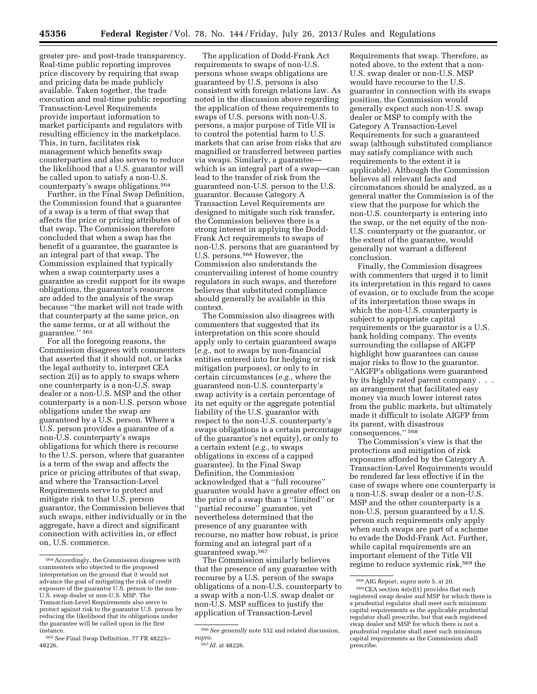greater pre- and post-trade transparency. Real-time public reporting improves price discovery by requiring that swap and pricing data be made publicly available. Taken together, the trade execution and real-time public reporting Transaction-Level Requirements provide important information to market participants and regulators with resulting efficiency in the marketplace. This, in turn, facilitates risk management which benefits swap counterparties and also serves to reduce the likelihood that a U.S. guarantor will be called upon to satisfy a non-U.S. counterparty's swaps obligations.564

Further, in the Final Swap Definition, the Commission found that a guarantee of a swap is a term of that swap that affects the price or pricing attributes of that swap. The Commission therefore concluded that when a swap has the benefit of a guarantee, the guarantee is an integral part of that swap. The Commission explained that typically when a swap counterparty uses a guarantee as credit support for its swaps obligations, the guarantor's resources are added to the analysis of the swap because ''the market will not trade with that counterparty at the same price, on the same terms, or at all without the guarantee.'' 565

For all the foregoing reasons, the Commission disagrees with commenters that asserted that it should not, or lacks the legal authority to, interpret CEA section 2(i) as to apply to swaps where one counterparty is a non-U.S. swap dealer or a non-U.S. MSP and the other counterparty is a non-U.S. person whose obligations under the swap are guaranteed by a U.S. person. Where a U.S. person provides a guarantee of a non-U.S. counterparty's swaps obligations for which there is recourse to the U.S. person, where that guarantee is a term of the swap and affects the price or pricing attributes of that swap, and where the Transaction-Level Requirements serve to protect and mitigate risk to that U.S. person guarantor, the Commission believes that such swaps, either individually or in the aggregate, have a direct and significant connection with activities in, or effect on, U.S. commerce.

The application of Dodd-Frank Act requirements to swaps of non-U.S. persons whose swaps obligations are guaranteed by U.S. persons is also consistent with foreign relations law. As noted in the discussion above regarding the application of these requirements to swaps of U.S. persons with non-U.S. persons, a major purpose of Title VII is to control the potential harm to U.S. markets that can arise from risks that are magnified or transferred between parties via swaps. Similarly, a guarantee which is an integral part of a swap—can lead to the transfer of risk from the guaranteed non-U.S. person to the U.S. guarantor. Because Category A Transaction Level Requirements are designed to mitigate such risk transfer, the Commission believes there is a strong interest in applying the Dodd-Frank Act requirements to swaps of non-U.S. persons that are guaranteed by U.S. persons.566 However, the Commission also understands the countervailing interest of home country regulators in such swaps, and therefore believes that substituted compliance should generally be available in this context.

The Commission also disagrees with commenters that suggested that its interpretation on this score should apply only to certain guaranteed swaps (*e.g.,* not to swaps by non-financial entities entered into for hedging or risk mitigation purposes), or only to in certain circumstances (*e.g.,* where the guaranteed non-U.S. counterparty's swap activity is a certain percentage of its net equity or the aggregate potential liability of the U.S. guarantor with respect to the non-U.S. counterparty's swaps obligations is a certain percentage of the guarantor's net equity), or only to a certain extent (*e.g.,* to swaps obligations in excess of a capped guarantee). In the Final Swap Definition, the Commission acknowledged that a ''full recourse'' guarantee would have a greater effect on the price of a swap than a ''limited'' or ''partial recourse'' guarantee, yet nevertheless determined that the presence of any guarantee with recourse, no matter how robust, is price forming and an integral part of a guaranteed swap.567

The Commission similarly believes that the presence of any guarantee with recourse by a U.S. person of the swaps obligations of a non-U.S. counterparty to a swap with a non-U.S. swap dealer or non-U.S. MSP suffices to justify the application of Transaction-Level

Requirements that swap. Therefore, as noted above, to the extent that a non-U.S. swap dealer or non-U.S. MSP would have recourse to the U.S. guarantor in connection with its swaps position, the Commission would generally expect such non-U.S. swap dealer or MSP to comply with the Category A Transaction-Level Requirements for such a guaranteed swap (although substituted compliance may satisfy compliance with such requirements to the extent it is applicable). Although the Commission believes all relevant facts and circumstances should be analyzed, as a general matter the Commission is of the view that the purpose for which the non-U.S. counterparty is entering into the swap, or the net equity of the non-U.S. counterparty or the guarantor, or the extent of the guarantee, would generally not warrant a different conclusion.

Finally, the Commission disagrees with commenters that urged it to limit its interpretation in this regard to cases of evasion, or to exclude from the scope of its interpretation those swaps in which the non-U.S. counterparty is subject to appropriate capital requirements or the guarantor is a U.S. bank holding company. The events surrounding the collapse of AIGFP highlight how guarantees can cause major risks to flow to the guarantor. ''AIGFP's obligations were guaranteed by its highly rated parent company . . . an arrangement that facilitated easy money via much lower interest rates from the public markets, but ultimately made it difficult to isolate AIGFP from its parent, with disastrous consequences.'' 568

The Commission's view is that the protections and mitigation of risk exposures afforded by the Category A Transaction-Level Requirements would be rendered far less effective if in the case of swaps where one counterparty is a non-U.S. swap dealer or a non-U.S. MSP and the other counterparty is a non-U.S. person guaranteed by a U.S. person such requirements only apply when such swaps are part of a scheme to evade the Dodd-Frank Act. Further, while capital requirements are an important element of the Title VII regime to reduce systemic risk,<sup>569</sup> the

<sup>564</sup>Accordingly, the Commission disagrees with commenters who objected to the proposed interpretation on the ground that it would not advance the goal of mitigating the risk of credit exposure of the guarantor U.S. person to the non-U.S. swap dealer or non-U.S. MSP. The Transaction-Level Requirements also serve to protect against risk to the guarantor U.S. person by reducing the likelihood that its obligations under the guarantee will be called upon in the first instance.

<sup>565</sup>*See* Final Swap Definition, 77 FR 48225– 48226.

<sup>566</sup>*See generally* note 532 and related discussion, *supra.* 

<sup>567</sup> *Id.* at 48226.

<sup>568</sup>AIG Report, *supra* note 5, at 20.

<sup>569</sup>CEA section 4s(e)(1) provides that each registered swap dealer and MSP for which there is a prudential regulator shall meet such minimum capital requirements as the applicable prudential regulator shall prescribe, but that each registered swap dealer and MSP for which there is not a prudential regulator shall meet such minimum capital requirements as the Commission shall prescribe.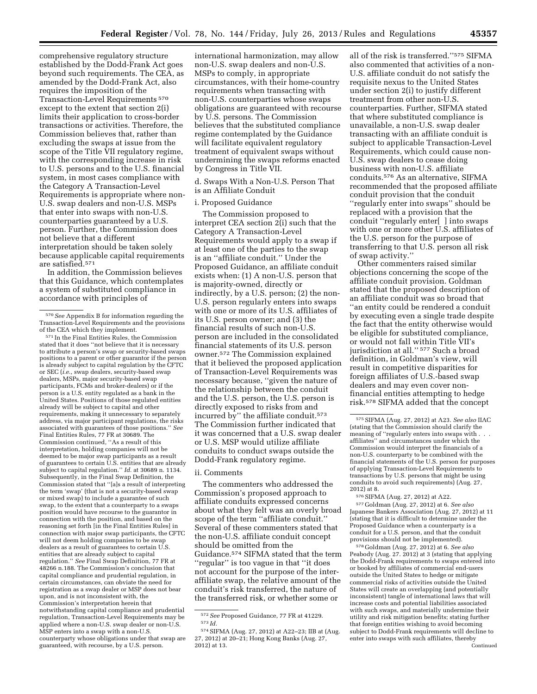comprehensive regulatory structure established by the Dodd-Frank Act goes beyond such requirements. The CEA, as amended by the Dodd-Frank Act, also requires the imposition of the Transaction-Level Requirements 570 except to the extent that section 2(i) limits their application to cross-border transactions or activities. Therefore, the Commission believes that, rather than excluding the swaps at issue from the scope of the Title VII regulatory regime, with the corresponding increase in risk to U.S. persons and to the U.S. financial system, in most cases compliance with the Category A Transaction-Level Requirements is appropriate where non-U.S. swap dealers and non-U.S. MSPs that enter into swaps with non-U.S. counterparties guaranteed by a U.S. person. Further, the Commission does not believe that a different interpretation should be taken solely because applicable capital requirements are satisfied.571

In addition, the Commission believes that this Guidance, which contemplates a system of substituted compliance in accordance with principles of

571 In the Final Entities Rules, the Commission stated that it does ''not believe that it is necessary to attribute a person's swap or security-based swaps positions to a parent or other guarantor if the person is already subject to capital regulation by the CFTC or SEC (*i.e.,* swap dealers, security-based swap dealers, MSPs, major security-based swap participants, FCMs and broker-dealers) or if the person is a U.S. entity regulated as a bank in the United States. Positions of those regulated entities already will be subject to capital and other requirements, making it unnecessary to separately address, via major participant regulations, the risks associated with guarantees of those positions.'' *See*  Final Entities Rules, 77 FR at 30689. The Commission continued, ''As a result of this interpretation, holding companies will not be deemed to be major swap participants as a result of guarantees to certain U.S. entities that are already subject to capital regulation.'' *Id.* at 30689 n. 1134. Subsequently, in the Final Swap Definition, the Commission stated that ''[a]s a result of interpreting the term 'swap' (that is not a security-based swap or mixed swap) to include a guarantee of such swap, to the extent that a counterparty to a swaps position would have recourse to the guarantor in connection with the position, and based on the reasoning set forth [in the Final Entities Rules] in connection with major swap participants, the CFTC will not deem holding companies to be swap dealers as a result of guarantees to certain U.S. entities that are already subject to capital regulation.'' *See* Final Swap Definition, 77 FR at 48266 n.188. The Commission's conclusion that capital compliance and prudential regulation, in certain circumstances, can obviate the need for registration as a swap dealer or MSP does not bear upon, and is not inconsistent with, the Commission's interpretation herein that notwithstanding capital compliance and prudential regulation, Transaction-Level Requirements may be applied where a non-U.S. swap dealer or non-U.S. MSP enters into a swap with a non-U.S. counterparty whose obligations under that swap are guaranteed, with recourse, by a U.S. person.

international harmonization, may allow non-U.S. swap dealers and non-U.S. MSPs to comply, in appropriate circumstances, with their home-country requirements when transacting with non-U.S. counterparties whose swaps obligations are guaranteed with recourse by U.S. persons. The Commission believes that the substituted compliance regime contemplated by the Guidance will facilitate equivalent regulatory treatment of equivalent swaps without undermining the swaps reforms enacted by Congress in Title VII.

d. Swaps With a Non-U.S. Person That is an Affiliate Conduit

## i. Proposed Guidance

The Commission proposed to interpret CEA section 2(i) such that the Category A Transaction-Level Requirements would apply to a swap if at least one of the parties to the swap is an ''affiliate conduit.'' Under the Proposed Guidance, an affiliate conduit exists when: (1) A non-U.S. person that is majority-owned, directly or indirectly, by a U.S. person; (2) the non-U.S. person regularly enters into swaps with one or more of its U.S. affiliates of its U.S. person owner; and (3) the financial results of such non-U.S. person are included in the consolidated financial statements of its U.S. person owner.572 The Commission explained that it believed the proposed application of Transaction-Level Requirements was necessary because, ''given the nature of the relationship between the conduit and the U.S. person, the U.S. person is directly exposed to risks from and incurred by'' the affiliate conduit.573 The Commission further indicated that it was concerned that a U.S. swap dealer or U.S. MSP would utilize affiliate conduits to conduct swaps outside the Dodd-Frank regulatory regime.

#### ii. Comments

The commenters who addressed the Commission's proposed approach to affiliate conduits expressed concerns about what they felt was an overly broad scope of the term ''affiliate conduit.'' Several of these commenters stated that the non-U.S. affiliate conduit concept should be omitted from the Guidance.574 SIFMA stated that the term ''regular'' is too vague in that ''it does not account for the purpose of the interaffiliate swap, the relative amount of the conduit's risk transferred, the nature of the transferred risk, or whether some or

all of the risk is transferred.''575 SIFMA also commented that activities of a non-U.S. affiliate conduit do not satisfy the requisite nexus to the United States under section 2(i) to justify different treatment from other non-U.S. counterparties. Further, SIFMA stated that where substituted compliance is unavailable, a non-U.S. swap dealer transacting with an affiliate conduit is subject to applicable Transaction-Level Requirements, which could cause non-U.S. swap dealers to cease doing business with non-U.S. affiliate conduits.576 As an alternative, SIFMA recommended that the proposed affiliate conduit provision that the conduit ''regularly enter into swaps'' should be replaced with a provision that the conduit ''regularly enter[ ] into swaps with one or more other U.S. affiliates of the U.S. person for the purpose of transferring to that U.S. person all risk of swap activity.''

Other commenters raised similar objections concerning the scope of the affiliate conduit provision. Goldman stated that the proposed description of an affiliate conduit was so broad that ''an entity could be rendered a conduit by executing even a single trade despite the fact that the entity otherwise would be eligible for substituted compliance, or would not fall within Title VII's jurisdiction at all.'' 577 Such a broad definition, in Goldman's view, will result in competitive disparities for foreign affiliates of U.S.-based swap dealers and may even cover nonfinancial entities attempting to hedge risk.578 SIFMA added that the concept

577 Goldman (Aug. 27, 2012) at 6. *See also*  Japanese Bankers Association (Aug. 27, 2012) at 11 (stating that it is difficult to determine under the Proposed Guidance when a counterparty is a conduit for a U.S. person, and that the conduit provisions should not be implemented).

578 Goldman (Aug. 27, 2012) at 6. *See also*  Peabody (Aug. 27. 2012) at 3 (stating that applying the Dodd-Frank requirements to swaps entered into or booked by affiliates of commercial end-users outside the United States to hedge or mitigate commercial risks of activities outside the United States will create an overlapping (and potentially inconsistent) tangle of international laws that will increase costs and potential liabilities associated with such swaps, and materially undermine their utility and risk mitigation benefits; stating further that foreign entities wishing to avoid becoming subject to Dodd-Frank requirements will decline to enter into swaps with such affiliates, thereby **Continued** 

<sup>570</sup>*See* Appendix B for information regarding the Transaction-Level Requirements and the provisions of the CEA which they implement.

<sup>572</sup>*See* Proposed Guidance, 77 FR at 41229. 573 *Id.* 

<sup>574</sup>SIFMA (Aug. 27, 2012) at A22–23; IIB at (Aug. 27, 2012) at 20–21; Hong Kong Banks (Aug. 27, 2012) at 13.

<sup>575</sup>SIFMA (Aug. 27, 2012) at A23. *See also* IIAC (stating that the Commission should clarify the meaning of "regularly enters into swaps with . affiliates'' and circumstances under which the Commission would interpret the financials of a non-U.S. counterparty to be combined with the financial statements of the U.S. person for purposes of applying Transaction-Level Requirements to transactions by U.S. persons that might be using conduits to avoid such requirements) (Aug. 27, 2012) at 8.

<sup>576</sup>SIFMA (Aug. 27, 2012) at A22.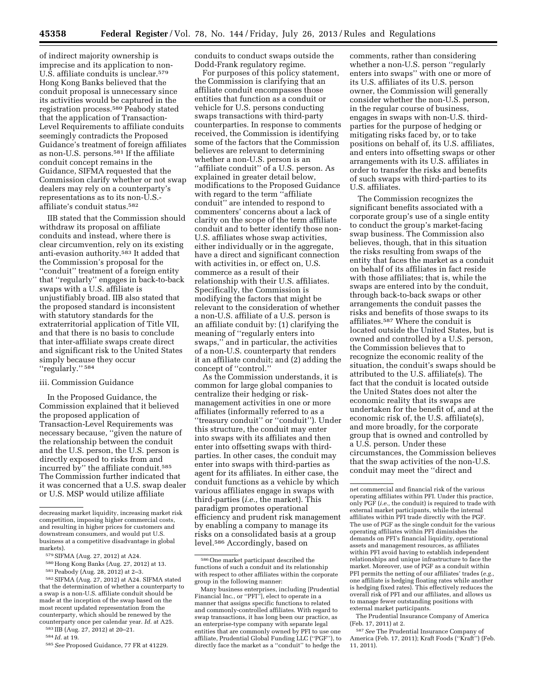of indirect majority ownership is imprecise and its application to non-U.S. affiliate conduits is unclear.579 Hong Kong Banks believed that the conduit proposal is unnecessary since its activities would be captured in the registration process.580 Peabody stated that the application of Transaction-Level Requirements to affiliate conduits seemingly contradicts the Proposed Guidance's treatment of foreign affiliates as non-U.S. persons.581 If the affiliate conduit concept remains in the Guidance, SIFMA requested that the Commission clarify whether or not swap dealers may rely on a counterparty's representations as to its non-U.S. affiliate's conduit status.582

IIB stated that the Commission should withdraw its proposal on affiliate conduits and instead, where there is clear circumvention, rely on its existing anti-evasion authority.583 It added that the Commission's proposal for the ''conduit'' treatment of a foreign entity that ''regularly'' engages in back-to-back swaps with a U.S. affiliate is unjustifiably broad. IIB also stated that the proposed standard is inconsistent with statutory standards for the extraterritorial application of Title VII, and that there is no basis to conclude that inter-affiliate swaps create direct and significant risk to the United States simply because they occur "regularly."<sup>584</sup>

#### iii. Commission Guidance

In the Proposed Guidance, the Commission explained that it believed the proposed application of Transaction-Level Requirements was necessary because, ''given the nature of the relationship between the conduit and the U.S. person, the U.S. person is directly exposed to risks from and incurred by'' the affiliate conduit.585 The Commission further indicated that it was concerned that a U.S. swap dealer or U.S. MSP would utilize affiliate

582SIFMA (Aug. 27, 2012) at A24. SIFMA stated that the determination of whether a counterparty to a swap is a non-U.S. affiliate conduit should be made at the inception of the swap based on the most recent updated representation from the counterparty, which should be renewed by the counterparty once per calendar year. *Id.* at A25.

583 IIB (Aug. 27, 2012) at 20–21.

584 *Id.* at 19.

585*See* Proposed Guidance, 77 FR at 41229.

conduits to conduct swaps outside the Dodd-Frank regulatory regime.

For purposes of this policy statement, the Commission is clarifying that an affiliate conduit encompasses those entities that function as a conduit or vehicle for U.S. persons conducting swaps transactions with third-party counterparties. In response to comments received, the Commission is identifying some of the factors that the Commission believes are relevant to determining whether a non-U.S. person is an ''affiliate conduit'' of a U.S. person. As explained in greater detail below, modifications to the Proposed Guidance with regard to the term ''affiliate conduit'' are intended to respond to commenters' concerns about a lack of clarity on the scope of the term affiliate conduit and to better identify those non-U.S. affiliates whose swap activities, either individually or in the aggregate, have a direct and significant connection with activities in, or effect on, U.S. commerce as a result of their relationship with their U.S. affiliates. Specifically, the Commission is modifying the factors that might be relevant to the consideration of whether a non-U.S. affiliate of a U.S. person is an affiliate conduit by: (1) clarifying the meaning of ''regularly enters into swaps,'' and in particular, the activities of a non-U.S. counterparty that renders it an affiliate conduit; and (2) adding the concept of ''control.''

As the Commission understands, it is common for large global companies to centralize their hedging or riskmanagement activities in one or more affiliates (informally referred to as a ''treasury conduit'' or ''conduit''). Under this structure, the conduit may enter into swaps with its affiliates and then enter into offsetting swaps with thirdparties. In other cases, the conduit may enter into swaps with third-parties as agent for its affiliates. In either case, the conduit functions as a vehicle by which various affiliates engage in swaps with third-parties (*i.e.,* the market). This paradigm promotes operational efficiency and prudent risk management by enabling a company to manage its risks on a consolidated basis at a group level.586 Accordingly, based on

comments, rather than considering whether a non-U.S. person "regularly enters into swaps'' with one or more of its U.S. affiliates of its U.S. person owner, the Commission will generally consider whether the non-U.S. person, in the regular course of business, engages in swaps with non-U.S. thirdparties for the purpose of hedging or mitigating risks faced by, or to take positions on behalf of, its U.S. affiliates, and enters into offsetting swaps or other arrangements with its U.S. affiliates in order to transfer the risks and benefits of such swaps with third-parties to its U.S. affiliates.

The Commission recognizes the significant benefits associated with a corporate group's use of a single entity to conduct the group's market-facing swap business. The Commission also believes, though, that in this situation the risks resulting from swaps of the entity that faces the market as a conduit on behalf of its affiliates in fact reside with those affiliates; that is, while the swaps are entered into by the conduit, through back-to-back swaps or other arrangements the conduit passes the risks and benefits of those swaps to its affiliates.587 Where the conduit is located outside the United States, but is owned and controlled by a U.S. person, the Commission believes that to recognize the economic reality of the situation, the conduit's swaps should be attributed to the U.S. affiliate(s). The fact that the conduit is located outside the United States does not alter the economic reality that its swaps are undertaken for the benefit of, and at the economic risk of, the U.S. affiliate(s), and more broadly, for the corporate group that is owned and controlled by a U.S. person. Under these circumstances, the Commission believes that the swap activities of the non-U.S. conduit may meet the ''direct and

decreasing market liquidity, increasing market risk competition, imposing higher commercial costs, and resulting in higher prices for customers and downstream consumers, and would put U.S. business at a competitive disadvantage in global markets).

<sup>579</sup>SIFMA (Aug. 27, 2012) at A24.

<sup>580</sup>Hong Kong Banks (Aug. 27, 2012) at 13.

<sup>581</sup>Peabody (Aug. 28, 2012) at 2–3.

<sup>586</sup>One market participant described the functions of such a conduit and its relationship with respect to other affiliates within the corporate group in the following manner:

Many business enterprises, including [Prudential Financial Inc., or ''PFI''], elect to operate in a manner that assigns specific functions to related and commonly-controlled affiliates. With regard to swap transactions, it has long been our practice, as an enterprise-type company with separate legal entities that are commonly owned by PFI to use one affiliate, Prudential Global Funding LLC (''PGF''), to directly face the market as a ''conduit'' to hedge the

net commercial and financial risk of the various operating affiliates within PFI. Under this practice, only PGF (*i.e.,* the conduit) is required to trade with external market participants, while the internal affiliates within PFI trade directly with the PGF. The use of PGF as the single conduit for the various operating affiliates within PFI diminishes the demands on PFI's financial liquidity, operational assets and management resources, as affiliates within PFI avoid having to establish independent relationships and unique infrastructure to face the market. Moreover, use of PGF as a conduit within PFI permits the netting of our affiliates' trades (*e.g.,*  one affiliate is hedging floating rates while another is hedging fixed rates). This effectively reduces the overall risk of PFI and our affiliates, and allows us to manage fewer outstanding positions with external market participants.

The Prudential Insurance Company of America (Feb. 17, 2011) at 2.

<sup>587</sup>*See* The Prudential Insurance Company of America (Feb. 17, 2011); Kraft Foods (''Kraft'') (Feb. 11, 2011).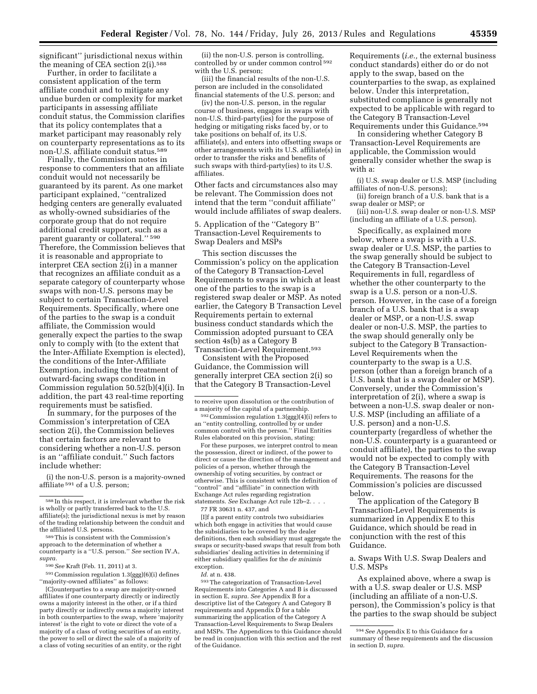significant'' jurisdictional nexus within the meaning of CEA section 2(i).588

Further, in order to facilitate a consistent application of the term affiliate conduit and to mitigate any undue burden or complexity for market participants in assessing affiliate conduit status, the Commission clarifies that its policy contemplates that a market participant may reasonably rely on counterparty representations as to its non-U.S. affiliate conduit status.589

Finally, the Commission notes in response to commenters that an affiliate conduit would not necessarily be guaranteed by its parent. As one market participant explained, ''centralized hedging centers are generally evaluated as wholly-owned subsidiaries of the corporate group that do not require additional credit support, such as a parent guaranty or collateral.'' 590 Therefore, the Commission believes that it is reasonable and appropriate to interpret CEA section 2(i) in a manner that recognizes an affiliate conduit as a separate category of counterparty whose swaps with non-U.S. persons may be subject to certain Transaction-Level Requirements. Specifically, where one of the parties to the swap is a conduit affiliate, the Commission would generally expect the parties to the swap only to comply with (to the extent that the Inter-Affiliate Exemption is elected), the conditions of the Inter-Affiliate Exemption, including the treatment of outward-facing swaps condition in Commission regulation 50.52(b)(4)(i). In addition, the part 43 real-time reporting requirements must be satisfied.

In summary, for the purposes of the Commission's interpretation of CEA section 2(i), the Commission believes that certain factors are relevant to considering whether a non-U.S. person is an ''affiliate conduit.'' Such factors include whether:

(i) the non-U.S. person is a majority-owned affiliate <sup>591</sup> of a U.S. person;

591Commission regulation 1.3(ggg)(6)(i) defines ''majority-owned affiliates'' as follows:

[C]ounterparties to a swap are majority-owned affiliates if one counterparty directly or indirectly owns a majority interest in the other, or if a third party directly or indirectly owns a majority interest in both counterparties to the swap, where 'majority interest' is the right to vote or direct the vote of a majority of a class of voting securities of an entity, the power to sell or direct the sale of a majority of a class of voting securities of an entity, or the right

(ii) the non-U.S. person is controlling, controlled by or under common control 592 with the U.S. person;

(iii) the financial results of the non-U.S. person are included in the consolidated financial statements of the U.S. person; and

(iv) the non-U.S. person, in the regular course of business, engages in swaps with non-U.S. third-party(ies) for the purpose of hedging or mitigating risks faced by, or to take positions on behalf of, its U.S. affiliate(s), and enters into offsetting swaps or other arrangements with its U.S. affiliate(s) in order to transfer the risks and benefits of such swaps with third-party(ies) to its U.S. affiliates.

Other facts and circumstances also may be relevant. The Commission does not intend that the term ''conduit affiliate'' would include affiliates of swap dealers.

5. Application of the ''Category B'' Transaction-Level Requirements to Swap Dealers and MSPs

This section discusses the Commission's policy on the application of the Category B Transaction-Level Requirements to swaps in which at least one of the parties to the swap is a registered swap dealer or MSP. As noted earlier, the Category B Transaction Level Requirements pertain to external business conduct standards which the Commission adopted pursuant to CEA section 4s(b) as a Category B Transaction-Level Requirement.593

Consistent with the Proposed Guidance, the Commission will generally interpret CEA section 2(i) so that the Category B Transaction-Level

592Commission regulation 1.3(ggg)(4)(i) refers to an ''entity controlling, controlled by or under common control with the person.'' Final Entities Rules elaborated on this provision, stating:

For these purposes, we interpret control to mean the possession, direct or indirect, of the power to direct or cause the direction of the management and policies of a person, whether through the ownership of voting securities, by contract or otherwise. This is consistent with the definition of "control" and "affiliate" in connection with Exchange Act rules regarding registration statements. *See* Exchange Act rule 12b–2. . . .

77 FR 30631 n. 437, and

[I]f a parent entity controls two subsidiaries which both engage in activities that would cause the subsidiaries to be covered by the dealer definitions, then each subsidiary must aggregate the swaps or security-based swaps that result from both subsidiaries' dealing activities in determining if either subsidiary qualifies for the *de minimis*  exception.

593The categorization of Transaction-Level Requirements into Categories A and B is discussed in section E, *supra. See* Appendix B for a descriptive list of the Category A and Category B requirements and Appendix D for a table summarizing the application of the Category A Transaction-Level Requirements to Swap Dealers and MSPs. The Appendices to this Guidance should be read in conjunction with this section and the rest of the Guidance.

Requirements (*i.e.,* the external business conduct standards) either do or do not apply to the swap, based on the counterparties to the swap, as explained below. Under this interpretation, substituted compliance is generally not expected to be applicable with regard to the Category B Transaction-Level Requirements under this Guidance.594

In considering whether Category B Transaction-Level Requirements are applicable, the Commission would generally consider whether the swap is with a:

(i) U.S. swap dealer or U.S. MSP (including affiliates of non-U.S. persons);

(ii) foreign branch of a U.S. bank that is a swap dealer or MSP; or

(iii) non-U.S. swap dealer or non-U.S. MSP (including an affiliate of a U.S. person).

Specifically, as explained more below, where a swap is with a U.S. swap dealer or U.S. MSP, the parties to the swap generally should be subject to the Category B Transaction-Level Requirements in full, regardless of whether the other counterparty to the swap is a U.S. person or a non-U.S. person. However, in the case of a foreign branch of a U.S. bank that is a swap dealer or MSP, or a non-U.S. swap dealer or non-U.S. MSP, the parties to the swap should generally only be subject to the Category B Transaction-Level Requirements when the counterparty to the swap is a U.S. person (other than a foreign branch of a U.S. bank that is a swap dealer or MSP). Conversely, under the Commission's interpretation of 2(i), where a swap is between a non-U.S. swap dealer or non-U.S. MSP (including an affiliate of a U.S. person) and a non-U.S. counterparty (regardless of whether the non-U.S. counterparty is a guaranteed or conduit affiliate), the parties to the swap would not be expected to comply with the Category B Transaction-Level Requirements. The reasons for the Commission's policies are discussed below.

The application of the Category B Transaction-Level Requirements is summarized in Appendix E to this Guidance, which should be read in conjunction with the rest of this Guidance.

a. Swaps With U.S. Swap Dealers and U.S. MSPs

As explained above, where a swap is with a U.S. swap dealer or U.S. MSP (including an affiliate of a non-U.S. person), the Commission's policy is that the parties to the swap should be subject

<sup>588</sup> In this respect, it is irrelevant whether the risk is wholly or partly transferred back to the U.S. affiliate(s); the jurisdictional nexus is met by reason of the trading relationship between the conduit and the affiliated U.S. persons.

<sup>589</sup>This is consistent with the Commission's approach to the determination of whether a counterparty is a ''U.S. person.'' *See* section IV.A, *supra.* 

<sup>590</sup>*See* Kraft (Feb. 11, 2011) at 3.

to receive upon dissolution or the contribution of a majority of the capital of a partnership.

*Id.* at n. 438.

<sup>594</sup>*See* Appendix E to this Guidance for a summary of these requirements and the discussion in section D, *supra.*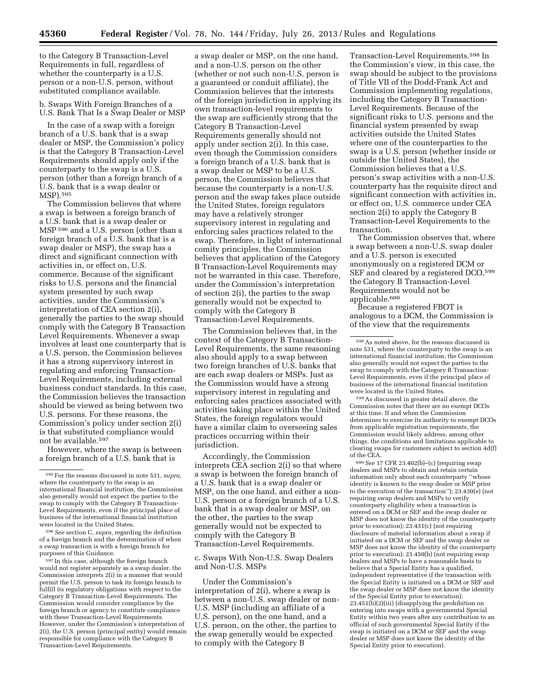to the Category B Transaction-Level Requirements in full, regardless of whether the counterparty is a U.S. person or a non-U.S. person, without substituted compliance available.

b. Swaps With Foreign Branches of a U.S. Bank That Is a Swap Dealer or MSP

In the case of a swap with a foreign branch of a U.S. bank that is a swap dealer or MSP, the Commission's policy is that the Category B Transaction-Level Requirements should apply only if the counterparty to the swap is a U.S. person (other than a foreign branch of a U.S. bank that is a swap dealer or MSP).595

The Commission believes that where a swap is between a foreign branch of a U.S. bank that is a swap dealer or MSP 596 and a U.S. person (other than a foreign branch of a U.S. bank that is a swap dealer or MSP), the swap has a direct and significant connection with activities in, or effect on, U.S. commerce. Because of the significant risks to U.S. persons and the financial system presented by such swap activities, under the Commission's interpretation of CEA section 2(i), generally the parties to the swap should comply with the Category B Transaction Level Requirements. Whenever a swap involves at least one counterparty that is a U.S. person, the Commission believes it has a strong supervisory interest in regulating and enforcing Transaction-Level Requirements, including external business conduct standards. In this case, the Commission believes the transaction should be viewed as being between two U.S. persons. For these reasons, the Commission's policy under section 2(i) is that substituted compliance would not be available.597

However, where the swap is between a foreign branch of a U.S. bank that is

597 In this case, although the foreign branch would not register separately as a swap dealer, the Commission interprets 2(i) in a manner that would permit the U.S. person to task its foreign branch to fulfill its regulatory obligations with respect to the Category B Transaction-Level Requirements. The Commission would consider compliance by the foreign branch or agency to constitute compliance with these Transaction-Level Requirements. However, under the Commission's interpretation of 2(i), the U.S. person (principal entity) would remain responsible for compliance with the Category B Transaction-Level Requirements.

a swap dealer or MSP, on the one hand, and a non-U.S. person on the other (whether or not such non-U.S. person is a guaranteed or conduit affiliate), the Commission believes that the interests of the foreign jurisdiction in applying its own transaction-level requirements to the swap are sufficiently strong that the Category B Transaction-Level Requirements generally should not apply under section 2(i). In this case, even though the Commission considers a foreign branch of a U.S. bank that is a swap dealer or MSP to be a U.S. person, the Commission believes that because the counterparty is a non-U.S. person and the swap takes place outside the United States, foreign regulators may have a relatively stronger supervisory interest in regulating and enforcing sales practices related to the swap. Therefore, in light of international comity principles, the Commission believes that application of the Category B Transaction-Level Requirements may not be warranted in this case. Therefore, under the Commission's interpretation of section 2(i), the parties to the swap generally would not be expected to comply with the Category B Transaction-Level Requirements.

The Commission believes that, in the context of the Category B Transaction-Level Requirements, the same reasoning also should apply to a swap between two foreign branches of U.S. banks that are each swap dealers or MSPs. Just as the Commission would have a strong supervisory interest in regulating and enforcing sales practices associated with activities taking place within the United States, the foreign regulators would have a similar claim to overseeing sales practices occurring within their jurisdiction.

Accordingly, the Commission interprets CEA section 2(i) so that where a swap is between the foreign branch of a U.S. bank that is a swap dealer or MSP, on the one hand, and either a non-U.S. person or a foreign branch of a U.S. bank that is a swap dealer or MSP, on the other, the parties to the swap generally would not be expected to comply with the Category B Transaction-Level Requirements.

c. Swaps With Non-U.S. Swap Dealers and Non-U.S. MSPs

Under the Commission's interpretation of 2(i), where a swap is between a non-U.S. swap dealer or non-U.S. MSP (including an affiliate of a U.S. person), on the one hand, and a U.S. person, on the other, the parties to the swap generally would be expected to comply with the Category B

Transaction-Level Requirements.598 In the Commission's view, in this case, the swap should be subject to the provisions of Title VII of the Dodd-Frank Act and Commission implementing regulations, including the Category B Transaction-Level Requirements. Because of the significant risks to U.S. persons and the financial system presented by swap activities outside the United States where one of the counterparties to the swap is a U.S. person (whether inside or outside the United States), the Commission believes that a U.S. person's swap activities with a non-U.S. counterparty has the requisite direct and significant connection with activities in, or effect on, U.S. commerce under CEA section 2(i) to apply the Category B Transaction-Level Requirements to the transaction.

The Commission observes that, where a swap between a non-U.S. swap dealer and a U.S. person is executed anonymously on a registered DCM or SEF and cleared by a registered DCO,<sup>599</sup> the Category B Transaction-Level Requirements would not be applicable.600

Because a registered FBOT is analogous to a DCM, the Commission is of the view that the requirements

599As discussed in greater detail above, the Commission notes that there are no exempt DCOs at this time. If and when the Commission determines to exercise its authority to exempt DCOs from applicable registration requirements, the Commission would likely address, among other things, the conditions and limitations applicable to clearing swaps for customers subject to section 4d(f) of the CEA.

600*See* 17 CFR 23.402(b)–(c) (requiring swap dealers and MSPs to obtain and retain certain information only about each counterparty ''whose identity is known to the swap dealer or MSP prior to the execution of the transaction''); 23.430(e) (not requiring swap dealers and MSPs to verify counterparty eligibility when a transaction is entered on a DCM or SEF and the swap dealer or MSP does not know the identity of the counterparty prior to execution); 23.431(c) (not requiring disclosure of material information about a swap if initiated on a DCM or SEF and the swap dealer or MSP does not know the identity of the counterparty prior to execution); 23.450(h) (not requiring swap dealers and MSPs to have a reasonable basis to believe that a Special Entity has a qualified, independent representative if the transaction with the Special Entity is initiated on a DCM or SEF and the swap dealer or MSP does not know the identity of the Special Entity prior to execution); 23.451(b)(2)(iii) (disapplying the prohibition on entering into swaps with a governmental Special Entity within two years after any contribution to an official of such governmental Special Entity if the swap is initiated on a DCM or SEF and the swap dealer or MSP does not know the identity of the Special Entity prior to execution).

<sup>595</sup>For the reasons discussed in note 531, *supra,*  where the counterparty to the swap is an international financial institution, the Commission also generally would not expect the parties to the swap to comply with the Category B Transaction-Level Requirements, even if the principal place of business of the international financial institution were located in the United States.

<sup>596</sup>*See* section C, *supra,* regarding the definition of a foreign branch and the determination of when a swap transaction is with a foreign branch for purposes of this Guidance.

 $^{\rm 598}\, \rm As$  noted above, for the reasons discussed in note 531, where the counterparty to the swap is an international financial institution, the Commission also generally would not expect the parties to the swap to comply with the Category B Transaction-Level Requirements, even if the principal place of business of the international financial institution were located in the United States.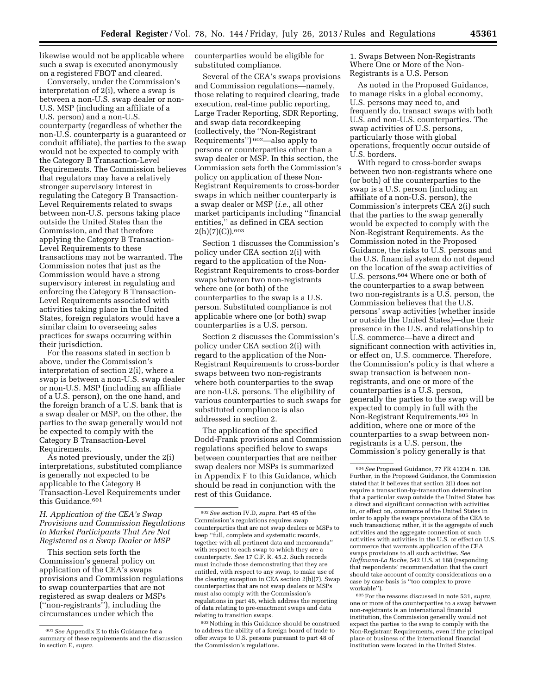likewise would not be applicable where such a swap is executed anonymously on a registered FBOT and cleared.

Conversely, under the Commission's interpretation of 2(i), where a swap is between a non-U.S. swap dealer or non-U.S. MSP (including an affiliate of a U.S. person) and a non-U.S. counterparty (regardless of whether the non-U.S. counterparty is a guaranteed or conduit affiliate), the parties to the swap would not be expected to comply with the Category B Transaction-Level Requirements. The Commission believes that regulators may have a relatively stronger supervisory interest in regulating the Category B Transaction-Level Requirements related to swaps between non-U.S. persons taking place outside the United States than the Commission, and that therefore applying the Category B Transaction-Level Requirements to these transactions may not be warranted. The Commission notes that just as the Commission would have a strong supervisory interest in regulating and enforcing the Category B Transaction-Level Requirements associated with activities taking place in the United States, foreign regulators would have a similar claim to overseeing sales practices for swaps occurring within their jurisdiction.

For the reasons stated in section b above, under the Commission's interpretation of section 2(i), where a swap is between a non-U.S. swap dealer or non-U.S. MSP (including an affiliate of a U.S. person), on the one hand, and the foreign branch of a U.S. bank that is a swap dealer or MSP, on the other, the parties to the swap generally would not be expected to comply with the Category B Transaction-Level Requirements.

As noted previously, under the 2(i) interpretations, substituted compliance is generally not expected to be applicable to the Category B Transaction-Level Requirements under this Guidance.<sup>601</sup>

# *H. Application of the CEA's Swap Provisions and Commission Regulations to Market Participants That Are Not Registered as a Swap Dealer or MSP*

This section sets forth the Commission's general policy on application of the CEA's swaps provisions and Commission regulations to swap counterparties that are not registered as swap dealers or MSPs (''non-registrants''), including the circumstances under which the

counterparties would be eligible for substituted compliance.

Several of the CEA's swaps provisions and Commission regulations—namely, those relating to required clearing, trade execution, real-time public reporting, Large Trader Reporting, SDR Reporting, and swap data recordkeeping (collectively, the ''Non-Registrant Requirements'') 602—also apply to persons or counterparties other than a swap dealer or MSP. In this section, the Commission sets forth the Commission's policy on application of these Non-Registrant Requirements to cross-border swaps in which neither counterparty is a swap dealer or MSP (*i.e.,* all other market participants including ''financial entities,'' as defined in CEA section 2(h)(7)(C)).603

Section 1 discusses the Commission's policy under CEA section 2(i) with regard to the application of the Non-Registrant Requirements to cross-border swaps between two non-registrants where one (or both) of the counterparties to the swap is a U.S. person. Substituted compliance is not applicable where one (or both) swap counterparties is a U.S. person.

Section 2 discusses the Commission's policy under CEA section 2(i) with regard to the application of the Non-Registrant Requirements to cross-border swaps between two non-registrants where both counterparties to the swap are non-U.S. persons. The eligibility of various counterparties to such swaps for substituted compliance is also addressed in section 2.

The application of the specified Dodd-Frank provisions and Commission regulations specified below to swaps between counterparties that are neither swap dealers nor MSPs is summarized in Appendix F to this Guidance, which should be read in conjunction with the rest of this Guidance.

1. Swaps Between Non-Registrants Where One or More of the Non-Registrants is a U.S. Person

As noted in the Proposed Guidance, to manage risks in a global economy, U.S. persons may need to, and frequently do, transact swaps with both U.S. and non-U.S. counterparties. The swap activities of U.S. persons, particularly those with global operations, frequently occur outside of U.S. borders.

With regard to cross-border swaps between two non-registrants where one (or both) of the counterparties to the swap is a U.S. person (including an affiliate of a non-U.S. person), the Commission's interprets CEA 2(i) such that the parties to the swap generally would be expected to comply with the Non-Registrant Requirements. As the Commission noted in the Proposed Guidance, the risks to U.S. persons and the U.S. financial system do not depend on the location of the swap activities of U.S. persons.<sup>604</sup> Where one or both of the counterparties to a swap between two non-registrants is a U.S. person, the Commission believes that the U.S. persons' swap activities (whether inside or outside the United States)—due their presence in the U.S. and relationship to U.S. commerce—have a direct and significant connection with activities in, or effect on, U.S. commerce. Therefore, the Commission's policy is that where a swap transaction is between nonregistrants, and one or more of the counterparties is a U.S. person, generally the parties to the swap will be expected to comply in full with the Non-Registrant Requirements.605 In addition, where one or more of the counterparties to a swap between nonregistrants is a U.S. person, the Commission's policy generally is that

<sup>601</sup>*See* Appendix E to this Guidance for a summary of these requirements and the discussion in section E, *supra.* 

<sup>602</sup>*See* section IV.D, *supra.* Part 45 of the Commission's regulations requires swap counterparties that are not swap dealers or MSPs to keep ''full, complete and systematic records, together with all pertinent data and memoranda'' with respect to each swap to which they are a counterparty. *See* 17 C.F. R. 45.2. Such records must include those demonstrating that they are entitled, with respect to any swap, to make use of the clearing exception in CEA section 2(h)(7). Swap counterparties that are not swap dealers or MSPs must also comply with the Commission's regulations in part 46, which address the reporting of data relating to pre-enactment swaps and data relating to transition swaps.

 $^{603}\,$  Nothing in this Guidance should be construed to address the ability of a foreign board of trade to offer swaps to U.S. persons pursuant to part 48 of the Commission's regulations.

<sup>604</sup>*See* Proposed Guidance, 77 FR 41234 n. 138. Further, in the Proposed Guidance, the Commission stated that it believes that section 2(i) does not require a transaction-by-transaction determination that a particular swap outside the United States has a direct and significant connection with activities in, or effect on, commerce of the United States in order to apply the swaps provisions of the CEA to such transactions; rather, it is the aggregate of such activities and the aggregate connection of such activities with activities in the U.S. or effect on U.S. commerce that warrants application of the CEA swaps provisions to all such activities. *See Hoffmann-La Roche,* 542 U.S. at 168 (responding that respondents' recommendation that the court should take account of comity considerations on a case by case basis is ''too complex to prove workable'').

<sup>605</sup>For the reasons discussed in note 531, *supra,*  one or more of the counterparties to a swap between non-registrants is an international financial institution, the Commission generally would not expect the parties to the swap to comply with the Non-Registrant Requirements, even if the principal place of business of the international financial institution were located in the United States.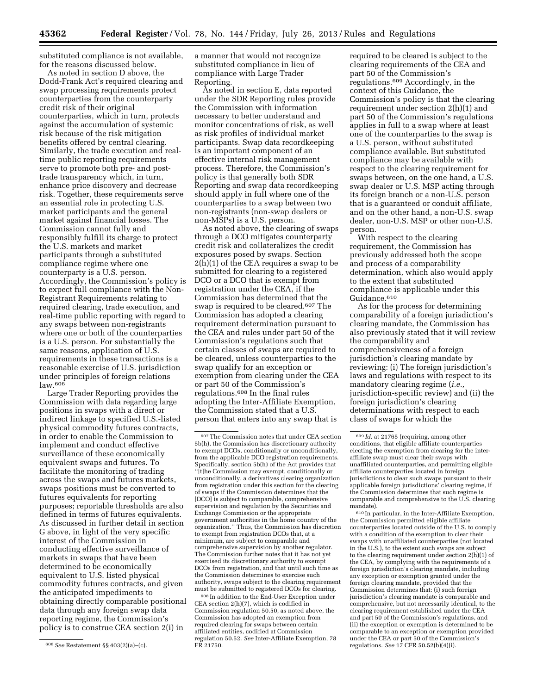substituted compliance is not available, for the reasons discussed below.

As noted in section D above, the Dodd-Frank Act's required clearing and swap processing requirements protect counterparties from the counterparty credit risk of their original counterparties, which in turn, protects against the accumulation of systemic risk because of the risk mitigation benefits offered by central clearing. Similarly, the trade execution and realtime public reporting requirements serve to promote both pre- and posttrade transparency which, in turn, enhance price discovery and decrease risk. Together, these requirements serve an essential role in protecting U.S. market participants and the general market against financial losses. The Commission cannot fully and responsibly fulfill its charge to protect the U.S. markets and market participants through a substituted compliance regime where one counterparty is a U.S. person. Accordingly, the Commission's policy is to expect full compliance with the Non-Registrant Requirements relating to required clearing, trade execution, and real-time public reporting with regard to any swaps between non-registrants where one or both of the counterparties is a U.S. person. For substantially the same reasons, application of U.S. requirements in these transactions is a reasonable exercise of U.S. jurisdiction under principles of foreign relations law.606

Large Trader Reporting provides the Commission with data regarding large positions in swaps with a direct or indirect linkage to specified U.S.-listed physical commodity futures contracts, in order to enable the Commission to implement and conduct effective surveillance of these economically equivalent swaps and futures. To facilitate the monitoring of trading across the swaps and futures markets, swaps positions must be converted to futures equivalents for reporting purposes; reportable thresholds are also defined in terms of futures equivalents. As discussed in further detail in section G above, in light of the very specific interest of the Commission in conducting effective surveillance of markets in swaps that have been determined to be economically equivalent to U.S. listed physical commodity futures contracts, and given the anticipated impediments to obtaining directly comparable positional data through any foreign swap data reporting regime, the Commission's policy is to construe CEA section 2(i) in

a manner that would not recognize substituted compliance in lieu of compliance with Large Trader Reporting.

As noted in section E, data reported under the SDR Reporting rules provide the Commission with information necessary to better understand and monitor concentrations of risk, as well as risk profiles of individual market participants. Swap data recordkeeping is an important component of an effective internal risk management process. Therefore, the Commission's policy is that generally both SDR Reporting and swap data recordkeeping should apply in full where one of the counterparties to a swap between two non-registrants (non-swap dealers or non-MSPs) is a U.S. person.

As noted above, the clearing of swaps through a DCO mitigates counterparty credit risk and collateralizes the credit exposures posed by swaps. Section 2(h)(1) of the CEA requires a swap to be submitted for clearing to a registered DCO or a DCO that is exempt from registration under the CEA, if the Commission has determined that the swap is required to be cleared.<sup>607</sup> The Commission has adopted a clearing requirement determination pursuant to the CEA and rules under part 50 of the Commission's regulations such that certain classes of swaps are required to be cleared, unless counterparties to the swap qualify for an exception or exemption from clearing under the CEA or part 50 of the Commission's regulations.608 In the final rules adopting the Inter-Affiliate Exemption, the Commission stated that a U.S. person that enters into any swap that is

608 In addition to the End-User Exception under CEA section 2(h)(7), which is codified in Commission regulation 50.50, as noted above, the Commission has adopted an exemption from required clearing for swaps between certain affiliated entities, codified at Commission regulation 50.52. *See* Inter-Affiliate Exemption, 78 FR 21750.

required to be cleared is subject to the clearing requirements of the CEA and part 50 of the Commission's regulations.609 Accordingly, in the context of this Guidance, the Commission's policy is that the clearing requirement under section 2(h)(1) and part 50 of the Commission's regulations applies in full to a swap where at least one of the counterparties to the swap is a U.S. person, without substituted compliance available. But substituted compliance may be available with respect to the clearing requirement for swaps between, on the one hand, a U.S. swap dealer or U.S. MSP acting through its foreign branch or a non-U.S. person that is a guaranteed or conduit affiliate, and on the other hand, a non-U.S. swap dealer, non-U.S. MSP or other non-U.S. person.

With respect to the clearing requirement, the Commission has previously addressed both the scope and process of a comparability determination, which also would apply to the extent that substituted compliance is applicable under this Guidance.610

As for the process for determining comparability of a foreign jurisdiction's clearing mandate, the Commission has also previously stated that it will review the comparability and comprehensiveness of a foreign jurisdiction's clearing mandate by reviewing: (i) The foreign jurisdiction's laws and regulations with respect to its mandatory clearing regime (*i.e.,*  jurisdiction-specific review) and (ii) the foreign jurisdiction's clearing determinations with respect to each class of swaps for which the

610 In particular, in the Inter-Affiliate Exemption, the Commission permitted eligible affiliate counterparties located outside of the U.S. to comply with a condition of the exemption to clear their swaps with unaffiliated counterparties (not located in the U.S.), to the extent such swaps are subject to the clearing requirement under section 2(h)(1) of the CEA, by complying with the requirements of a foreign jurisdiction's clearing mandate, including any exception or exemption granted under the foreign clearing mandate, provided that the Commission determines that: (i) such foreign jurisdiction's clearing mandate is comparable and comprehensive, but not necessarily identical, to the clearing requirement established under the CEA and part 50 of the Commission's regulations, and (ii) the exception or exemption is determined to be comparable to an exception or exemption provided under the CEA or part 50 of the Commission's regulations. *See* 17 CFR 50.52(b)(4)(i).

<sup>606</sup>*See* Restatement §§ 403(2)(a)–(c).

<sup>607</sup>The Commission notes that under CEA section 5b(h), the Commission has discretionary authority to exempt DCOs, conditionally or unconditionally, from the applicable DCO registration requirements. Specifically, section 5b(h) of the Act provides that ''[t]he Commission may exempt, conditionally or unconditionally, a derivatives clearing organization from registration under this section for the clearing of swaps if the Commission determines that the [DCO] is subject to comparable, comprehensive supervision and regulation by the Securities and Exchange Commission or the appropriate government authorities in the home country of the organization.'' Thus, the Commission has discretion to exempt from registration DCOs that, at a minimum, are subject to comparable and comprehensive supervision by another regulator. The Commission further notes that it has not yet exercised its discretionary authority to exempt DCOs from registration, and that until such time as the Commission determines to exercise such authority, swaps subject to the clearing requirement must be submitted to registered DCOs for clearing.

<sup>609</sup> *Id.* at 21765 (requiring, among other conditions, that eligible affiliate counterparties electing the exemption from clearing for the interaffiliate swap must clear their swaps with unaffiliated counterparties, and permitting eligible affiliate counterparties located in foreign jurisdictions to clear such swaps pursuant to their applicable foreign jurisdictions' clearing regime, if the Commission determines that such regime is comparable and comprehensive to the U.S. clearing mandate).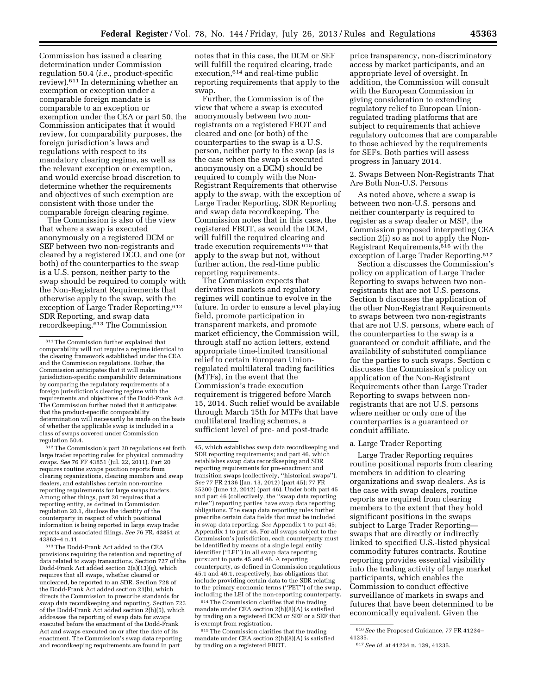Commission has issued a clearing determination under Commission regulation 50.4 (*i.e.,* product-specific review).611 In determining whether an exemption or exception under a comparable foreign mandate is comparable to an exception or exemption under the CEA or part 50, the Commission anticipates that it would review, for comparability purposes, the foreign jurisdiction's laws and regulations with respect to its mandatory clearing regime, as well as the relevant exception or exemption, and would exercise broad discretion to determine whether the requirements and objectives of such exemption are consistent with those under the comparable foreign clearing regime.

The Commission is also of the view that where a swap is executed anonymously on a registered DCM or SEF between two non-registrants and cleared by a registered DCO, and one (or both) of the counterparties to the swap is a U.S. person, neither party to the swap should be required to comply with the Non-Registrant Requirements that otherwise apply to the swap, with the exception of Large Trader Reporting, 612 SDR Reporting, and swap data recordkeeping.613 The Commission

612The Commission's part 20 regulations set forth large trader reporting rules for physical commodity swaps. *See* 76 FF 43851 (Jul. 22, 2011). Part 20 requires routine swaps position reports from clearing organizations, clearing members and swap dealers, and establishes certain non-routine reporting requirements for large swaps traders. Among other things, part 20 requires that a reporting entity, as defined in Commission regulation 20.1, disclose the identity of the counterparty in respect of which positional information is being reported in large swap trader reports and associated filings. *See* 76 FR. 43851 at 43863–4 n.11.

613The Dodd-Frank Act added to the CEA provisions requiring the retention and reporting of data related to swap transactions. Section 727 of the Dodd-Frank Act added section 2(a)(13)(g), which requires that all swaps, whether cleared or uncleared, be reported to an SDR. Section 728 of the Dodd-Frank Act added section 21(b), which directs the Commission to prescribe standards for swap data recordkeeping and reporting. Section 723 of the Dodd-Frank Act added section 2(h)(5), which addresses the reporting of swap data for swaps executed before the enactment of the Dodd-Frank Act and swaps executed on or after the date of its enactment. The Commission's swap data reporting and recordkeeping requirements are found in part

notes that in this case, the DCM or SEF will fulfill the required clearing, trade execution,614 and real-time public reporting requirements that apply to the swap.

Further, the Commission is of the view that where a swap is executed anonymously between two nonregistrants on a registered FBOT and cleared and one (or both) of the counterparties to the swap is a U.S. person, neither party to the swap (as is the case when the swap is executed anonymously on a DCM) should be required to comply with the Non-Registrant Requirements that otherwise apply to the swap, with the exception of Large Trader Reporting, SDR Reporting and swap data recordkeeping. The Commission notes that in this case, the registered FBOT, as would the DCM, will fulfill the required clearing and trade execution requirements 615 that apply to the swap but not, without further action, the real-time public reporting requirements.

The Commission expects that derivatives markets and regulatory regimes will continue to evolve in the future. In order to ensure a level playing field, promote participation in transparent markets, and promote market efficiency, the Commission will, through staff no action letters, extend appropriate time-limited transitional relief to certain European Unionregulated multilateral trading facilities (MTFs), in the event that the Commission's trade execution requirement is triggered before March 15, 2014. Such relief would be available through March 15th for MTFs that have multilateral trading schemes, a sufficient level of pre- and post-trade

614The Commission clarifies that the trading mandate under CEA section 2(h)(8)(A) is satisfied by trading on a registered DCM or SEF or a SEF that is exempt from registration.

<sup>615</sup> The Commission clarifies that the trading mandate under CEA section 2(h)(8)(A) is satisfied by trading on a registered FBOT.

price transparency, non-discriminatory access by market participants, and an appropriate level of oversight. In addition, the Commission will consult with the European Commission in giving consideration to extending regulatory relief to European Unionregulated trading platforms that are subject to requirements that achieve regulatory outcomes that are comparable to those achieved by the requirements for SEFs. Both parties will assess progress in January 2014.

2. Swaps Between Non-Registrants That Are Both Non-U.S. Persons

As noted above, where a swap is between two non-U.S. persons and neither counterparty is required to register as a swap dealer or MSP, the Commission proposed interpreting CEA section 2(i) so as not to apply the Non-Registrant Requirements,616 with the exception of Large Trader Reporting.617

Section a discusses the Commission's policy on application of Large Trader Reporting to swaps between two nonregistrants that are not U.S. persons. Section b discusses the application of the other Non-Registrant Requirements to swaps between two non-registrants that are not U.S. persons, where each of the counterparties to the swap is a guaranteed or conduit affiliate, and the availability of substituted compliance for the parties to such swaps. Section c discusses the Commission's policy on application of the Non-Registrant Requirements other than Large Trader Reporting to swaps between nonregistrants that are not U.S. persons where neither or only one of the counterparties is a guaranteed or conduit affiliate.

### a. Large Trader Reporting

Large Trader Reporting requires routine positional reports from clearing members in addition to clearing organizations and swap dealers. As is the case with swap dealers, routine reports are required from clearing members to the extent that they hold significant positions in the swaps subject to Large Trader Reporting swaps that are directly or indirectly linked to specified U.S.-listed physical commodity futures contracts. Routine reporting provides essential visibility into the trading activity of large market participants, which enables the Commission to conduct effective surveillance of markets in swaps and futures that have been determined to be economically equivalent. Given the

<sup>611</sup>The Commission further explained that comparability will not require a regime identical to the clearing framework established under the CEA and the Commission regulations. Rather, the Commission anticipates that it will make jurisdiction-specific comparability determinations by comparing the regulatory requirements of a foreign jurisdiction's clearing regime with the requirements and objectives of the Dodd-Frank Act. The Commission further noted that it anticipates that the product-specific comparability determination will necessarily be made on the basis of whether the applicable swap is included in a class of swaps covered under Commission regulation 50.4.

<sup>45,</sup> which establishes swap data recordkeeping and SDR reporting requirements; and part 46, which establishes swap data recordkeeping and SDR reporting requirements for pre-enactment and transition swaps (collectively, ''historical swaps''). *See* 77 FR 2136 (Jan. 13, 2012) (part 45); 77 FR 35200 (June 12, 2012) (part 46). Under both part 45 and part 46 (collectively, the ''swap data reporting rules'') reporting parties have swap data reporting obligations. The swap data reporting rules further prescribe certain data fields that must be included in swap data reporting. *See* Appendix 1 to part 45; Appendix 1 to part 46. For all swaps subject to the Commission's jurisdiction, each counterparty must be identified by means of a single legal entity identifier (''LEI'') in all swap data reporting pursuant to parts 45 and 46. A reporting counterparty, as defined in Commission regulations 45.1 and 46.1, respectively, has obligations that include providing certain data to the SDR relating to the primary economic terms (''PET'') of the swap, including the LEI of the non-reporting counterparty.

<sup>616</sup>*See* the Proposed Guidance, 77 FR 41234– 41235.

<sup>617</sup>*See id.* at 41234 n. 139, 41235.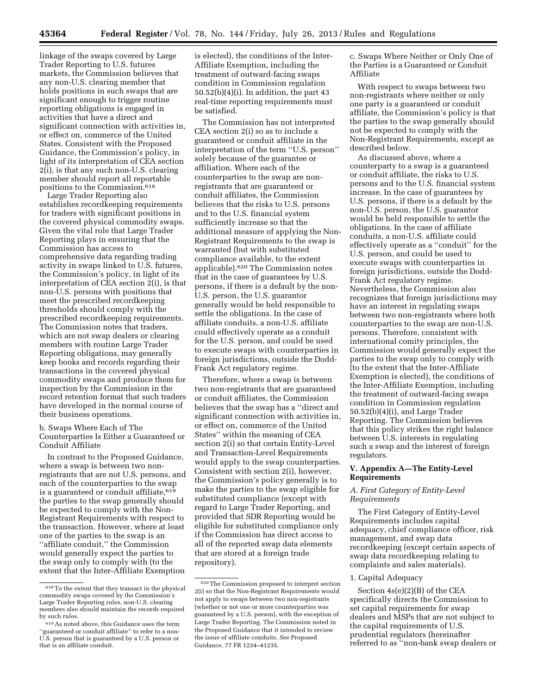linkage of the swaps covered by Large Trader Reporting to U.S. futures markets, the Commission believes that any non-U.S. clearing member that holds positions in such swaps that are significant enough to trigger routine reporting obligations is engaged in activities that have a direct and significant connection with activities in, or effect on, commerce of the United States. Consistent with the Proposed Guidance, the Commission's policy, in light of its interpretation of CEA section 2(i), is that any such non-U.S. clearing member should report all reportable positions to the Commission.618

Large Trader Reporting also establishes recordkeeping requirements for traders with significant positions in the covered physical commodity swaps. Given the vital role that Large Trader Reporting plays in ensuring that the Commission has access to comprehensive data regarding trading activity in swaps linked to U.S. futures, the Commission's policy, in light of its interpretation of CEA section 2(i), is that non-U.S. persons with positions that meet the prescribed recordkeeping thresholds should comply with the prescribed recordkeeping requirements. The Commission notes that traders, which are not swap dealers or clearing members with routine Large Trader Reporting obligations, may generally keep books and records regarding their transactions in the covered physical commodity swaps and produce them for inspection by the Commission in the record retention format that such traders have developed in the normal course of their business operations.

b. Swaps Where Each of The Counterparties Is Either a Guaranteed or Conduit Affiliate

In contrast to the Proposed Guidance, where a swap is between two nonregistrants that are not U.S. persons, and each of the counterparties to the swap is a guaranteed or conduit affiliate, 619 the parties to the swap generally should be expected to comply with the Non-Registrant Requirements with respect to the transaction. However, where at least one of the parties to the swap is an ''affiliate conduit,'' the Commission would generally expect the parties to the swap only to comply with (to the extent that the Inter-Affiliate Exemption

is elected), the conditions of the Inter-Affiliate Exemption, including the treatment of outward-facing swaps condition in Commission regulation 50.52(b)(4)(i). In addition, the part 43 real-time reporting requirements must be satisfied.

The Commission has not interpreted CEA section 2(i) so as to include a guaranteed or conduit affiliate in the interpretation of the term ''U.S. person'' solely because of the guarantee or affiliation. Where each of the counterparties to the swap are nonregistrants that are guaranteed or conduit affiliates, the Commission believes that the risks to U.S. persons and to the U.S. financial system sufficiently increase so that the additional measure of applying the Non-Registrant Requirements to the swap is warranted (but with substituted compliance available, to the extent applicable).620 The Commission notes that in the case of guarantees by U.S. persons, if there is a default by the non-U.S. person, the U.S. guarantor generally would be held responsible to settle the obligations. In the case of affiliate conduits, a non-U.S. affiliate could effectively operate as a conduit for the U.S. person, and could be used to execute swaps with counterparties in foreign jurisdictions, outside the Dodd-Frank Act regulatory regime.

Therefore, where a swap is between two non-registrants that are guaranteed or conduit affiliates, the Commission believes that the swap has a ''direct and significant connection with activities in, or effect on, commerce of the United States'' within the meaning of CEA section 2(i) so that certain Entity-Level and Transaction-Level Requirements would apply to the swap counterparties. Consistent with section 2(i), however, the Commission's policy generally is to make the parties to the swap eligible for substituted compliance (except with regard to Large Trader Reporting, and provided that SDR Reporting would be eligible for substituted compliance only if the Commission has direct access to all of the reported swap data elements that are stored at a foreign trade repository).

c. Swaps Where Neither or Only One of the Parties is a Guaranteed or Conduit Affiliate

With respect to swaps between two non-registrants where neither or only one party is a guaranteed or conduit affiliate, the Commission's policy is that the parties to the swap generally should not be expected to comply with the Non-Registrant Requirements, except as described below.

As discussed above, where a counterparty to a swap is a guaranteed or conduit affiliate, the risks to U.S. persons and to the U.S. financial system increase. In the case of guarantees by U.S. persons, if there is a default by the non-U.S. person, the U.S. guarantor would be held responsible to settle the obligations. In the case of affiliate conduits, a non-U.S. affiliate could effectively operate as a ''conduit'' for the U.S. person, and could be used to execute swaps with counterparties in foreign jurisdictions, outside the Dodd-Frank Act regulatory regime. Nevertheless, the Commission also recognizes that foreign jurisdictions may have an interest in regulating swaps between two non-registrants where both counterparties to the swap are non-U.S. persons. Therefore, consistent with international comity principles, the Commission would generally expect the parties to the swap only to comply with (to the extent that the Inter-Affiliate Exemption is elected), the conditions of the Inter-Affiliate Exemption, including the treatment of outward-facing swaps condition in Commission regulation 50.52(b)(4)(i), and Large Trader Reporting. The Commission believes that this policy strikes the right balance between U.S. interests in regulating such a swap and the interest of foreign regulators.

## **V. Appendix A—The Entity-Level Requirements**

# *A. First Category of Entity-Level Requirements*

The First Category of Entity-Level Requirements includes capital adequacy, chief compliance officer, risk management, and swap data recordkeeping (except certain aspects of swap data recordkeeping relating to complaints and sales materials).

## 1. Capital Adequacy

Section 4s(e)(2)(B) of the CEA specifically directs the Commission to set capital requirements for swap dealers and MSPs that are not subject to the capital requirements of U.S. prudential regulators (hereinafter referred to as ''non-bank swap dealers or

<sup>618</sup>To the extent that they transact in the physical commodity swaps covered by the Commission's Large Trader Reporting rules, non-U.S. clearing members also should maintain the records required by such rules.

<sup>619</sup>As noted above, this Guidance uses the term ''guaranteed or conduit affiliate'' to refer to a non-U.S. person that is guaranteed by a U.S. person or that is an affiliate conduit.

<sup>620</sup>The Commission proposed to interpret section 2(i) so that the Non-Registrant Requirements would not apply to swaps between two non-registrants (whether or not one or more counterparties was guaranteed by a U.S. person), with the exception of Large Trader Reporting. The Commission noted in the Proposed Guidance that it intended to review the issue of affiliate conduits. *See* Proposed Guidance, 77 FR 1234–41235.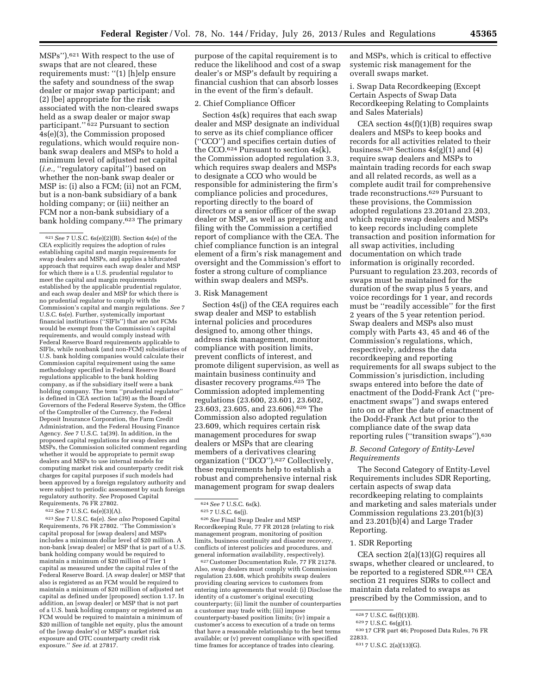MSPs'').621 With respect to the use of swaps that are not cleared, these requirements must: ''(1) [h]elp ensure the safety and soundness of the swap dealer or major swap participant; and (2) [be] appropriate for the risk associated with the non-cleared swaps held as a swap dealer or major swap participant.'' 622 Pursuant to section 4s(e)(3), the Commission proposed regulations, which would require nonbank swap dealers and MSPs to hold a minimum level of adjusted net capital (*i.e.*, "regulatory capital") based on whether the non-bank swap dealer or MSP is: (i) also a FCM; (ii) not an FCM, but is a non-bank subsidiary of a bank holding company; or (iii) neither an FCM nor a non-bank subsidiary of a bank holding company.623 The primary

622*See* 7 U.S.C. 6s(e)(3)(A).

623*See* 7 U.S.C. 6s(e). *See also* Proposed Capital Requirements, 76 FR 27802. ''The Commission's capital proposal for [swap dealers] and MSPs includes a minimum dollar level of \$20 million. A non-bank [swap dealer] or MSP that is part of a U.S. bank holding company would be required to maintain a minimum of \$20 million of Tier 1 capital as measured under the capital rules of the Federal Reserve Board. [A swap dealer] or MSP that also is registered as an FCM would be required to maintain a minimum of \$20 million of adjusted net capital as defined under [proposed] section 1.17. In addition, an [swap dealer] or MSP that is not part of a U.S. bank holding company or registered as an FCM would be required to maintain a minimum of \$20 million of tangible net equity, plus the amount of the [swap dealer's] or MSP's market risk exposure and OTC counterparty credit risk exposure.'' *See id.* at 27817.

purpose of the capital requirement is to reduce the likelihood and cost of a swap dealer's or MSP's default by requiring a financial cushion that can absorb losses in the event of the firm's default.

#### 2. Chief Compliance Officer

Section 4s(k) requires that each swap dealer and MSP designate an individual to serve as its chief compliance officer (''CCO'') and specifies certain duties of the CCO. $624$  Pursuant to section  $4s(k)$ , the Commission adopted regulation 3.3, which requires swap dealers and MSPs to designate a CCO who would be responsible for administering the firm's compliance policies and procedures, reporting directly to the board of directors or a senior officer of the swap dealer or MSP, as well as preparing and filing with the Commission a certified report of compliance with the CEA. The chief compliance function is an integral element of a firm's risk management and oversight and the Commission's effort to foster a strong culture of compliance within swap dealers and MSPs.

## 3. Risk Management

Section 4s(j) of the CEA requires each swap dealer and MSP to establish internal policies and procedures designed to, among other things, address risk management, monitor compliance with position limits, prevent conflicts of interest, and promote diligent supervision, as well as maintain business continuity and disaster recovery programs.625 The Commission adopted implementing regulations (23.600, 23.601, 23.602, 23.603, 23.605, and 23.606).626 The Commission also adopted regulation 23.609, which requires certain risk management procedures for swap dealers or MSPs that are clearing members of a derivatives clearing organization (''DCO'').627 Collectively, these requirements help to establish a robust and comprehensive internal risk management program for swap dealers

626*See* Final Swap Dealer and MSP Recordkeeping Rule, 77 FR 20128 (relating to risk management program, monitoring of position limits, business continuity and disaster recovery, conflicts of interest policies and procedures, and general information availability, respectively).

627Customer Documentation Rule, 77 FR 21278. Also, swap dealers must comply with Commission regulation 23.608, which prohibits swap dealers providing clearing services to customers from entering into agreements that would: (i) Disclose the identity of a customer's original executing counterparty; (ii) limit the number of counterparties a customer may trade with; (iii) impose counterparty-based position limits; (iv) impair a customer's access to execution of a trade on terms that have a reasonable relationship to the best terms available; or (v) prevent compliance with specified time frames for acceptance of trades into clearing.

and MSPs, which is critical to effective systemic risk management for the overall swaps market.

i. Swap Data Recordkeeping (Except Certain Aspects of Swap Data Recordkeeping Relating to Complaints and Sales Materials)

CEA section 4s(f)(1)(B) requires swap dealers and MSPs to keep books and records for all activities related to their business.<sup>628</sup> Sections  $4s(g)(1)$  and  $(4)$ require swap dealers and MSPs to maintain trading records for each swap and all related records, as well as a complete audit trail for comprehensive trade reconstructions.629 Pursuant to these provisions, the Commission adopted regulations 23.201and 23.203, which require swap dealers and MSPs to keep records including complete transaction and position information for all swap activities, including documentation on which trade information is originally recorded. Pursuant to regulation 23.203, records of swaps must be maintained for the duration of the swap plus 5 years, and voice recordings for 1 year, and records must be ''readily accessible'' for the first 2 years of the 5 year retention period. Swap dealers and MSPs also must comply with Parts 43, 45 and 46 of the Commission's regulations, which, respectively, address the data recordkeeping and reporting requirements for all swaps subject to the Commission's jurisdiction, including swaps entered into before the date of enactment of the Dodd-Frank Act (''preenactment swaps'') and swaps entered into on or after the date of enactment of the Dodd-Frank Act but prior to the compliance date of the swap data reporting rules (''transition swaps'').630

## *B. Second Category of Entity-Level Requirements*

The Second Category of Entity-Level Requirements includes SDR Reporting, certain aspects of swap data recordkeeping relating to complaints and marketing and sales materials under Commission regulations 23.201(b)(3) and 23.201(b)(4) and Large Trader Reporting.

## 1. SDR Reporting

CEA section 2(a)(13)(G) requires all swaps, whether cleared or uncleared, to be reported to a registered SDR.631 CEA section 21 requires SDRs to collect and maintain data related to swaps as prescribed by the Commission, and to

<sup>621</sup>*See* 7 U.S.C. 6s(e)(2)(B). Section 4s(e) of the CEA explicitly requires the adoption of rules establishing capital and margin requirements for swap dealers and MSPs, and applies a bifurcated approach that requires each swap dealer and MSP for which there is a U.S. prudential regulator to meet the capital and margin requirements established by the applicable prudential regulator, and each swap dealer and MSP for which there is no prudential regulator to comply with the Commission's capital and margin regulations. *See* 7 U.S.C. 6s(e). Further, systemically important financial institutions ("SIFIs") that are not FCMs would be exempt from the Commission's capital requirements, and would comply instead with Federal Reserve Board requirements applicable to SIFIs, while nonbank (and non-FCM) subsidiaries of U.S. bank holding companies would calculate their Commission capital requirement using the same methodology specified in Federal Reserve Board regulations applicable to the bank holding company, as if the subsidiary itself were a bank holding company. The term ''prudential regulator'' is defined in CEA section 1a(39) as the Board of Governors of the Federal Reserve System, the Office of the Comptroller of the Currency, the Federal Deposit Insurance Corporation, the Farm Credit Administration, and the Federal Housing Finance Agency. *See* 7 U.S.C. 1a(39). In addition, in the proposed capital regulations for swap dealers and MSPs, the Commission solicited comment regarding whether it would be appropriate to permit swap dealers and MSPs to use internal models for computing market risk and counterparty credit risk charges for capital purposes if such models had been approved by a foreign regulatory authority and were subject to periodic assessment by such foreign regulatory authority. *See* Proposed Capital Requirements, 76 FR 27802.

<sup>624</sup>*See* 7 U.S.C. 6s(k). 625 7 U.S.C. 6s(j).

<sup>628 7</sup> U.S.C. 6s(f)(1)(B).<br>629 7 U.S.C. 6s(g)(1).<br>630 17 CFR part 46; Proposed Data Rules, 76 FR<br>22833.

<sup>631 7</sup> U.S.C. 2(a)(13)(G).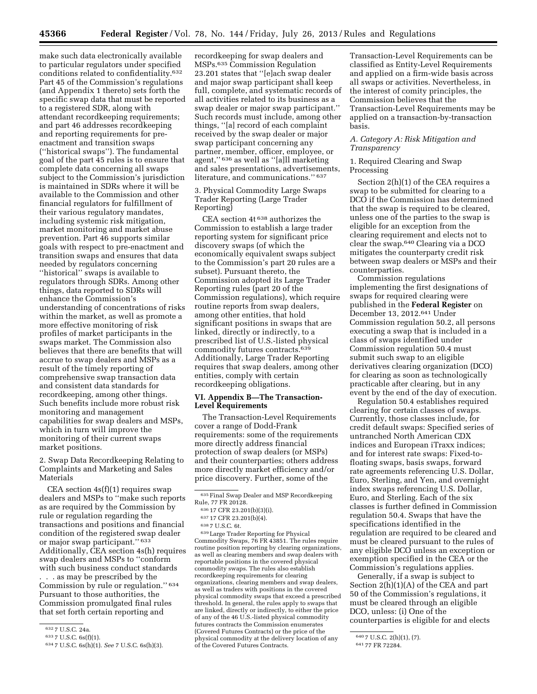make such data electronically available to particular regulators under specified conditions related to confidentiality.632 Part 45 of the Commission's regulations (and Appendix 1 thereto) sets forth the specific swap data that must be reported to a registered SDR, along with attendant recordkeeping requirements; and part 46 addresses recordkeeping and reporting requirements for preenactment and transition swaps (''historical swaps''). The fundamental goal of the part 45 rules is to ensure that complete data concerning all swaps subject to the Commission's jurisdiction is maintained in SDRs where it will be available to the Commission and other financial regulators for fulfillment of their various regulatory mandates, including systemic risk mitigation, market monitoring and market abuse prevention. Part 46 supports similar goals with respect to pre-enactment and transition swaps and ensures that data needed by regulators concerning ''historical'' swaps is available to regulators through SDRs. Among other things, data reported to SDRs will enhance the Commission's understanding of concentrations of risks within the market, as well as promote a more effective monitoring of risk profiles of market participants in the swaps market. The Commission also believes that there are benefits that will accrue to swap dealers and MSPs as a result of the timely reporting of comprehensive swap transaction data and consistent data standards for recordkeeping, among other things. Such benefits include more robust risk monitoring and management capabilities for swap dealers and MSPs, which in turn will improve the monitoring of their current swaps market positions.

2. Swap Data Recordkeeping Relating to Complaints and Marketing and Sales Materials

CEA section  $4s(f)(1)$  requires swap dealers and MSPs to ''make such reports as are required by the Commission by rule or regulation regarding the transactions and positions and financial condition of the registered swap dealer or major swap participant.'' 633 Additionally, CEA section 4s(h) requires swap dealers and MSPs to ''conform with such business conduct standards

. . . as may be prescribed by the Commission by rule or regulation." 634 Pursuant to those authorities, the Commission promulgated final rules that set forth certain reporting and

recordkeeping for swap dealers and MSPs.635 Commission Regulation 23.201 states that ''[e]ach swap dealer and major swap participant shall keep full, complete, and systematic records of all activities related to its business as a swap dealer or major swap participant.'' Such records must include, among other things, ''[a] record of each complaint received by the swap dealer or major swap participant concerning any partner, member, officer, employee, or agent,'' 636 as well as ''[a]ll marketing and sales presentations, advertisements, literature, and communications.'' 637

3. Physical Commodity Large Swaps Trader Reporting (Large Trader Reporting)

CEA section 4t 638 authorizes the Commission to establish a large trader reporting system for significant price discovery swaps (of which the economically equivalent swaps subject to the Commission's part 20 rules are a subset). Pursuant thereto, the Commission adopted its Large Trader Reporting rules (part 20 of the Commission regulations), which require routine reports from swap dealers, among other entities, that hold significant positions in swaps that are linked, directly or indirectly, to a prescribed list of U.S.-listed physical commodity futures contracts.639 Additionally, Large Trader Reporting requires that swap dealers, among other entities, comply with certain recordkeeping obligations.

### **VI. Appendix B—The Transaction-Level Requirements**

The Transaction-Level Requirements cover a range of Dodd-Frank requirements: some of the requirements more directly address financial protection of swap dealers (or MSPs) and their counterparties; others address more directly market efficiency and/or price discovery. Further, some of the

639Large Trader Reporting for Physical Commodity Swaps, 76 FR 43851. The rules require routine position reporting by clearing organizations, as well as clearing members and swap dealers with reportable positions in the covered physical commodity swaps. The rules also establish recordkeeping requirements for clearing organizations, clearing members and swap dealers, as well as traders with positions in the covered physical commodity swaps that exceed a prescribed threshold. In general, the rules apply to swaps that are linked, directly or indirectly, to either the price of any of the 46 U.S.-listed physical commodity futures contracts the Commission enumerates (Covered Futures Contracts) or the price of the physical commodity at the delivery location of any of the Covered Futures Contracts.

Transaction-Level Requirements can be classified as Entity-Level Requirements and applied on a firm-wide basis across all swaps or activities. Nevertheless, in the interest of comity principles, the Commission believes that the Transaction-Level Requirements may be applied on a transaction-by-transaction basis.

## *A. Category A: Risk Mitigation and Transparency*

### 1. Required Clearing and Swap Processing

Section 2(h)(1) of the CEA requires a swap to be submitted for clearing to a DCO if the Commission has determined that the swap is required to be cleared, unless one of the parties to the swap is eligible for an exception from the clearing requirement and elects not to clear the swap.640 Clearing via a DCO mitigates the counterparty credit risk between swap dealers or MSPs and their counterparties.

Commission regulations implementing the first designations of swaps for required clearing were published in the **Federal Register** on December 13, 2012.641 Under Commission regulation 50.2, all persons executing a swap that is included in a class of swaps identified under Commission regulation 50.4 must submit such swap to an eligible derivatives clearing organization (DCO) for clearing as soon as technologically practicable after clearing, but in any event by the end of the day of execution.

Regulation 50.4 establishes required clearing for certain classes of swaps. Currently, those classes include, for credit default swaps: Specified series of untranched North American CDX indices and European iTraxx indices; and for interest rate swaps: Fixed-tofloating swaps, basis swaps, forward rate agreements referencing U.S. Dollar, Euro, Sterling, and Yen, and overnight index swaps referencing U.S. Dollar, Euro, and Sterling. Each of the six classes is further defined in Commission regulation 50.4. Swaps that have the specifications identified in the regulation are required to be cleared and must be cleared pursuant to the rules of any eligible DCO unless an exception or exemption specified in the CEA or the Commission's regulations applies.

Generally, if a swap is subject to Section 2(h)(1)(A) of the CEA and part 50 of the Commission's regulations, it must be cleared through an eligible DCO, unless: (i) One of the counterparties is eligible for and elects

<sup>632</sup> 7 U.S.C. 24a.

<sup>633</sup> 7 U.S.C. 6s(f)(1).

<sup>634</sup> 7 U.S.C. 6s(h)(1). *See* 7 U.S.C. 6s(h)(3).

<sup>635</sup>Final Swap Dealer and MSP Recordkeeping Rule, 77 FR 20128.

<sup>636</sup> 17 CFR 23.201(b)(3)(i).

<sup>637</sup> 17 CFR 23.201(b)(4).

<sup>638</sup> 7 U.S.C. 6t.

<sup>640</sup> 7 U.S.C. 2(h)(1), (7).

<sup>641</sup> 77 FR 72284.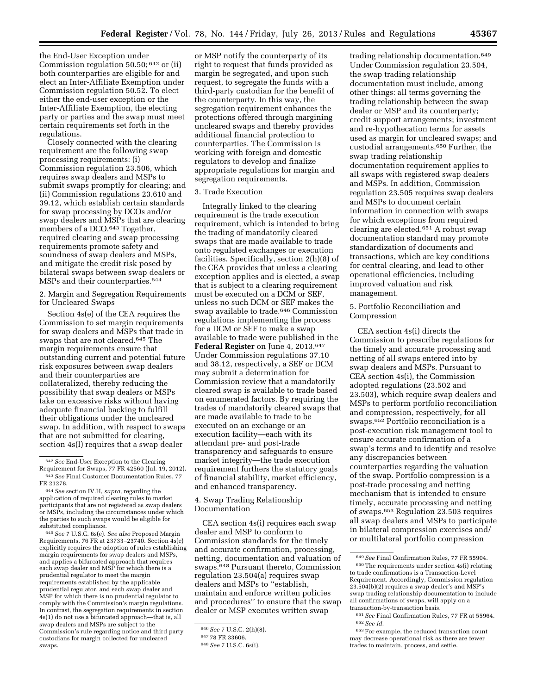the End-User Exception under Commission regulation 50.50; 642 or (ii) both counterparties are eligible for and elect an Inter-Affiliate Exemption under Commission regulation 50.52. To elect either the end-user exception or the Inter-Affiliate Exemption, the electing party or parties and the swap must meet certain requirements set forth in the regulations.

Closely connected with the clearing requirement are the following swap processing requirements: (i) Commission regulation 23.506, which requires swap dealers and MSPs to submit swaps promptly for clearing; and (ii) Commission regulations 23.610 and 39.12, which establish certain standards for swap processing by DCOs and/or swap dealers and MSPs that are clearing members of a DCO.<sup>643</sup> Together, required clearing and swap processing requirements promote safety and soundness of swap dealers and MSPs, and mitigate the credit risk posed by bilateral swaps between swap dealers or MSPs and their counterparties.644

2. Margin and Segregation Requirements for Uncleared Swaps

Section 4s(e) of the CEA requires the Commission to set margin requirements for swap dealers and MSPs that trade in swaps that are not cleared.645 The margin requirements ensure that outstanding current and potential future risk exposures between swap dealers and their counterparties are collateralized, thereby reducing the possibility that swap dealers or MSPs take on excessive risks without having adequate financial backing to fulfill their obligations under the uncleared swap. In addition, with respect to swaps that are not submitted for clearing, section 4s(l) requires that a swap dealer

645*See* 7 U.S.C. 6s(e). *See also* Proposed Margin Requirements, 76 FR at 23733–23740. Section 4s(e) explicitly requires the adoption of rules establishing margin requirements for swap dealers and MSPs, and applies a bifurcated approach that requires each swap dealer and MSP for which there is a prudential regulator to meet the margin requirements established by the applicable prudential regulator, and each swap dealer and MSP for which there is no prudential regulator to comply with the Commission's margin regulations. In contrast, the segregation requirements in section 4s(1) do not use a bifurcated approach—that is, all swap dealers and MSPs are subject to the Commission's rule regarding notice and third party custodians for margin collected for uncleared swaps.

or MSP notify the counterparty of its right to request that funds provided as margin be segregated, and upon such request, to segregate the funds with a third-party custodian for the benefit of the counterparty. In this way, the segregation requirement enhances the protections offered through margining uncleared swaps and thereby provides additional financial protection to counterparties. The Commission is working with foreign and domestic regulators to develop and finalize appropriate regulations for margin and segregation requirements.

# 3. Trade Execution

Integrally linked to the clearing requirement is the trade execution requirement, which is intended to bring the trading of mandatorily cleared swaps that are made available to trade onto regulated exchanges or execution facilities. Specifically, section 2(h)(8) of the CEA provides that unless a clearing exception applies and is elected, a swap that is subject to a clearing requirement must be executed on a DCM or SEF, unless no such DCM or SEF makes the swap available to trade.646 Commission regulations implementing the process for a DCM or SEF to make a swap available to trade were published in the Federal Register on June 4, 2013.<sup>647</sup> Under Commission regulations 37.10 and 38.12, respectively, a SEF or DCM may submit a determination for Commission review that a mandatorily cleared swap is available to trade based on enumerated factors. By requiring the trades of mandatorily cleared swaps that are made available to trade to be executed on an exchange or an execution facility—each with its attendant pre- and post-trade transparency and safeguards to ensure market integrity—the trade execution requirement furthers the statutory goals of financial stability, market efficiency, and enhanced transparency.

## 4. Swap Trading Relationship Documentation

CEA section 4s(i) requires each swap dealer and MSP to conform to Commission standards for the timely and accurate confirmation, processing, netting, documentation and valuation of swaps.648 Pursuant thereto, Commission regulation 23.504(a) requires swap dealers and MSPs to ''establish, maintain and enforce written policies and procedures'' to ensure that the swap dealer or MSP executes written swap

trading relationship documentation.649 Under Commission regulation 23.504, the swap trading relationship documentation must include, among other things: all terms governing the trading relationship between the swap dealer or MSP and its counterparty; credit support arrangements; investment and re-hypothecation terms for assets used as margin for uncleared swaps; and custodial arrangements.650 Further, the swap trading relationship documentation requirement applies to all swaps with registered swap dealers and MSPs. In addition, Commission regulation 23.505 requires swap dealers and MSPs to document certain information in connection with swaps for which exceptions from required clearing are elected.651 A robust swap documentation standard may promote standardization of documents and transactions, which are key conditions for central clearing, and lead to other operational efficiencies, including improved valuation and risk management.

## 5. Portfolio Reconciliation and Compression

CEA section 4s(i) directs the Commission to prescribe regulations for the timely and accurate processing and netting of all swaps entered into by swap dealers and MSPs. Pursuant to CEA section 4s(i), the Commission adopted regulations (23.502 and 23.503), which require swap dealers and MSPs to perform portfolio reconciliation and compression, respectively, for all swaps.652 Portfolio reconciliation is a post-execution risk management tool to ensure accurate confirmation of a swap's terms and to identify and resolve any discrepancies between counterparties regarding the valuation of the swap. Portfolio compression is a post-trade processing and netting mechanism that is intended to ensure timely, accurate processing and netting of swaps.653 Regulation 23.503 requires all swap dealers and MSPs to participate in bilateral compression exercises and/ or multilateral portfolio compression

<sup>642</sup>*See* End-User Exception to the Clearing Requirement for Swaps, 77 FR 42560 (Jul. 19, 2012). 643*See* Final Customer Documentation Rules, 77 FR 21278.

<sup>644</sup>*See* section IV.H, *supra,* regarding the application of required clearing rules to market participants that are not registered as swap dealers or MSPs, including the circumstances under which the parties to such swaps would be eligible for substituted compliance.

<sup>646</sup>*See* 7 U.S.C. 2(h)(8).

<sup>647</sup> 78 FR 33606.

<sup>648</sup>*See* 7 U.S.C. 6s(i).

<sup>649</sup>*See* Final Confirmation Rules, 77 FR 55904.

<sup>650</sup>The requirements under section 4s(i) relating to trade confirmations is a Transaction-Level Requirement. Accordingly, Commission regulation 23.504(b)(2) requires a swap dealer's and MSP's swap trading relationship documentation to include all confirmations of swaps, will apply on a transaction-by-transaction basis.

<sup>651</sup>*See* Final Confirmation Rules, 77 FR at 55964. 652*See id.* 

<sup>653</sup>For example, the reduced transaction count may decrease operational risk as there are fewer trades to maintain, process, and settle.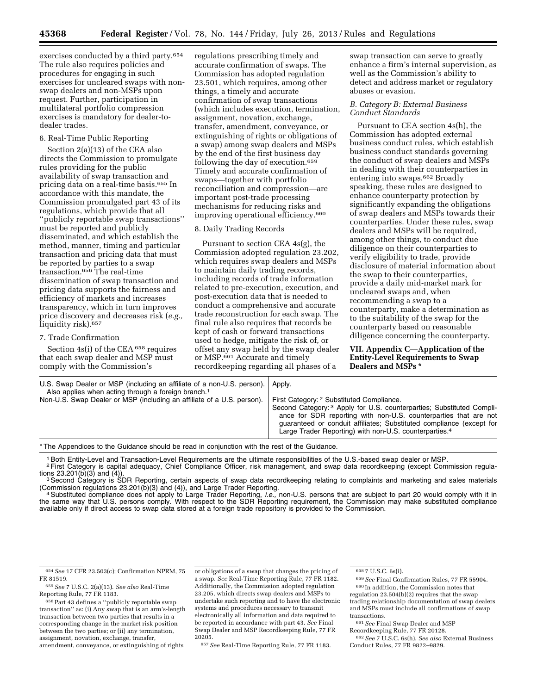exercises conducted by a third party.654 The rule also requires policies and procedures for engaging in such exercises for uncleared swaps with nonswap dealers and non-MSPs upon request. Further, participation in multilateral portfolio compression exercises is mandatory for dealer-todealer trades.

### 6. Real-Time Public Reporting

Section 2(a)(13) of the CEA also directs the Commission to promulgate rules providing for the public availability of swap transaction and pricing data on a real-time basis.655 In accordance with this mandate, the Commission promulgated part 43 of its regulations, which provide that all ''publicly reportable swap transactions'' must be reported and publicly disseminated, and which establish the method, manner, timing and particular transaction and pricing data that must be reported by parties to a swap transaction.656 The real-time dissemination of swap transaction and pricing data supports the fairness and efficiency of markets and increases transparency, which in turn improves price discovery and decreases risk (*e.g.,*  liquidity risk).657

#### 7. Trade Confirmation

Section  $4s(i)$  of the CEA  $658$  requires that each swap dealer and MSP must comply with the Commission's

regulations prescribing timely and accurate confirmation of swaps. The Commission has adopted regulation 23.501, which requires, among other things, a timely and accurate confirmation of swap transactions (which includes execution, termination, assignment, novation, exchange, transfer, amendment, conveyance, or extinguishing of rights or obligations of a swap) among swap dealers and MSPs by the end of the first business day following the day of execution.659 Timely and accurate confirmation of swaps—together with portfolio reconciliation and compression—are important post-trade processing mechanisms for reducing risks and improving operational efficiency.660

#### 8. Daily Trading Records

Pursuant to section CEA 4s(g), the Commission adopted regulation 23.202, which requires swap dealers and MSPs to maintain daily trading records, including records of trade information related to pre-execution, execution, and post-execution data that is needed to conduct a comprehensive and accurate trade reconstruction for each swap. The final rule also requires that records be kept of cash or forward transactions used to hedge, mitigate the risk of, or offset any swap held by the swap dealer or MSP.661 Accurate and timely recordkeeping regarding all phases of a

swap transaction can serve to greatly enhance a firm's internal supervision, as well as the Commission's ability to detect and address market or regulatory abuses or evasion.

## *B. Category B: External Business Conduct Standards*

Pursuant to CEA section 4s(h), the Commission has adopted external business conduct rules, which establish business conduct standards governing the conduct of swap dealers and MSPs in dealing with their counterparties in entering into swaps.662 Broadly speaking, these rules are designed to enhance counterparty protection by significantly expanding the obligations of swap dealers and MSPs towards their counterparties. Under these rules, swap dealers and MSPs will be required, among other things, to conduct due diligence on their counterparties to verify eligibility to trade, provide disclosure of material information about the swap to their counterparties, provide a daily mid-market mark for uncleared swaps and, when recommending a swap to a counterparty, make a determination as to the suitability of the swap for the counterparty based on reasonable diligence concerning the counterparty.

**VII. Appendix C—Application of the Entity-Level Requirements to Swap Dealers and MSPs \*** 

| U.S. Swap Dealer or MSP (including an affiliate of a non-U.S. person).   Apply.<br>Also applies when acting through a foreign branch. <sup>1</sup> |                                                                       |
|----------------------------------------------------------------------------------------------------------------------------------------------------|-----------------------------------------------------------------------|
|                                                                                                                                                    |                                                                       |
| Non-U.S. Swap Dealer or MSP (including an affiliate of a U.S. person).                                                                             | First Category: 2 Substituted Compliance.                             |
|                                                                                                                                                    | Second Category: 3 Apply for U.S. counterparties; Substituted Compli- |
|                                                                                                                                                    | ance for SDR reporting with non-U.S. counterparties that are not      |
|                                                                                                                                                    | guaranteed or conduit affiliates; Substituted compliance (except for  |
|                                                                                                                                                    | Large Trader Reporting) with non-U.S. counterparties. <sup>4</sup>    |

\* The Appendices to the Guidance should be read in conjunction with the rest of the Guidance.

1Both Entity-Level and Transaction-Level Requirements are the ultimate responsibilities of the U.S.-based swap dealer or MSP.

<sup>2</sup>First Category is capital adequacy, Chief Compliance Officer, risk management, and swap data recordkeeping (except Commission regula-<br>tions 23.201(b)(3) and (4)).

<sup>3</sup> Second Category is SDR Reporting, certain aspects of swap data recordkeeping relating to complaints and marketing and sales materials (Commission regulations 23.201(b)(3) and (4)), and Large Trader Reporting. 4Substituted compliance does not apply to Large Trader Reporting, *i.e.,* non-U.S. persons that are subject to part 20 would comply with it in

the same way that U.S. persons comply. With respect to the SDR Reporting requirement, the Commission may make substituted compliance available only if direct access to swap data stored at a foreign trade repository is provided to the Commission.

656Part 43 defines a ''publicly reportable swap transaction'' as: (i) Any swap that is an arm's-length transaction between two parties that results in a corresponding change in the market risk position between the two parties; or (ii) any termination, assignment, novation, exchange, transfer, amendment, conveyance, or extinguishing of rights

or obligations of a swap that changes the pricing of a swap. *See* Real-Time Reporting Rule, 77 FR 1182. Additionally, the Commission adopted regulation 23.205, which directs swap dealers and MSPs to undertake such reporting and to have the electronic systems and procedures necessary to transmit electronically all information and data required to be reported in accordance with part 43. *See* Final Swap Dealer and MSP Recordkeeping Rule, 77 FR 20205.

657*See* Real-Time Reporting Rule, 77 FR 1183.

658 7 U.S.C. 6s(i).

<sup>654</sup>*See* 17 CFR 23.503(c); Confirmation NPRM, 75 FR 81519.

<sup>655</sup>*See* 7 U.S.C. 2(a)(13). *See also* Real-Time Reporting Rule, 77 FR 1183.

<sup>659</sup>*See* Final Confirmation Rules, 77 FR 55904. 660 In addition, the Commission notes that regulation 23.504(b)(2) requires that the swap trading relationship documentation of swap dealers and MSPs must include all confirmations of swap transactions.

<sup>661</sup>*See* Final Swap Dealer and MSP

Recordkeeping Rule, 77 FR 20128.

<sup>662</sup>*See* 7 U.S.C. 6s(h). *See also* External Business Conduct Rules, 77 FR 9822–9829.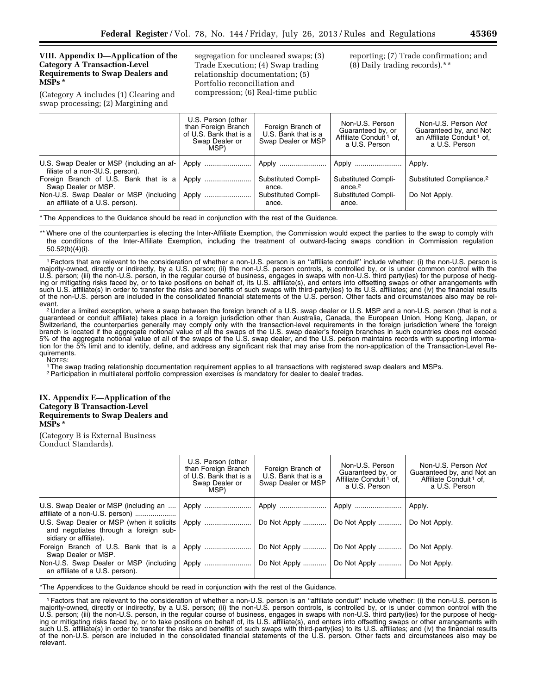## **VIII. Appendix D—Application of the Category A Transaction-Level Requirements to Swap Dealers and MSPs \***

(Category A includes (1) Clearing and swap processing; (2) Margining and

segregation for uncleared swaps; (3) Trade Execution; (4) Swap trading relationship documentation; (5) Portfolio reconciliation and compression; (6) Real-time public

reporting; (7) Trade confirmation; and (8) Daily trading records).\*\*

|                                                                              | U.S. Person (other<br>than Foreign Branch<br>of U.S. Bank that is a<br>Swap Dealer or<br>MSP) | Foreign Branch of<br>U.S. Bank that is a<br>Swap Dealer or MSP | Non-U.S. Person<br>Guaranteed by, or<br>Affiliate Conduit <sup>1</sup> of.<br>a U.S. Person | Non-U.S. Person Not<br>Guaranteed by, and Not<br>an Affiliate Conduit <sup>1</sup> of,<br>a U.S. Person |
|------------------------------------------------------------------------------|-----------------------------------------------------------------------------------------------|----------------------------------------------------------------|---------------------------------------------------------------------------------------------|---------------------------------------------------------------------------------------------------------|
| U.S. Swap Dealer or MSP (including an af-<br>filiate of a non-3U.S. person). |                                                                                               |                                                                | Apply                                                                                       | Apply.                                                                                                  |
| Foreign Branch of U.S. Bank that is a<br>Swap Dealer or MSP.                 | Apply                                                                                         | Substituted Compli-<br>ance.                                   | <b>Substituted Compli-</b><br>ance. <sup>2</sup>                                            | Substituted Compliance. <sup>2</sup>                                                                    |
| Non-U.S. Swap Dealer or MSP (including<br>an affiliate of a U.S. person).    | Apply                                                                                         | Substituted Compli-<br>ance.                                   | <b>Substituted Compli-</b><br>ance.                                                         | Do Not Apply.                                                                                           |

\* The Appendices to the Guidance should be read in conjunction with the rest of the Guidance.

\*\* Where one of the counterparties is electing the Inter-Affiliate Exemption, the Commission would expect the parties to the swap to comply with the conditions of the Inter-Affiliate Exemption, including the treatment of outward-facing swaps condition in Commission regulation 50.52(b)(4)(i).

1Factors that are relevant to the consideration of whether a non-U.S. person is an ''affiliate conduit'' include whether: (i) the non-U.S. person is majority-owned, directly or indirectly, by a U.S. person; (ii) the non-U.S. person controls, is controlled by, or is under common control with the U.S. person; (iii) the non-U.S. person, in the regular course of business, engages in swaps with non-U.S. third party(ies) for the purpose of hedging or mitigating risks faced by, or to take positions on behalf of, its U.S. affiliate(s), and enters into offsetting swaps or other arrangements with such U.S. affiliate(s) in order to transfer the risks and benefits of such swaps with third-party(ies) to its U.S. affiliates; and (iv) the financial results of the non-U.S. person are included in the consolidated financial statements of the U.S. person. Other facts and circumstances also may be rel-

evant.<br><sup>2</sup> Under a limited exception, where a swap between the foreign branch of a U.S. swap dealer or U.S. MSP and a non-U.S. person (that is not a guaranteed or conduit affiliate) takes place in a foreign jurisdiction other than Australia, Canada, the European Union, Hong Kong, Japan, or Switzerland, the counterparties generally may comply only with the transaction-level requirements in the foreign jurisdiction where the foreign branch is located if the aggregate notional value of all the swaps of the U.S. swap dealer's foreign branches in such countries does not exceed 5% of the aggregate notional value of all of the swaps of the U.S. swap dealer, and the U.S. person maintains records with supporting information for the 5% limit and to identify, define, and address any significant risk that may arise from the non-application of the Transaction-Level Requirements.<br>NOTES:

<sup>1</sup>The swap trading relationship documentation requirement applies to all transactions with registered swap dealers and MSPs.

2Participation in multilateral portfolio compression exercises is mandatory for dealer to dealer trades.

#### **IX. Appendix E—Application of the Category B Transaction-Level Requirements to Swap Dealers and MSPs \***

(Category B is External Business Conduct Standards).

|                                                                                                                                                                                          | U.S. Person (other<br>than Foreign Branch<br>of U.S. Bank that is a<br>Swap Dealer or<br>MSP) | Foreign Branch of<br>U.S. Bank that is a<br>Swap Dealer or MSP | Non-U.S. Person<br>Guaranteed by, or<br>Affiliate Conduit <sup>1</sup> of,<br>a U.S. Person    | Non-U.S. Person Not<br>Guaranteed by, and Not an<br>Affiliate Conduit <sup>1</sup> of.<br>a U.S. Person |
|------------------------------------------------------------------------------------------------------------------------------------------------------------------------------------------|-----------------------------------------------------------------------------------------------|----------------------------------------------------------------|------------------------------------------------------------------------------------------------|---------------------------------------------------------------------------------------------------------|
| U.S. Swap Dealer or MSP (including an<br>affiliate of a non-U.S. person)<br>U.S. Swap Dealer or MSP (when it solicits<br>and negotiates through a foreign sub-<br>sidiary or affiliate). | Apply                                                                                         |                                                                | Do Not Apply    Do Not Apply                                                                   | Do Not Apply.                                                                                           |
| Swap Dealer or MSP.<br>Non-U.S. Swap Dealer or MSP (including   Apply                                                                                                                    |                                                                                               |                                                                | Do Not Apply    Do Not Apply    Do Not Apply.<br>Do Not Apply    Do Not Apply    Do Not Apply. |                                                                                                         |
| an affiliate of a U.S. person).                                                                                                                                                          |                                                                                               |                                                                |                                                                                                |                                                                                                         |

\*The Appendices to the Guidance should be read in conjunction with the rest of the Guidance.

1Factors that are relevant to the consideration of whether a non-U.S. person is an ''affiliate conduit'' include whether: (i) the non-U.S. person is majority-owned, directly or indirectly, by a U.S. person; (ii) the non-U.S. person controls, is controlled by, or is under common control with the U.S. person; (iii) the non-U.S. person, in the regular course of business, engages in swaps with non-U.S. third party(ies) for the purpose of hedging or mitigating risks faced by, or to take positions on behalf of, its U.S. affiliate(s), and enters into offsetting swaps or other arrangements with such U.S. affiliate(s) in order to transfer the risks and benefits of such swaps with third-party(ies) to its U.S. affiliates; and (iv) the financial results of the non-U.S. person are included in the consolidated financial statements of the U.S. person. Other facts and circumstances also may be relevant.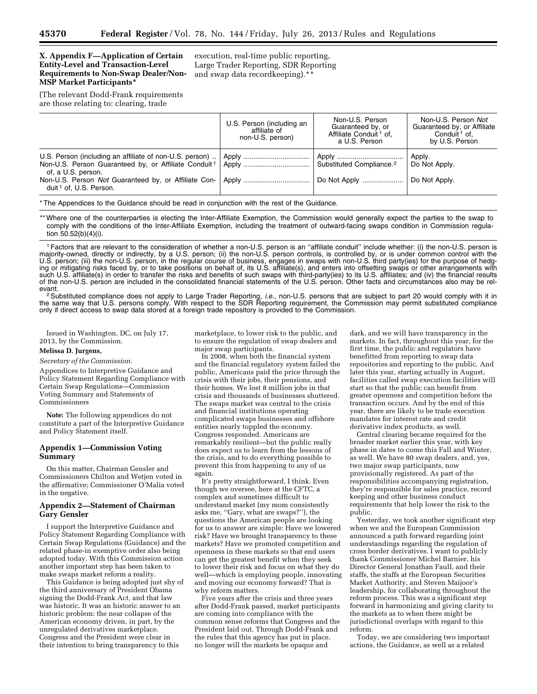## **X. Appendix F—Application of Certain Entity-Level and Transaction-Level Requirements to Non-Swap Dealer/Non-MSP Market Participants\***

(The relevant Dodd-Frank requirements are those relating to: clearing, trade

execution, real-time public reporting, Large Trader Reporting, SDR Reporting and swap data recordkeeping).\*\*

|                                                                                                                                                                                                                                                 | U.S. Person (including an<br>affiliate of<br>non-U.S. person) | Non-U.S. Person<br>Guaranteed by, or<br>Affiliate Conduit <sup>1</sup> of,<br>a U.S. Person | Non-U.S. Person Not<br>Guaranteed by, or Affiliate<br>Conduit <sup>1</sup> of.<br>by U.S. Person |
|-------------------------------------------------------------------------------------------------------------------------------------------------------------------------------------------------------------------------------------------------|---------------------------------------------------------------|---------------------------------------------------------------------------------------------|--------------------------------------------------------------------------------------------------|
| U.S. Person (including an affiliate of non-U.S. person)<br>Non-U.S. Person Guaranteed by, or Affiliate Conduit <sup>1</sup><br>of, a U.S. person.<br>Non-U.S. Person Not Guaranteed by, or Affiliate Con-<br>duit <sup>1</sup> of, U.S. Person. |                                                               | Substituted Compliance. <sup>2</sup><br>Do Not Apply                                        | Apply.<br>Do Not Apply.<br>Do Not Apply.                                                         |
| * The Appendices to the Guidance should be read in conjunction with the rest of the Guidance.                                                                                                                                                   |                                                               |                                                                                             |                                                                                                  |

\*\* Where one of the counterparties is electing the Inter-Affiliate Exemption, the Commission would generally expect the parties to the swap to comply with the conditions of the Inter-Affiliate Exemption, including the treatment of outward-facing swaps condition in Commission regulation 50.52(b)(4)(i).

1Factors that are relevant to the consideration of whether a non-U.S. person is an ''affiliate conduit'' include whether: (i) the non-U.S. person is majority-owned, directly or indirectly, by a U.S. person; (ii) the non-U.S. person controls, is controlled by, or is under common control with the U.S. person; (iii) the non-U.S. person, in the regular course of business, engages in swaps with non-U.S. third party(ies) for the purpose of hedging or mitigating risks faced by, or to take positions on behalf of, its U.S. affiliate(s), and enters into offsetting swaps or other arrangements with such U.S. affiliate(s) in order to transfer the risks and benefits of such swaps with third-party(ies) to its U.S. affiliates; and (iv) the financial results of the non-U.S. person are included in the consolidated financial statements of the U.S. person. Other facts and circumstances also may be rel-

<sup>2</sup> Substituted compliance does not apply to Large Trader Reporting, *i.e.*, non-U.S. persons that are subject to part 20 would comply with it in the same way that U.S. persons comply. With respect to the SDR Reporting requirement, the Commission may permit substituted compliance only if direct access to swap data stored at a foreign trade repository is provided to the Commission.

Issued in Washington, DC, on July 17, 2013, by the Commission.

#### **Melissa D. Jurgens,**

*Secretary of the Commission.* 

Appendices to Interpretive Guidance and Policy Statement Regarding Compliance with Certain Swap Regulations—Commission Voting Summary and Statements of Commissioners

**Note:** The following appendices do not constitute a part of the Interpretive Guidance and Policy Statement itself.

## **Appendix 1—Commission Voting Summary**

On this matter, Chairman Gensler and Commissioners Chilton and Wetjen voted in the affirmative; Commissioner O'Malia voted in the negative.

## **Appendix 2—Statement of Chairman Gary Gensler**

I support the Interpretive Guidance and Policy Statement Regarding Compliance with Certain Swap Regulations (Guidance) and the related phase-in exemptive order also being adopted today. With this Commission action another important step has been taken to make swaps market reform a reality.

This Guidance is being adopted just shy of the third anniversary of President Obama signing the Dodd-Frank Act, and that law was historic. It was an historic answer to an historic problem: the near collapse of the American economy driven, in part, by the unregulated derivatives marketplace. Congress and the President were clear in their intention to bring transparency to this

marketplace, to lower risk to the public, and to ensure the regulation of swap dealers and major swap participants.

In 2008, when both the financial system and the financial regulatory system failed the public, Americans paid the price through the crisis with their jobs, their pensions, and their homes. We lost 8 million jobs in that crisis and thousands of businesses shuttered. The swaps market was central to the crisis and financial institutions operating complicated swaps businesses and offshore entities nearly toppled the economy. Congress responded. Americans are remarkably resilient—but the public really does expect us to learn from the lessons of the crisis, and to do everything possible to prevent this from happening to any of us again.

It's pretty straightforward, I think. Even though we oversee, here at the CFTC, a complex and sometimes difficult to understand market (my mom consistently asks me, ''Gary, what are swaps?''), the questions the American people are looking for us to answer are simple: Have we lowered risk? Have we brought transparency to these markets? Have we promoted competition and openness in these markets so that end users can get the greatest benefit when they seek to lower their risk and focus on what they do well—which is employing people, innovating and moving our economy forward? That is why reform matters.

Five years after the crisis and three years after Dodd-Frank passed, market participants are coming into compliance with the common sense reforms that Congress and the President laid out. Through Dodd-Frank and the rules that this agency has put in place, no longer will the markets be opaque and

dark, and we will have transparency in the markets. In fact, throughout this year, for the first time, the public and regulators have benefitted from reporting to swap data repositories and reporting to the public. And later this year, starting actually in August, facilities called swap execution facilities will start so that the public can benefit from greater openness and competition before the transaction occurs. And by the end of this year, there are likely to be trade execution mandates for interest rate and credit derivative index products, as well.

Central clearing became required for the broader market earlier this year, with key phase in dates to come this Fall and Winter, as well. We have 80 swap dealers, and, yes, two major swap participants, now provisionally registered. As part of the responsibilities accompanying registration, they're responsible for sales practice, record keeping and other business conduct requirements that help lower the risk to the public.

Yesterday, we took another significant step when we and the European Commission announced a path forward regarding joint understandings regarding the regulation of cross border derivatives. I want to publicly thank Commissioner Michel Barnier, his Director General Jonathan Faull, and their staffs, the staffs at the European Securities Market Authority, and Steven Maijoor's leadership, for collaborating throughout the reform process. This was a significant step forward in harmonizing and giving clarity to the markets as to when there might be jurisdictional overlaps with regard to this reform.

Today, we are considering two important actions, the Guidance, as well as a related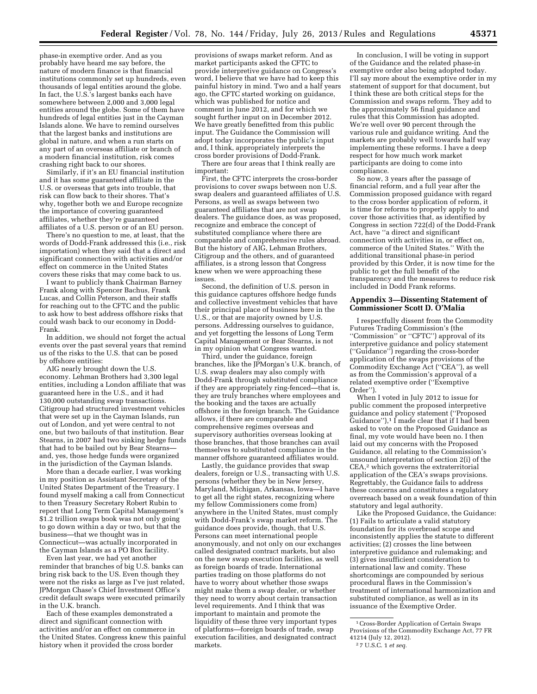phase-in exemptive order. And as you probably have heard me say before, the nature of modern finance is that financial institutions commonly set up hundreds, even thousands of legal entities around the globe. In fact, the U.S.'s largest banks each have somewhere between 2,000 and 3,000 legal entities around the globe. Some of them have hundreds of legal entities just in the Cayman Islands alone. We have to remind ourselves that the largest banks and institutions are global in nature, and when a run starts on any part of an overseas affiliate or branch of a modern financial institution, risk comes crashing right back to our shores.

Similarly, if it's an EU financial institution and it has some guaranteed affiliate in the U.S. or overseas that gets into trouble, that risk can flow back to their shores. That's why, together both we and Europe recognize the importance of covering guaranteed affiliates, whether they're guaranteed affiliates of a U.S. person or of an EU person.

There's no question to me, at least, that the words of Dodd-Frank addressed this (i.e., risk importation) when they said that a direct and significant connection with activities and/or effect on commerce in the United States covers these risks that may come back to us.

I want to publicly thank Chairman Barney Frank along with Spencer Bachus, Frank Lucas, and Collin Peterson, and their staffs for reaching out to the CFTC and the public to ask how to best address offshore risks that could wash back to our economy in Dodd-Frank.

In addition, we should not forget the actual events over the past several years that remind us of the risks to the U.S. that can be posed by offshore entities:

AIG nearly brought down the U.S. economy. Lehman Brothers had 3,300 legal entities, including a London affiliate that was guaranteed here in the U.S., and it had 130,000 outstanding swap transactions. Citigroup had structured investment vehicles that were set up in the Cayman Islands, run out of London, and yet were central to not one, but two bailouts of that institution. Bear Stearns, in 2007 had two sinking hedge funds that had to be bailed out by Bear Stearns and, yes, those hedge funds were organized in the jurisdiction of the Cayman Islands.

More than a decade earlier, I was working in my position as Assistant Secretary of the United States Department of the Treasury. I found myself making a call from Connecticut to then Treasury Secretary Robert Rubin to report that Long Term Capital Management's \$1.2 trillion swaps book was not only going to go down within a day or two, but that the business—that we thought was in Connecticut—was actually incorporated in the Cayman Islands as a PO Box facility.

Even last year, we had yet another reminder that branches of big U.S. banks can bring risk back to the US. Even though they were not the risks as large as I've just related, JPMorgan Chase's Chief Investment Office's credit default swaps were executed primarily in the U.K. branch.

Each of these examples demonstrated a direct and significant connection with activities and/or an effect on commerce in the United States. Congress knew this painful history when it provided the cross border

provisions of swaps market reform. And as market participants asked the CFTC to provide interpretive guidance on Congress's word, I believe that we have had to keep this painful history in mind. Two and a half years ago, the CFTC started working on guidance, which was published for notice and comment in June 2012, and for which we sought further input on in December 2012. We have greatly benefitted from this public input. The Guidance the Commission will adopt today incorporates the public's input and, I think, appropriately interprets the cross border provisions of Dodd-Frank.

There are four areas that I think really are important:

First, the CFTC interprets the cross-border provisions to cover swaps between non U.S. swap dealers and guaranteed affiliates of U.S. Persons, as well as swaps between two guaranteed affiliates that are not swap dealers. The guidance does, as was proposed, recognize and embrace the concept of substituted compliance where there are comparable and comprehensive rules abroad. But the history of AIG, Lehman Brothers, Citigroup and the others, and of guaranteed affiliates, is a strong lesson that Congress knew when we were approaching these issues.

Second, the definition of U.S. person in this guidance captures offshore hedge funds and collective investment vehicles that have their principal place of business here in the U.S., or that are majority owned by U.S. persons. Addressing ourselves to guidance, and yet forgetting the lessons of Long Term Capital Management or Bear Stearns, is not in my opinion what Congress wanted.

Third, under the guidance, foreign branches, like the JPMorgan's U.K. branch, of U.S. swap dealers may also comply with Dodd-Frank through substituted compliance if they are appropriately ring-fenced—that is, they are truly branches where employees and the booking and the taxes are actually offshore in the foreign branch. The Guidance allows, if there are comparable and comprehensive regimes overseas and supervisory authorities overseas looking at those branches, that those branches can avail themselves to substituted compliance in the manner offshore guaranteed affiliates would.

Lastly, the guidance provides that swap dealers, foreign or U.S., transacting with U.S. persons (whether they be in New Jersey, Maryland, Michigan, Arkansas, Iowa—I have to get all the right states, recognizing where my fellow Commissioners come from) anywhere in the United States, must comply with Dodd-Frank's swap market reform. The guidance does provide, though, that U.S. Persons can meet international people anonymously, and not only on our exchanges called designated contract markets, but also on the new swap execution facilities, as well as foreign boards of trade. International parties trading on those platforms do not have to worry about whether those swaps might make them a swap dealer, or whether they need to worry about certain transaction level requirements. And I think that was important to maintain and promote the liquidity of these three very important types of platforms—foreign boards of trade, swap execution facilities, and designated contract markets.

In conclusion, I will be voting in support of the Guidance and the related phase-in exemptive order also being adopted today. I'll say more about the exemptive order in my statement of support for that document, but I think these are both critical steps for the Commission and swaps reform. They add to the approximately 56 final guidance and rules that this Commission has adopted. We're well over 90 percent through the various rule and guidance writing. And the markets are probably well towards half way implementing these reforms. I have a deep respect for how much work market participants are doing to come into compliance.

So now, 3 years after the passage of financial reform, and a full year after the Commission proposed guidance with regard to the cross border application of reform, it is time for reforms to properly apply to and cover those activities that, as identified by Congress in section 722(d) of the Dodd-Frank Act, have ''a direct and significant connection with activities in, or effect on, commerce of the United States.'' With the additional transitional phase-in period provided by this Order, it is now time for the public to get the full benefit of the transparency and the measures to reduce risk included in Dodd Frank reforms.

#### **Appendix 3—Dissenting Statement of Commissioner Scott D. O'Malia**

I respectfully dissent from the Commodity Futures Trading Commission's (the ''Commission'' or ''CFTC'') approval of its interpretive guidance and policy statement (''Guidance'') regarding the cross-border application of the swaps provisions of the Commodity Exchange Act (''CEA''), as well as from the Commission's approval of a related exemptive order (''Exemptive Order'').

When I voted in July 2012 to issue for public comment the proposed interpretive guidance and policy statement (''Proposed Guidance"),<sup>1</sup> I made clear that if I had been asked to vote on the Proposed Guidance as final, my vote would have been no. I then laid out my concerns with the Proposed Guidance, all relating to the Commission's unsound interpretation of section 2(i) of the CEA,<sup>2</sup> which governs the extraterritorial application of the CEA's swaps provisions. Regrettably, the Guidance fails to address these concerns and constitutes a regulatory overreach based on a weak foundation of thin statutory and legal authority.

Like the Proposed Guidance, the Guidance: (1) Fails to articulate a valid statutory foundation for its overbroad scope and inconsistently applies the statute to different activities; (2) crosses the line between interpretive guidance and rulemaking; and (3) gives insufficient consideration to international law and comity. These shortcomings are compounded by serious procedural flaws in the Commission's treatment of international harmonization and substituted compliance, as well as in its issuance of the Exemptive Order.

<sup>1</sup>Cross-Border Application of Certain Swaps Provisions of the Commodity Exchange Act, 77 FR 41214 (July 12, 2012).

<sup>2</sup> 7 U.S.C. 1 *et seq.*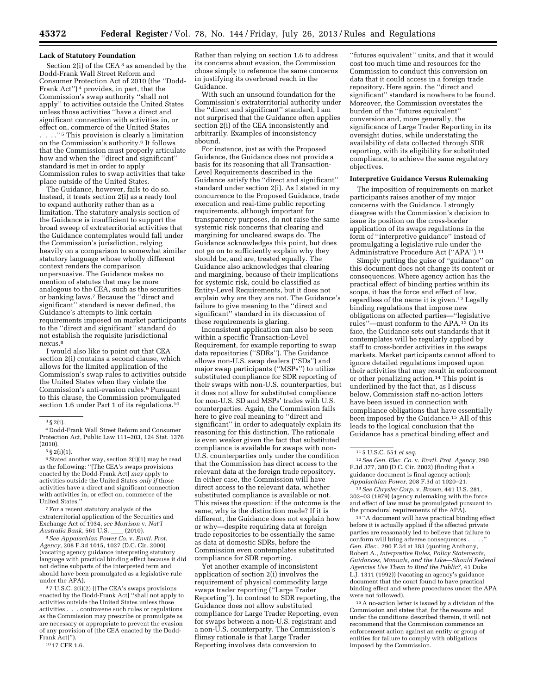#### **Lack of Statutory Foundation**

Section 2(i) of the CEA<sup>3</sup> as amended by the Dodd-Frank Wall Street Reform and Consumer Protection Act of 2010 (the ''Dodd-Frank Act'') 4 provides, in part, that the Commission's swap authority ''shall not apply'' to activities outside the United States unless those activities ''have a direct and significant connection with activities in, or effect on, commerce of the United States . . . . .  $"$  5 This provision is clearly a limitation on the Commission's authority.6 It follows that the Commission must properly articulate how and when the ''direct and significant'' standard is met in order to apply Commission rules to swap activities that take place outside of the United States.

The Guidance, however, fails to do so. Instead, it treats section 2(i) as a ready tool to expand authority rather than as a limitation. The statutory analysis section of the Guidance is insufficient to support the broad sweep of extraterritorial activities that the Guidance contemplates would fall under the Commission's jurisdiction, relying heavily on a comparison to somewhat similar statutory language whose wholly different context renders the comparison unpersuasive. The Guidance makes no mention of statutes that may be more analogous to the CEA, such as the securities or banking laws.7 Because the ''direct and significant'' standard is never defined, the Guidance's attempts to link certain requirements imposed on market participants to the ''direct and significant'' standard do not establish the requisite jurisdictional nexus.8

I would also like to point out that CEA section 2(i) contains a second clause, which allows for the limited application of the Commission's swap rules to activities outside the United States when they violate the Commission's anti-evasion rules.9 Pursuant to this clause, the Commission promulgated section 1.6 under Part 1 of its regulations.10

4 Dodd-Frank Wall Street Reform and Consumer Protection Act, Public Law 111–203, 124 Stat. 1376 (2010).

5 § 2(i)(1).

<sup>6</sup> Stated another way, section 2(i)(1) may be read as the following: ''[The CEA's swaps provisions enacted by the Dodd-Frank Act] *may* apply to activities outside the United States *only if* those activities have a direct and significant connection with activities in, or effect on, commerce of the United States.''

7For a recent statutory analysis of the extraterritorial application of the Securities and Exchange Act of 1934, *see Morrison* v. *Nat'l Australia Bank,* 561 U.S. \_\_\_ (2010).

8*See Appalachian Power Co.* v. *Envtl. Prot. Agency,* 208 F.3d 1015, 1027 (D.C. Cir. 2000) (vacating agency guidance interpreting statutory language with practical binding effect because it did not define subparts of the interpreted term and should have been promulgated as a legislative rule under the APA).

9 7 U.S.C. 2(i)(2) ([The CEA's swaps provisions enacted by the Dodd-Frank Act] ''shall not apply to activities outside the United States unless those activities . . . contravene such rules or regulations as the Commission may prescribe or promulgate as are necessary or appropriate to prevent the evasion of any provision of [the CEA enacted by the Dodd-Frank Act]'').

10 17 CFR 1.6.

Rather than relying on section 1.6 to address its concerns about evasion, the Commission chose simply to reference the same concerns in justifying its overbroad reach in the Guidance.

With such an unsound foundation for the Commission's extraterritorial authority under the ''direct and significant'' standard, I am not surprised that the Guidance often applies section 2(i) of the CEA inconsistently and arbitrarily. Examples of inconsistency abound.

For instance, just as with the Proposed Guidance, the Guidance does not provide a basis for its reasoning that all Transaction-Level Requirements described in the Guidance satisfy the ''direct and significant'' standard under section 2(i). As I stated in my concurrence to the Proposed Guidance, trade execution and real-time public reporting requirements, although important for transparency purposes, do not raise the same systemic risk concerns that clearing and margining for uncleared swaps do. The Guidance acknowledges this point, but does not go on to sufficiently explain why they should be, and are, treated equally. The Guidance also acknowledges that clearing and margining, because of their implications for systemic risk, could be classified as Entity-Level Requirements, but it does not explain why are they are not. The Guidance's failure to give meaning to the ''direct and significant'' standard in its discussion of these requirements is glaring.

Inconsistent application can also be seen within a specific Transaction-Level Requirement, for example reporting to swap data repositories (''SDRs''). The Guidance allows non-U.S. swap dealers (''SDs'') and major swap participants (''MSPs'') to utilize substituted compliance for SDR reporting of their swaps with non-U.S. counterparties, but it does not allow for substituted compliance for non-U.S. SD and MSPs' trades with U.S. counterparties. Again, the Commission fails here to give real meaning to ''direct and significant'' in order to adequately explain its reasoning for this distinction. The rationale is even weaker given the fact that substituted compliance is available for swaps with non-U.S. counterparties only under the condition that the Commission has direct access to the relevant data at the foreign trade repository. In either case, the Commission will have direct access to the relevant data, whether substituted compliance is available or not. This raises the question: if the outcome is the same, why is the distinction made? If it is different, the Guidance does not explain how or why—despite requiring data at foreign trade repositories to be essentially the same as data at domestic SDRs, before the Commission even contemplates substituted compliance for SDR reporting.

Yet another example of inconsistent application of section 2(i) involves the requirement of physical commodity large swaps trader reporting (''Large Trader Reporting''). In contrast to SDR reporting, the Guidance does not allow substituted compliance for Large Trader Reporting, even for swaps between a non-U.S. registrant and a non-U.S. counterparty. The Commission's flimsy rationale is that Large Trader Reporting involves data conversion to

''futures equivalent'' units, and that it would cost too much time and resources for the Commission to conduct this conversion on data that it could access in a foreign trade repository. Here again, the ''direct and significant'' standard is nowhere to be found. Moreover, the Commission overstates the burden of the ''futures equivalent'' conversion and, more generally, the significance of Large Trader Reporting in its oversight duties, while understating the availability of data collected through SDR reporting, with its eligibility for substituted compliance, to achieve the same regulatory objectives.

#### **Interpretive Guidance Versus Rulemaking**

The imposition of requirements on market participants raises another of my major concerns with the Guidance. I strongly disagree with the Commission's decision to issue its position on the cross-border application of its swaps regulations in the form of ''interpretive guidance'' instead of promulgating a legislative rule under the Administrative Procedure Act (''APA'').11

Simply putting the guise of ''guidance'' on this document does not change its content or consequences. Where agency action has the practical effect of binding parties within its scope, it has the force and effect of law, regardless of the name it is given.12 Legally binding regulations that impose new obligations on affected parties—''legislative rules''—must conform to the APA.13 On its face, the Guidance sets out standards that it contemplates will be regularly applied by staff to cross-border activities in the swaps markets. Market participants cannot afford to ignore detailed regulations imposed upon their activities that may result in enforcement or other penalizing action.<sup>14</sup> This point is underlined by the fact that, as I discuss below, Commission staff no-action letters have been issued in connection with compliance obligations that have essentially been imposed by the Guidance.15 All of this leads to the logical conclusion that the Guidance has a practical binding effect and

13*See Chrysler Corp.* v. *Brown,* 441 U.S. 281, 302–03 (1979) (agency rulemaking with the force and effect of law must be promulgated pursuant to the procedural requirements of the APA).

14 ''A document will have practical binding effect before it is actually applied if the affected private parties are reasonably led to believe that failure to conform will bring adverse consequences . . . . *Gen. Elec.,* 290 F.3d at 383 (quoting Anthony, Robert A., *Interpretive Rules, Policy Statements, Guidances, Manuals, and the Like—Should Federal Agencies Use Them to Bind the Public?,* 41 Duke L.J. 1311 (1992)) (vacating an agency's guidance document that the court found to have practical binding effect and where procedures under the APA were not followed).

15A no-action letter is issued by a division of the Commission and states that, for the reasons and under the conditions described therein, it will not recommend that the Commission commence an enforcement action against an entity or group of entities for failure to comply with obligations imposed by the Commission.

<sup>3</sup> § 2(i).

<sup>11</sup> 5 U.S.C. 551 *et seq.* 

<sup>12</sup>*See Gen. Elec. Co.* v. *Envtl. Prot. Agency,* 290 F.3d 377, 380 (D.C. Cir. 2002) (finding that a guidance document is final agency action); *Appalachian Power,* 208 F.3d at 1020–21.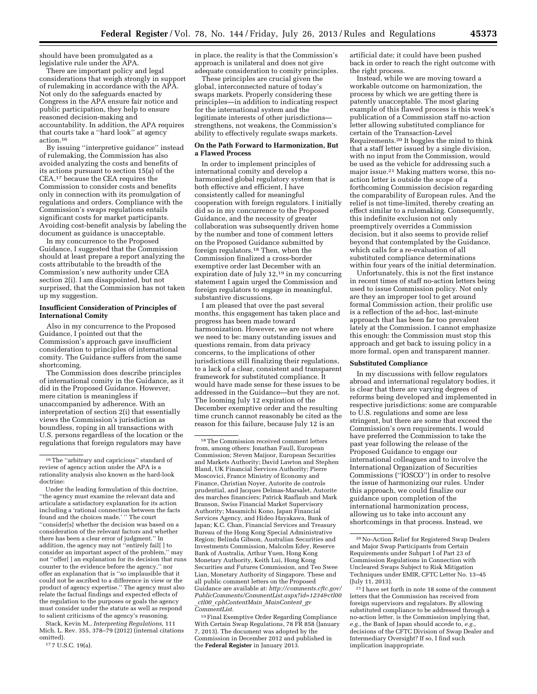should have been promulgated as a legislative rule under the APA.

There are important policy and legal considerations that weigh strongly in support of rulemaking in accordance with the APA. Not only do the safeguards enacted by Congress in the APA ensure fair notice and public participation, they help to ensure reasoned decision-making and accountability. In addition, the APA requires that courts take a ''hard look'' at agency action.16

By issuing ''interpretive guidance'' instead of rulemaking, the Commission has also avoided analyzing the costs and benefits of its actions pursuant to section 15(a) of the CEA,17 because the CEA requires the Commission to consider costs and benefits only in connection with its promulgation of regulations and orders. Compliance with the Commission's swaps regulations entails significant costs for market participants. Avoiding cost-benefit analysis by labeling the document as guidance is unacceptable.

In my concurrence to the Proposed Guidance, I suggested that the Commission should at least prepare a report analyzing the costs attributable to the breadth of the Commission's new authority under CEA section 2(i). I am disappointed, but not surprised, that the Commission has not taken up my suggestion.

### **Insufficient Consideration of Principles of International Comity**

Also in my concurrence to the Proposed Guidance, I pointed out that the Commission's approach gave insufficient consideration to principles of international comity. The Guidance suffers from the same shortcoming.

The Commission does describe principles of international comity in the Guidance, as it did in the Proposed Guidance. However, mere citation is meaningless if unaccompanied by adherence. With an interpretation of section 2(i) that essentially views the Commission's jurisdiction as boundless, roping in all transactions with U.S. persons regardless of the location or the regulations that foreign regulators may have

Stack, Kevin M., *Interpreting Regulations,* 111 Mich. L. Rev. 355, 378–79 (2012) (internal citations omitted).

17 7 U.S.C. 19(a).

in place, the reality is that the Commission's approach is unilateral and does not give adequate consideration to comity principles.

These principles are crucial given the global, interconnected nature of today's swaps markets. Properly considering these principles—in addition to indicating respect for the international system and the legitimate interests of other jurisdictions strengthens, not weakens, the Commission's ability to effectively regulate swaps markets.

### **On the Path Forward to Harmonization, But a Flawed Process**

In order to implement principles of international comity and develop a harmonized global regulatory system that is both effective and efficient, I have consistently called for meaningful cooperation with foreign regulators. I initially did so in my concurrence to the Proposed Guidance, and the necessity of greater collaboration was subsequently driven home by the number and tone of comment letters on the Proposed Guidance submitted by foreign regulators.18 Then, when the Commission finalized a cross-border exemptive order last December with an expiration date of July 12,19 in my concurring statement I again urged the Commission and foreign regulators to engage in meaningful, substantive discussions.

I am pleased that over the past several months, this engagement has taken place and progress has been made toward harmonization. However, we are not where we need to be: many outstanding issues and questions remain, from data privacy concerns, to the implications of other jurisdictions still finalizing their regulations, to a lack of a clear, consistent and transparent framework for substituted compliance. It would have made sense for these issues to be addressed in the Guidance—but they are not. The looming July 12 expiration of the December exemptive order and the resulting time crunch cannot reasonably be cited as the reason for this failure, because July 12 is an

19Final Exemptive Order Regarding Compliance With Certain Swap Regulations, 78 FR 858 (January 7, 2013). The document was adopted by the Commission in December 2012 and published in the **Federal Register** in January 2013.

artificial date; it could have been pushed back in order to reach the right outcome with the right process.

Instead, while we are moving toward a workable outcome on harmonization, the process by which we are getting there is patently unacceptable. The most glaring example of this flawed process is this week's publication of a Commission staff no-action letter allowing substituted compliance for certain of the Transaction-Level Requirements.20 It boggles the mind to think that a staff letter issued by a single division, with no input from the Commission, would be used as the vehicle for addressing such a major issue.21 Making matters worse, this noaction letter is outside the scope of a forthcoming Commission decision regarding the comparability of European rules. And the relief is not time-limited, thereby creating an effect similar to a rulemaking. Consequently, this indefinite exclusion not only preemptively overrides a Commission decision, but it also seems to provide relief beyond that contemplated by the Guidance, which calls for a re-evaluation of all substituted compliance determinations within four years of the initial determination.

Unfortunately, this is not the first instance in recent times of staff no-action letters being used to issue Commission policy. Not only are they an improper tool to get around formal Commission action, their prolific use is a reflection of the ad-hoc, last-minute approach that has been far too prevalent lately at the Commission. I cannot emphasize this enough: the Commission must stop this approach and get back to issuing policy in a more formal, open and transparent manner.

#### **Substituted Compliance**

In my discussions with fellow regulators abroad and international regulatory bodies, it is clear that there are varying degrees of reforms being developed and implemented in respective jurisdictions: some are comparable to U.S. regulations and some are less stringent, but there are some that exceed the Commission's own requirements. I would have preferred the Commission to take the past year following the release of the Proposed Guidance to engage our international colleagues and to involve the International Organization of Securities Commissions (''IOSCO'') in order to resolve the issue of harmonizing our rules. Under this approach, we could finalize our guidance upon completion of the international harmonization process, allowing us to take into account any shortcomings in that process. Instead, we

<sup>16</sup>The ''arbitrary and capricious'' standard of review of agency action under the APA is a rationality analysis also known as the hard-look doctrine:

Under the leading formulation of this doctrine, ''the agency must examine the relevant data and articulate a satisfactory explanation for its action including a 'rational connection between the facts found and the choices made.' '' The court ''consider[s] whether the decision was based on a consideration of the relevant factors and whether there has been a clear error of judgment.'' In addition, the agency may not "entirely fail[] to consider an important aspect of the problem,'' may not ''offer[ ] an explanation for its decision that runs counter to the evidence before the agency,'' nor offer an explanation that is ''so implausible that it could not be ascribed to a difference in view or the product of agency expertise.'' The agency must also relate the factual findings and expected effects of the regulation to the purposes or goals the agency must consider under the statute as well as respond to salient criticisms of the agency's reasoning.

<sup>18</sup>The Commission received comment letters from, among others: Jonathan Faull, European Commission; Steven Maijoor, European Securities and Markets Authority; David Lawton and Stephen Bland, UK Financial Services Authority; Pierre Moscovici, France Ministry of Economy and Finance, Christian Noyer, Autorite de controle prudential, and Jacques Delmas-Marsalet, Autorite des marches financiers; Patrick Raaflaub and Mark Branson, Swiss Financial Market Supervisory Authority; Masamichi Kono, Japan Financial Services Agency, and Hideo Hayakawa, Bank of Japan; K.C. Chan, Financial Services and Treasury Bureau of the Hong Kong Special Administrative Region; Belinda Gibson, Australian Securities and Investments Commission, Malcolm Edey, Reserve Bank of Australia, Arthur Yuen, Hong Kong Monetary Authority, Keith Lui, Hong Kong Securities and Futures Commission, and Teo Swee Lian, Monetary Authority of Singapore. These and all public comment letters on the Proposed Guidance are available at: *[http://comments.cftc.gov/](http://comments.cftc.gov/PublicComments/CommentList.aspx?id=1234&ctl00_ctl00_cphContentMain_MainContent_gvCommentList)  [PublicComments/CommentList.aspx?id=1234&ctl00](http://comments.cftc.gov/PublicComments/CommentList.aspx?id=1234&ctl00_ctl00_cphContentMain_MainContent_gvCommentList)* \_*ctl00*\_*[cphContentMain](http://comments.cftc.gov/PublicComments/CommentList.aspx?id=1234&ctl00_ctl00_cphContentMain_MainContent_gvCommentList)*\_*MainContent*\_*gv [CommentList.](http://comments.cftc.gov/PublicComments/CommentList.aspx?id=1234&ctl00_ctl00_cphContentMain_MainContent_gvCommentList)* 

<sup>20</sup>No-Action Relief for Registered Swap Dealers and Major Swap Participants from Certain Requirements under Subpart I of Part 23 of Commission Regulations in Connection with Uncleared Swaps Subject to Risk Mitigation Techniques under EMIR, CFTC Letter No. 13–45 (July 11, 2013).

<sup>21</sup> I have set forth in note 18 some of the comment letters that the Commission has received from foreign supervisors and regulators. By allowing substituted compliance to be addressed through a no-action letter, is the Commission implying that, *e.g.,* the Bank of Japan should accede to, *e.g.,*  decisions of the CFTC Division of Swap Dealer and Intermediary Oversight? If so, I find such implication inappropriate.